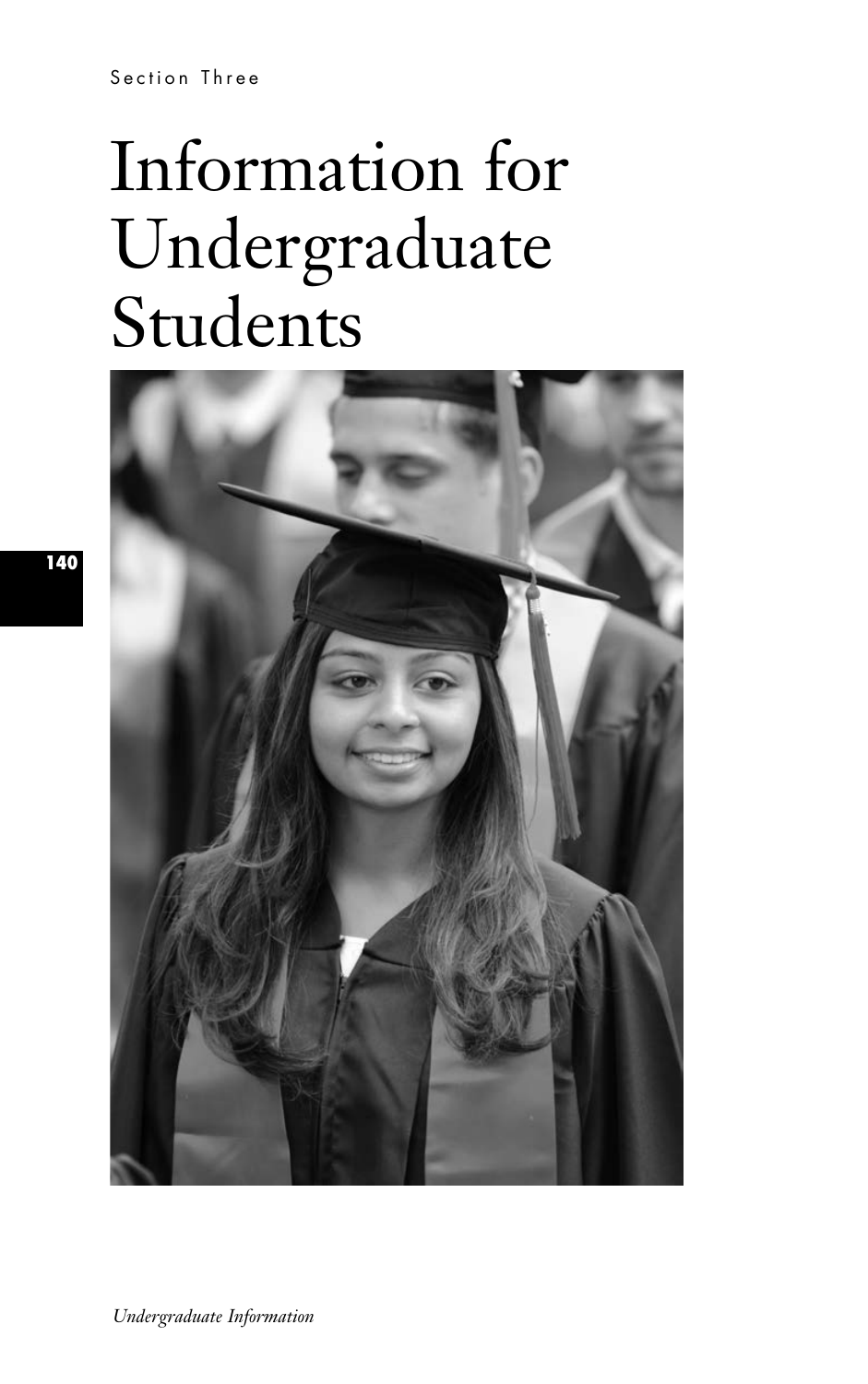Section Three

# Information for Undergraduate Students



**140**

*Undergraduate Information*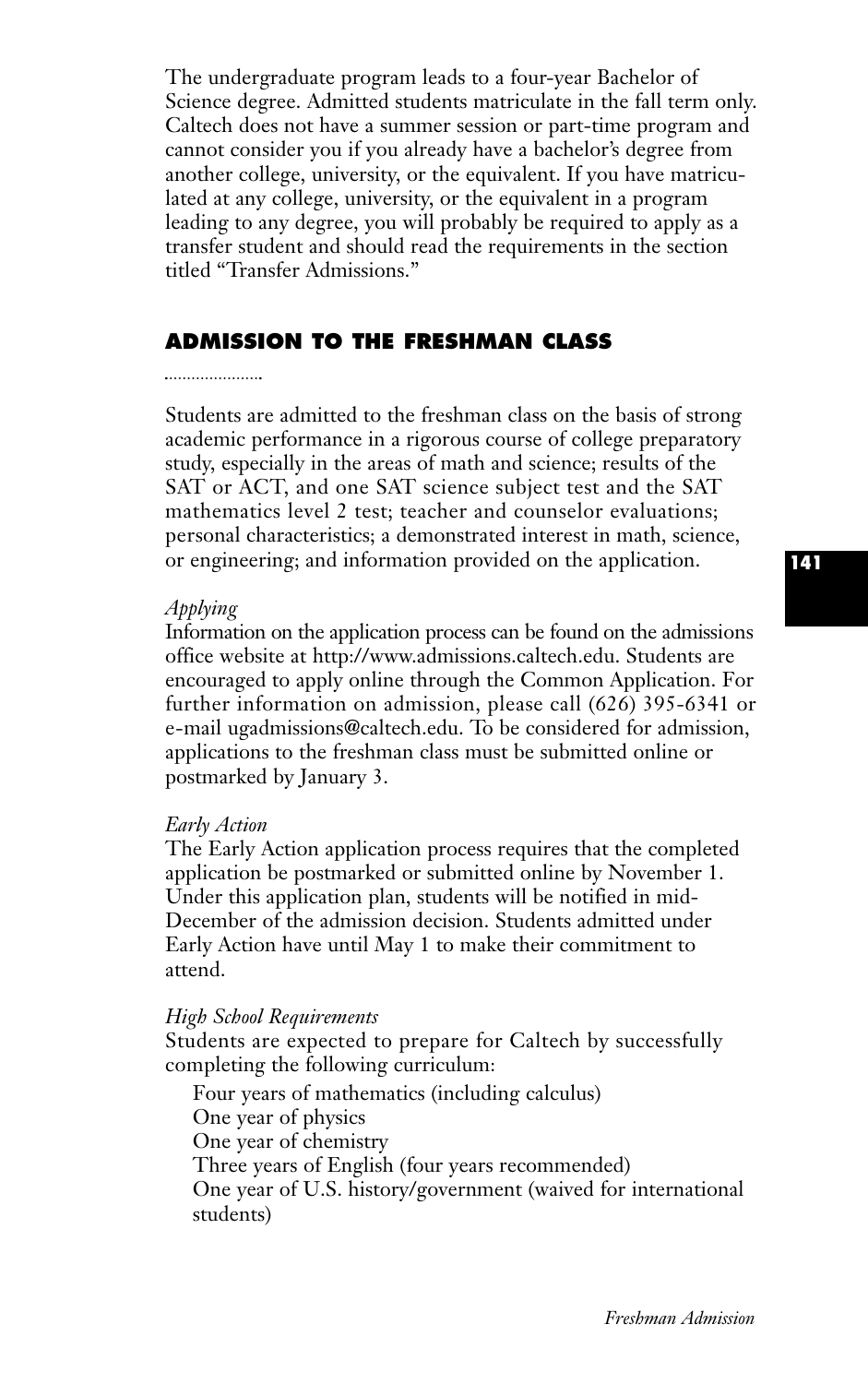The undergraduate program leads to a four-year Bachelor of Science degree. Admitted students matriculate in the fall term only. Caltech does not have a summer session or part-time program and cannot consider you if you already have a bachelor's degree from another college, university, or the equivalent. If you have matriculated at any college, university, or the equivalent in a program leading to any degree, you will probably be required to apply as a transfer student and should read the requirements in the section titled "Transfer Admissions.''

# **ADMISSION TO THE FRESHMAN CLASS**

#### 

Students are admitted to the freshman class on the basis of strong academic performance in a rigorous course of college preparatory study, especially in the areas of math and science; results of the SAT or ACT, and one SAT science subject test and the SAT mathematics level 2 test; teacher and counselor evaluations; personal characteristics; a demonstrated interest in math, science, or engineering; and information provided on the application.

#### *Applying*

Information on the application process can be found on the admissions office website at http://www.admissions.caltech.edu. Students are encouraged to apply online through the Common Application. For further information on admission, please call (626) 395-6341 or e-mail ugadmissions@caltech.edu. To be considered for admission, applications to the freshman class must be submitted online or postmarked by January 3.

#### *Early Action*

The Early Action application process requires that the completed application be postmarked or submitted online by November 1. Under this application plan, students will be notified in mid-December of the admission decision. Students admitted under Early Action have until May 1 to make their commitment to attend.

## *High School Requirements*

Students are expected to prepare for Caltech by successfully completing the following curriculum:

Four years of mathematics (including calculus) One year of physics One year of chemistry Three years of English (four years recommended) One year of U.S. history/government (waived for international students)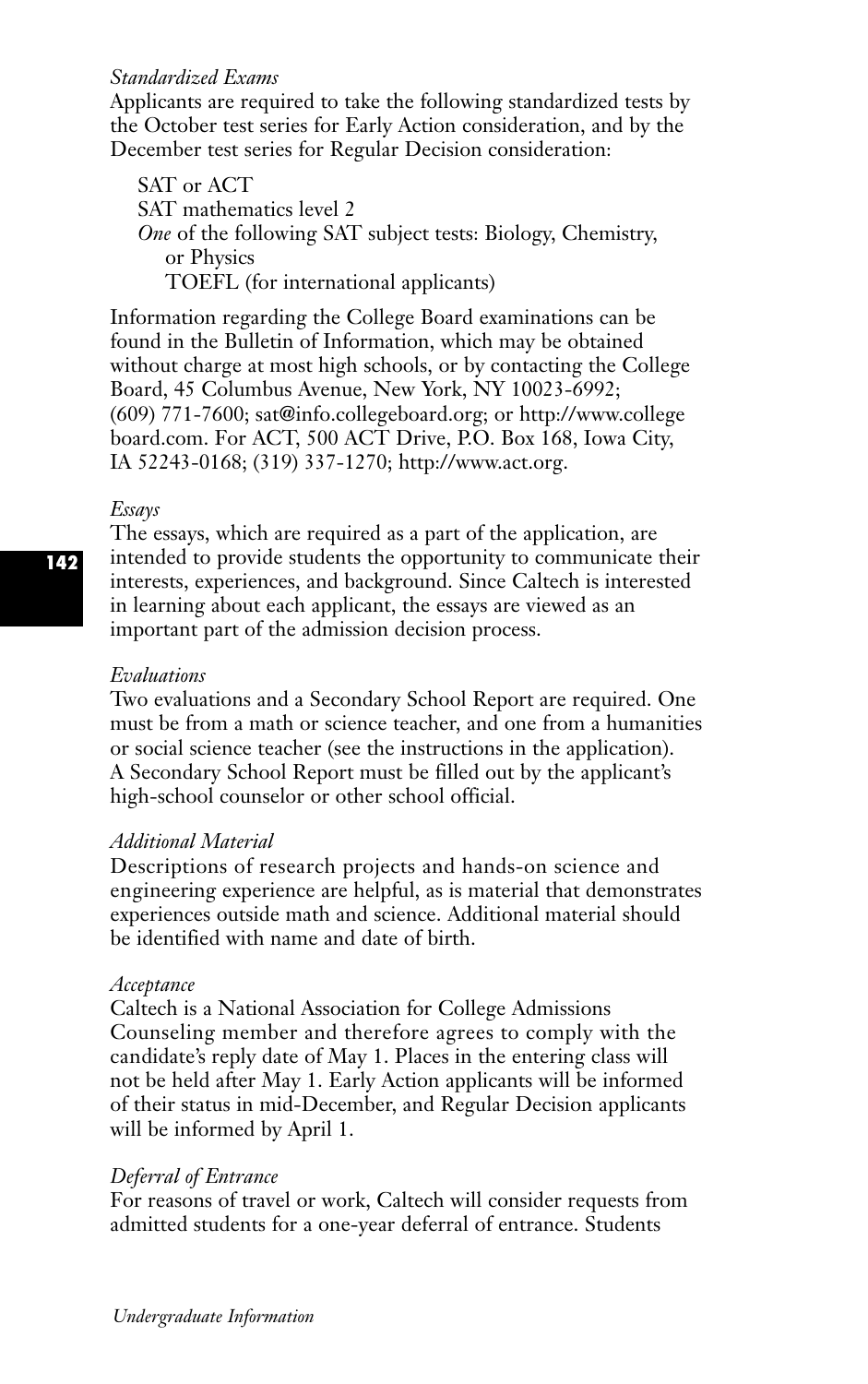## *Standardized Exams*

Applicants are required to take the following standardized tests by the October test series for Early Action consideration, and by the December test series for Regular Decision consideration:

SAT or ACT SAT mathematics level 2 *One* of the following SAT subject tests: Biology, Chemistry, or Physics TOEFL (for international applicants)

Information regarding the College Board examinations can be found in the Bulletin of Information, which may be obtained without charge at most high schools, or by contacting the College Board, 45 Columbus Avenue, New York, NY 10023-6992; (609) 771-7600; sat@info.collegeboard.org; or http://www.college board.com. For ACT, 500 ACT Drive, P.O. Box 168, Iowa City, IA 52243-0168; (319) 337-1270; http://www.act.org.

#### *Essays*

The essays, which are required as a part of the application, are intended to provide students the opportunity to communicate their interests, experiences, and background. Since Caltech is interested in learning about each applicant, the essays are viewed as an important part of the admission decision process.

## *Evaluations*

Two evaluations and a Secondary School Report are required. One must be from a math or science teacher, and one from a humanities or social science teacher (see the instructions in the application). A Secondary School Report must be filled out by the applicant's high-school counselor or other school official.

#### *Additional Material*

Descriptions of research projects and hands-on science and engineering experience are helpful, as is material that demonstrates experiences outside math and science. Additional material should be identified with name and date of birth.

## *Acceptance*

Caltech is a National Association for College Admissions Counseling member and therefore agrees to comply with the candidate's reply date of May 1. Places in the entering class will not be held after May 1. Early Action applicants will be informed of their status in mid-December, and Regular Decision applicants will be informed by April 1.

## *Deferral of Entrance*

For reasons of travel or work, Caltech will consider requests from admitted students for a one-year deferral of entrance. Students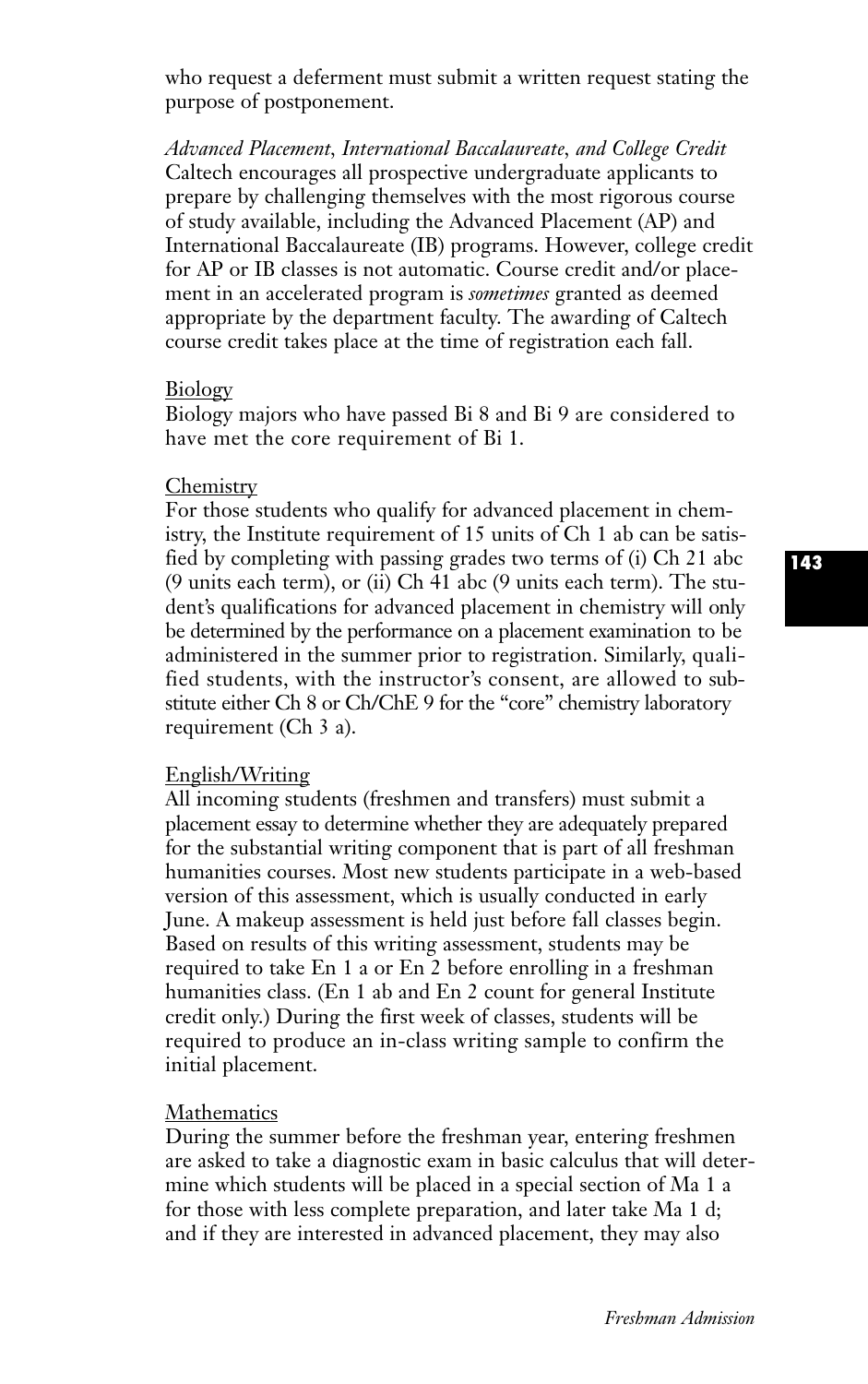who request a deferment must submit a written request stating the purpose of postponement.

*Advanced Placement, International Baccalaureate, and College Credit* Caltech encourages all prospective undergraduate applicants to prepare by challenging themselves with the most rigorous course of study available, including the Advanced Placement (AP) and International Baccalaureate (IB) programs. However, college credit for AP or IB classes is not automatic. Course credit and/or placement in an accelerated program is *sometimes* granted as deemed appropriate by the department faculty. The awarding of Caltech course credit takes place at the time of registration each fall.

#### Biology

Biology majors who have passed Bi 8 and Bi 9 are considered to have met the core requirement of Bi 1.

#### **Chemistry**

For those students who qualify for advanced placement in chemistry, the Institute requirement of 15 units of Ch 1 ab can be satisfied by completing with passing grades two terms of (i) Ch 21 abc (9 units each term), or (ii) Ch 41 abc (9 units each term). The student's qualifications for advanced placement in chemistry will only be determined by the performance on a placement examination to be administered in the summer prior to registration. Similarly, qualified students, with the instructor's consent, are allowed to substitute either Ch 8 or Ch/ChE 9 for the "core" chemistry laboratory requirement (Ch 3 a).

## English/Writing

All incoming students (freshmen and transfers) must submit a placement essay to determine whether they are adequately prepared for the substantial writing component that is part of all freshman humanities courses. Most new students participate in a web-based version of this assessment, which is usually conducted in early June. A makeup assessment is held just before fall classes begin. Based on results of this writing assessment, students may be required to take En 1 a or En 2 before enrolling in a freshman humanities class. (En 1 ab and En 2 count for general Institute credit only.) During the first week of classes, students will be required to produce an in-class writing sample to confirm the initial placement.

## Mathematics

During the summer before the freshman year, entering freshmen are asked to take a diagnostic exam in basic calculus that will determine which students will be placed in a special section of Ma 1 a for those with less complete preparation, and later take Ma 1 d; and if they are interested in advanced placement, they may also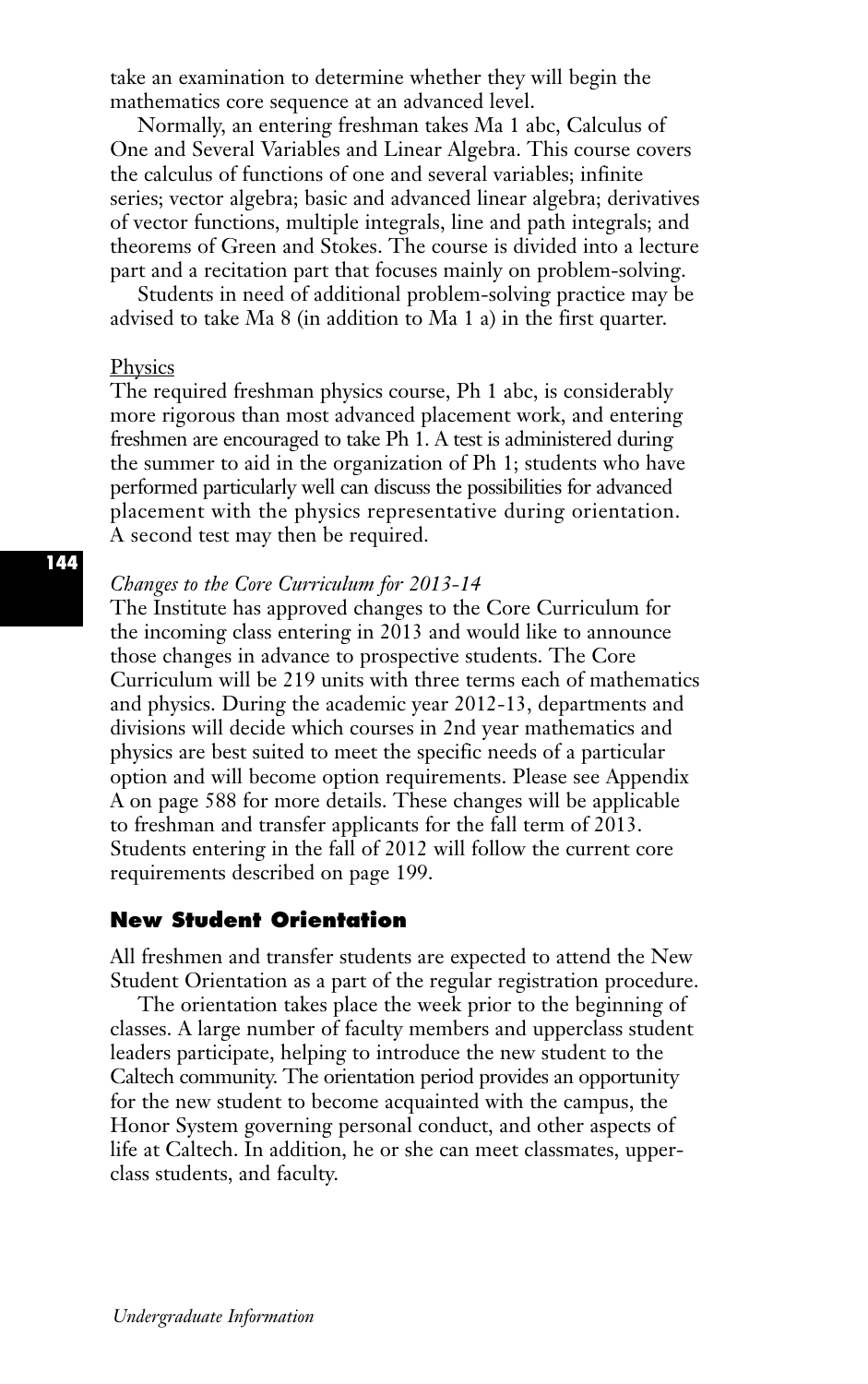take an examination to determine whether they will begin the mathematics core sequence at an advanced level.

Normally, an entering freshman takes Ma 1 abc, Calculus of One and Several Variables and Linear Algebra. This course covers the calculus of functions of one and several variables; infinite series; vector algebra; basic and advanced linear algebra; derivatives of vector functions, multiple integrals, line and path integrals; and theorems of Green and Stokes. The course is divided into a lecture part and a recitation part that focuses mainly on problem-solving.

Students in need of additional problem-solving practice may be advised to take Ma 8 (in addition to Ma 1 a) in the first quarter.

#### Physics

The required freshman physics course, Ph 1 abc, is considerably more rigorous than most advanced placement work, and entering freshmen are encouraged to take Ph 1. A test is administered during the summer to aid in the organization of Ph 1; students who have performed particularly well can discuss the possibilities for advanced placement with the physics representative during orientation. A second test may then be required.

#### *Changes to the Core Curriculum for 2013-14*

The Institute has approved changes to the Core Curriculum for the incoming class entering in 2013 and would like to announce those changes in advance to prospective students. The Core Curriculum will be 219 units with three terms each of mathematics and physics. During the academic year 2012-13, departments and divisions will decide which courses in 2nd year mathematics and physics are best suited to meet the specific needs of a particular option and will become option requirements. Please see Appendix A on page 588 for more details. These changes will be applicable to freshman and transfer applicants for the fall term of 2013. Students entering in the fall of 2012 will follow the current core requirements described on page 199.

## **New Student Orientation**

All freshmen and transfer students are expected to attend the New Student Orientation as a part of the regular registration procedure.

The orientation takes place the week prior to the beginning of classes. A large number of faculty members and upperclass student leaders participate, helping to introduce the new student to the Caltech community. The orientation period provides an opportunity for the new student to become acquainted with the campus, the Honor System governing personal conduct, and other aspects of life at Caltech. In addition, he or she can meet classmates, upperclass students, and faculty.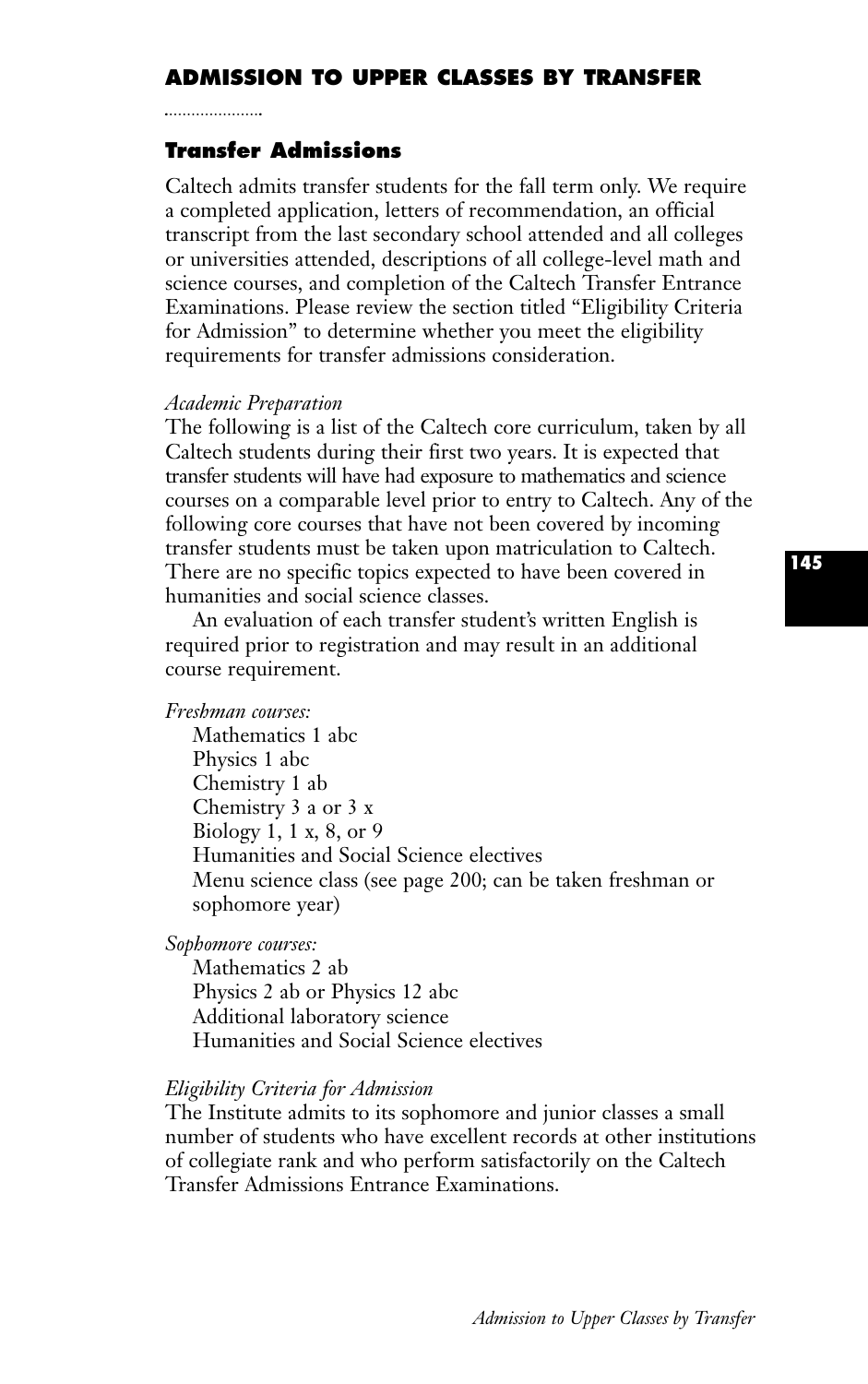# **ADMISSION TO UPPER CLASSES BY TRANSFER**

## **Transfer Admissions**

Caltech admits transfer students for the fall term only. We require a completed application, letters of recommendation, an official transcript from the last secondary school attended and all colleges or universities attended, descriptions of all college-level math and science courses, and completion of the Caltech Transfer Entrance Examinations. Please review the section titled "Eligibility Criteria for Admission'' to determine whether you meet the eligibility requirements for transfer admissions consideration.

#### *Academic Preparation*

The following is a list of the Caltech core curriculum, taken by all Caltech students during their first two years. It is expected that transfer students will have had exposure to mathematics and science courses on a comparable level prior to entry to Caltech. Any of the following core courses that have not been covered by incoming transfer students must be taken upon matriculation to Caltech. There are no specific topics expected to have been covered in humanities and social science classes.

An evaluation of each transfer student's written English is required prior to registration and may result in an additional course requirement.

#### *Freshman courses:*

Mathematics 1 abc Physics 1 abc Chemistry 1 ab Chemistry 3 a or 3 x Biology 1, 1 x, 8, or 9 Humanities and Social Science electives Menu science class (see page 200; can be taken freshman or sophomore year)

*Sophomore courses:*

Mathematics 2 ab Physics 2 ab or Physics 12 abc Additional laboratory science Humanities and Social Science electives

#### *Eligibility Criteria for Admission*

The Institute admits to its sophomore and junior classes a small number of students who have excellent records at other institutions of collegiate rank and who perform satisfactorily on the Caltech Transfer Admissions Entrance Examinations.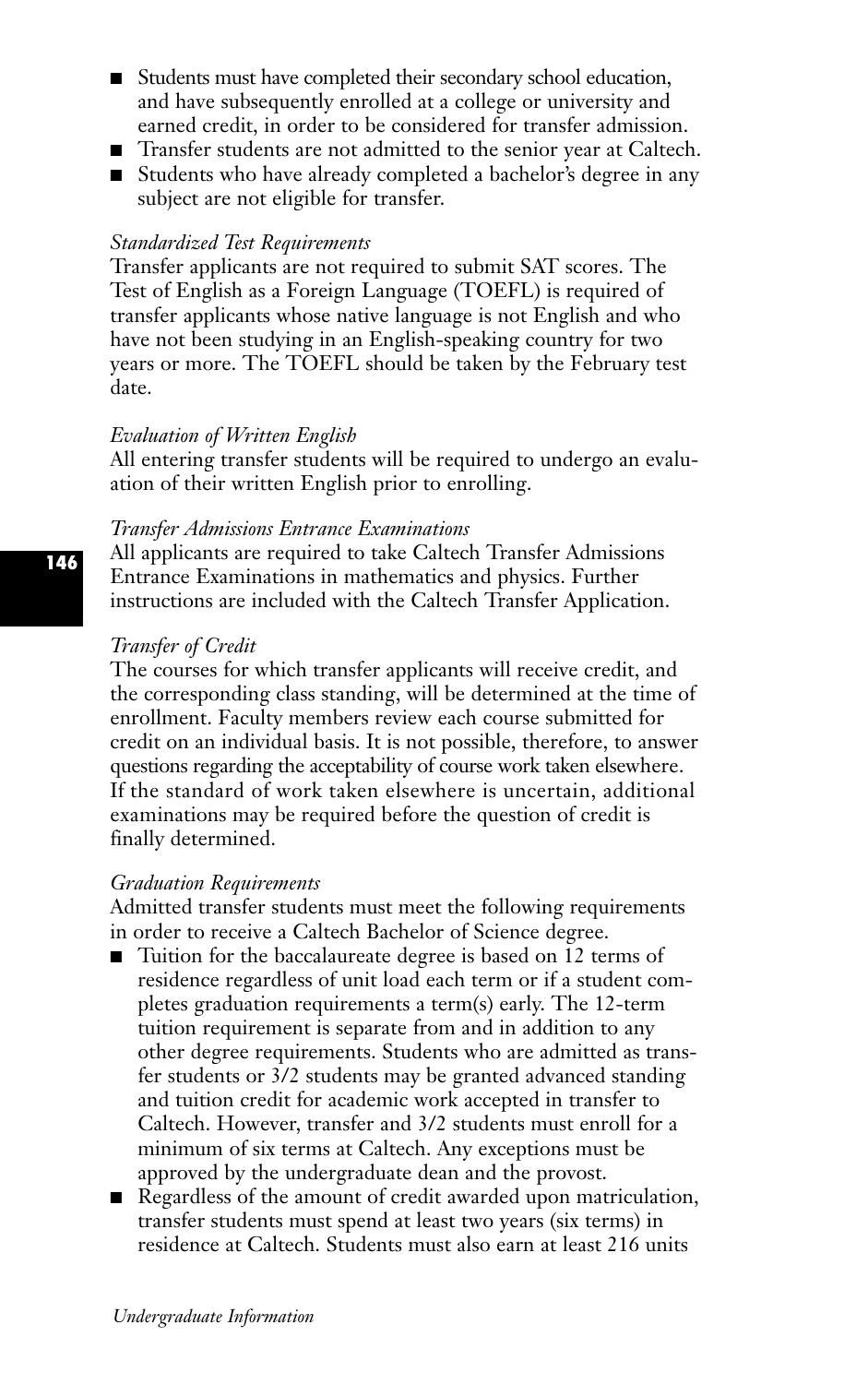- Students must have completed their secondary school education, and have subsequently enrolled at a college or university and earned credit, in order to be considered for transfer admission.
- Transfer students are not admitted to the senior year at Caltech.
- Students who have already completed a bachelor's degree in any subject are not eligible for transfer.

#### *Standardized Test Requirements*

Transfer applicants are not required to submit SAT scores. The Test of English as a Foreign Language (TOEFL) is required of transfer applicants whose native language is not English and who have not been studying in an English-speaking country for two years or more. The TOEFL should be taken by the February test date.

#### *Evaluation of Written English*

All entering transfer students will be required to undergo an evaluation of their written English prior to enrolling.

#### *Transfer Admissions Entrance Examinations*

All applicants are required to take Caltech Transfer Admissions Entrance Examinations in mathematics and physics. Further instructions are included with the Caltech Transfer Application.

#### *Transfer of Credit*

The courses for which transfer applicants will receive credit, and the corresponding class standing, will be determined at the time of enrollment. Faculty members review each course submitted for credit on an individual basis. It is not possible, therefore, to answer questions regarding the acceptability of course work taken elsewhere. If the standard of work taken elsewhere is uncertain, additional examinations may be required before the question of credit is finally determined.

#### *Graduation Requirements*

Admitted transfer students must meet the following requirements in order to receive a Caltech Bachelor of Science degree.

- Tuition for the baccalaureate degree is based on 12 terms of residence regardless of unit load each term or if a student completes graduation requirements a term(s) early. The 12-term tuition requirement is separate from and in addition to any other degree requirements. Students who are admitted as transfer students or 3/2 students may be granted advanced standing and tuition credit for academic work accepted in transfer to Caltech. However, transfer and 3/2 students must enroll for a minimum of six terms at Caltech. Any exceptions must be approved by the undergraduate dean and the provost.
- Regardless of the amount of credit awarded upon matriculation, transfer students must spend at least two years (six terms) in residence at Caltech. Students must also earn at least 216 units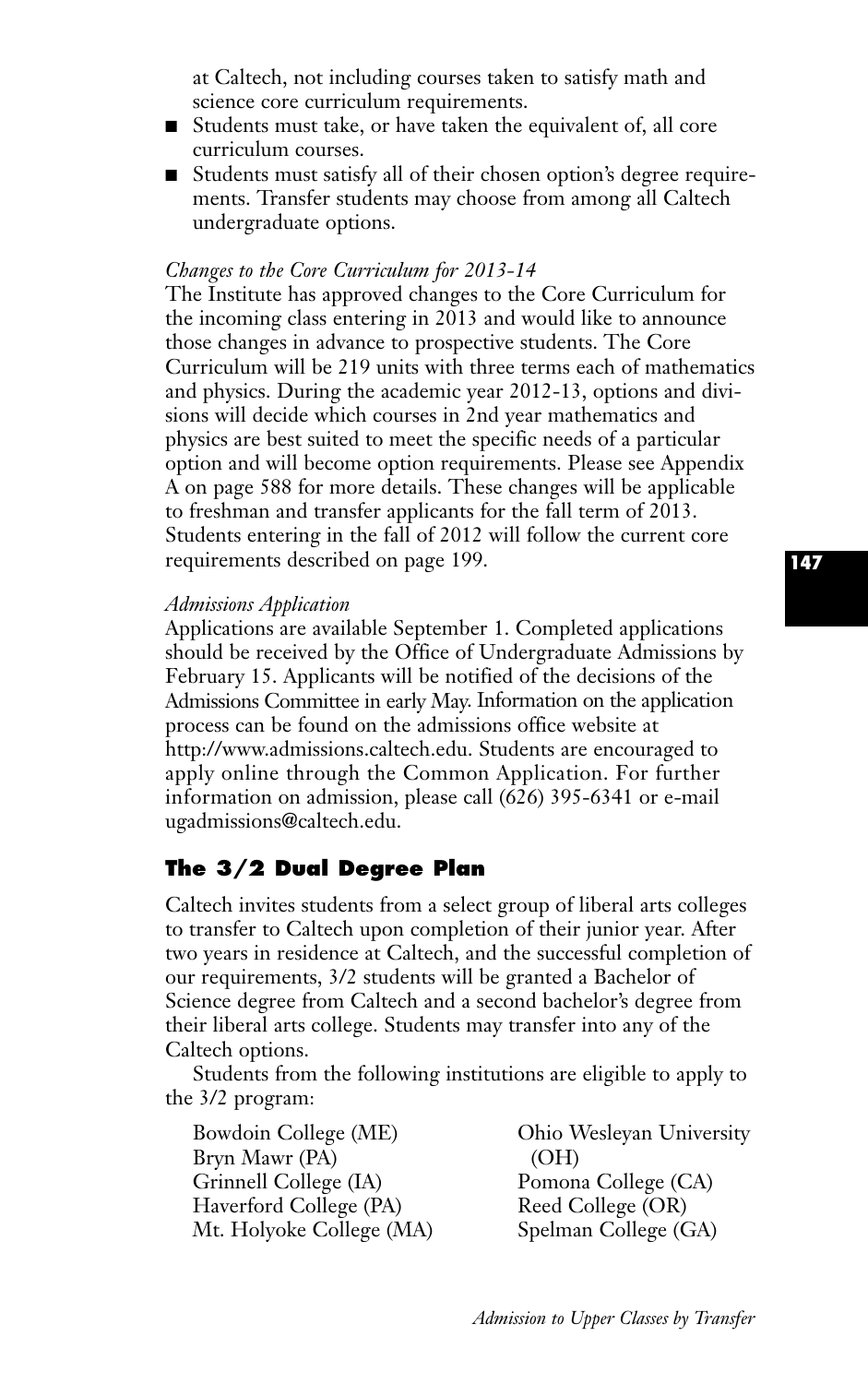at Caltech, not including courses taken to satisfy math and science core curriculum requirements.

- Students must take, or have taken the equivalent of, all core curriculum courses.
- Students must satisfy all of their chosen option's degree requirements. Transfer students may choose from among all Caltech undergraduate options.

#### *Changes to the Core Curriculum for 2013-14*

The Institute has approved changes to the Core Curriculum for the incoming class entering in 2013 and would like to announce those changes in advance to prospective students. The Core Curriculum will be 219 units with three terms each of mathematics and physics. During the academic year 2012-13, options and divisions will decide which courses in 2nd year mathematics and physics are best suited to meet the specific needs of a particular option and will become option requirements. Please see Appendix A on page 588 for more details. These changes will be applicable to freshman and transfer applicants for the fall term of 2013. Students entering in the fall of 2012 will follow the current core requirements described on page 199.

#### *Admissions Application*

Applications are available September 1. Completed applications should be received by the Office of Undergraduate Admissions by February 15. Applicants will be notified of the decisions of the Admissions Committee in early May. Information on the application process can be found on the admissions office website at http://www.admissions.caltech.edu. Students are encouraged to apply online through the Common Application. For further information on admission, please call (626) 395-6341 or e-mail ugadmissions@caltech.edu.

# **The 3/2 Dual Degree Plan**

Caltech invites students from a select group of liberal arts colleges to transfer to Caltech upon completion of their junior year. After two years in residence at Caltech, and the successful completion of our requirements, 3/2 students will be granted a Bachelor of Science degree from Caltech and a second bachelor's degree from their liberal arts college. Students may transfer into any of the Caltech options.

Students from the following institutions are eligible to apply to the 3/2 program:

| Bowdoin College (ME)     | Ohio Wesleyan University |
|--------------------------|--------------------------|
| Bryn Mawr (PA)           | (OH)                     |
| Grinnell College (IA)    | Pomona College (CA)      |
| Haverford College (PA)   | Reed College (OR)        |
| Mt. Holyoke College (MA) | Spelman College (GA)     |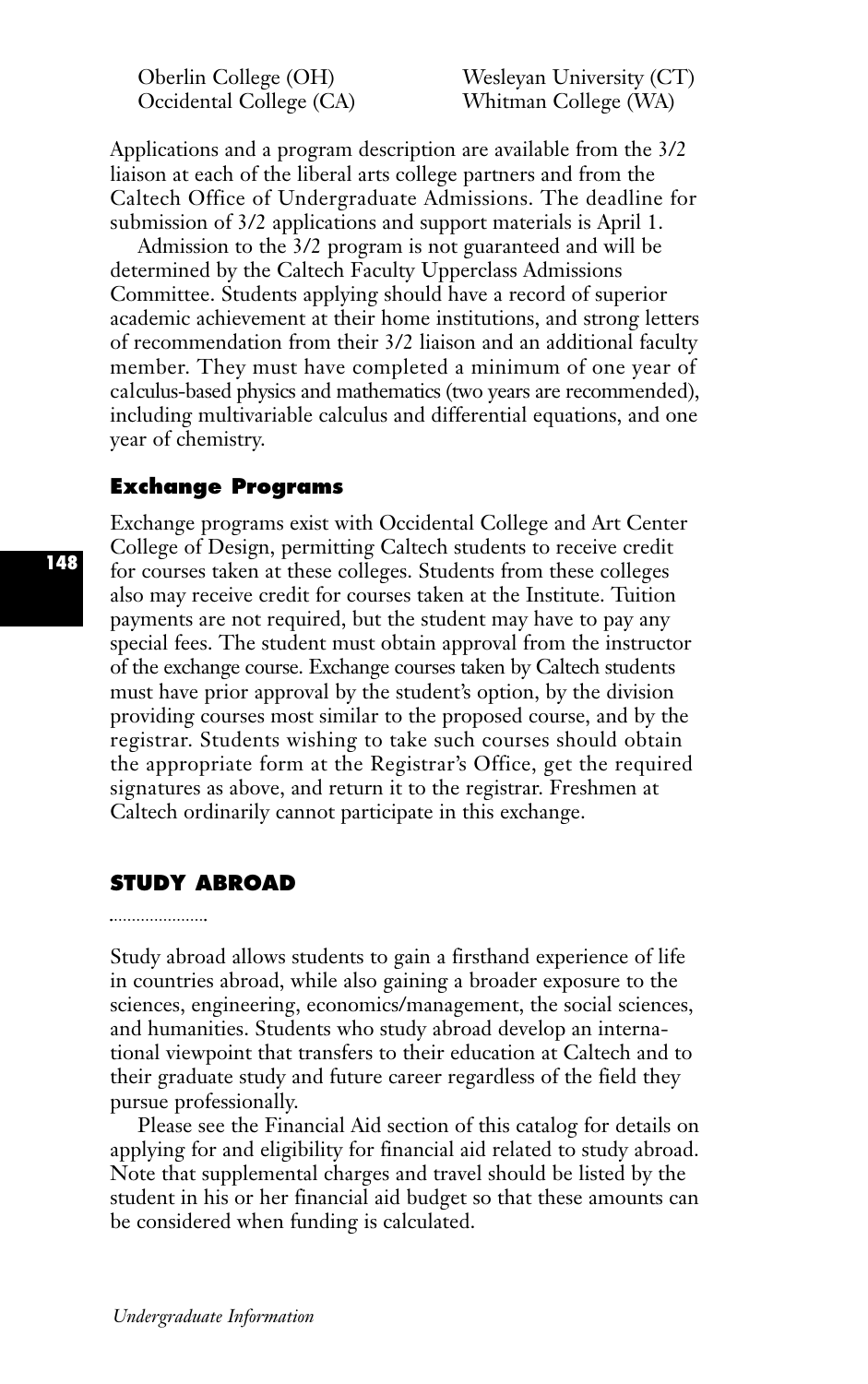Occidental College (CA) Whitman College (WA)

Oberlin College (OH) Wesleyan University (CT)

Applications and a program description are available from the 3/2 liaison at each of the liberal arts college partners and from the Caltech Office of Undergraduate Admissions. The deadline for submission of 3/2 applications and support materials is April 1.

Admission to the 3/2 program is not guaranteed and will be determined by the Caltech Faculty Upperclass Admissions Committee. Students applying should have a record of superior academic achievement at their home institutions, and strong letters of recommendation from their 3/2 liaison and an additional faculty member. They must have completed a minimum of one year of calculus-based physics and mathematics (two years are recommended), including multivariable calculus and differential equations, and one year of chemistry.

#### **Exchange Programs**

Exchange programs exist with Occidental College and Art Center College of Design, permitting Caltech students to receive credit for courses taken at these colleges. Students from these colleges also may receive credit for courses taken at the Institute. Tuition payments are not required, but the student may have to pay any special fees. The student must obtain approval from the instructor of the exchange course. Exchange courses taken by Caltech students must have prior approval by the student's option, by the division providing courses most similar to the proposed course, and by the registrar. Students wishing to take such courses should obtain the appropriate form at the Registrar's Office, get the required signatures as above, and return it to the registrar. Freshmen at Caltech ordinarily cannot participate in this exchange.

#### **STUDY ABROAD**

#### 

Study abroad allows students to gain a firsthand experience of life in countries abroad, while also gaining a broader exposure to the sciences, engineering, economics/management, the social sciences, and humanities. Students who study abroad develop an international viewpoint that transfers to their education at Caltech and to their graduate study and future career regardless of the field they pursue professionally.

Please see the Financial Aid section of this catalog for details on applying for and eligibility for financial aid related to study abroad. Note that supplemental charges and travel should be listed by the student in his or her financial aid budget so that these amounts can be considered when funding is calculated.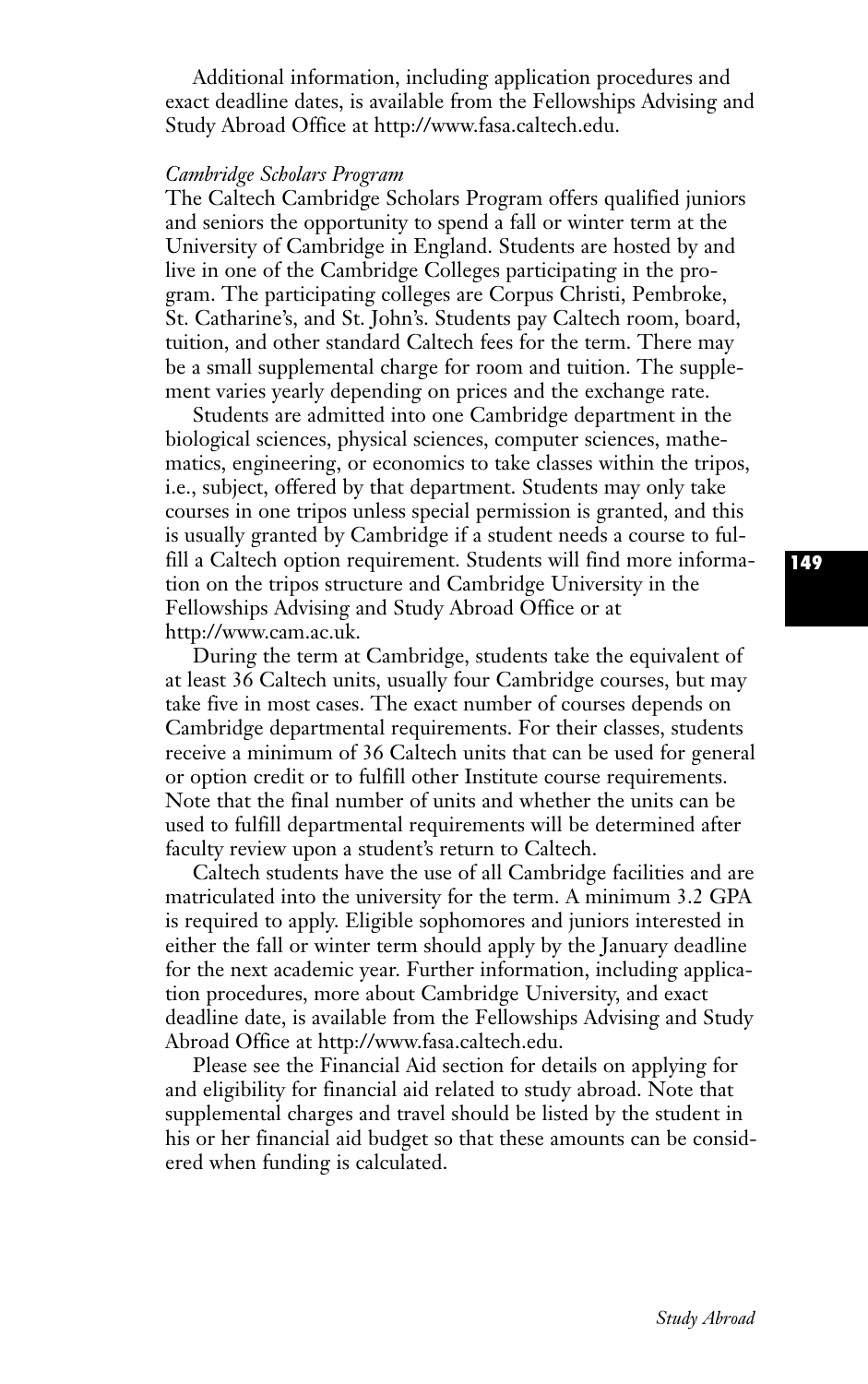Additional information, including application procedures and exact deadline dates, is available from the Fellowships Advising and Study Abroad Office at http://www.fasa.caltech.edu.

#### *Cambridge Scholars Program*

The Caltech Cambridge Scholars Program offers qualified juniors and seniors the opportunity to spend a fall or winter term at the University of Cambridge in England. Students are hosted by and live in one of the Cambridge Colleges participating in the program. The participating colleges are Corpus Christi, Pembroke, St. Catharine's, and St. John's. Students pay Caltech room, board, tuition, and other standard Caltech fees for the term. There may be a small supplemental charge for room and tuition. The supplement varies yearly depending on prices and the exchange rate.

Students are admitted into one Cambridge department in the biological sciences, physical sciences, computer sciences, mathematics, engineering, or economics to take classes within the tripos, i.e., subject, offered by that department. Students may only take courses in one tripos unless special permission is granted, and this is usually granted by Cambridge if a student needs a course to fulfill a Caltech option requirement. Students will find more information on the tripos structure and Cambridge University in the Fellowships Advising and Study Abroad Office or at http://www.cam.ac.uk.

During the term at Cambridge, students take the equivalent of at least 36 Caltech units, usually four Cambridge courses, but may take five in most cases. The exact number of courses depends on Cambridge departmental requirements. For their classes, students receive a minimum of 36 Caltech units that can be used for general or option credit or to fulfill other Institute course requirements. Note that the final number of units and whether the units can be used to fulfill departmental requirements will be determined after faculty review upon a student's return to Caltech.

Caltech students have the use of all Cambridge facilities and are matriculated into the university for the term. A minimum 3.2 GPA is required to apply. Eligible sophomores and juniors interested in either the fall or winter term should apply by the January deadline for the next academic year. Further information, including application procedures, more about Cambridge University, and exact deadline date, is available from the Fellowships Advising and Study Abroad Office at http://www.fasa.caltech.edu.

Please see the Financial Aid section for details on applying for and eligibility for financial aid related to study abroad. Note that supplemental charges and travel should be listed by the student in his or her financial aid budget so that these amounts can be considered when funding is calculated.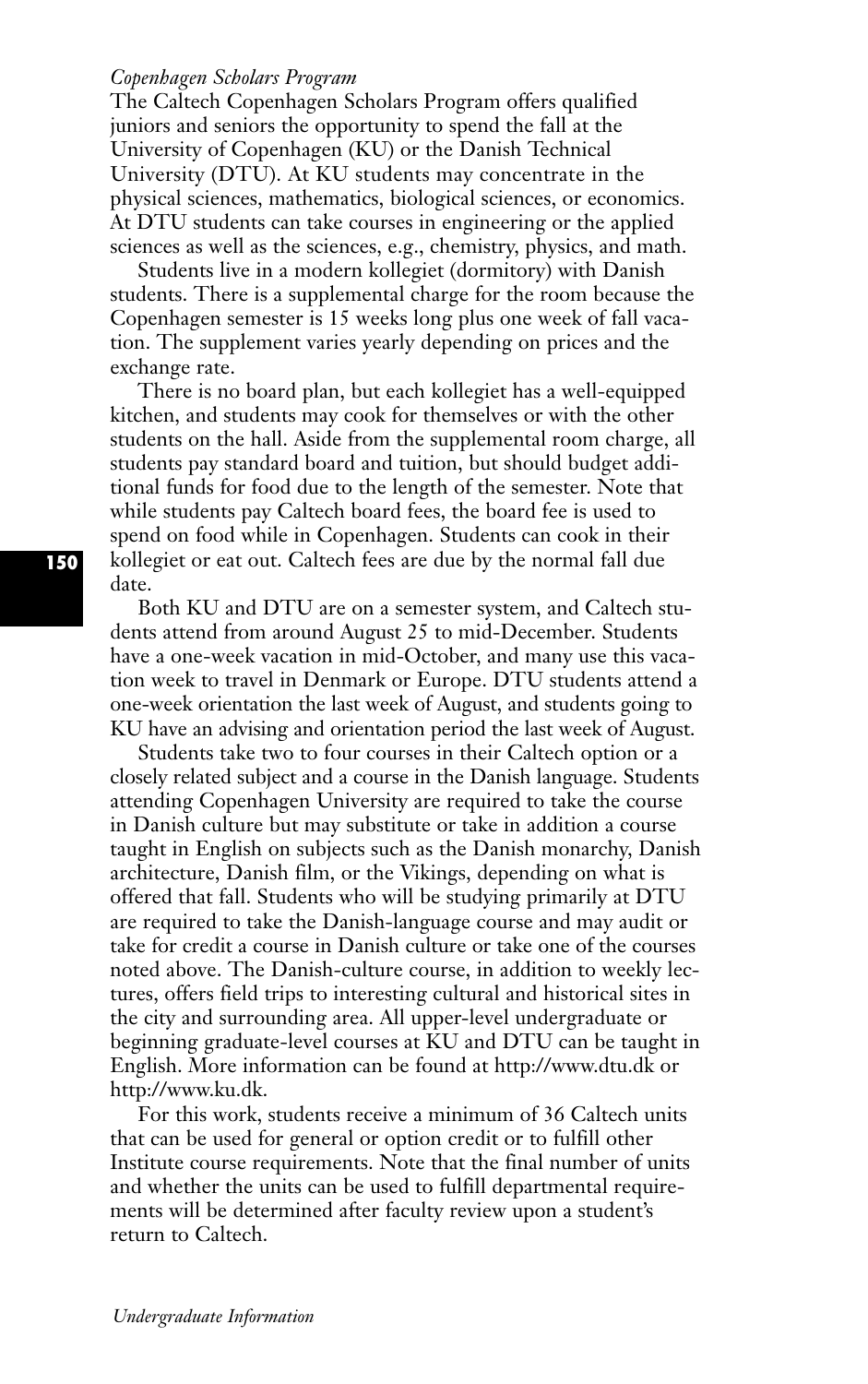#### *Copenhagen Scholars Program*

The Caltech Copenhagen Scholars Program offers qualified juniors and seniors the opportunity to spend the fall at the University of Copenhagen (KU) or the Danish Technical University (DTU). At KU students may concentrate in the physical sciences, mathematics, biological sciences, or economics. At DTU students can take courses in engineering or the applied sciences as well as the sciences, e.g., chemistry, physics, and math.

Students live in a modern kollegiet (dormitory) with Danish students. There is a supplemental charge for the room because the Copenhagen semester is 15 weeks long plus one week of fall vacation. The supplement varies yearly depending on prices and the exchange rate.

There is no board plan, but each kollegiet has a well-equipped kitchen, and students may cook for themselves or with the other students on the hall. Aside from the supplemental room charge, all students pay standard board and tuition, but should budget additional funds for food due to the length of the semester. Note that while students pay Caltech board fees, the board fee is used to spend on food while in Copenhagen. Students can cook in their kollegiet or eat out. Caltech fees are due by the normal fall due date.

Both KU and DTU are on a semester system, and Caltech students attend from around August 25 to mid-December. Students have a one-week vacation in mid-October, and many use this vacation week to travel in Denmark or Europe. DTU students attend a one-week orientation the last week of August, and students going to KU have an advising and orientation period the last week of August.

Students take two to four courses in their Caltech option or a closely related subject and a course in the Danish language. Students attending Copenhagen University are required to take the course in Danish culture but may substitute or take in addition a course taught in English on subjects such as the Danish monarchy, Danish architecture, Danish film, or the Vikings, depending on what is offered that fall. Students who will be studying primarily at DTU are required to take the Danish-language course and may audit or take for credit a course in Danish culture or take one of the courses noted above. The Danish-culture course, in addition to weekly lectures, offers field trips to interesting cultural and historical sites in the city and surrounding area. All upper-level undergraduate or beginning graduate-level courses at KU and DTU can be taught in English. More information can be found at http://www.dtu.dk or http://www.ku.dk.

For this work, students receive a minimum of 36 Caltech units that can be used for general or option credit or to fulfill other Institute course requirements. Note that the final number of units and whether the units can be used to fulfill departmental requirements will be determined after faculty review upon a student's return to Caltech.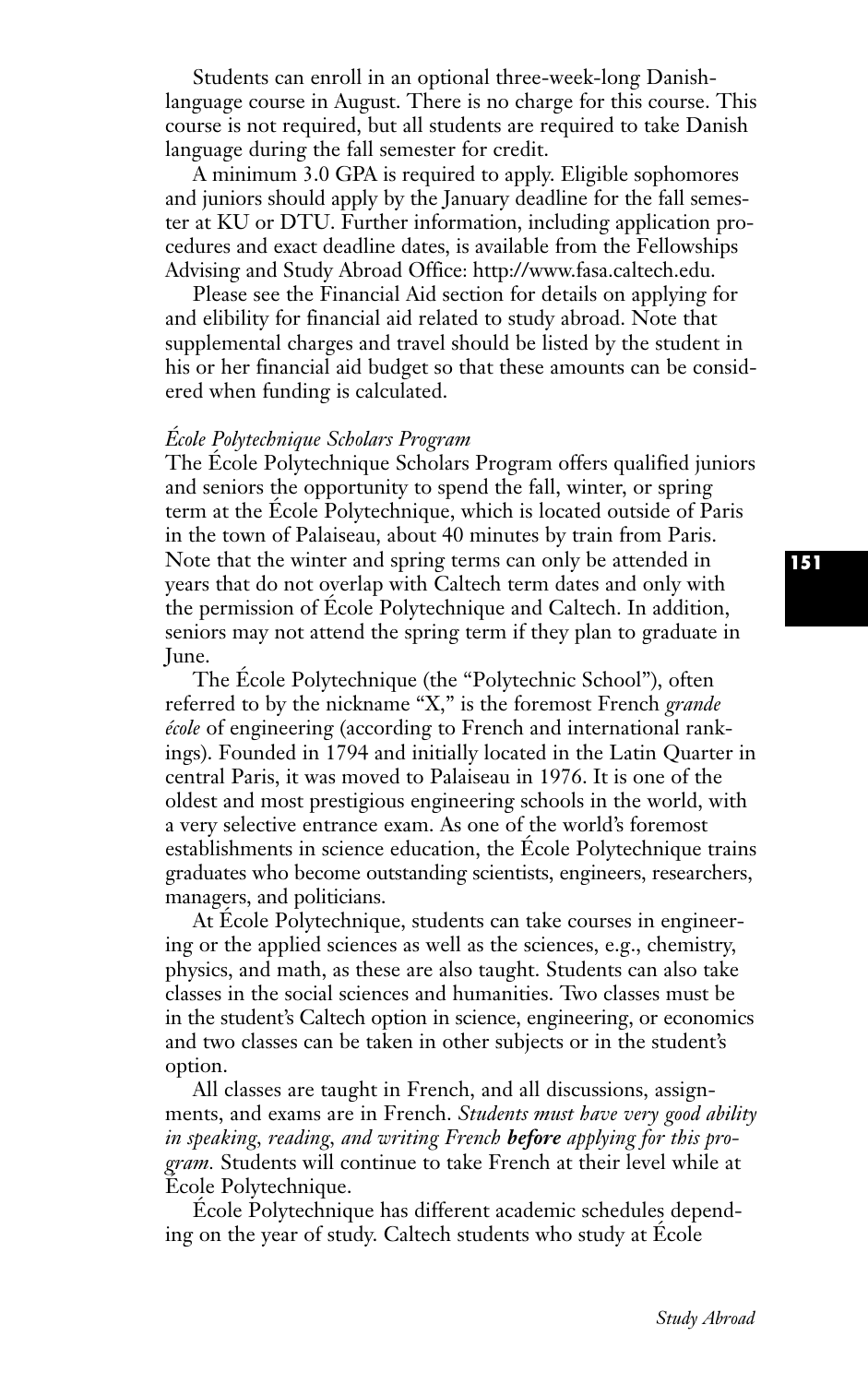Students can enroll in an optional three-week-long Danishlanguage course in August. There is no charge for this course. This course is not required, but all students are required to take Danish language during the fall semester for credit.

A minimum 3.0 GPA is required to apply. Eligible sophomores and juniors should apply by the January deadline for the fall semester at KU or DTU. Further information, including application procedures and exact deadline dates, is available from the Fellowships Advising and Study Abroad Office: http://www.fasa.caltech.edu.

Please see the Financial Aid section for details on applying for and elibility for financial aid related to study abroad. Note that supplemental charges and travel should be listed by the student in his or her financial aid budget so that these amounts can be considered when funding is calculated.

#### *École Polytechnique Scholars Program*

The École Polytechnique Scholars Program offers qualified juniors and seniors the opportunity to spend the fall, winter, or spring term at the École Polytechnique, which is located outside of Paris in the town of Palaiseau, about 40 minutes by train from Paris. Note that the winter and spring terms can only be attended in years that do not overlap with Caltech term dates and only with the permission of École Polytechnique and Caltech. In addition, seniors may not attend the spring term if they plan to graduate in June.

The École Polytechnique (the "Polytechnic School"), often referred to by the nickname "X," is the foremost French *grande école* of engineering (according to French and international rankings). Founded in 1794 and initially located in the Latin Quarter in central Paris, it was moved to Palaiseau in 1976. It is one of the oldest and most prestigious engineering schools in the world, with a very selective entrance exam. As one of the world's foremost establishments in science education, the École Polytechnique trains graduates who become outstanding scientists, engineers, researchers, managers, and politicians.

At École Polytechnique, students can take courses in engineering or the applied sciences as well as the sciences, e.g., chemistry, physics, and math, as these are also taught. Students can also take classes in the social sciences and humanities. Two classes must be in the student's Caltech option in science, engineering, or economics and two classes can be taken in other subjects or in the student's option.

All classes are taught in French, and all discussions, assignments, and exams are in French. *Students must have very good ability in speaking, reading, and writing French before applying for this program.* Students will continue to take French at their level while at École Polytechnique.

École Polytechnique has different academic schedules depending on the year of study. Caltech students who study at École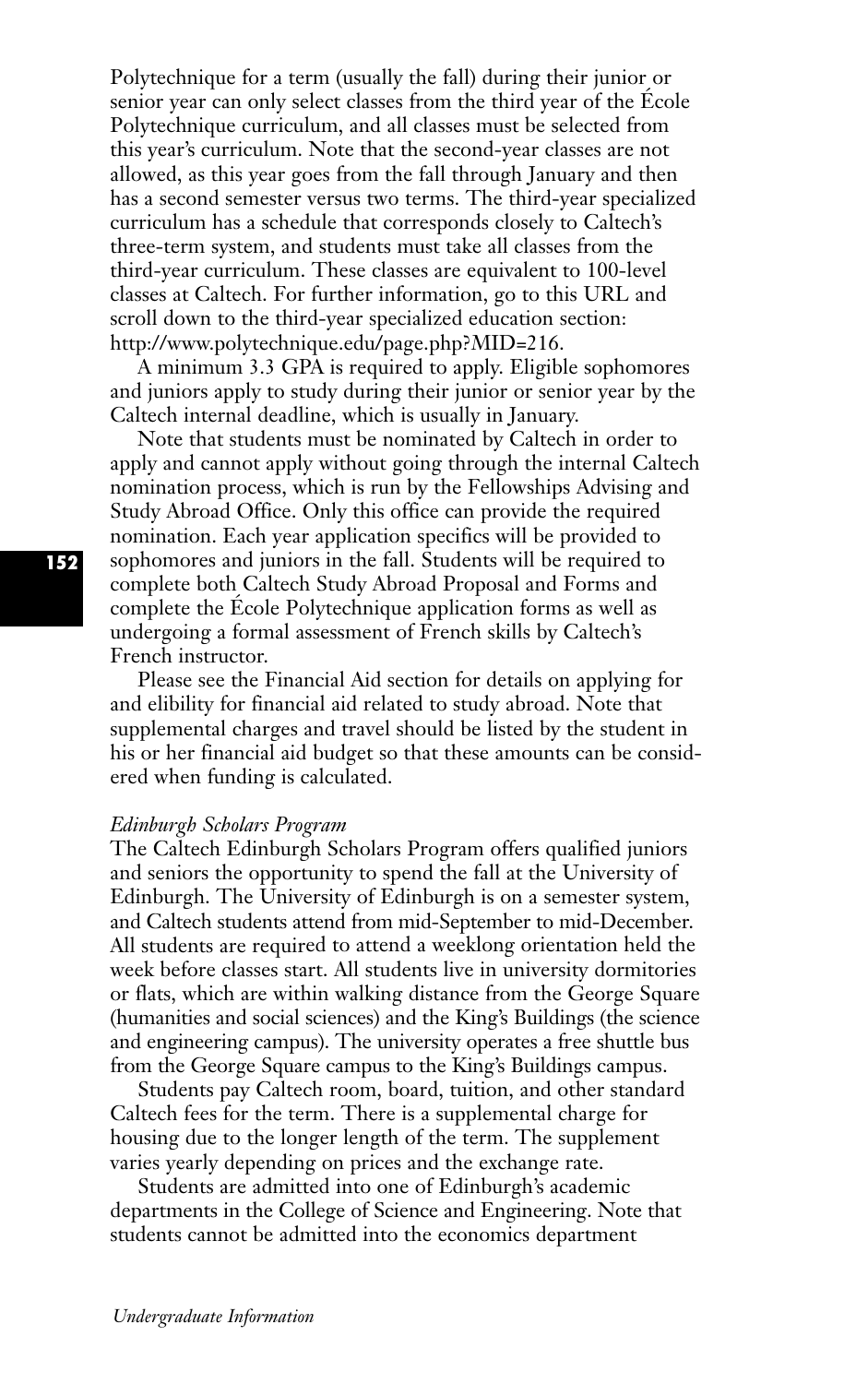Polytechnique for a term (usually the fall) during their junior or senior year can only select classes from the third year of the École Polytechnique curriculum, and all classes must be selected from this year's curriculum. Note that the second-year classes are not allowed, as this year goes from the fall through January and then has a second semester versus two terms. The third-year specialized curriculum has a schedule that corresponds closely to Caltech's three-term system, and students must take all classes from the third-year curriculum. These classes are equivalent to 100-level classes at Caltech. For further information, go to this URL and scroll down to the third-year specialized education section: http://www.polytechnique.edu/page.php?MID=216.

A minimum 3.3 GPA is required to apply. Eligible sophomores and juniors apply to study during their junior or senior year by the Caltech internal deadline, which is usually in January.

Note that students must be nominated by Caltech in order to apply and cannot apply without going through the internal Caltech nomination process, which is run by the Fellowships Advising and Study Abroad Office. Only this office can provide the required nomination. Each year application specifics will be provided to sophomores and juniors in the fall. Students will be required to complete both Caltech Study Abroad Proposal and Forms and complete the École Polytechnique application forms as well as undergoing a formal assessment of French skills by Caltech's French instructor.

Please see the Financial Aid section for details on applying for and elibility for financial aid related to study abroad. Note that supplemental charges and travel should be listed by the student in his or her financial aid budget so that these amounts can be considered when funding is calculated.

#### *Edinburgh Scholars Program*

The Caltech Edinburgh Scholars Program offers qualified juniors and seniors the opportunity to spend the fall at the University of Edinburgh. The University of Edinburgh is on a semester system, and Caltech students attend from mid-September to mid-December. All students are required to attend a weeklong orientation held the week before classes start. All students live in university dormitories or flats, which are within walking distance from the George Square (humanities and social sciences) and the King's Buildings (the science and engineering campus). The university operates a free shuttle bus from the George Square campus to the King's Buildings campus.

Students pay Caltech room, board, tuition, and other standard Caltech fees for the term. There is a supplemental charge for housing due to the longer length of the term. The supplement varies yearly depending on prices and the exchange rate.

Students are admitted into one of Edinburgh's academic departments in the College of Science and Engineering. Note that students cannot be admitted into the economics department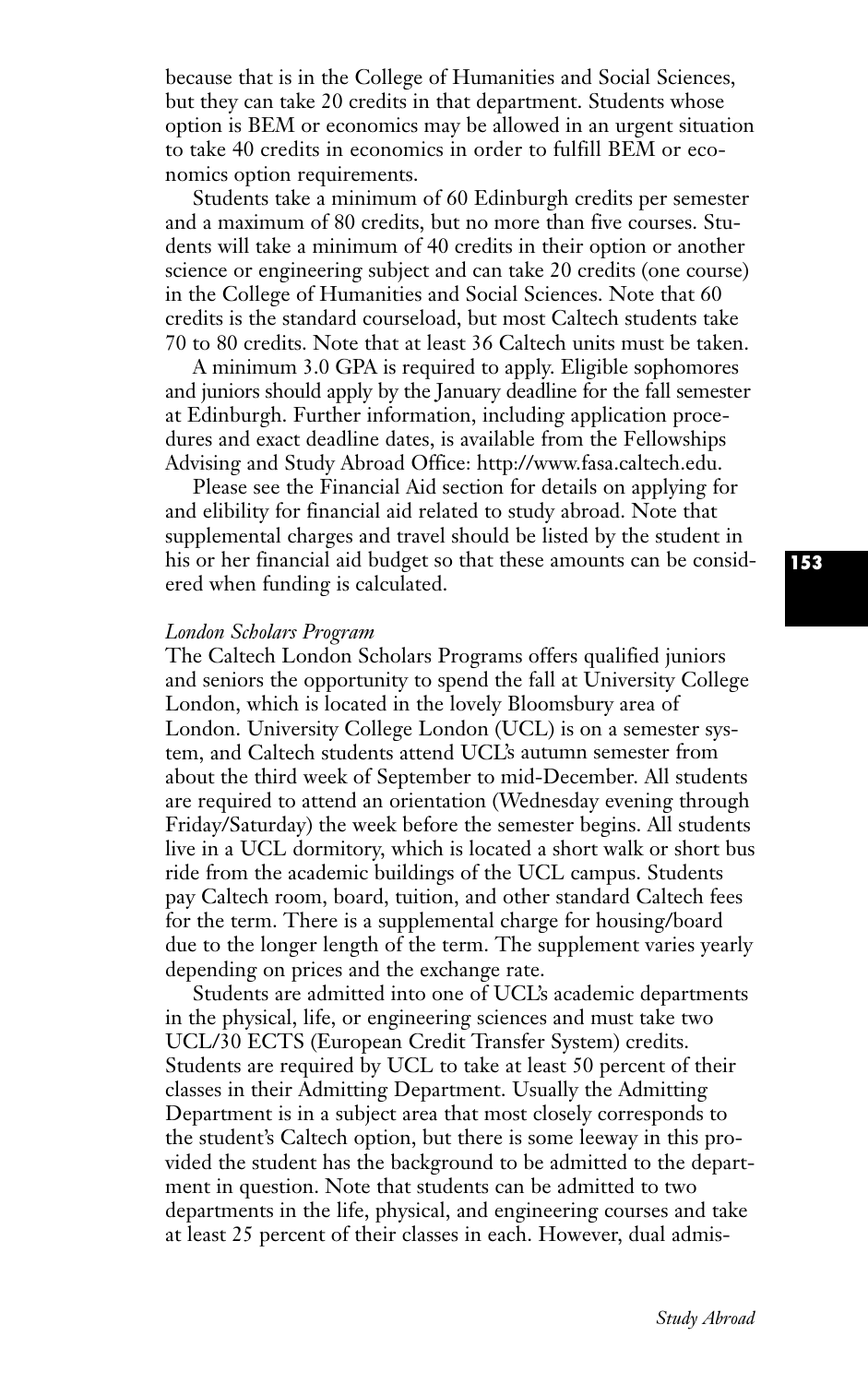because that is in the College of Humanities and Social Sciences, but they can take 20 credits in that department. Students whose option is BEM or economics may be allowed in an urgent situation to take 40 credits in economics in order to fulfill BEM or economics option requirements.

Students take a minimum of 60 Edinburgh credits per semester and a maximum of 80 credits, but no more than five courses. Students will take a minimum of 40 credits in their option or another science or engineering subject and can take 20 credits (one course) in the College of Humanities and Social Sciences. Note that 60 credits is the standard courseload, but most Caltech students take 70 to 80 credits. Note that at least 36 Caltech units must be taken.

A minimum 3.0 GPA is required to apply. Eligible sophomores and juniors should apply by the January deadline for the fall semester at Edinburgh. Further information, including application procedures and exact deadline dates, is available from the Fellowships Advising and Study Abroad Office: http://www.fasa.caltech.edu.

Please see the Financial Aid section for details on applying for and elibility for financial aid related to study abroad. Note that supplemental charges and travel should be listed by the student in his or her financial aid budget so that these amounts can be considered when funding is calculated.

#### *London Scholars Program*

The Caltech London Scholars Programs offers qualified juniors and seniors the opportunity to spend the fall at University College London, which is located in the lovely Bloomsbury area of London. University College London (UCL) is on a semester system, and Caltech students attend UCL's autumn semester from about the third week of September to mid-December. All students are required to attend an orientation (Wednesday evening through Friday/Saturday) the week before the semester begins. All students live in a UCL dormitory, which is located a short walk or short bus ride from the academic buildings of the UCL campus. Students pay Caltech room, board, tuition, and other standard Caltech fees for the term. There is a supplemental charge for housing/board due to the longer length of the term. The supplement varies yearly depending on prices and the exchange rate.

Students are admitted into one of UCL's academic departments in the physical, life, or engineering sciences and must take two UCL/30 ECTS (European Credit Transfer System) credits. Students are required by UCL to take at least 50 percent of their classes in their Admitting Department. Usually the Admitting Department is in a subject area that most closely corresponds to the student's Caltech option, but there is some leeway in this provided the student has the background to be admitted to the department in question. Note that students can be admitted to two departments in the life, physical, and engineering courses and take at least 25 percent of their classes in each. However, dual admis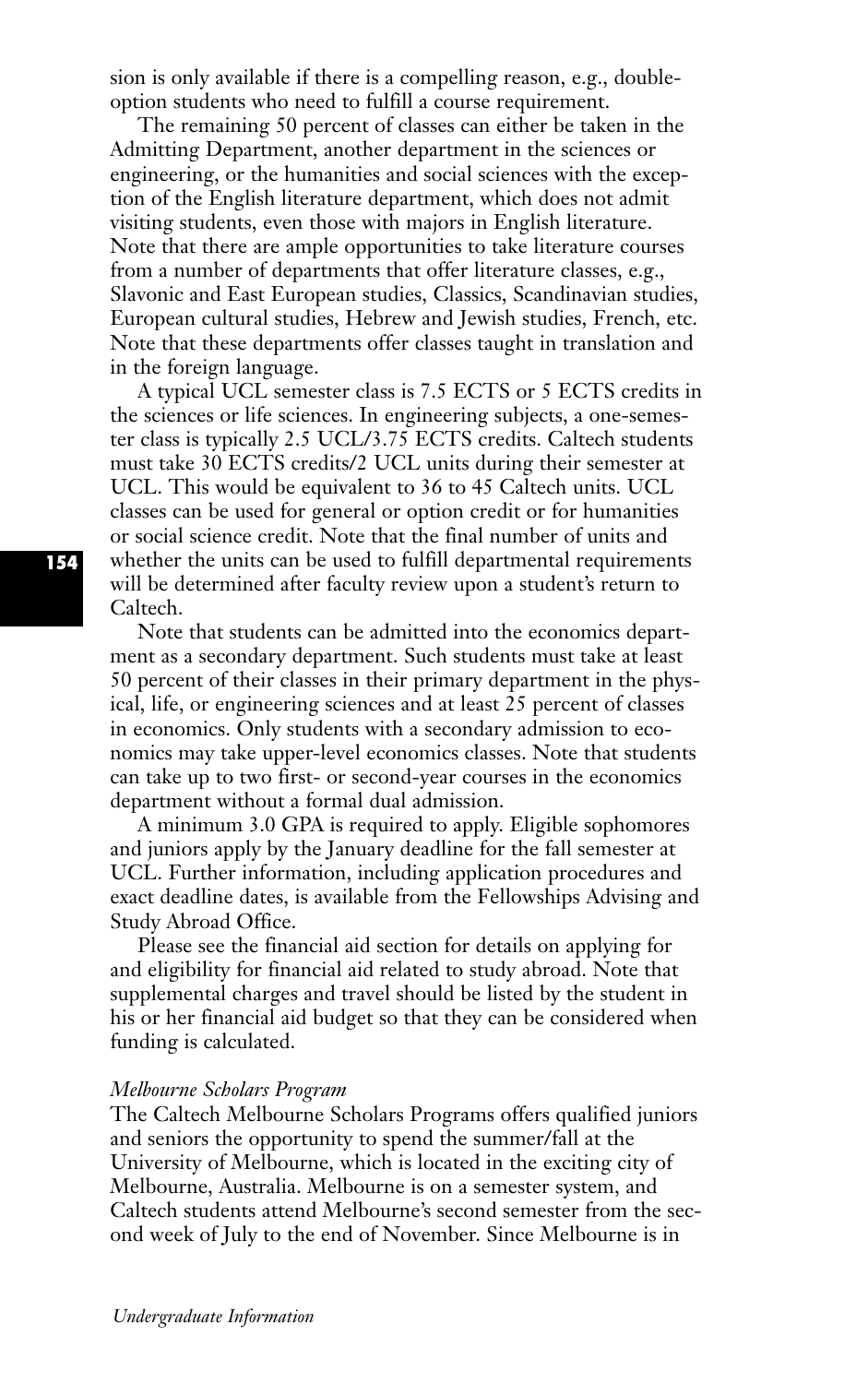sion is only available if there is a compelling reason, e.g., doubleoption students who need to fulfill a course requirement.

The remaining 50 percent of classes can either be taken in the Admitting Department, another department in the sciences or engineering, or the humanities and social sciences with the exception of the English literature department, which does not admit visiting students, even those with majors in English literature. Note that there are ample opportunities to take literature courses from a number of departments that offer literature classes, e.g., Slavonic and East European studies, Classics, Scandinavian studies, European cultural studies, Hebrew and Jewish studies, French, etc. Note that these departments offer classes taught in translation and in the foreign language.

A typical UCL semester class is 7.5 ECTS or 5 ECTS credits in the sciences or life sciences. In engineering subjects, a one-semester class is typically 2.5 UCL/3.75 ECTS credits. Caltech students must take 30 ECTS credits/2 UCL units during their semester at UCL. This would be equivalent to 36 to 45 Caltech units. UCL classes can be used for general or option credit or for humanities or social science credit. Note that the final number of units and whether the units can be used to fulfill departmental requirements will be determined after faculty review upon a student's return to Caltech.

Note that students can be admitted into the economics department as a secondary department. Such students must take at least 50 percent of their classes in their primary department in the physical, life, or engineering sciences and at least 25 percent of classes in economics. Only students with a secondary admission to economics may take upper-level economics classes. Note that students can take up to two first- or second-year courses in the economics department without a formal dual admission.

A minimum 3.0 GPA is required to apply. Eligible sophomores and juniors apply by the January deadline for the fall semester at UCL. Further information, including application procedures and exact deadline dates, is available from the Fellowships Advising and Study Abroad Office.

Please see the financial aid section for details on applying for and eligibility for financial aid related to study abroad. Note that supplemental charges and travel should be listed by the student in his or her financial aid budget so that they can be considered when funding is calculated.

#### *Melbourne Scholars Program*

The Caltech Melbourne Scholars Programs offers qualified juniors and seniors the opportunity to spend the summer/fall at the University of Melbourne, which is located in the exciting city of Melbourne, Australia. Melbourne is on a semester system, and Caltech students attend Melbourne's second semester from the second week of July to the end of November. Since Melbourne is in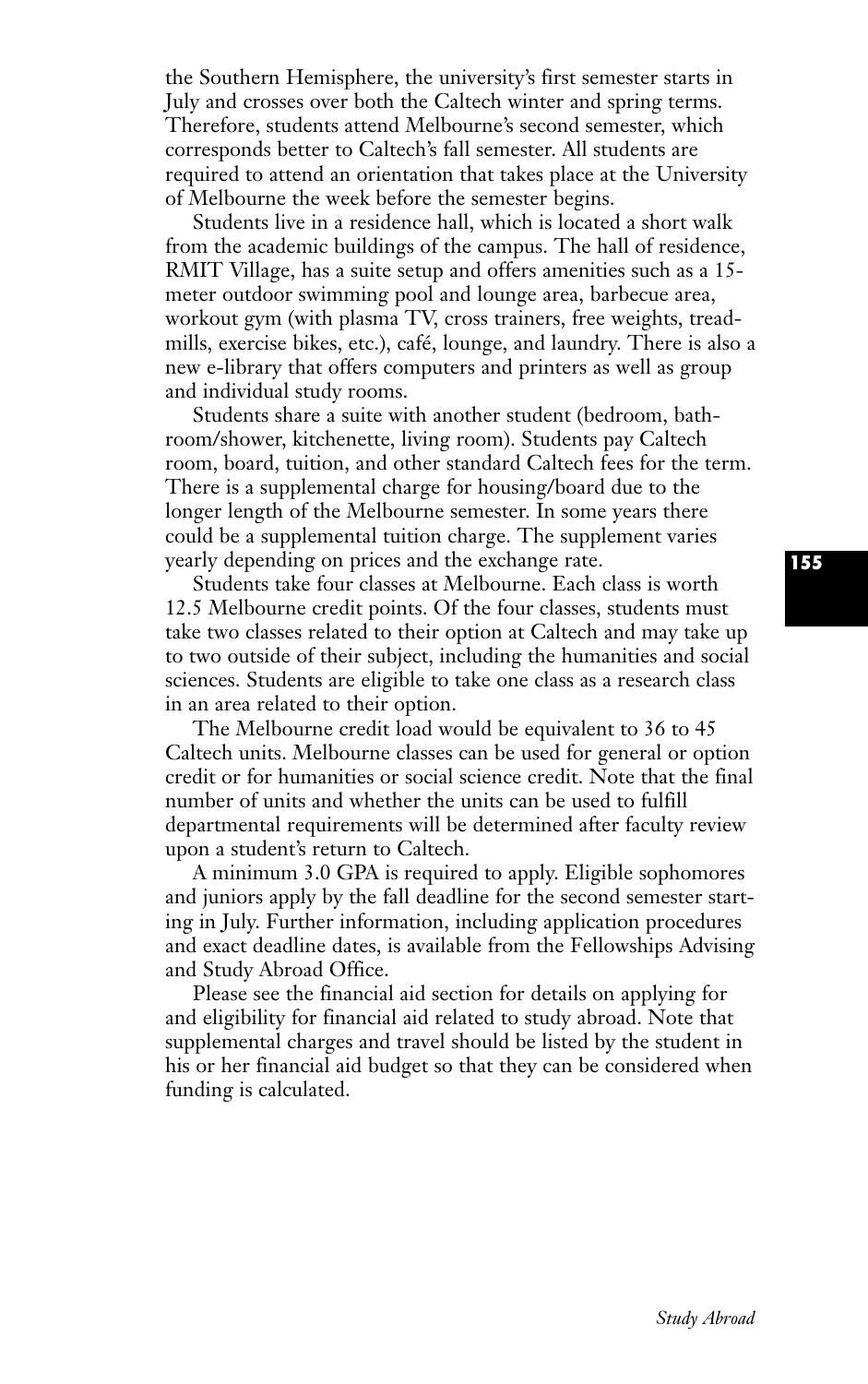the Southern Hemisphere, the university's first semester starts in July and crosses over both the Caltech winter and spring terms. Therefore, students attend Melbourne's second semester, which corresponds better to Caltech's fall semester. All students are required to attend an orientation that takes place at the University of Melbourne the week before the semester begins.

Students live in a residence hall, which is located a short walk from the academic buildings of the campus. The hall of residence, RMIT Village, has a suite setup and offers amenities such as a 15 meter outdoor swimming pool and lounge area, barbecue area, workout gym (with plasma TV, cross trainers, free weights, treadmills, exercise bikes, etc.), café, lounge, and laundry. There is also a new e-library that offers computers and printers as well as group and individual study rooms.

Students share a suite with another student (bedroom, bathroom/shower, kitchenette, living room). Students pay Caltech room, board, tuition, and other standard Caltech fees for the term. There is a supplemental charge for housing/board due to the longer length of the Melbourne semester. In some years there could be a supplemental tuition charge. The supplement varies yearly depending on prices and the exchange rate.

Students take four classes at Melbourne. Each class is worth 12.5 Melbourne credit points. Of the four classes, students must take two classes related to their option at Caltech and may take up to two outside of their subject, including the humanities and social sciences. Students are eligible to take one class as a research class in an area related to their option.

The Melbourne credit load would be equivalent to 36 to 45 Caltech units. Melbourne classes can be used for general or option credit or for humanities or social science credit. Note that the final number of units and whether the units can be used to fulfill departmental requirements will be determined after faculty review upon a student's return to Caltech.

A minimum 3.0 GPA is required to apply. Eligible sophomores and juniors apply by the fall deadline for the second semester starting in July. Further information, including application procedures and exact deadline dates, is available from the Fellowships Advising and Study Abroad Office.

Please see the financial aid section for details on applying for and eligibility for financial aid related to study abroad. Note that supplemental charges and travel should be listed by the student in his or her financial aid budget so that they can be considered when funding is calculated.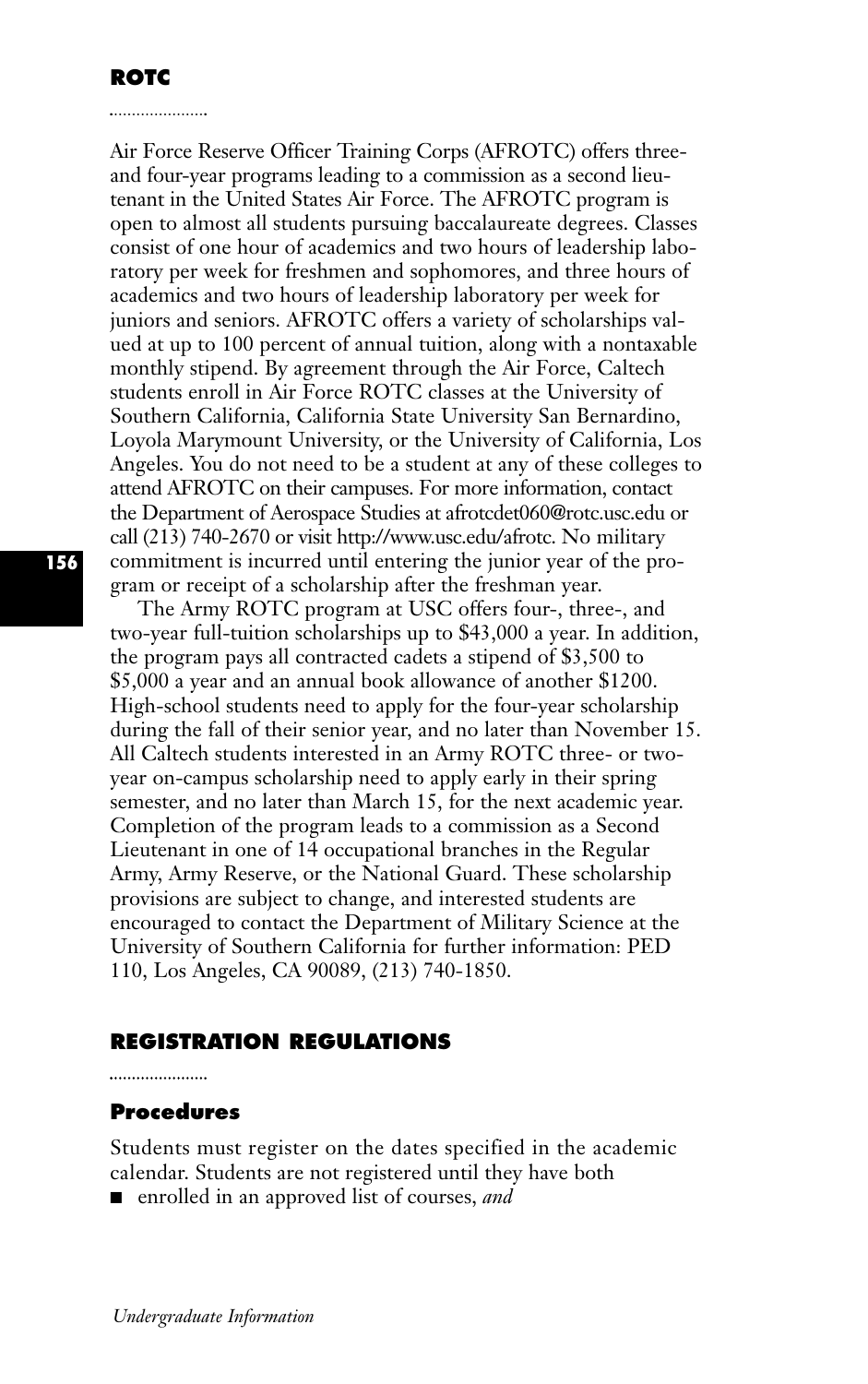Air Force Reserve Officer Training Corps (AFROTC) offers threeand four-year programs leading to a commission as a second lieutenant in the United States Air Force. The AFROTC program is open to almost all students pursuing baccalaureate degrees. Classes consist of one hour of academics and two hours of leadership laboratory per week for freshmen and sophomores, and three hours of academics and two hours of leadership laboratory per week for juniors and seniors. AFROTC offers a variety of scholarships valued at up to 100 percent of annual tuition, along with a nontaxable monthly stipend. By agreement through the Air Force, Caltech students enroll in Air Force ROTC classes at the University of Southern California, California State University San Bernardino, Loyola Marymount University, or the University of California, Los Angeles. You do not need to be a student at any of these colleges to attend AFROTC on their campuses. For more information, contact the Department of Aerospace Studies at afrotcdet060@rotc.usc.edu or call (213) 740-2670 or visit http://www.usc.edu/afrotc. No military commitment is incurred until entering the junior year of the program or receipt of a scholarship after the freshman year.

The Army ROTC program at USC offers four-, three-, and two-year full-tuition scholarships up to \$43,000 a year. In addition, the program pays all contracted cadets a stipend of \$3,500 to \$5,000 a year and an annual book allowance of another \$1200. High-school students need to apply for the four-year scholarship during the fall of their senior year, and no later than November 15. All Caltech students interested in an Army ROTC three- or twoyear on-campus scholarship need to apply early in their spring semester, and no later than March 15, for the next academic year. Completion of the program leads to a commission as a Second Lieutenant in one of 14 occupational branches in the Regular Army, Army Reserve, or the National Guard. These scholarship provisions are subject to change, and interested students are encouraged to contact the Department of Military Science at the University of Southern California for further information: PED 110, Los Angeles, CA 90089, (213) 740-1850.

## **REGISTRATION REGULATIONS**

## **Procedures**

Students must register on the dates specified in the academic calendar. Students are not registered until they have both

■ enrolled in an approved list of courses, *and*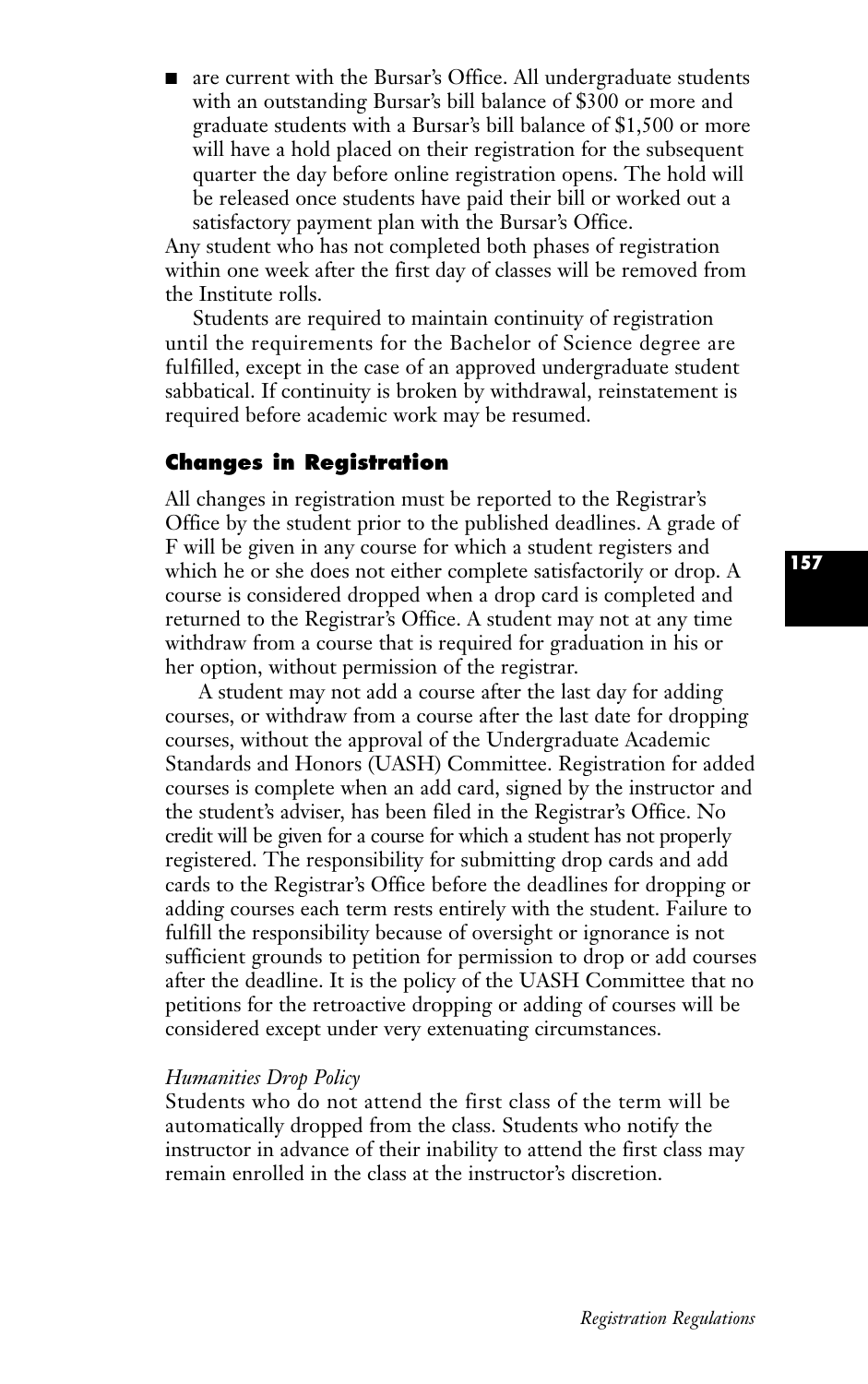■ are current with the Bursar's Office. All undergraduate students with an outstanding Bursar's bill balance of \$300 or more and graduate students with a Bursar's bill balance of \$1,500 or more will have a hold placed on their registration for the subsequent quarter the day before online registration opens. The hold will be released once students have paid their bill or worked out a satisfactory payment plan with the Bursar's Office.

Any student who has not completed both phases of registration within one week after the first day of classes will be removed from the Institute rolls.

Students are required to maintain continuity of registration until the requirements for the Bachelor of Science degree are fulfilled, except in the case of an approved undergraduate student sabbatical. If continuity is broken by withdrawal, reinstatement is required before academic work may be resumed.

## **Changes in Registration**

All changes in registration must be reported to the Registrar's Office by the student prior to the published deadlines. A grade of F will be given in any course for which a student registers and which he or she does not either complete satisfactorily or drop. A course is considered dropped when a drop card is completed and returned to the Registrar's Office. A student may not at any time withdraw from a course that is required for graduation in his or her option, without permission of the registrar.

A student may not add a course after the last day for adding courses, or withdraw from a course after the last date for dropping courses, without the approval of the Undergraduate Academic Standards and Honors (UASH) Committee. Registration for added courses is complete when an add card, signed by the instructor and the student's adviser, has been filed in the Registrar's Office. No credit will be given for a course for which a student has not properly registered. The responsibility for submitting drop cards and add cards to the Registrar's Office before the deadlines for dropping or adding courses each term rests entirely with the student. Failure to fulfill the responsibility because of oversight or ignorance is not sufficient grounds to petition for permission to drop or add courses after the deadline. It is the policy of the UASH Committee that no petitions for the retroactive dropping or adding of courses will be considered except under very extenuating circumstances.

#### *Humanities Drop Policy*

Students who do not attend the first class of the term will be automatically dropped from the class. Students who notify the instructor in advance of their inability to attend the first class may remain enrolled in the class at the instructor's discretion.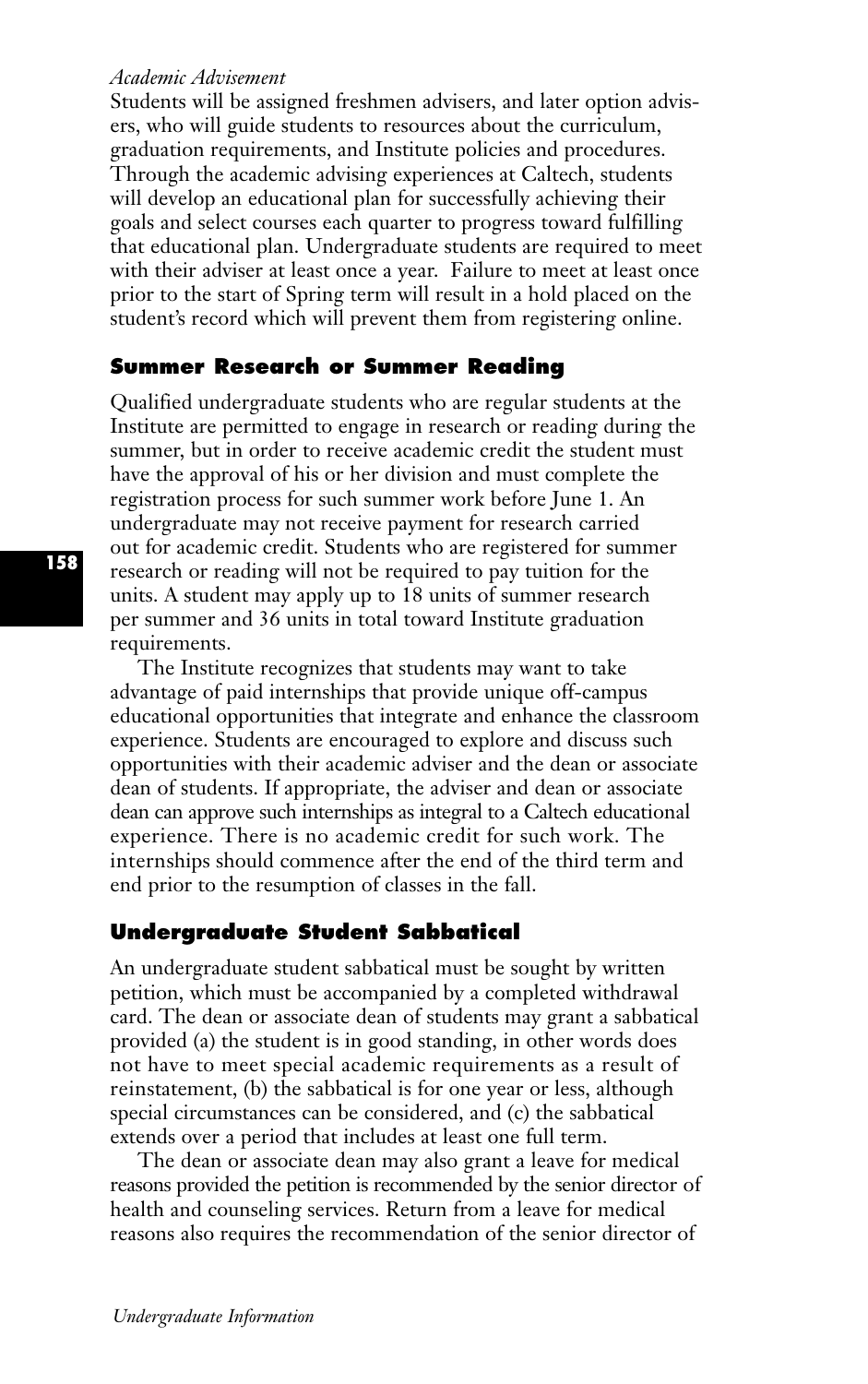#### *Academic Advisement*

Students will be assigned freshmen advisers, and later option advisers, who will guide students to resources about the curriculum, graduation requirements, and Institute policies and procedures. Through the academic advising experiences at Caltech, students will develop an educational plan for successfully achieving their goals and select courses each quarter to progress toward fulfilling that educational plan. Undergraduate students are required to meet with their adviser at least once a year. Failure to meet at least once prior to the start of Spring term will result in a hold placed on the student's record which will prevent them from registering online.

#### **Summer Research or Summer Reading**

Qualified undergraduate students who are regular students at the Institute are permitted to engage in research or reading during the summer, but in order to receive academic credit the student must have the approval of his or her division and must complete the registration process for such summer work before June 1. An undergraduate may not receive payment for research carried out for academic credit. Students who are registered for summer research or reading will not be required to pay tuition for the units. A student may apply up to 18 units of summer research per summer and 36 units in total toward Institute graduation requirements.

The Institute recognizes that students may want to take advantage of paid internships that provide unique off-campus educational opportunities that integrate and enhance the classroom experience. Students are encouraged to explore and discuss such opportunities with their academic adviser and the dean or associate dean of students. If appropriate, the adviser and dean or associate dean can approve such internships as integral to a Caltech educational experience. There is no academic credit for such work. The internships should commence after the end of the third term and end prior to the resumption of classes in the fall.

#### **Undergraduate Student Sabbatical**

An undergraduate student sabbatical must be sought by written petition, which must be accompanied by a completed withdrawal card. The dean or associate dean of students may grant a sabbatical provided (a) the student is in good standing, in other words does not have to meet special academic requirements as a result of reinstatement, (b) the sabbatical is for one year or less, although special circumstances can be considered, and (c) the sabbatical extends over a period that includes at least one full term.

The dean or associate dean may also grant a leave for medical reasons provided the petition is recommended by the senior director of health and counseling services. Return from a leave for medical reasons also requires the recommendation of the senior director of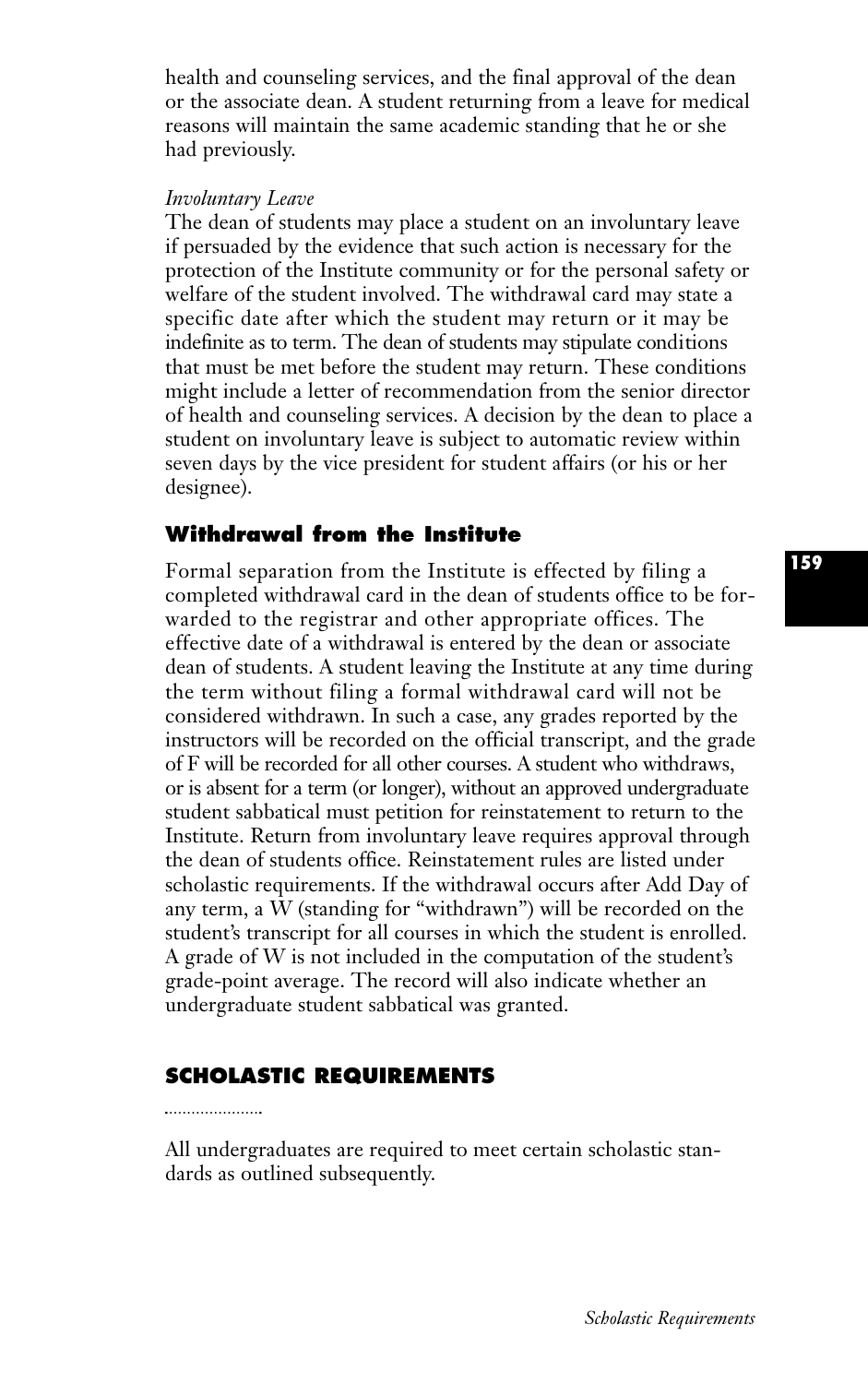health and counseling services, and the final approval of the dean or the associate dean. A student returning from a leave for medical reasons will maintain the same academic standing that he or she had previously.

#### *Involuntary Leave*

The dean of students may place a student on an involuntary leave if persuaded by the evidence that such action is necessary for the protection of the Institute community or for the personal safety or welfare of the student involved. The withdrawal card may state a specific date after which the student may return or it may be indefinite as to term. The dean of students may stipulate conditions that must be met before the student may return. These conditions might include a letter of recommendation from the senior director of health and counseling services. A decision by the dean to place a student on involuntary leave is subject to automatic review within seven days by the vice president for student affairs (or his or her designee).

# **Withdrawal from the Institute**

Formal separation from the Institute is effected by filing a completed withdrawal card in the dean of students office to be forwarded to the registrar and other appropriate offices. The effective date of a withdrawal is entered by the dean or associate dean of students. A student leaving the Institute at any time during the term without filing a formal withdrawal card will not be considered withdrawn. In such a case, any grades reported by the instructors will be recorded on the official transcript, and the grade of F will be recorded for all other courses. A student who withdraws, or is absent for a term (or longer), without an approved undergraduate student sabbatical must petition for reinstatement to return to the Institute. Return from involuntary leave requires approval through the dean of students office. Reinstatement rules are listed under scholastic requirements. If the withdrawal occurs after Add Day of any term, a W (standing for "withdrawn") will be recorded on the student's transcript for all courses in which the student is enrolled. A grade of W is not included in the computation of the student's grade-point average. The record will also indicate whether an undergraduate student sabbatical was granted.

# **SCHOLASTIC REQUIREMENTS**

All undergraduates are required to meet certain scholastic standards as outlined subsequently.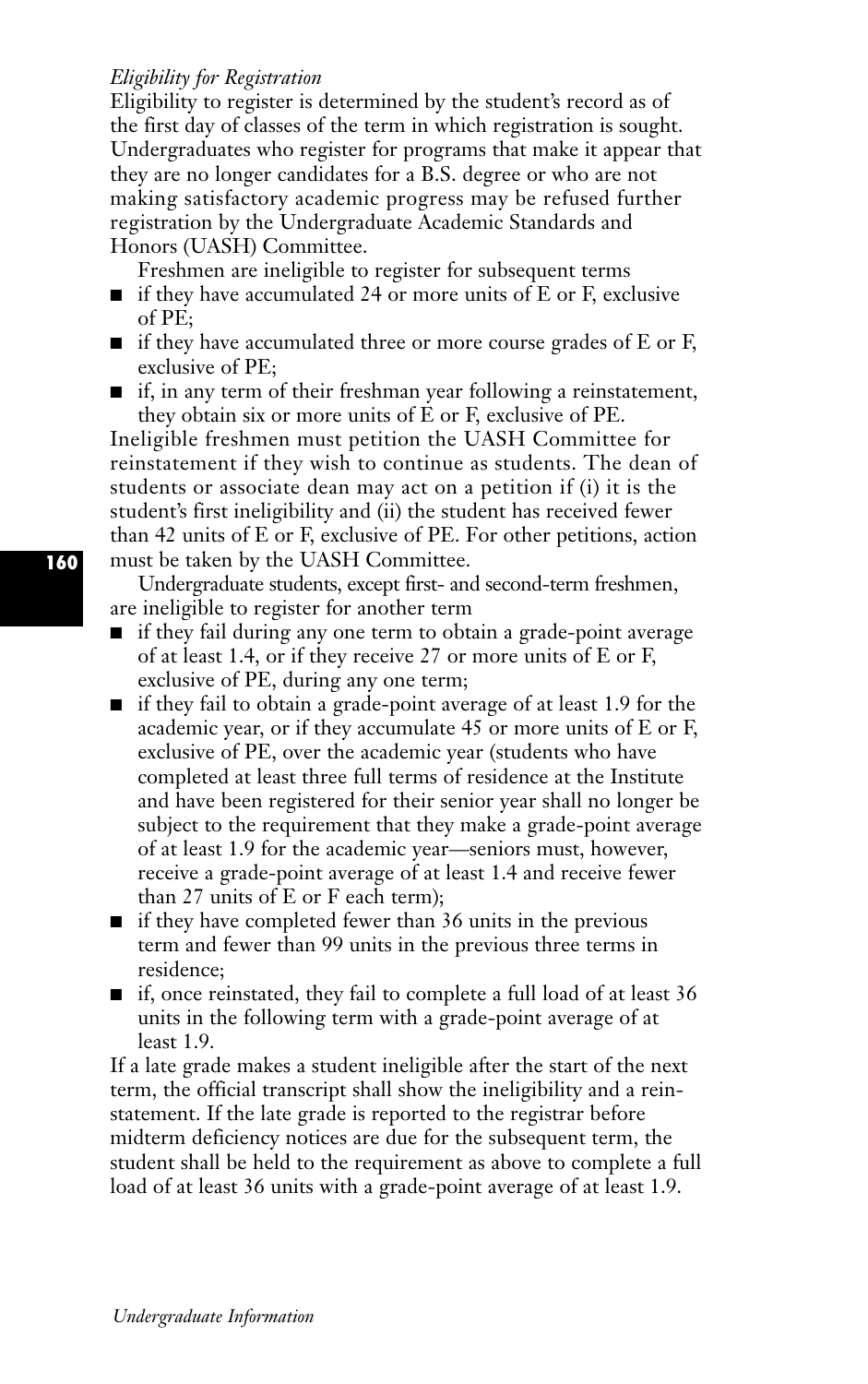## *Eligibility for Registration*

Eligibility to register is determined by the student's record as of the first day of classes of the term in which registration is sought. Undergraduates who register for programs that make it appear that they are no longer candidates for a B.S. degree or who are not making satisfactory academic progress may be refused further registration by the Undergraduate Academic Standards and Honors (UASH) Committee.

Freshmen are ineligible to register for subsequent terms

- if they have accumulated 24 or more units of E or F, exclusive of PE;
- if they have accumulated three or more course grades of E or F, exclusive of PE;
- if, in any term of their freshman year following a reinstatement, they obtain six or more units of E or F, exclusive of PE.

Ineligible freshmen must petition the UASH Committee for reinstatement if they wish to continue as students. The dean of students or associate dean may act on a petition if (i) it is the student's first ineligibility and (ii) the student has received fewer than 42 units of E or F, exclusive of PE. For other petitions, action must be taken by the UASH Committee.

Undergraduate students, except first- and second-term freshmen, are ineligible to register for another term

- if they fail during any one term to obtain a grade-point average of at least 1.4, or if they receive 27 or more units of E or F, exclusive of PE, during any one term;
- if they fail to obtain a grade-point average of at least 1.9 for the academic year, or if they accumulate 45 or more units of E or F, exclusive of PE, over the academic year (students who have completed at least three full terms of residence at the Institute and have been registered for their senior year shall no longer be subject to the requirement that they make a grade-point average of at least 1.9 for the academic year—seniors must, however, receive a grade-point average of at least 1.4 and receive fewer than 27 units of E or F each term);
- if they have completed fewer than 36 units in the previous term and fewer than 99 units in the previous three terms in residence;
- if, once reinstated, they fail to complete a full load of at least 36 units in the following term with a grade-point average of at least 1.9.

If a late grade makes a student ineligible after the start of the next term, the official transcript shall show the ineligibility and a reinstatement. If the late grade is reported to the registrar before midterm deficiency notices are due for the subsequent term, the student shall be held to the requirement as above to complete a full load of at least 36 units with a grade-point average of at least 1.9.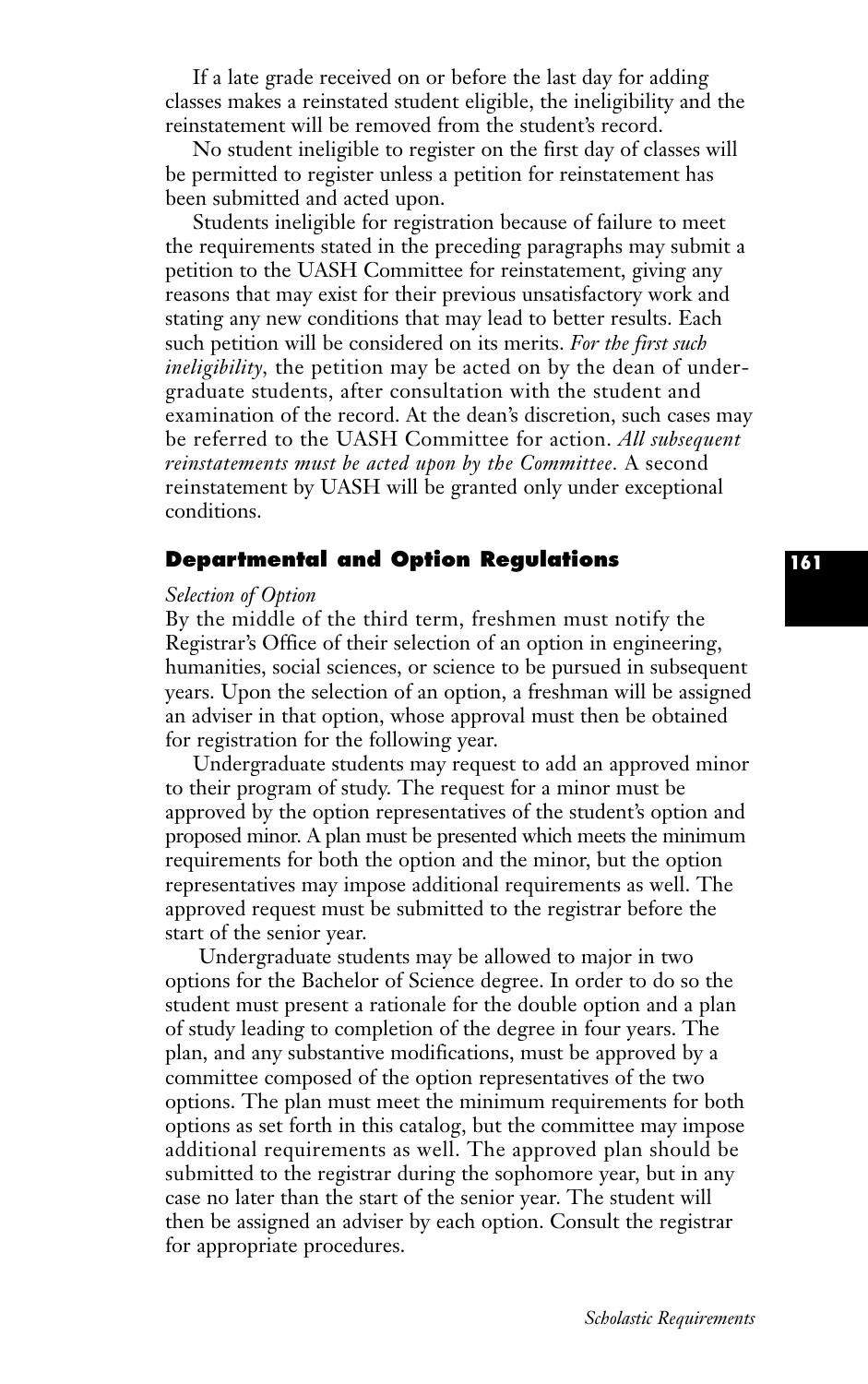If a late grade received on or before the last day for adding classes makes a reinstated student eligible, the ineligibility and the reinstatement will be removed from the student's record.

No student ineligible to register on the first day of classes will be permitted to register unless a petition for reinstatement has been submitted and acted upon.

Students ineligible for registration because of failure to meet the requirements stated in the preceding paragraphs may submit a petition to the UASH Committee for reinstatement, giving any reasons that may exist for their previous unsatisfactory work and stating any new conditions that may lead to better results. Each such petition will be considered on its merits. *For the first such ineligibility,* the petition may be acted on by the dean of undergraduate students, after consultation with the student and examination of the record. At the dean's discretion, such cases may be referred to the UASH Committee for action. *All subsequent reinstatements must be acted upon by the Committee.* A second reinstatement by UASH will be granted only under exceptional conditions.

# **Departmental and Option Regulations**

#### *Selection of Option*

By the middle of the third term, freshmen must notify the Registrar's Office of their selection of an option in engineering, humanities, social sciences, or science to be pursued in subsequent years. Upon the selection of an option, a freshman will be assigned an adviser in that option, whose approval must then be obtained for registration for the following year.

Undergraduate students may request to add an approved minor to their program of study. The request for a minor must be approved by the option representatives of the student's option and proposed minor. A plan must be presented which meets the minimum requirements for both the option and the minor, but the option representatives may impose additional requirements as well. The approved request must be submitted to the registrar before the start of the senior year.

Undergraduate students may be allowed to major in two options for the Bachelor of Science degree. In order to do so the student must present a rationale for the double option and a plan of study leading to completion of the degree in four years. The plan, and any substantive modifications, must be approved by a committee composed of the option representatives of the two options. The plan must meet the minimum requirements for both options as set forth in this catalog, but the committee may impose additional requirements as well. The approved plan should be submitted to the registrar during the sophomore year, but in any case no later than the start of the senior year. The student will then be assigned an adviser by each option. Consult the registrar for appropriate procedures.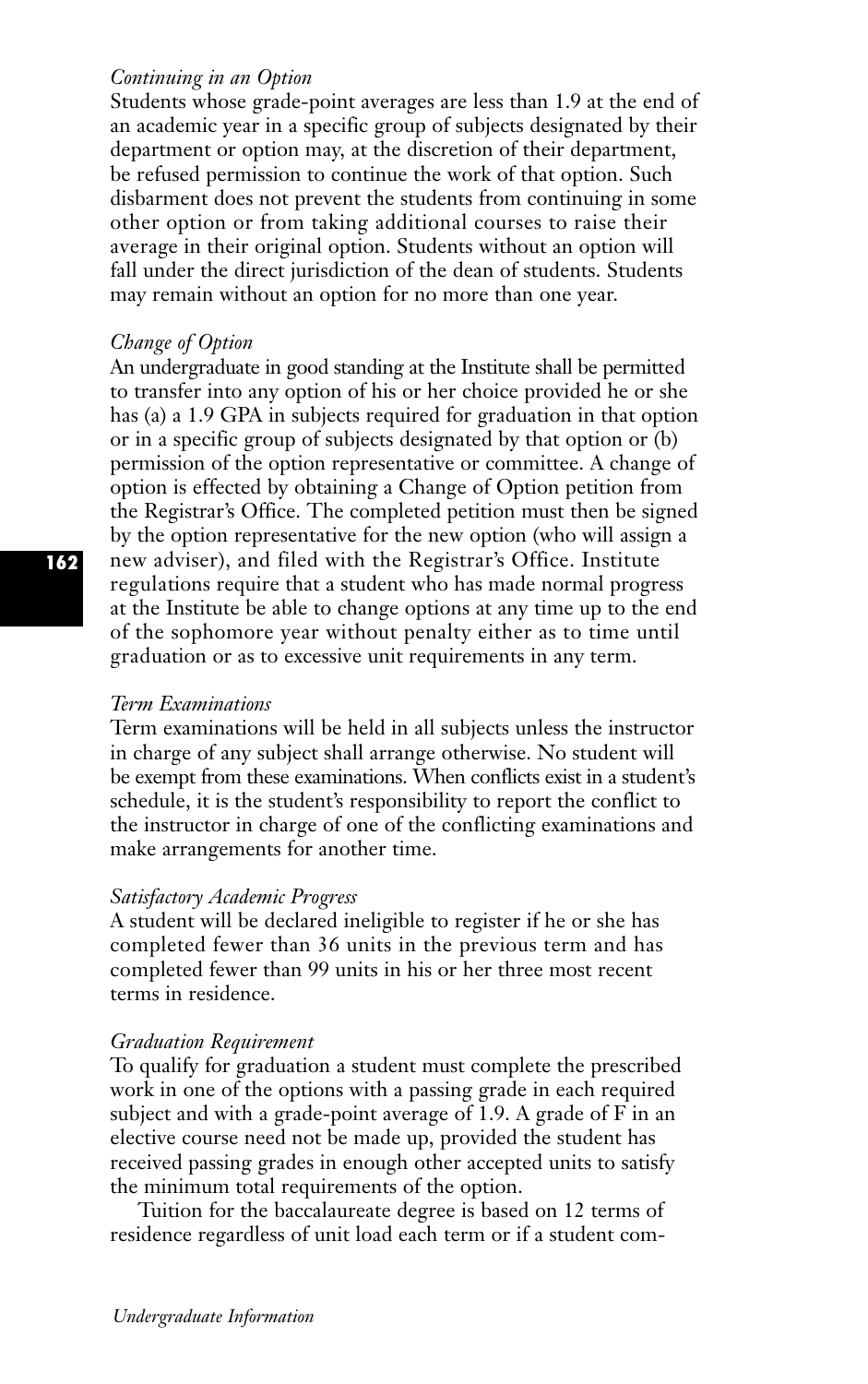#### *Continuing in an Option*

Students whose grade-point averages are less than 1.9 at the end of an academic year in a specific group of subjects designated by their department or option may, at the discretion of their department, be refused permission to continue the work of that option. Such disbarment does not prevent the students from continuing in some other option or from taking additional courses to raise their average in their original option. Students without an option will fall under the direct jurisdiction of the dean of students. Students may remain without an option for no more than one year.

## *Change of Option*

An undergraduate in good standing at the Institute shall be permitted to transfer into any option of his or her choice provided he or she has (a) a 1.9 GPA in subjects required for graduation in that option or in a specific group of subjects designated by that option or (b) permission of the option representative or committee. A change of option is effected by obtaining a Change of Option petition from the Registrar's Office. The completed petition must then be signed by the option representative for the new option (who will assign a new adviser), and filed with the Registrar's Office. Institute regulations require that a student who has made normal progress at the Institute be able to change options at any time up to the end of the sophomore year without penalty either as to time until graduation or as to excessive unit requirements in any term.

#### *Term Examinations*

Term examinations will be held in all subjects unless the instructor in charge of any subject shall arrange otherwise. No student will be exempt from these examinations. When conflicts exist in a student's schedule, it is the student's responsibility to report the conflict to the instructor in charge of one of the conflicting examinations and make arrangements for another time.

#### *Satisfactory Academic Progress*

A student will be declared ineligible to register if he or she has completed fewer than 36 units in the previous term and has completed fewer than 99 units in his or her three most recent terms in residence.

#### *Graduation Requirement*

To qualify for graduation a student must complete the prescribed work in one of the options with a passing grade in each required subject and with a grade-point average of 1.9. A grade of F in an elective course need not be made up, provided the student has received passing grades in enough other accepted units to satisfy the minimum total requirements of the option.

Tuition for the baccalaureate degree is based on 12 terms of residence regardless of unit load each term or if a student com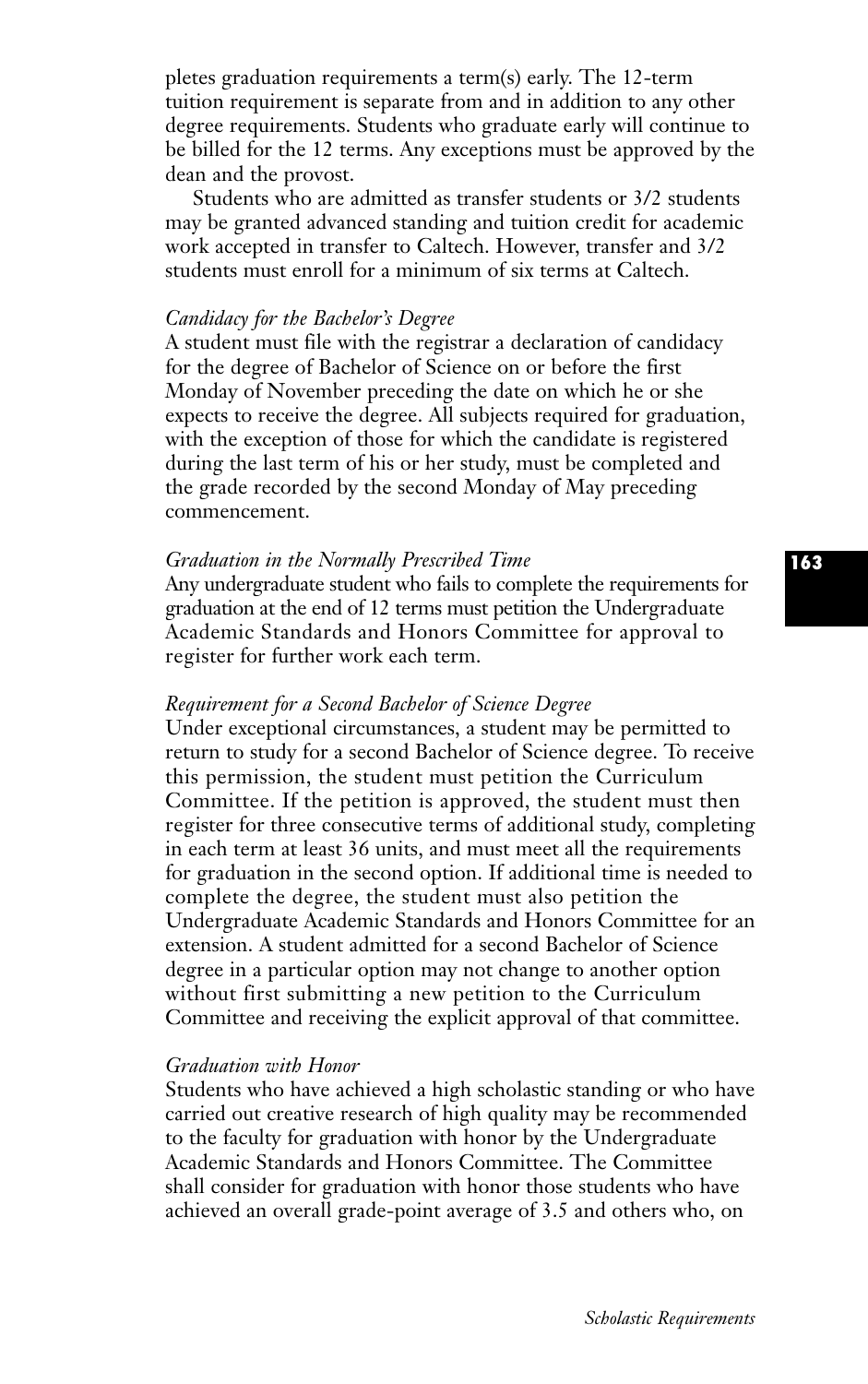pletes graduation requirements a term(s) early. The 12-term tuition requirement is separate from and in addition to any other degree requirements. Students who graduate early will continue to be billed for the 12 terms. Any exceptions must be approved by the dean and the provost.

Students who are admitted as transfer students or 3/2 students may be granted advanced standing and tuition credit for academic work accepted in transfer to Caltech. However, transfer and 3/2 students must enroll for a minimum of six terms at Caltech.

## *Candidacy for the Bachelor's Degree*

A student must file with the registrar a declaration of candidacy for the degree of Bachelor of Science on or before the first Monday of November preceding the date on which he or she expects to receive the degree. All subjects required for graduation, with the exception of those for which the candidate is registered during the last term of his or her study, must be completed and the grade recorded by the second Monday of May preceding commencement.

#### *Graduation in the Normally Prescribed Time*

Any undergraduate student who fails to complete the requirements for graduation at the end of 12 terms must petition the Undergraduate Academic Standards and Honors Committee for approval to register for further work each term.

#### *Requirement for a Second Bachelor of Science Degree*

Under exceptional circumstances, a student may be permitted to return to study for a second Bachelor of Science degree. To receive this permission, the student must petition the Curriculum Committee. If the petition is approved, the student must then register for three consecutive terms of additional study, completing in each term at least 36 units, and must meet all the requirements for graduation in the second option. If additional time is needed to complete the degree, the student must also petition the Undergraduate Academic Standards and Honors Committee for an extension. A student admitted for a second Bachelor of Science degree in a particular option may not change to another option without first submitting a new petition to the Curriculum Committee and receiving the explicit approval of that committee.

#### *Graduation with Honor*

Students who have achieved a high scholastic standing or who have carried out creative research of high quality may be recommended to the faculty for graduation with honor by the Undergraduate Academic Standards and Honors Committee. The Committee shall consider for graduation with honor those students who have achieved an overall grade-point average of 3.5 and others who, on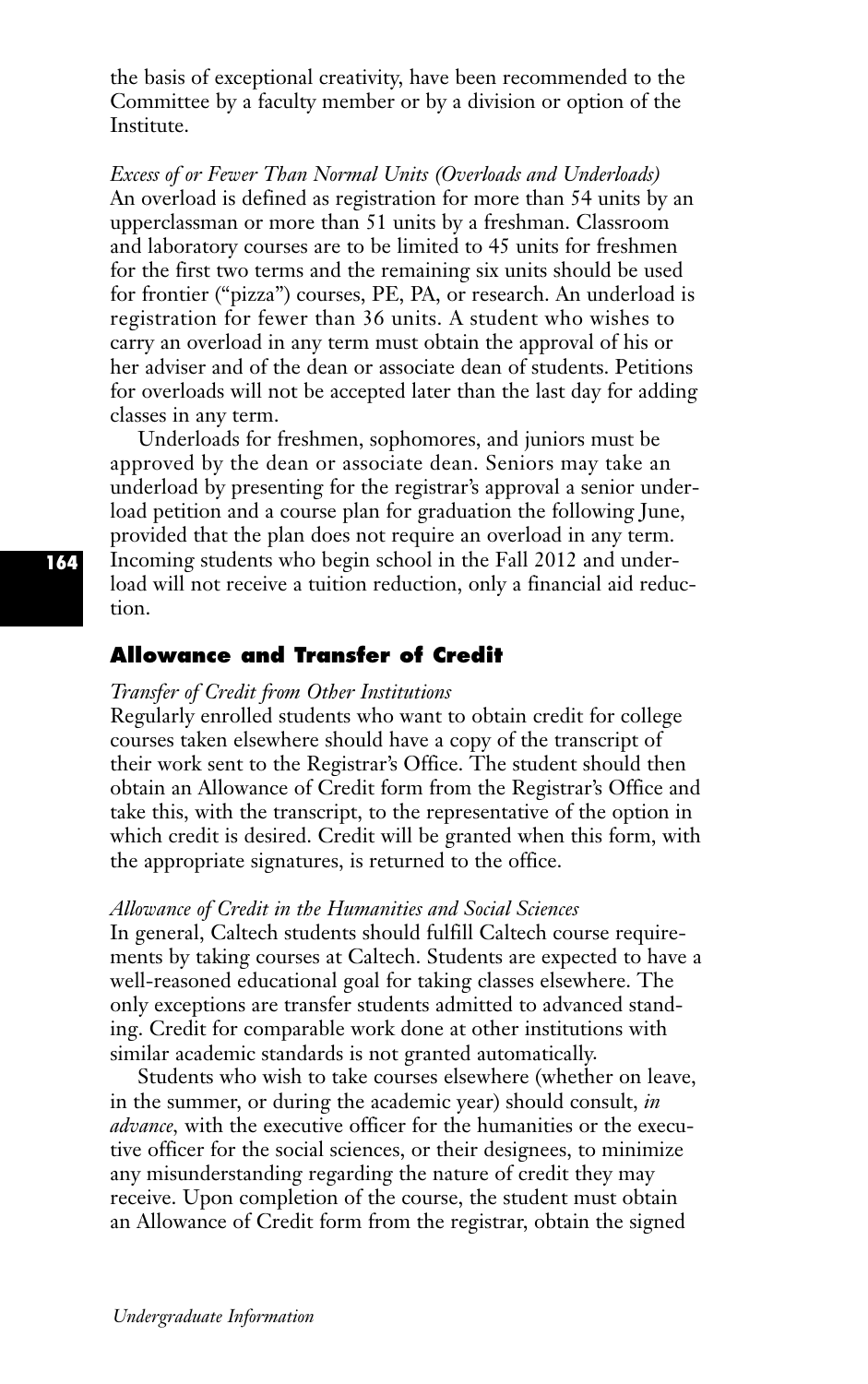the basis of exceptional creativity, have been recommended to the Committee by a faculty member or by a division or option of the Institute.

*Excess of or Fewer Than Normal Units (Overloads and Underloads)* An overload is defined as registration for more than 54 units by an upperclassman or more than 51 units by a freshman. Classroom and laboratory courses are to be limited to 45 units for freshmen for the first two terms and the remaining six units should be used for frontier ("pizza") courses, PE, PA, or research. An underload is registration for fewer than 36 units. A student who wishes to carry an overload in any term must obtain the approval of his or her adviser and of the dean or associate dean of students. Petitions for overloads will not be accepted later than the last day for adding classes in any term.

Underloads for freshmen, sophomores, and juniors must be approved by the dean or associate dean. Seniors may take an underload by presenting for the registrar's approval a senior underload petition and a course plan for graduation the following June, provided that the plan does not require an overload in any term. Incoming students who begin school in the Fall 2012 and underload will not receive a tuition reduction, only a financial aid reduction.

## **Allowance and Transfer of Credit**

## *Transfer of Credit from Other Institutions*

Regularly enrolled students who want to obtain credit for college courses taken elsewhere should have a copy of the transcript of their work sent to the Registrar's Office. The student should then obtain an Allowance of Credit form from the Registrar's Office and take this, with the transcript, to the representative of the option in which credit is desired. Credit will be granted when this form, with the appropriate signatures, is returned to the office.

#### *Allowance of Credit in the Humanities and Social Sciences*

In general, Caltech students should fulfill Caltech course requirements by taking courses at Caltech. Students are expected to have a well-reasoned educational goal for taking classes elsewhere. The only exceptions are transfer students admitted to advanced standing. Credit for comparable work done at other institutions with similar academic standards is not granted automatically.

Students who wish to take courses elsewhere (whether on leave, in the summer, or during the academic year) should consult, *in advance,* with the executive officer for the humanities or the executive officer for the social sciences, or their designees, to minimize any misunderstanding regarding the nature of credit they may receive. Upon completion of the course, the student must obtain an Allowance of Credit form from the registrar, obtain the signed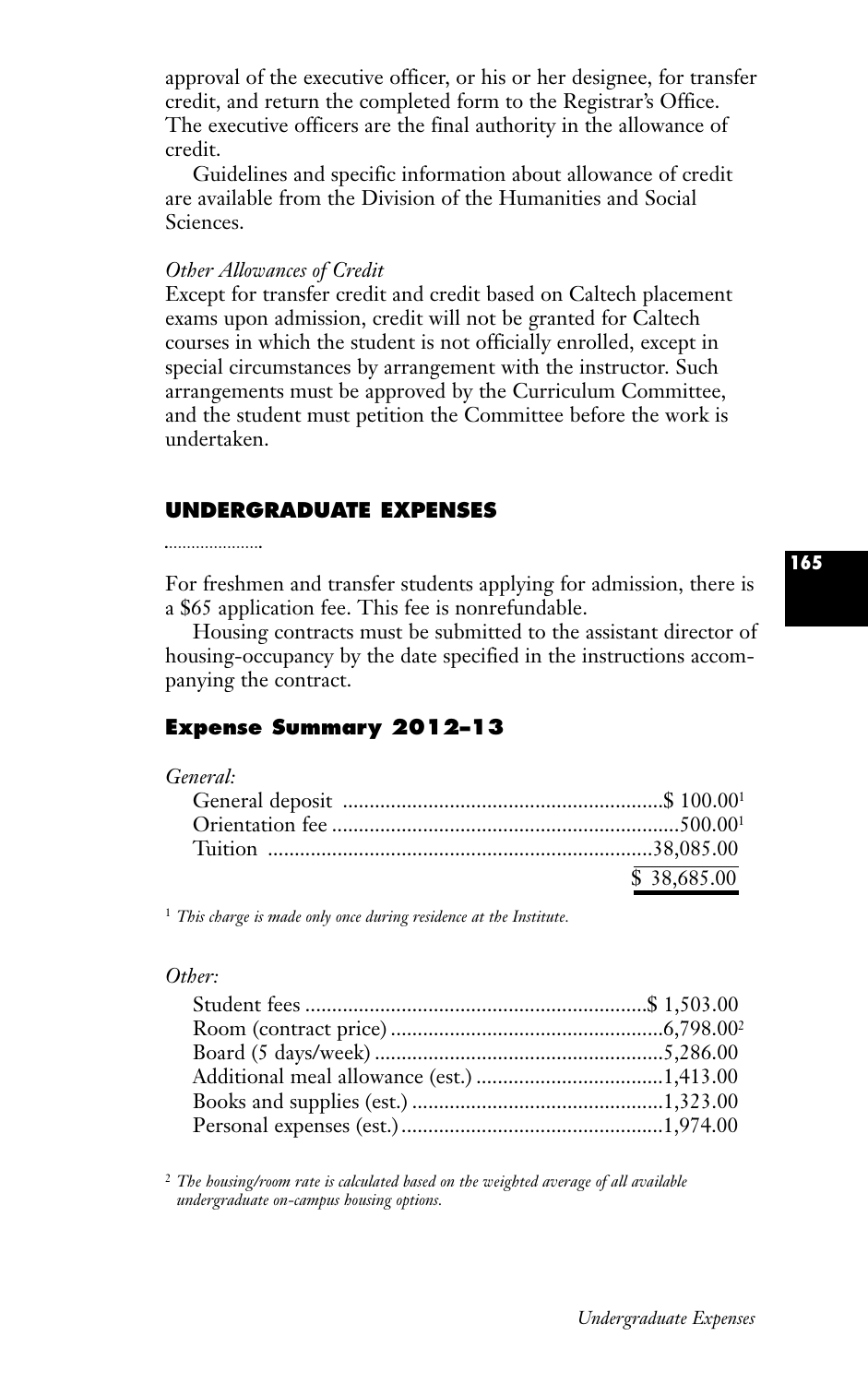approval of the executive officer, or his or her designee, for transfer credit, and return the completed form to the Registrar's Office. The executive officers are the final authority in the allowance of credit.

Guidelines and specific information about allowance of credit are available from the Division of the Humanities and Social Sciences.

#### *Other Allowances of Credit*

Except for transfer credit and credit based on Caltech placement exams upon admission, credit will not be granted for Caltech courses in which the student is not officially enrolled, except in special circumstances by arrangement with the instructor. Such arrangements must be approved by the Curriculum Committee, and the student must petition the Committee before the work is undertaken.

## **UNDERGRADUATE EXPENSES**

For freshmen and transfer students applying for admission, there is a \$65 application fee. This fee is nonrefundable.

Housing contracts must be submitted to the assistant director of housing-occupancy by the date specified in the instructions accompanying the contract.

# **Expense Summary 2012–13**

#### *General:*

| \$38,685,00 |
|-------------|

<sup>1</sup> *This charge is made only once during residence at the Institute.*

#### *Other:*

<sup>2</sup> *The housing/room rate is calculated based on the weighted average of all available undergraduate on-campus housing options.*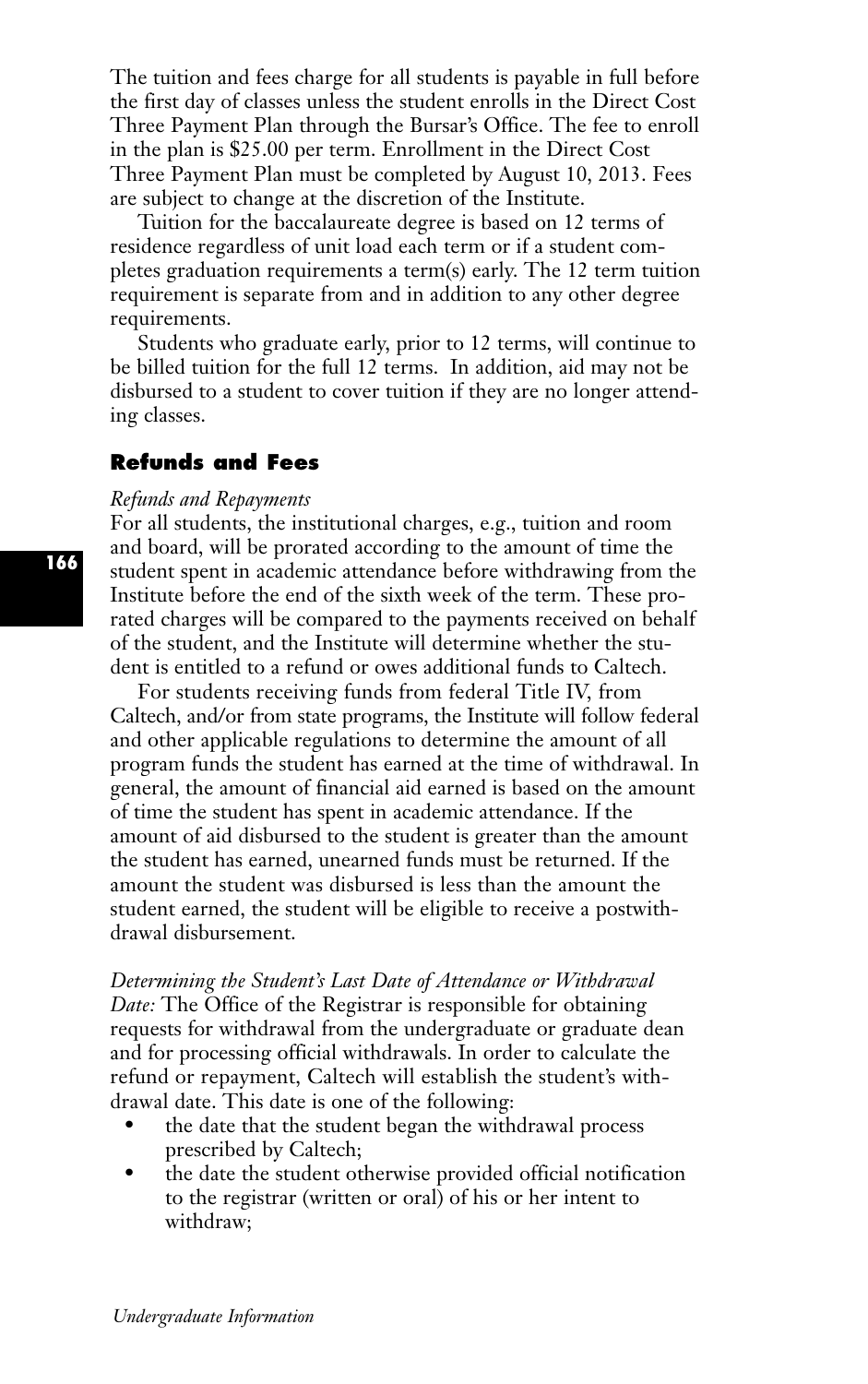The tuition and fees charge for all students is payable in full before the first day of classes unless the student enrolls in the Direct Cost Three Payment Plan through the Bursar's Office. The fee to enroll in the plan is \$25.00 per term. Enrollment in the Direct Cost Three Payment Plan must be completed by August 10, 2013. Fees are subject to change at the discretion of the Institute.

Tuition for the baccalaureate degree is based on 12 terms of residence regardless of unit load each term or if a student completes graduation requirements a term(s) early. The 12 term tuition requirement is separate from and in addition to any other degree requirements.

Students who graduate early, prior to 12 terms, will continue to be billed tuition for the full 12 terms. In addition, aid may not be disbursed to a student to cover tuition if they are no longer attending classes.

## **Refunds and Fees**

#### *Refunds and Repayments*

For all students, the institutional charges, e.g., tuition and room and board, will be prorated according to the amount of time the student spent in academic attendance before withdrawing from the Institute before the end of the sixth week of the term. These prorated charges will be compared to the payments received on behalf of the student, and the Institute will determine whether the student is entitled to a refund or owes additional funds to Caltech.

For students receiving funds from federal Title IV, from Caltech, and/or from state programs, the Institute will follow federal and other applicable regulations to determine the amount of all program funds the student has earned at the time of withdrawal. In general, the amount of financial aid earned is based on the amount of time the student has spent in academic attendance. If the amount of aid disbursed to the student is greater than the amount the student has earned, unearned funds must be returned. If the amount the student was disbursed is less than the amount the student earned, the student will be eligible to receive a postwithdrawal disbursement.

*Determining the Student's Last Date of Attendance or Withdrawal Date:* The Office of the Registrar is responsible for obtaining requests for withdrawal from the undergraduate or graduate dean and for processing official withdrawals. In order to calculate the refund or repayment, Caltech will establish the student's withdrawal date. This date is one of the following:

- the date that the student began the withdrawal process prescribed by Caltech;
- the date the student otherwise provided official notification to the registrar (written or oral) of his or her intent to withdraw;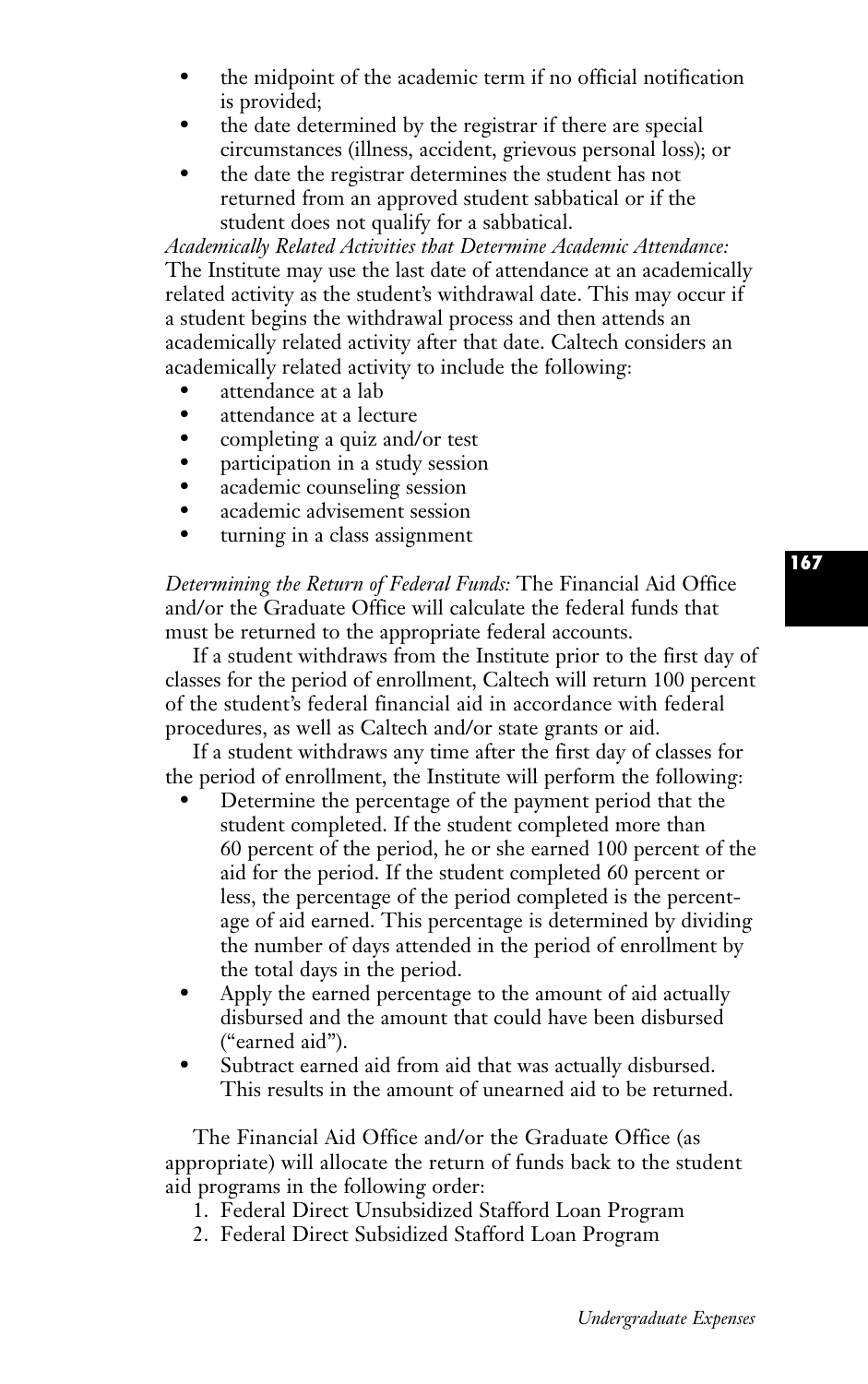- the midpoint of the academic term if no official notification is provided;
- the date determined by the registrar if there are special circumstances (illness, accident, grievous personal loss); or
- the date the registrar determines the student has not returned from an approved student sabbatical or if the student does not qualify for a sabbatical.

*Academically Related Activities that Determine Academic Attendance:* The Institute may use the last date of attendance at an academically related activity as the student's withdrawal date. This may occur if a student begins the withdrawal process and then attends an academically related activity after that date. Caltech considers an academically related activity to include the following:

- attendance at a lab
- attendance at a lecture<br>• completing a quiz and/
- completing a quiz and/or test<br>• participation in a study session
- participation in a study session
- academic counseling session<br>• academic advisement session
- academic advisement session
- turning in a class assignment

*Determining the Return of Federal Funds:* The Financial Aid Office and/or the Graduate Office will calculate the federal funds that must be returned to the appropriate federal accounts.

If a student withdraws from the Institute prior to the first day of classes for the period of enrollment, Caltech will return 100 percent of the student's federal financial aid in accordance with federal procedures, as well as Caltech and/or state grants or aid.

If a student withdraws any time after the first day of classes for the period of enrollment, the Institute will perform the following:

- Determine the percentage of the payment period that the student completed. If the student completed more than 60 percent of the period, he or she earned 100 percent of the aid for the period. If the student completed 60 percent or less, the percentage of the period completed is the percentage of aid earned. This percentage is determined by dividing the number of days attended in the period of enrollment by the total days in the period.
- Apply the earned percentage to the amount of aid actually disbursed and the amount that could have been disbursed ("earned aid").
- Subtract earned aid from aid that was actually disbursed. This results in the amount of unearned aid to be returned.

The Financial Aid Office and/or the Graduate Office (as appropriate) will allocate the return of funds back to the student aid programs in the following order:

- 1. Federal Direct Unsubsidized Stafford Loan Program
- 2. Federal Direct Subsidized Stafford Loan Program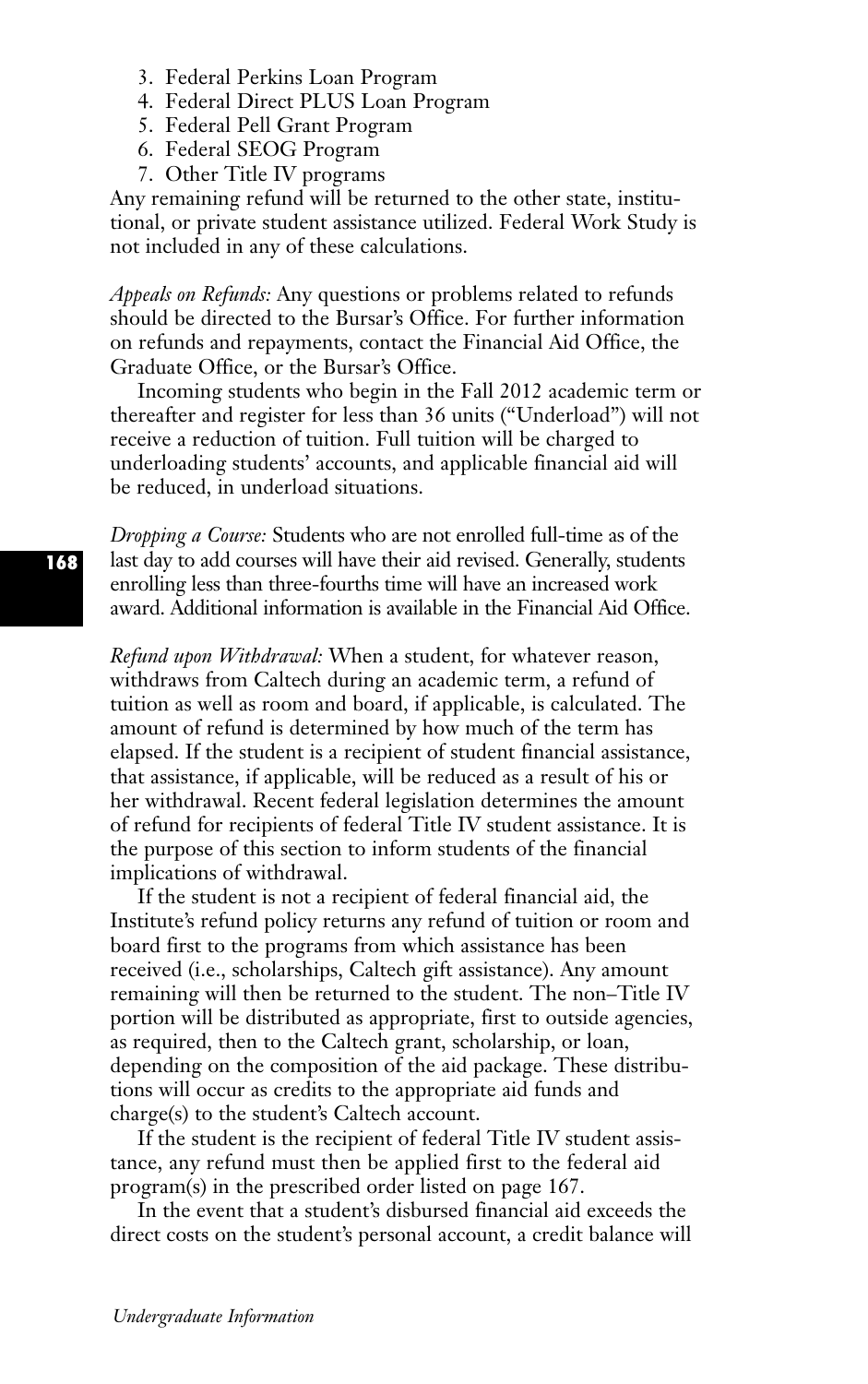- 3. Federal Perkins Loan Program
- 4. Federal Direct PLUS Loan Program
- 5. Federal Pell Grant Program
- 6. Federal SEOG Program
- 7. Other Title IV programs

Any remaining refund will be returned to the other state, institutional, or private student assistance utilized. Federal Work Study is not included in any of these calculations.

*Appeals on Refunds:* Any questions or problems related to refunds should be directed to the Bursar's Office. For further information on refunds and repayments, contact the Financial Aid Office, the Graduate Office, or the Bursar's Office.

Incoming students who begin in the Fall 2012 academic term or thereafter and register for less than 36 units ("Underload") will not receive a reduction of tuition. Full tuition will be charged to underloading students' accounts, and applicable financial aid will be reduced, in underload situations.

*Dropping a Course:* Students who are not enrolled full-time as of the last day to add courses will have their aid revised. Generally, students enrolling less than three-fourths time will have an increased work award. Additional information is available in the Financial Aid Office.

*Refund upon Withdrawal:* When a student, for whatever reason, withdraws from Caltech during an academic term, a refund of tuition as well as room and board, if applicable, is calculated. The amount of refund is determined by how much of the term has elapsed. If the student is a recipient of student financial assistance, that assistance, if applicable, will be reduced as a result of his or her withdrawal. Recent federal legislation determines the amount of refund for recipients of federal Title IV student assistance. It is the purpose of this section to inform students of the financial implications of withdrawal.

If the student is not a recipient of federal financial aid, the Institute's refund policy returns any refund of tuition or room and board first to the programs from which assistance has been received (i.e., scholarships, Caltech gift assistance). Any amount remaining will then be returned to the student. The non–Title IV portion will be distributed as appropriate, first to outside agencies, as required, then to the Caltech grant, scholarship, or loan, depending on the composition of the aid package. These distributions will occur as credits to the appropriate aid funds and charge(s) to the student's Caltech account.

If the student is the recipient of federal Title IV student assistance, any refund must then be applied first to the federal aid program(s) in the prescribed order listed on page 167.

In the event that a student's disbursed financial aid exceeds the direct costs on the student's personal account, a credit balance will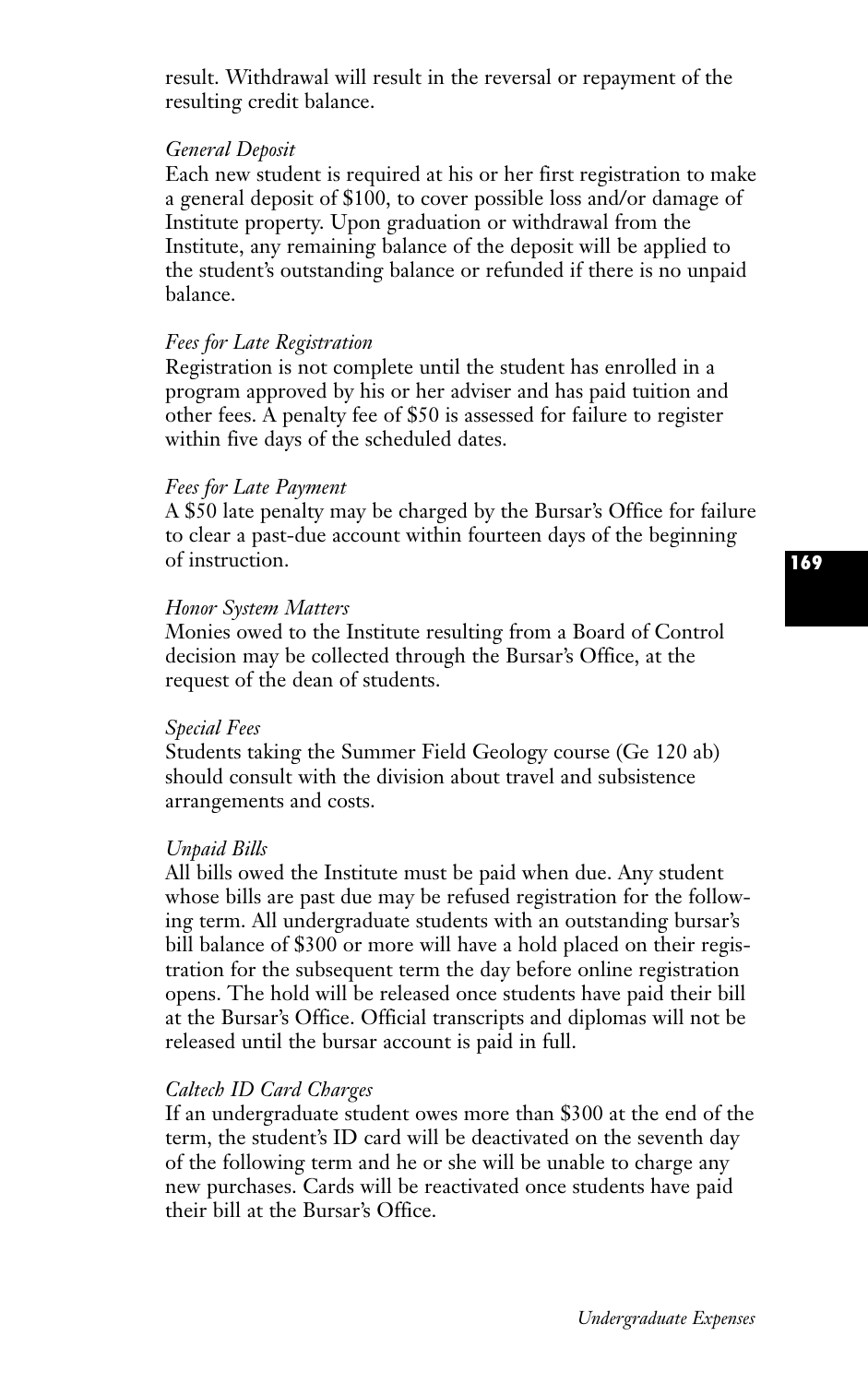result. Withdrawal will result in the reversal or repayment of the resulting credit balance.

#### *General Deposit*

Each new student is required at his or her first registration to make a general deposit of \$100, to cover possible loss and/or damage of Institute property. Upon graduation or withdrawal from the Institute, any remaining balance of the deposit will be applied to the student's outstanding balance or refunded if there is no unpaid balance.

#### *Fees for Late Registration*

Registration is not complete until the student has enrolled in a program approved by his or her adviser and has paid tuition and other fees. A penalty fee of \$50 is assessed for failure to register within five days of the scheduled dates.

#### *Fees for Late Payment*

A \$50 late penalty may be charged by the Bursar's Office for failure to clear a past-due account within fourteen days of the beginning of instruction.

#### *Honor System Matters*

Monies owed to the Institute resulting from a Board of Control decision may be collected through the Bursar's Office, at the request of the dean of students.

#### *Special Fees*

Students taking the Summer Field Geology course (Ge 120 ab) should consult with the division about travel and subsistence arrangements and costs.

#### *Unpaid Bills*

All bills owed the Institute must be paid when due. Any student whose bills are past due may be refused registration for the following term. All undergraduate students with an outstanding bursar's bill balance of \$300 or more will have a hold placed on their registration for the subsequent term the day before online registration opens. The hold will be released once students have paid their bill at the Bursar's Office. Official transcripts and diplomas will not be released until the bursar account is paid in full.

#### *Caltech ID Card Charges*

If an undergraduate student owes more than \$300 at the end of the term, the student's ID card will be deactivated on the seventh day of the following term and he or she will be unable to charge any new purchases. Cards will be reactivated once students have paid their bill at the Bursar's Office.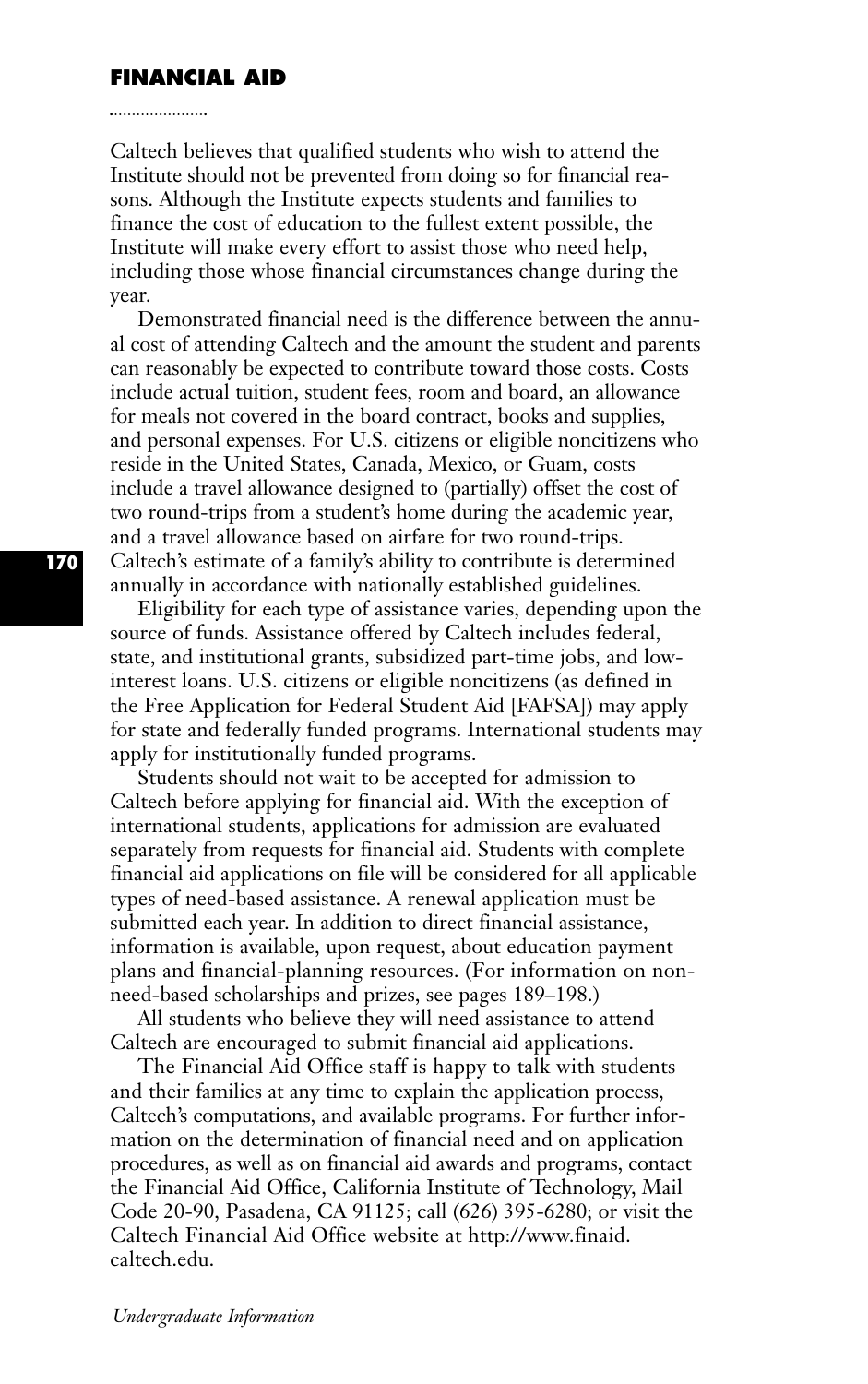#### **FINANCIAL AID**

Caltech believes that qualified students who wish to attend the Institute should not be prevented from doing so for financial reasons. Although the Institute expects students and families to finance the cost of education to the fullest extent possible, the Institute will make every effort to assist those who need help, including those whose financial circumstances change during the year.

Demonstrated financial need is the difference between the annual cost of attending Caltech and the amount the student and parents can reasonably be expected to contribute toward those costs. Costs include actual tuition, student fees, room and board, an allowance for meals not covered in the board contract, books and supplies, and personal expenses. For U.S. citizens or eligible noncitizens who reside in the United States, Canada, Mexico, or Guam, costs include a travel allowance designed to (partially) offset the cost of two round-trips from a student's home during the academic year, and a travel allowance based on airfare for two round-trips. Caltech's estimate of a family's ability to contribute is determined annually in accordance with nationally established guidelines.

Eligibility for each type of assistance varies, depending upon the source of funds. Assistance offered by Caltech includes federal, state, and institutional grants, subsidized part-time jobs, and lowinterest loans. U.S. citizens or eligible noncitizens (as defined in the Free Application for Federal Student Aid [FAFSA]) may apply for state and federally funded programs. International students may apply for institutionally funded programs.

Students should not wait to be accepted for admission to Caltech before applying for financial aid. With the exception of international students, applications for admission are evaluated separately from requests for financial aid. Students with complete financial aid applications on file will be considered for all applicable types of need-based assistance. A renewal application must be submitted each year. In addition to direct financial assistance, information is available, upon request, about education payment plans and financial-planning resources. (For information on nonneed-based scholarships and prizes, see pages 189–198.)

All students who believe they will need assistance to attend Caltech are encouraged to submit financial aid applications.

The Financial Aid Office staff is happy to talk with students and their families at any time to explain the application process, Caltech's computations, and available programs. For further information on the determination of financial need and on application procedures, as well as on financial aid awards and programs, contact the Financial Aid Office, California Institute of Technology, Mail Code 20-90, Pasadena, CA 91125; call (626) 395-6280; or visit the Caltech Financial Aid Office website at http://www.finaid. caltech.edu.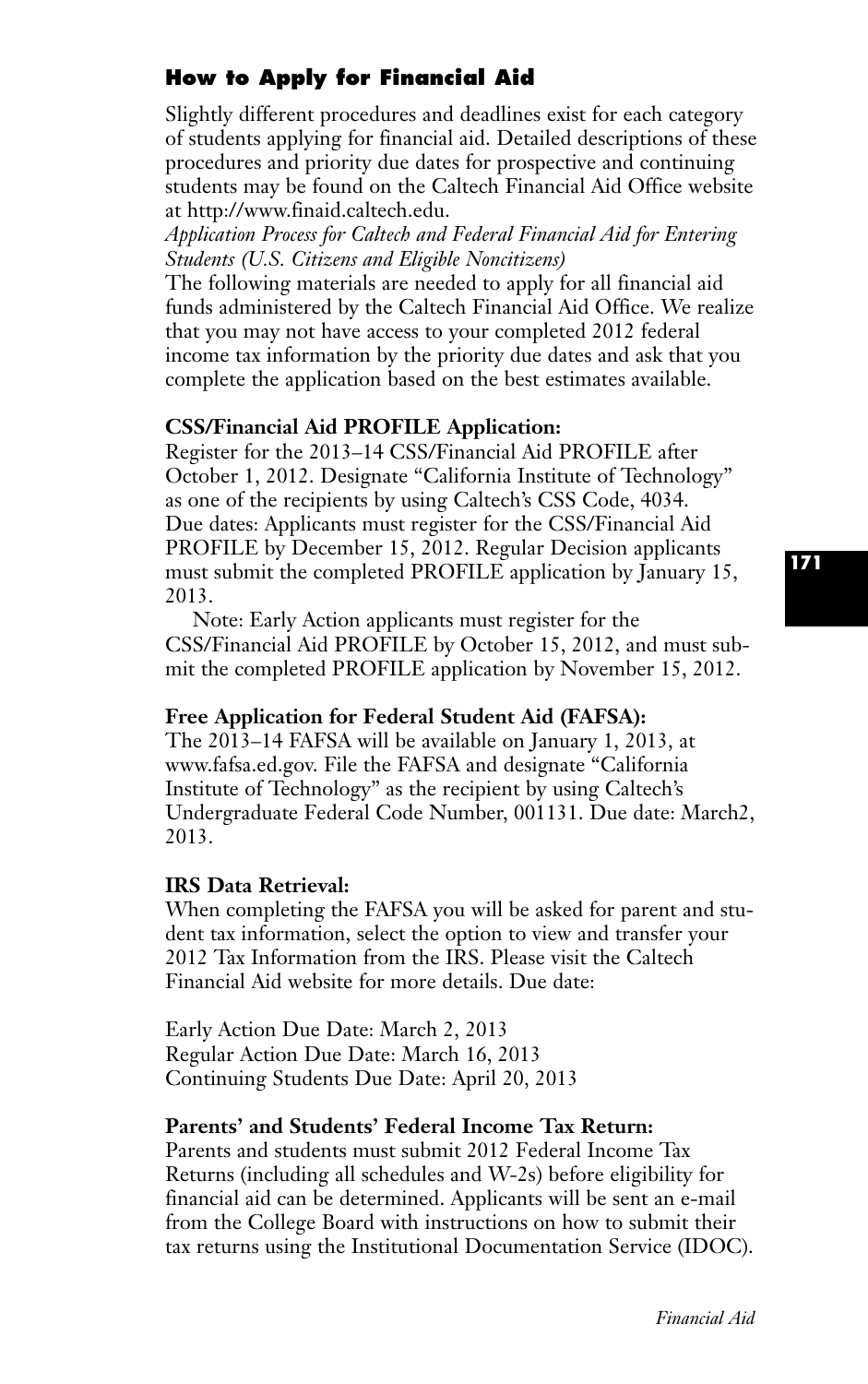# **How to Apply for Financial Aid**

Slightly different procedures and deadlines exist for each category of students applying for financial aid. Detailed descriptions of these procedures and priority due dates for prospective and continuing students may be found on the Caltech Financial Aid Office website at http://www.finaid.caltech.edu.

*Application Process for Caltech and Federal Financial Aid for Entering Students (U.S. Citizens and Eligible Noncitizens)*

The following materials are needed to apply for all financial aid funds administered by the Caltech Financial Aid Office. We realize that you may not have access to your completed 2012 federal income tax information by the priority due dates and ask that you complete the application based on the best estimates available.

## **CSS/Financial Aid PROFILE Application:**

Register for the 2013–14 CSS/Financial Aid PROFILE after October 1, 2012. Designate "California Institute of Technology" as one of the recipients by using Caltech's CSS Code, 4034. Due dates: Applicants must register for the CSS/Financial Aid PROFILE by December 15, 2012. Regular Decision applicants must submit the completed PROFILE application by January 15, 2013.

Note: Early Action applicants must register for the CSS/Financial Aid PROFILE by October 15, 2012, and must submit the completed PROFILE application by November 15, 2012.

#### **Free Application for Federal Student Aid (FAFSA):**

The 2013–14 FAFSA will be available on January 1, 2013, at www.fafsa.ed.gov. File the FAFSA and designate "California Institute of Technology" as the recipient by using Caltech's Undergraduate Federal Code Number, 001131. Due date: March2, 2013.

## **IRS Data Retrieval:**

When completing the FAFSA you will be asked for parent and student tax information, select the option to view and transfer your 2012 Tax Information from the IRS. Please visit the Caltech Financial Aid website for more details. Due date:

Early Action Due Date: March 2, 2013 Regular Action Due Date: March 16, 2013 Continuing Students Due Date: April 20, 2013

# **Parents' and Students' Federal Income Tax Return:**

Parents and students must submit 2012 Federal Income Tax Returns (including all schedules and W-2s) before eligibility for financial aid can be determined. Applicants will be sent an e-mail from the College Board with instructions on how to submit their tax returns using the Institutional Documentation Service (IDOC).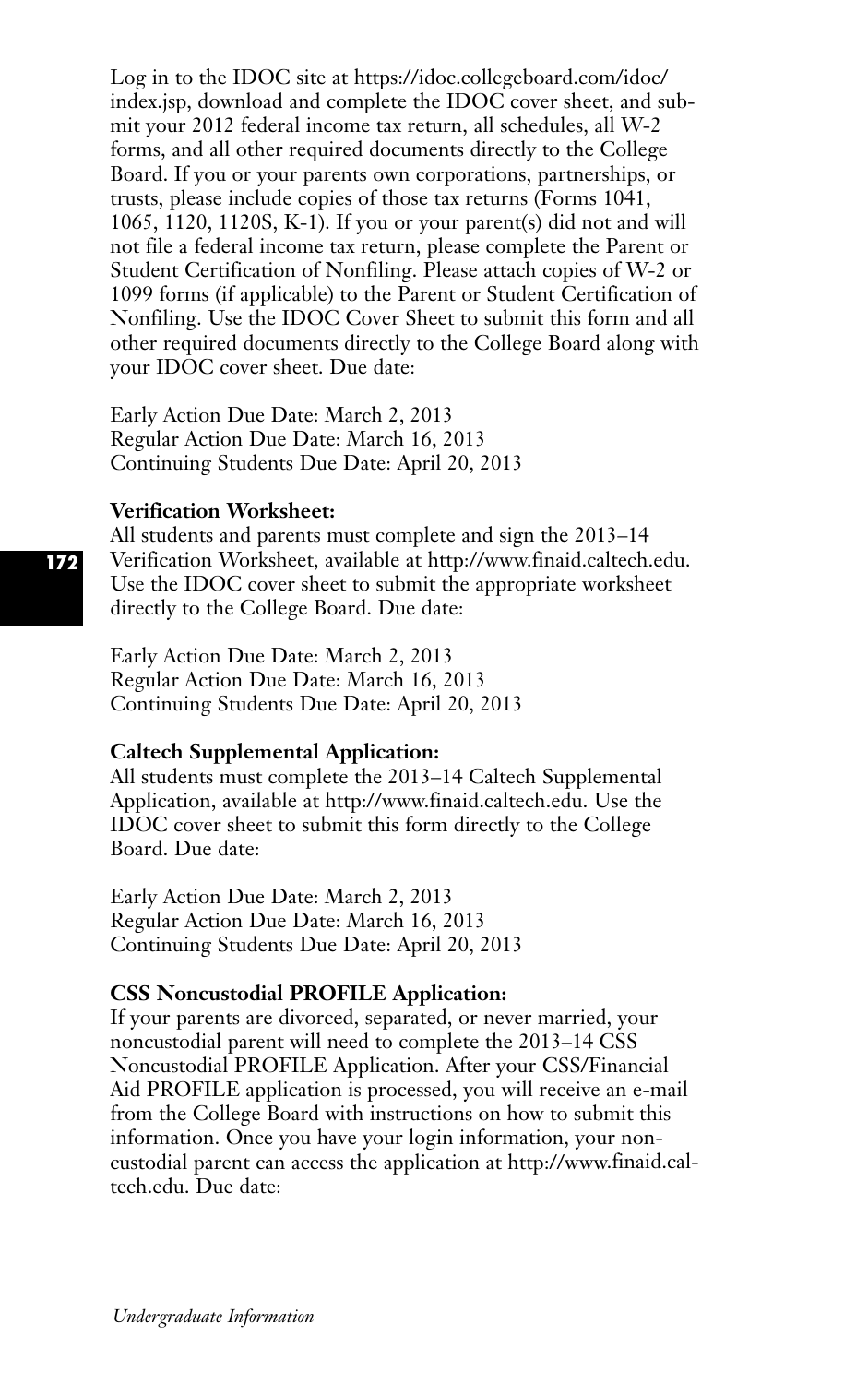Log in to the IDOC site at https://idoc.collegeboard.com/idoc/ index.jsp, download and complete the IDOC cover sheet, and submit your 2012 federal income tax return, all schedules, all W-2 forms, and all other required documents directly to the College Board. If you or your parents own corporations, partnerships, or trusts, please include copies of those tax returns (Forms 1041, 1065, 1120, 1120S, K-1). If you or your parent(s) did not and will not file a federal income tax return, please complete the Parent or Student Certification of Nonfiling. Please attach copies of W-2 or 1099 forms (if applicable) to the Parent or Student Certification of Nonfiling. Use the IDOC Cover Sheet to submit this form and all other required documents directly to the College Board along with your IDOC cover sheet. Due date:

Early Action Due Date: March 2, 2013 Regular Action Due Date: March 16, 2013 Continuing Students Due Date: April 20, 2013

## **Verification Worksheet:**

All students and parents must complete and sign the 2013–14 Verification Worksheet, available at http://www.finaid.caltech.edu. Use the IDOC cover sheet to submit the appropriate worksheet directly to the College Board. Due date:

Early Action Due Date: March 2, 2013 Regular Action Due Date: March 16, 2013 Continuing Students Due Date: April 20, 2013

#### **Caltech Supplemental Application:**

All students must complete the 2013–14 Caltech Supplemental Application, available at http://www.finaid.caltech.edu. Use the IDOC cover sheet to submit this form directly to the College Board. Due date:

Early Action Due Date: March 2, 2013 Regular Action Due Date: March 16, 2013 Continuing Students Due Date: April 20, 2013

## **CSS Noncustodial PROFILE Application:**

If your parents are divorced, separated, or never married, your noncustodial parent will need to complete the 2013–14 CSS Noncustodial PROFILE Application. After your CSS/Financial Aid PROFILE application is processed, you will receive an e-mail from the College Board with instructions on how to submit this information. Once you have your login information, your noncustodial parent can access the application at http://www.finaid.caltech.edu. Due date: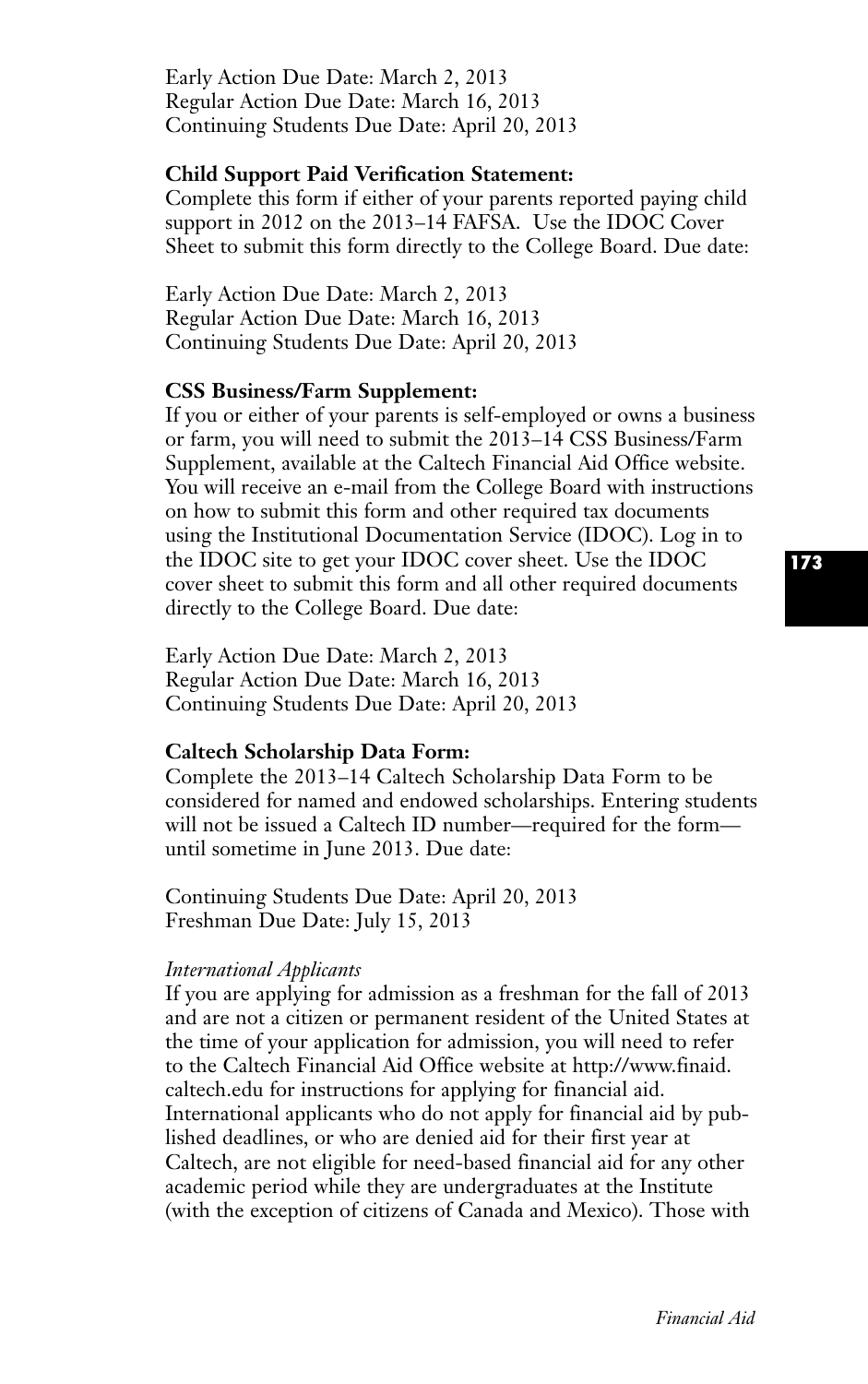Early Action Due Date: March 2, 2013 Regular Action Due Date: March 16, 2013 Continuing Students Due Date: April 20, 2013

## **Child Support Paid Verification Statement:**

Complete this form if either of your parents reported paying child support in 2012 on the 2013–14 FAFSA. Use the IDOC Cover Sheet to submit this form directly to the College Board. Due date:

Early Action Due Date: March 2, 2013 Regular Action Due Date: March 16, 2013 Continuing Students Due Date: April 20, 2013

#### **CSS Business/Farm Supplement:**

If you or either of your parents is self-employed or owns a business or farm, you will need to submit the 2013–14 CSS Business/Farm Supplement, available at the Caltech Financial Aid Office website. You will receive an e-mail from the College Board with instructions on how to submit this form and other required tax documents using the Institutional Documentation Service (IDOC). Log in to the IDOC site to get your IDOC cover sheet. Use the IDOC cover sheet to submit this form and all other required documents directly to the College Board. Due date:

Early Action Due Date: March 2, 2013 Regular Action Due Date: March 16, 2013 Continuing Students Due Date: April 20, 2013

#### **Caltech Scholarship Data Form:**

Complete the 2013–14 Caltech Scholarship Data Form to be considered for named and endowed scholarships. Entering students will not be issued a Caltech ID number—required for the form until sometime in June 2013. Due date:

Continuing Students Due Date: April 20, 2013 Freshman Due Date: July 15, 2013

#### *International Applicants*

If you are applying for admission as a freshman for the fall of 2013 and are not a citizen or permanent resident of the United States at the time of your application for admission, you will need to refer to the Caltech Financial Aid Office website at http://www.finaid. caltech.edu for instructions for applying for financial aid. International applicants who do not apply for financial aid by published deadlines, or who are denied aid for their first year at Caltech, are not eligible for need-based financial aid for any other academic period while they are undergraduates at the Institute (with the exception of citizens of Canada and Mexico). Those with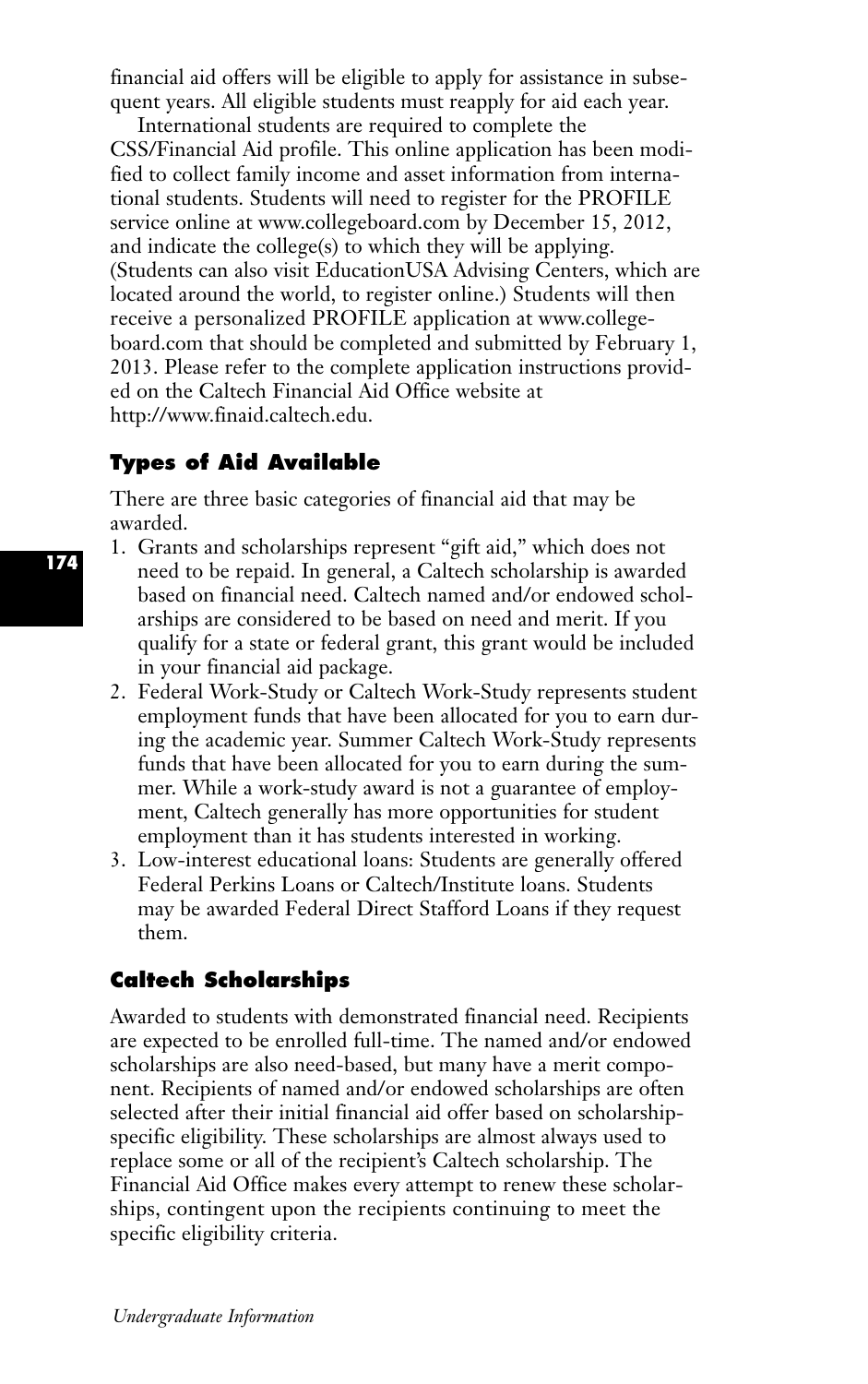financial aid offers will be eligible to apply for assistance in subsequent years. All eligible students must reapply for aid each year.

International students are required to complete the CSS/Financial Aid profile. This online application has been modified to collect family income and asset information from international students. Students will need to register for the PROFILE service online at www.collegeboard.com by December 15, 2012, and indicate the college(s) to which they will be applying. (Students can also visit EducationUSA Advising Centers, which are located around the world, to register online.) Students will then receive a personalized PROFILE application at www.collegeboard.com that should be completed and submitted by February 1, 2013. Please refer to the complete application instructions provided on the Caltech Financial Aid Office website at http://www.finaid.caltech.edu.

# **Types of Aid Available**

There are three basic categories of financial aid that may be awarded.

- 1. Grants and scholarships represent "gift aid," which does not need to be repaid. In general, a Caltech scholarship is awarded based on financial need. Caltech named and/or endowed scholarships are considered to be based on need and merit. If you qualify for a state or federal grant, this grant would be included in your financial aid package.
	- 2. Federal Work-Study or Caltech Work-Study represents student employment funds that have been allocated for you to earn during the academic year. Summer Caltech Work-Study represents funds that have been allocated for you to earn during the summer. While a work-study award is not a guarantee of employment, Caltech generally has more opportunities for student employment than it has students interested in working.
	- 3. Low-interest educational loans: Students are generally offered Federal Perkins Loans or Caltech/Institute loans. Students may be awarded Federal Direct Stafford Loans if they request them.

# **Caltech Scholarships**

Awarded to students with demonstrated financial need. Recipients are expected to be enrolled full-time. The named and/or endowed scholarships are also need-based, but many have a merit component. Recipients of named and/or endowed scholarships are often selected after their initial financial aid offer based on scholarshipspecific eligibility. These scholarships are almost always used to replace some or all of the recipient's Caltech scholarship. The Financial Aid Office makes every attempt to renew these scholarships, contingent upon the recipients continuing to meet the specific eligibility criteria.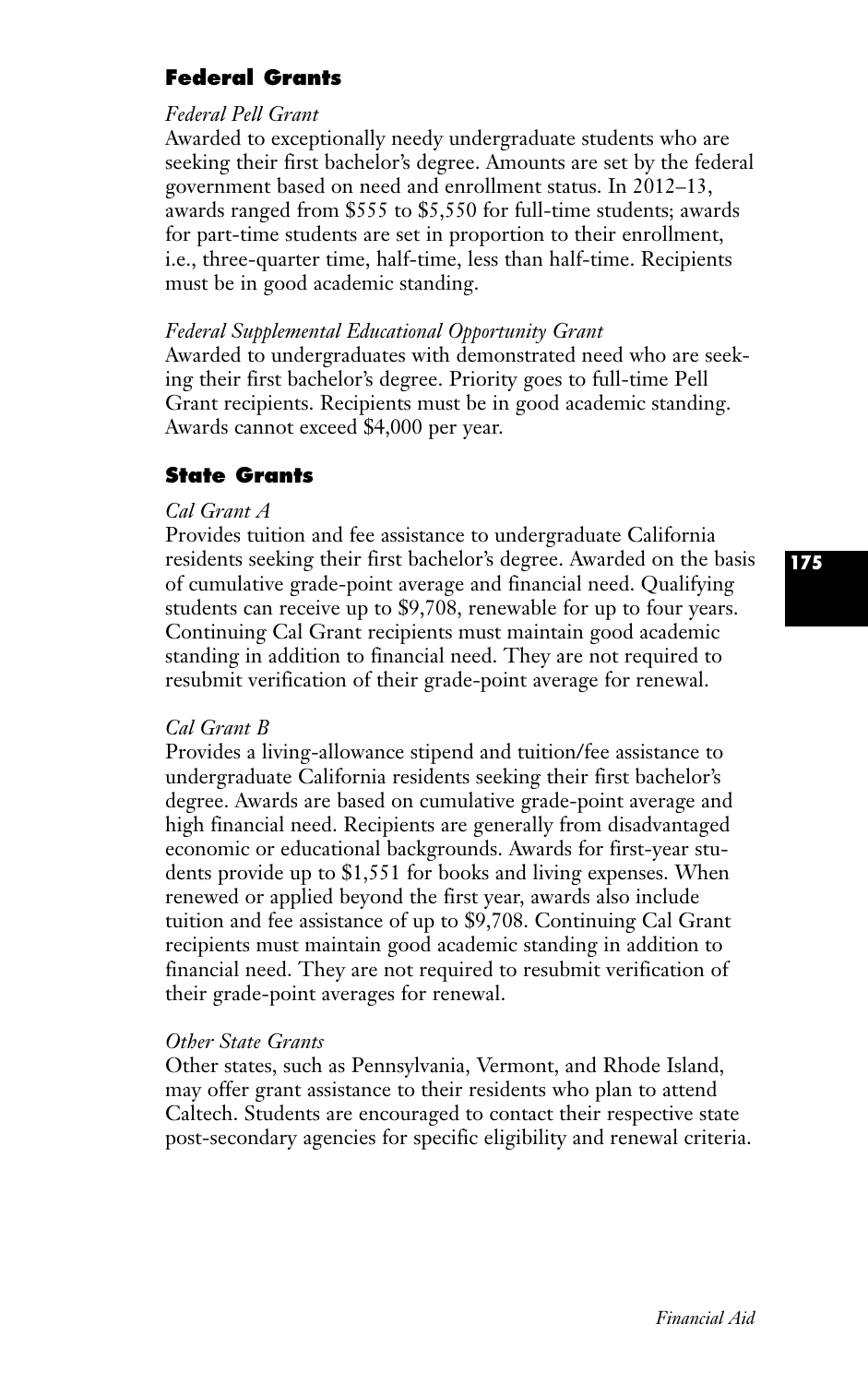# **Federal Grants**

# *Federal Pell Grant*

Awarded to exceptionally needy undergraduate students who are seeking their first bachelor's degree. Amounts are set by the federal government based on need and enrollment status. In 2012–13, awards ranged from \$555 to \$5,550 for full-time students; awards for part-time students are set in proportion to their enrollment, i.e., three-quarter time, half-time, less than half-time. Recipients must be in good academic standing.

## *Federal Supplemental Educational Opportunity Grant*

Awarded to undergraduates with demonstrated need who are seeking their first bachelor's degree. Priority goes to full-time Pell Grant recipients. Recipients must be in good academic standing. Awards cannot exceed \$4,000 per year.

# **State Grants**

# *Cal Grant A*

Provides tuition and fee assistance to undergraduate California residents seeking their first bachelor's degree. Awarded on the basis of cumulative grade-point average and financial need. Qualifying students can receive up to \$9,708, renewable for up to four years. Continuing Cal Grant recipients must maintain good academic standing in addition to financial need. They are not required to resubmit verification of their grade-point average for renewal.

## *Cal Grant B*

Provides a living-allowance stipend and tuition/fee assistance to undergraduate California residents seeking their first bachelor's degree. Awards are based on cumulative grade-point average and high financial need. Recipients are generally from disadvantaged economic or educational backgrounds. Awards for first-year students provide up to \$1,551 for books and living expenses. When renewed or applied beyond the first year, awards also include tuition and fee assistance of up to \$9,708. Continuing Cal Grant recipients must maintain good academic standing in addition to financial need. They are not required to resubmit verification of their grade-point averages for renewal.

# *Other State Grants*

Other states, such as Pennsylvania, Vermont, and Rhode Island, may offer grant assistance to their residents who plan to attend Caltech. Students are encouraged to contact their respective state post-secondary agencies for specific eligibility and renewal criteria.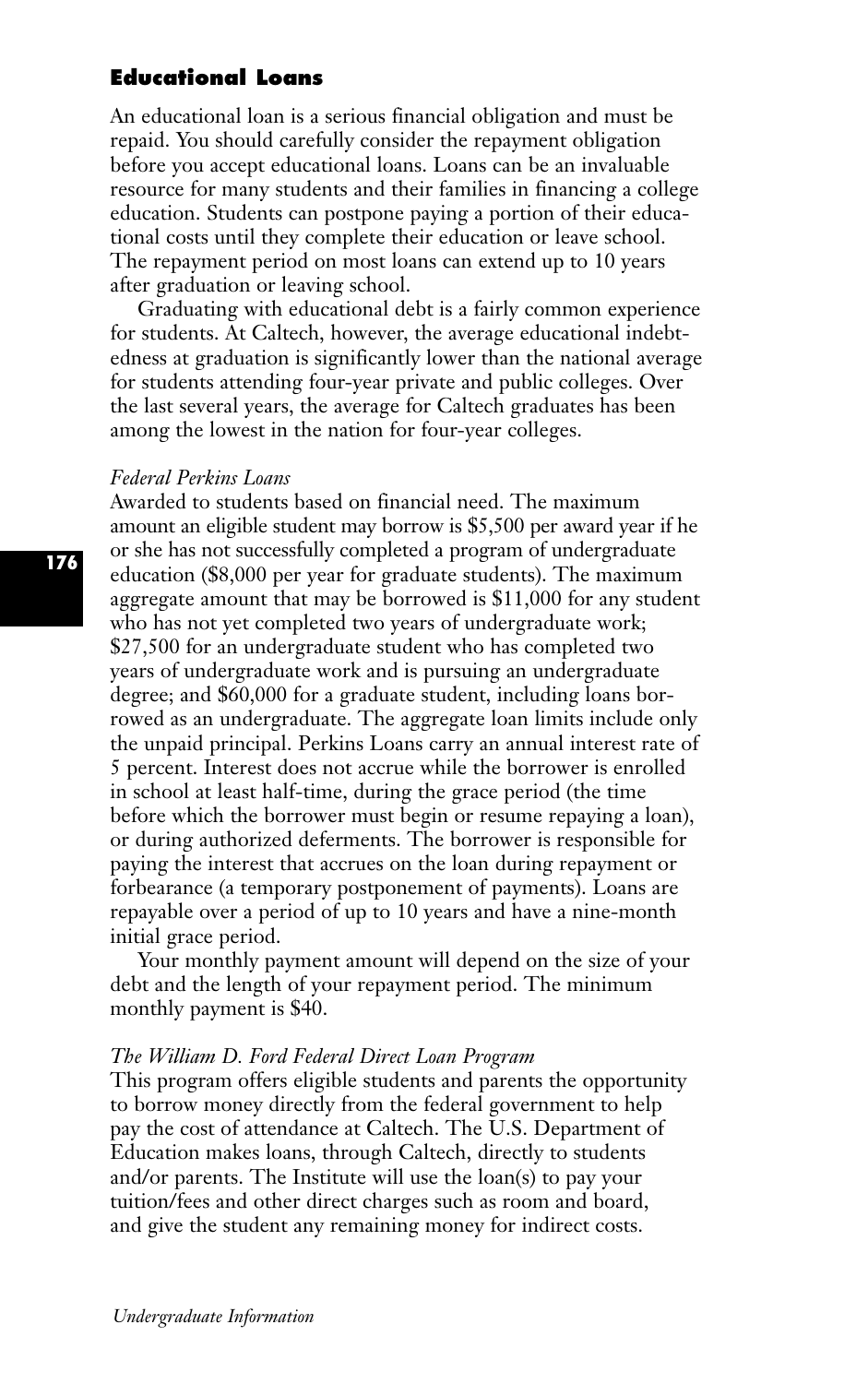# **Educational Loans**

An educational loan is a serious financial obligation and must be repaid. You should carefully consider the repayment obligation before you accept educational loans. Loans can be an invaluable resource for many students and their families in financing a college education. Students can postpone paying a portion of their educational costs until they complete their education or leave school. The repayment period on most loans can extend up to 10 years after graduation or leaving school.

Graduating with educational debt is a fairly common experience for students. At Caltech, however, the average educational indebtedness at graduation is significantly lower than the national average for students attending four-year private and public colleges. Over the last several years, the average for Caltech graduates has been among the lowest in the nation for four-year colleges.

#### *Federal Perkins Loans*

Awarded to students based on financial need. The maximum amount an eligible student may borrow is \$5,500 per award year if he or she has not successfully completed a program of undergraduate education (\$8,000 per year for graduate students). The maximum aggregate amount that may be borrowed is \$11,000 for any student who has not yet completed two years of undergraduate work; \$27,500 for an undergraduate student who has completed two years of undergraduate work and is pursuing an undergraduate degree; and \$60,000 for a graduate student, including loans borrowed as an undergraduate. The aggregate loan limits include only the unpaid principal. Perkins Loans carry an annual interest rate of 5 percent. Interest does not accrue while the borrower is enrolled in school at least half-time, during the grace period (the time before which the borrower must begin or resume repaying a loan), or during authorized deferments. The borrower is responsible for paying the interest that accrues on the loan during repayment or forbearance (a temporary postponement of payments). Loans are repayable over a period of up to 10 years and have a nine-month initial grace period.

Your monthly payment amount will depend on the size of your debt and the length of your repayment period. The minimum monthly payment is \$40.

#### *The William D. Ford Federal Direct Loan Program*

This program offers eligible students and parents the opportunity to borrow money directly from the federal government to help pay the cost of attendance at Caltech. The U.S. Department of Education makes loans, through Caltech, directly to students and/or parents. The Institute will use the loan(s) to pay your tuition/fees and other direct charges such as room and board, and give the student any remaining money for indirect costs.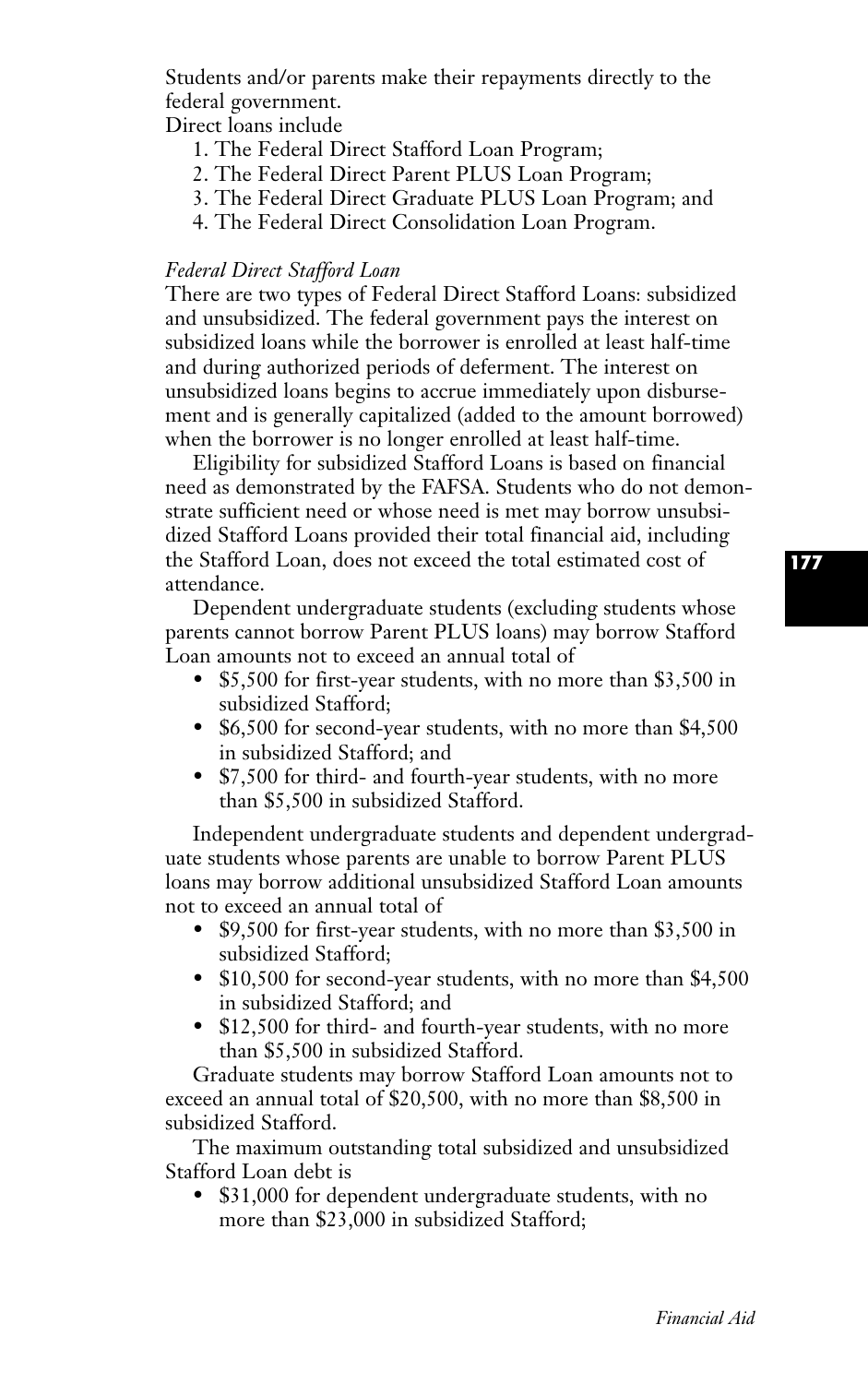Students and/or parents make their repayments directly to the federal government.

Direct loans include

- 1. The Federal Direct Stafford Loan Program;
- 2. The Federal Direct Parent PLUS Loan Program;
- 3. The Federal Direct Graduate PLUS Loan Program; and
- 4. The Federal Direct Consolidation Loan Program.

# *Federal Direct Stafford Loan*

There are two types of Federal Direct Stafford Loans: subsidized and unsubsidized. The federal government pays the interest on subsidized loans while the borrower is enrolled at least half-time and during authorized periods of deferment. The interest on unsubsidized loans begins to accrue immediately upon disbursement and is generally capitalized (added to the amount borrowed) when the borrower is no longer enrolled at least half-time.

Eligibility for subsidized Stafford Loans is based on financial need as demonstrated by the FAFSA. Students who do not demonstrate sufficient need or whose need is met may borrow unsubsidized Stafford Loans provided their total financial aid, including the Stafford Loan, does not exceed the total estimated cost of attendance.

Dependent undergraduate students (excluding students whose parents cannot borrow Parent PLUS loans) may borrow Stafford Loan amounts not to exceed an annual total of

- \$5,500 for first-year students, with no more than \$3,500 in subsidized Stafford;
- \$6,500 for second-year students, with no more than \$4,500 in subsidized Stafford; and
- \$7,500 for third- and fourth-year students, with no more than \$5,500 in subsidized Stafford.

Independent undergraduate students and dependent undergraduate students whose parents are unable to borrow Parent PLUS loans may borrow additional unsubsidized Stafford Loan amounts not to exceed an annual total of

- \$9,500 for first-year students, with no more than \$3,500 in subsidized Stafford;
- \$10,500 for second-year students, with no more than \$4,500 in subsidized Stafford; and
- \$12,500 for third- and fourth-year students, with no more than \$5,500 in subsidized Stafford.

Graduate students may borrow Stafford Loan amounts not to exceed an annual total of \$20,500, with no more than \$8,500 in subsidized Stafford.

The maximum outstanding total subsidized and unsubsidized Stafford Loan debt is

\$31,000 for dependent undergraduate students, with no more than \$23,000 in subsidized Stafford;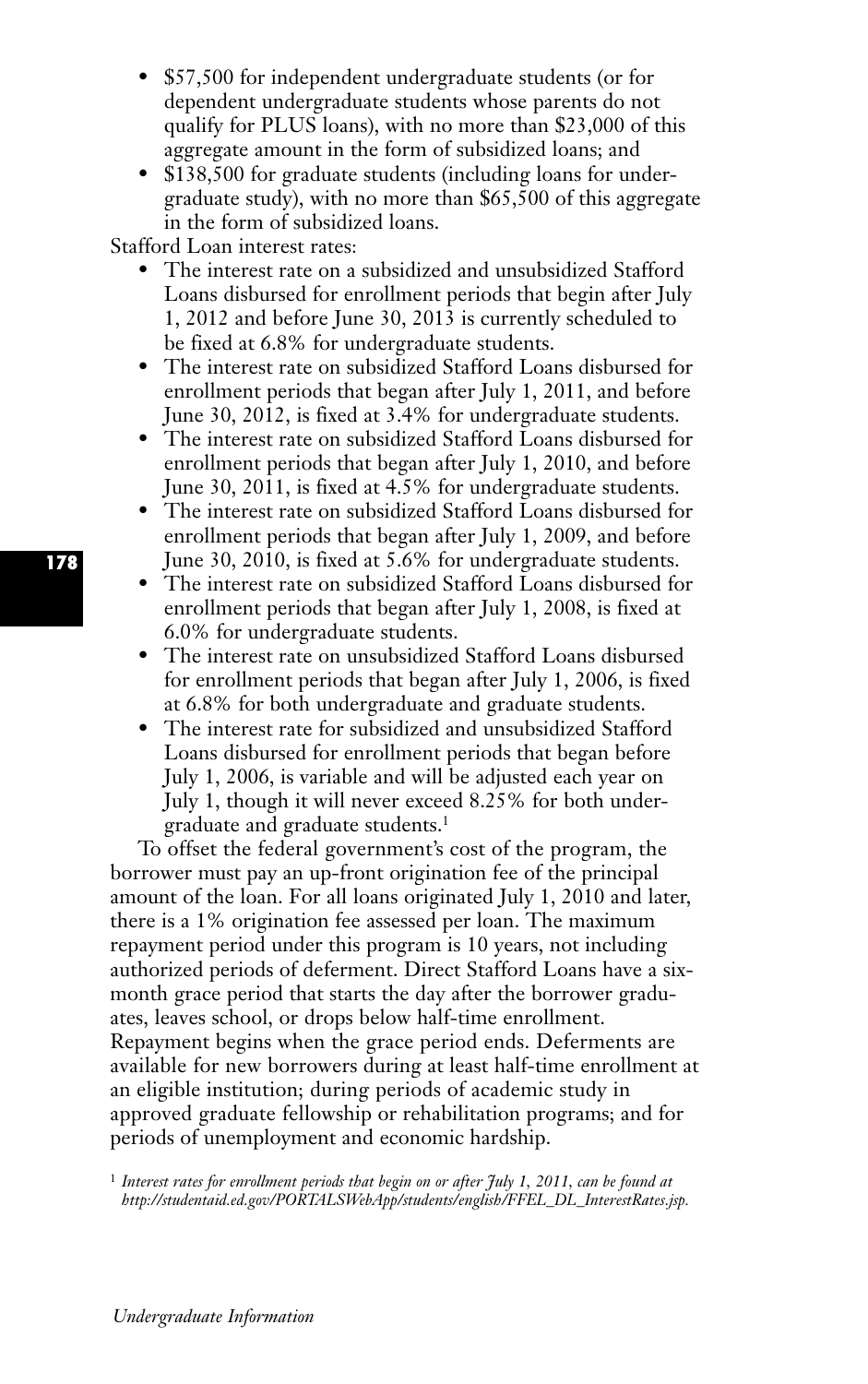- \$57,500 for independent undergraduate students (or for dependent undergraduate students whose parents do not qualify for PLUS loans), with no more than \$23,000 of this aggregate amount in the form of subsidized loans; and
- \$138,500 for graduate students (including loans for undergraduate study), with no more than \$65,500 of this aggregate in the form of subsidized loans.

Stafford Loan interest rates:

- The interest rate on a subsidized and unsubsidized Stafford Loans disbursed for enrollment periods that begin after July 1, 2012 and before June 30, 2013 is currently scheduled to be fixed at 6.8% for undergraduate students.
- The interest rate on subsidized Stafford Loans disbursed for enrollment periods that began after July 1, 2011, and before June 30, 2012, is fixed at 3.4% for undergraduate students.
- The interest rate on subsidized Stafford Loans disbursed for enrollment periods that began after July 1, 2010, and before June 30, 2011, is fixed at 4.5% for undergraduate students.
- The interest rate on subsidized Stafford Loans disbursed for enrollment periods that began after July 1, 2009, and before June 30, 2010, is fixed at 5.6% for undergraduate students.
- The interest rate on subsidized Stafford Loans disbursed for enrollment periods that began after July 1, 2008, is fixed at 6.0% for undergraduate students.
- The interest rate on unsubsidized Stafford Loans disbursed for enrollment periods that began after July 1, 2006, is fixed at 6.8% for both undergraduate and graduate students.
- The interest rate for subsidized and unsubsidized Stafford Loans disbursed for enrollment periods that began before July 1, 2006, is variable and will be adjusted each year on July 1, though it will never exceed 8.25% for both undergraduate and graduate students.1

To offset the federal government's cost of the program, the borrower must pay an up-front origination fee of the principal amount of the loan. For all loans originated July 1, 2010 and later, there is a 1% origination fee assessed per loan. The maximum repayment period under this program is 10 years, not including authorized periods of deferment. Direct Stafford Loans have a sixmonth grace period that starts the day after the borrower graduates, leaves school, or drops below half-time enrollment. Repayment begins when the grace period ends. Deferments are available for new borrowers during at least half-time enrollment at an eligible institution; during periods of academic study in approved graduate fellowship or rehabilitation programs; and for periods of unemployment and economic hardship.

<sup>1</sup> *Interest rates for enrollment periods that begin on or after July 1, 2011, can be found at http://studentaid.ed.gov/PORTALSWebApp/students/english/FFEL\_DL\_InterestRates.jsp.*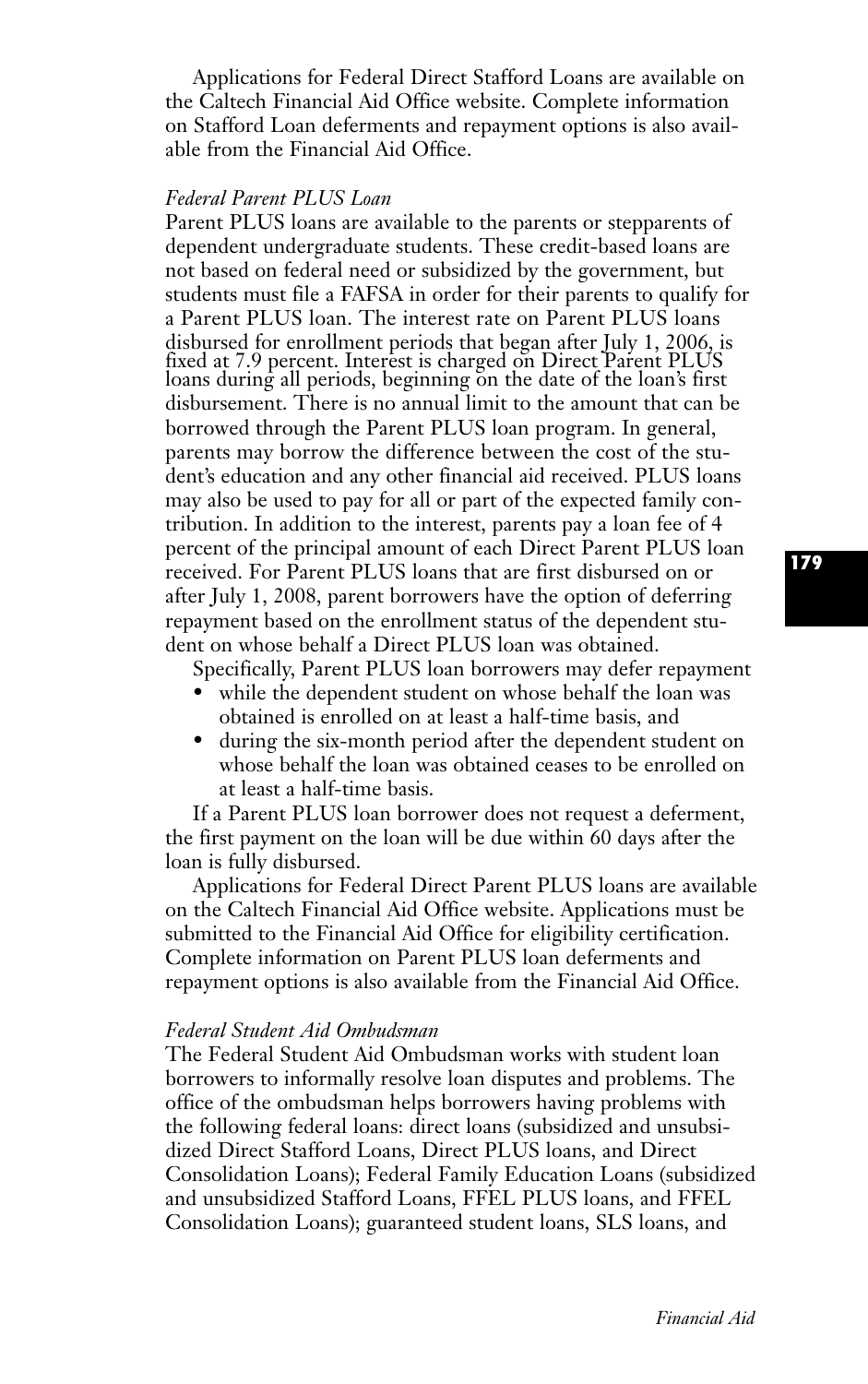Applications for Federal Direct Stafford Loans are available on the Caltech Financial Aid Office website. Complete information on Stafford Loan deferments and repayment options is also available from the Financial Aid Office.

# *Federal Parent PLUS Loan*

Parent PLUS loans are available to the parents or stepparents of dependent undergraduate students. These credit-based loans are not based on federal need or subsidized by the government, but students must file a FAFSA in order for their parents to qualify for a Parent PLUS loan. The interest rate on Parent PLUS loans disbursed for enrollment periods that began after July 1, 2006, is fixed at 7.9 percent. Interest is charged on Direct Parent PLUS loans during all periods, beginning on the date of the loan's first disbursement. There is no annual limit to the amount that can be borrowed through the Parent PLUS loan program. In general, parents may borrow the difference between the cost of the student's education and any other financial aid received. PLUS loans may also be used to pay for all or part of the expected family contribution. In addition to the interest, parents pay a loan fee of 4 percent of the principal amount of each Direct Parent PLUS loan received. For Parent PLUS loans that are first disbursed on or after July 1, 2008, parent borrowers have the option of deferring repayment based on the enrollment status of the dependent student on whose behalf a Direct PLUS loan was obtained.

Specifically, Parent PLUS loan borrowers may defer repayment

- while the dependent student on whose behalf the loan was obtained is enrolled on at least a half-time basis, and
- during the six-month period after the dependent student on whose behalf the loan was obtained ceases to be enrolled on at least a half-time basis.

If a Parent PLUS loan borrower does not request a deferment, the first payment on the loan will be due within 60 days after the loan is fully disbursed.

Applications for Federal Direct Parent PLUS loans are available on the Caltech Financial Aid Office website. Applications must be submitted to the Financial Aid Office for eligibility certification. Complete information on Parent PLUS loan deferments and repayment options is also available from the Financial Aid Office.

# *Federal Student Aid Ombudsman*

The Federal Student Aid Ombudsman works with student loan borrowers to informally resolve loan disputes and problems. The office of the ombudsman helps borrowers having problems with the following federal loans: direct loans (subsidized and unsubsidized Direct Stafford Loans, Direct PLUS loans, and Direct Consolidation Loans); Federal Family Education Loans (subsidized and unsubsidized Stafford Loans, FFEL PLUS loans, and FFEL Consolidation Loans); guaranteed student loans, SLS loans, and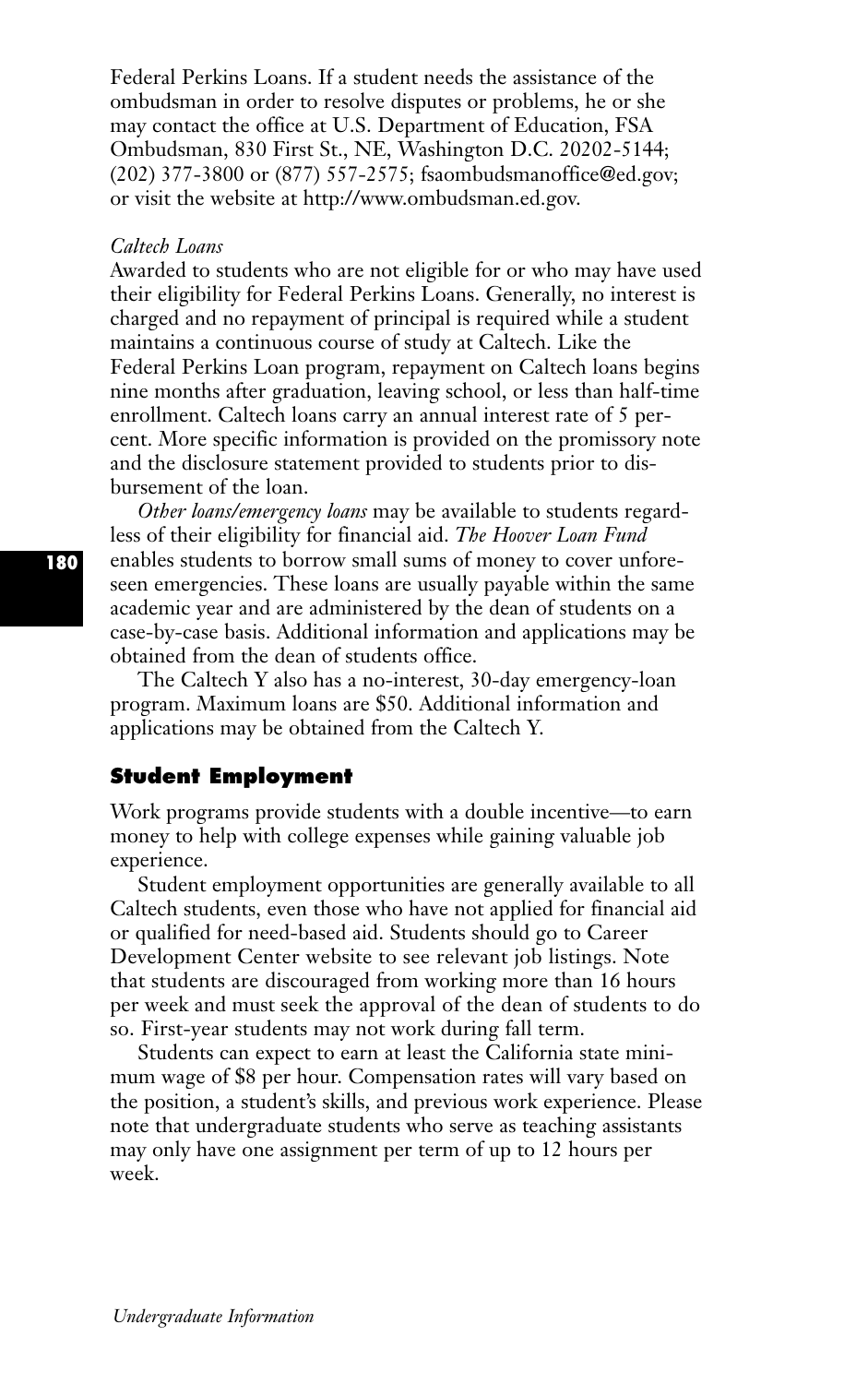Federal Perkins Loans. If a student needs the assistance of the ombudsman in order to resolve disputes or problems, he or she may contact the office at U.S. Department of Education, FSA Ombudsman, 830 First St., NE, Washington D.C. 20202-5144; (202) 377-3800 or (877) 557-2575; fsaombudsmanoffice@ed.gov; or visit the website at http://www.ombudsman.ed.gov.

#### *Caltech Loans*

Awarded to students who are not eligible for or who may have used their eligibility for Federal Perkins Loans. Generally, no interest is charged and no repayment of principal is required while a student maintains a continuous course of study at Caltech. Like the Federal Perkins Loan program, repayment on Caltech loans begins nine months after graduation, leaving school, or less than half-time enrollment. Caltech loans carry an annual interest rate of 5 percent. More specific information is provided on the promissory note and the disclosure statement provided to students prior to disbursement of the loan.

*Other loans/emergency loans* may be available to students regardless of their eligibility for financial aid. *The Hoover Loan Fund* enables students to borrow small sums of money to cover unforeseen emergencies. These loans are usually payable within the same academic year and are administered by the dean of students on a case-by-case basis. Additional information and applications may be obtained from the dean of students office.

The Caltech Y also has a no-interest, 30-day emergency-loan program. Maximum loans are \$50. Additional information and applications may be obtained from the Caltech Y.

### **Student Employment**

Work programs provide students with a double incentive—to earn money to help with college expenses while gaining valuable job experience.

Student employment opportunities are generally available to all Caltech students, even those who have not applied for financial aid or qualified for need-based aid. Students should go to Career Development Center website to see relevant job listings. Note that students are discouraged from working more than 16 hours per week and must seek the approval of the dean of students to do so. First-year students may not work during fall term.

Students can expect to earn at least the California state minimum wage of \$8 per hour. Compensation rates will vary based on the position, a student's skills, and previous work experience. Please note that undergraduate students who serve as teaching assistants may only have one assignment per term of up to 12 hours per week.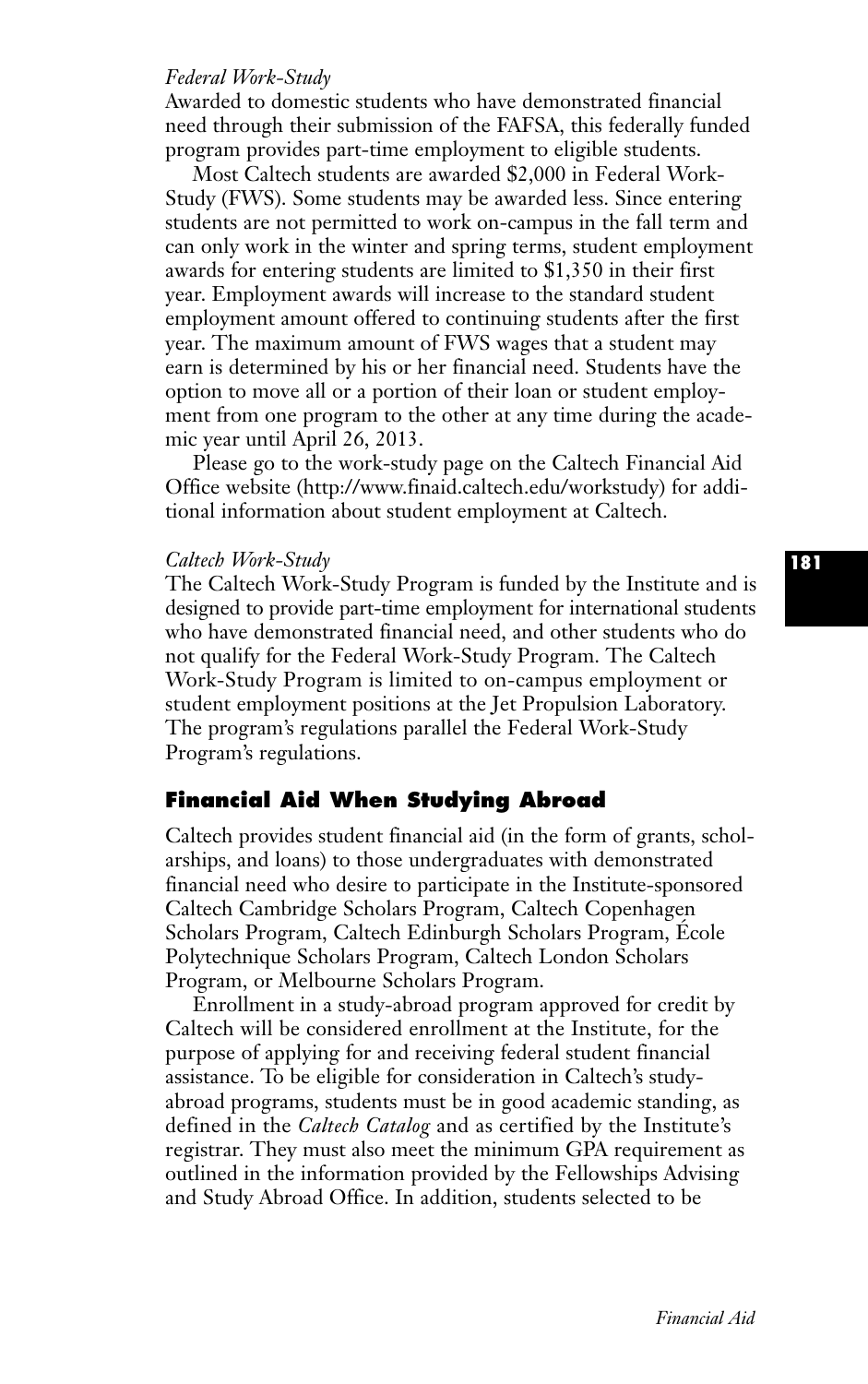# *Federal Work-Study*

Awarded to domestic students who have demonstrated financial need through their submission of the FAFSA, this federally funded program provides part-time employment to eligible students.

Most Caltech students are awarded \$2,000 in Federal Work-Study (FWS). Some students may be awarded less. Since entering students are not permitted to work on-campus in the fall term and can only work in the winter and spring terms, student employment awards for entering students are limited to \$1,350 in their first year. Employment awards will increase to the standard student employment amount offered to continuing students after the first year. The maximum amount of FWS wages that a student may earn is determined by his or her financial need. Students have the option to move all or a portion of their loan or student employment from one program to the other at any time during the academic year until April 26, 2013.

Please go to the work-study page on the Caltech Financial Aid Office website (http://www.finaid.caltech.edu/workstudy) for additional information about student employment at Caltech.

#### *Caltech Work-Study*

The Caltech Work-Study Program is funded by the Institute and is designed to provide part-time employment for international students who have demonstrated financial need, and other students who do not qualify for the Federal Work-Study Program. The Caltech Work-Study Program is limited to on-campus employment or student employment positions at the Jet Propulsion Laboratory. The program's regulations parallel the Federal Work-Study Program's regulations.

# **Financial Aid When Studying Abroad**

Caltech provides student financial aid (in the form of grants, scholarships, and loans) to those undergraduates with demonstrated financial need who desire to participate in the Institute-sponsored Caltech Cambridge Scholars Program, Caltech Copenhagen Scholars Program, Caltech Edinburgh Scholars Program, École Polytechnique Scholars Program, Caltech London Scholars Program, or Melbourne Scholars Program.

Enrollment in a study-abroad program approved for credit by Caltech will be considered enrollment at the Institute, for the purpose of applying for and receiving federal student financial assistance. To be eligible for consideration in Caltech's studyabroad programs, students must be in good academic standing, as defined in the *Caltech Catalog* and as certified by the Institute's registrar. They must also meet the minimum GPA requirement as outlined in the information provided by the Fellowships Advising and Study Abroad Office. In addition, students selected to be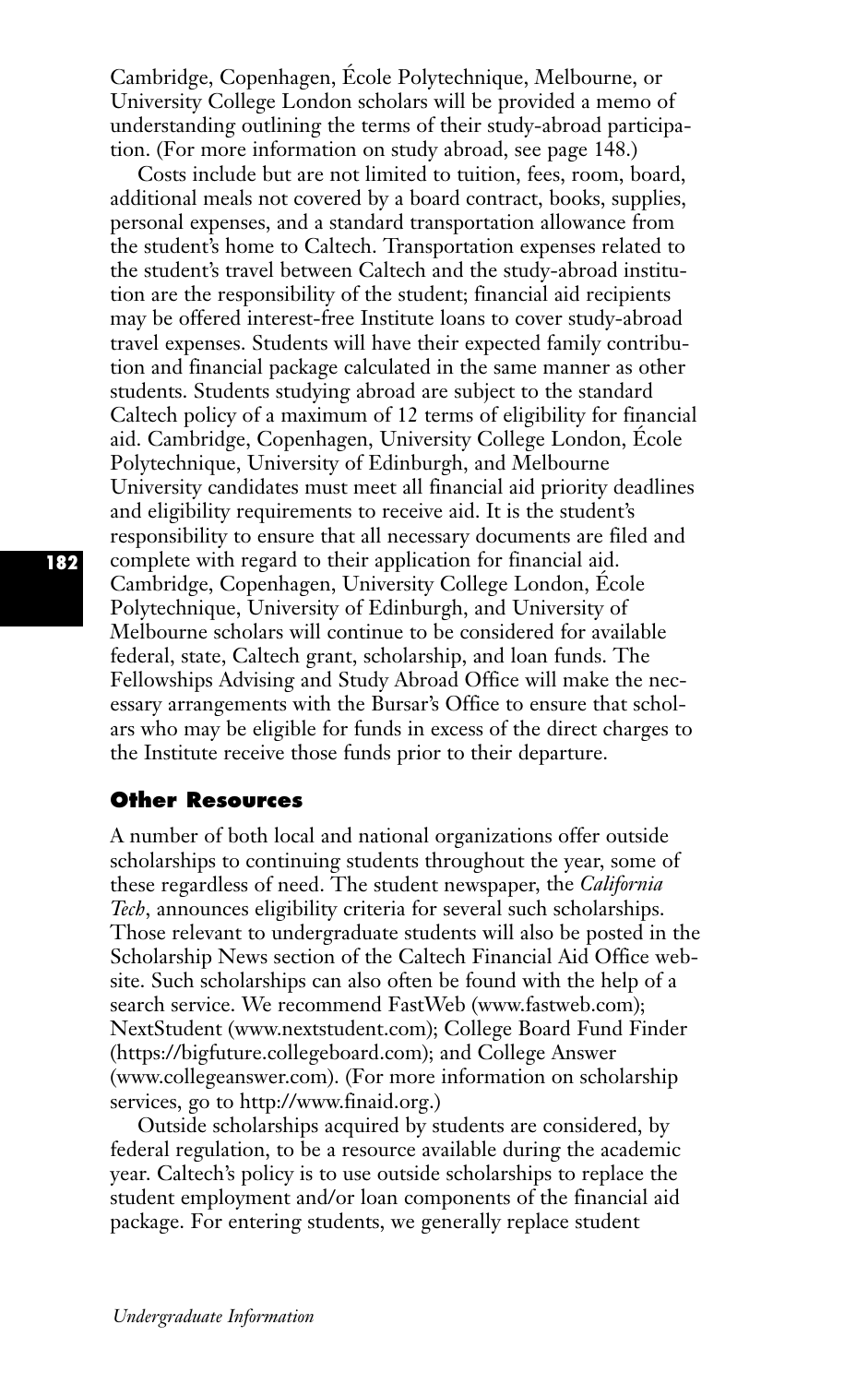Cambridge, Copenhagen, École Polytechnique, Melbourne, or University College London scholars will be provided a memo of understanding outlining the terms of their study-abroad participation. (For more information on study abroad, see page 148.)

Costs include but are not limited to tuition, fees, room, board, additional meals not covered by a board contract, books, supplies, personal expenses, and a standard transportation allowance from the student's home to Caltech. Transportation expenses related to the student's travel between Caltech and the study-abroad institution are the responsibility of the student; financial aid recipients may be offered interest-free Institute loans to cover study-abroad travel expenses. Students will have their expected family contribution and financial package calculated in the same manner as other students. Students studying abroad are subject to the standard Caltech policy of a maximum of 12 terms of eligibility for financial aid. Cambridge, Copenhagen, University College London, École Polytechnique, University of Edinburgh, and Melbourne University candidates must meet all financial aid priority deadlines and eligibility requirements to receive aid. It is the student's responsibility to ensure that all necessary documents are filed and complete with regard to their application for financial aid. Cambridge, Copenhagen, University College London, École Polytechnique, University of Edinburgh, and University of Melbourne scholars will continue to be considered for available federal, state, Caltech grant, scholarship, and loan funds. The Fellowships Advising and Study Abroad Office will make the necessary arrangements with the Bursar's Office to ensure that scholars who may be eligible for funds in excess of the direct charges to the Institute receive those funds prior to their departure.

#### **Other Resources**

A number of both local and national organizations offer outside scholarships to continuing students throughout the year, some of these regardless of need. The student newspaper, the *California Tech*, announces eligibility criteria for several such scholarships. Those relevant to undergraduate students will also be posted in the Scholarship News section of the Caltech Financial Aid Office website. Such scholarships can also often be found with the help of a search service. We recommend FastWeb (www.fastweb.com); NextStudent (www.nextstudent.com); College Board Fund Finder (https://bigfuture.collegeboard.com); and College Answer (www.collegeanswer.com). (For more information on scholarship services, go to http://www.finaid.org.)

Outside scholarships acquired by students are considered, by federal regulation, to be a resource available during the academic year. Caltech's policy is to use outside scholarships to replace the student employment and/or loan components of the financial aid package. For entering students, we generally replace student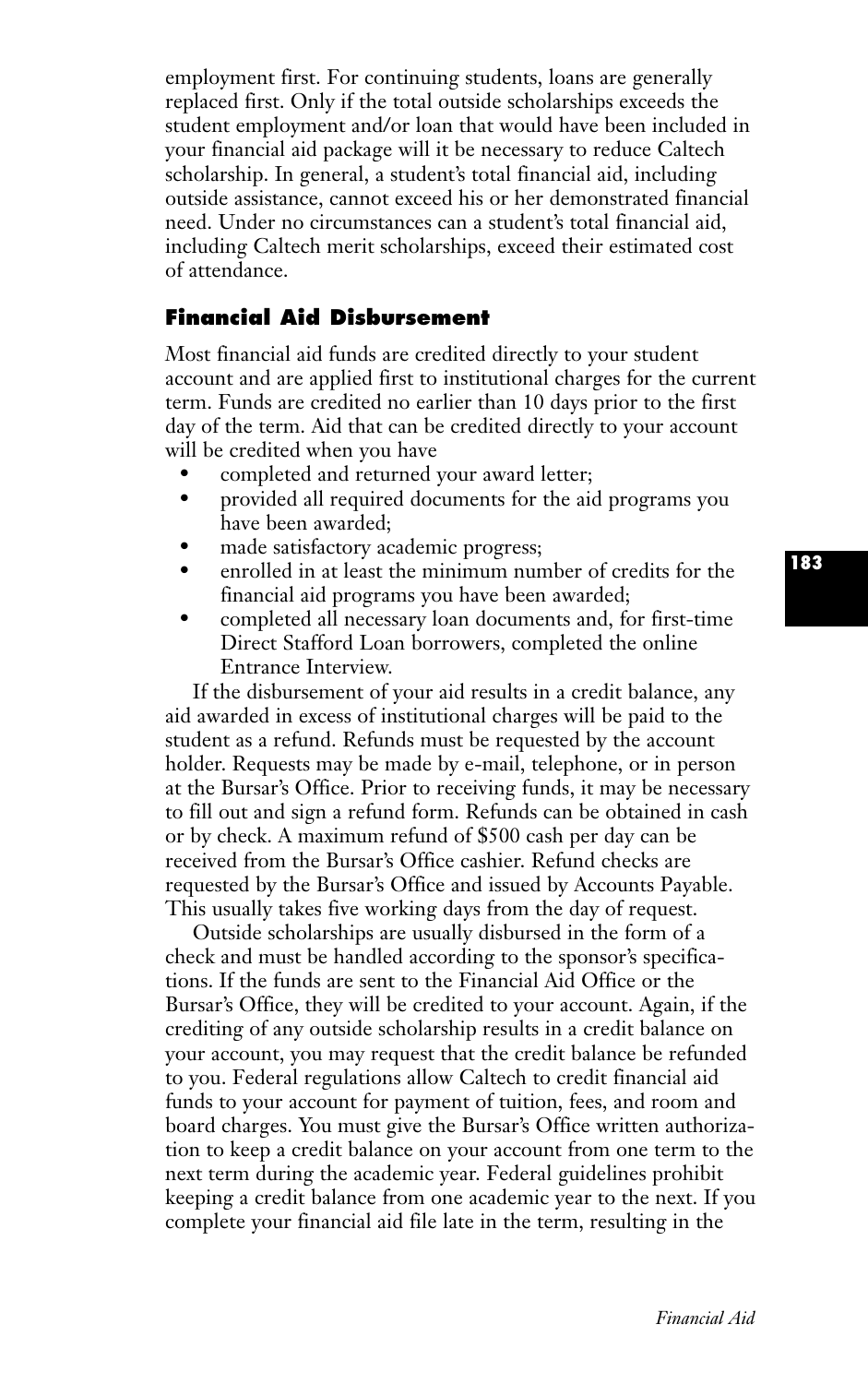employment first. For continuing students, loans are generally replaced first. Only if the total outside scholarships exceeds the student employment and/or loan that would have been included in your financial aid package will it be necessary to reduce Caltech scholarship. In general, a student's total financial aid, including outside assistance, cannot exceed his or her demonstrated financial need. Under no circumstances can a student's total financial aid, including Caltech merit scholarships, exceed their estimated cost of attendance.

# **Financial Aid Disbursement**

Most financial aid funds are credited directly to your student account and are applied first to institutional charges for the current term. Funds are credited no earlier than 10 days prior to the first day of the term. Aid that can be credited directly to your account will be credited when you have

- completed and returned your award letter;
- provided all required documents for the aid programs you have been awarded;
- made satisfactory academic progress;
- enrolled in at least the minimum number of credits for the financial aid programs you have been awarded;
- completed all necessary loan documents and, for first-time Direct Stafford Loan borrowers, completed the online Entrance Interview.

If the disbursement of your aid results in a credit balance, any aid awarded in excess of institutional charges will be paid to the student as a refund. Refunds must be requested by the account holder. Requests may be made by e-mail, telephone, or in person at the Bursar's Office. Prior to receiving funds, it may be necessary to fill out and sign a refund form. Refunds can be obtained in cash or by check. A maximum refund of \$500 cash per day can be received from the Bursar's Office cashier. Refund checks are requested by the Bursar's Office and issued by Accounts Payable. This usually takes five working days from the day of request.

Outside scholarships are usually disbursed in the form of a check and must be handled according to the sponsor's specifications. If the funds are sent to the Financial Aid Office or the Bursar's Office, they will be credited to your account. Again, if the crediting of any outside scholarship results in a credit balance on your account, you may request that the credit balance be refunded to you. Federal regulations allow Caltech to credit financial aid funds to your account for payment of tuition, fees, and room and board charges. You must give the Bursar's Office written authorization to keep a credit balance on your account from one term to the next term during the academic year. Federal guidelines prohibit keeping a credit balance from one academic year to the next. If you complete your financial aid file late in the term, resulting in the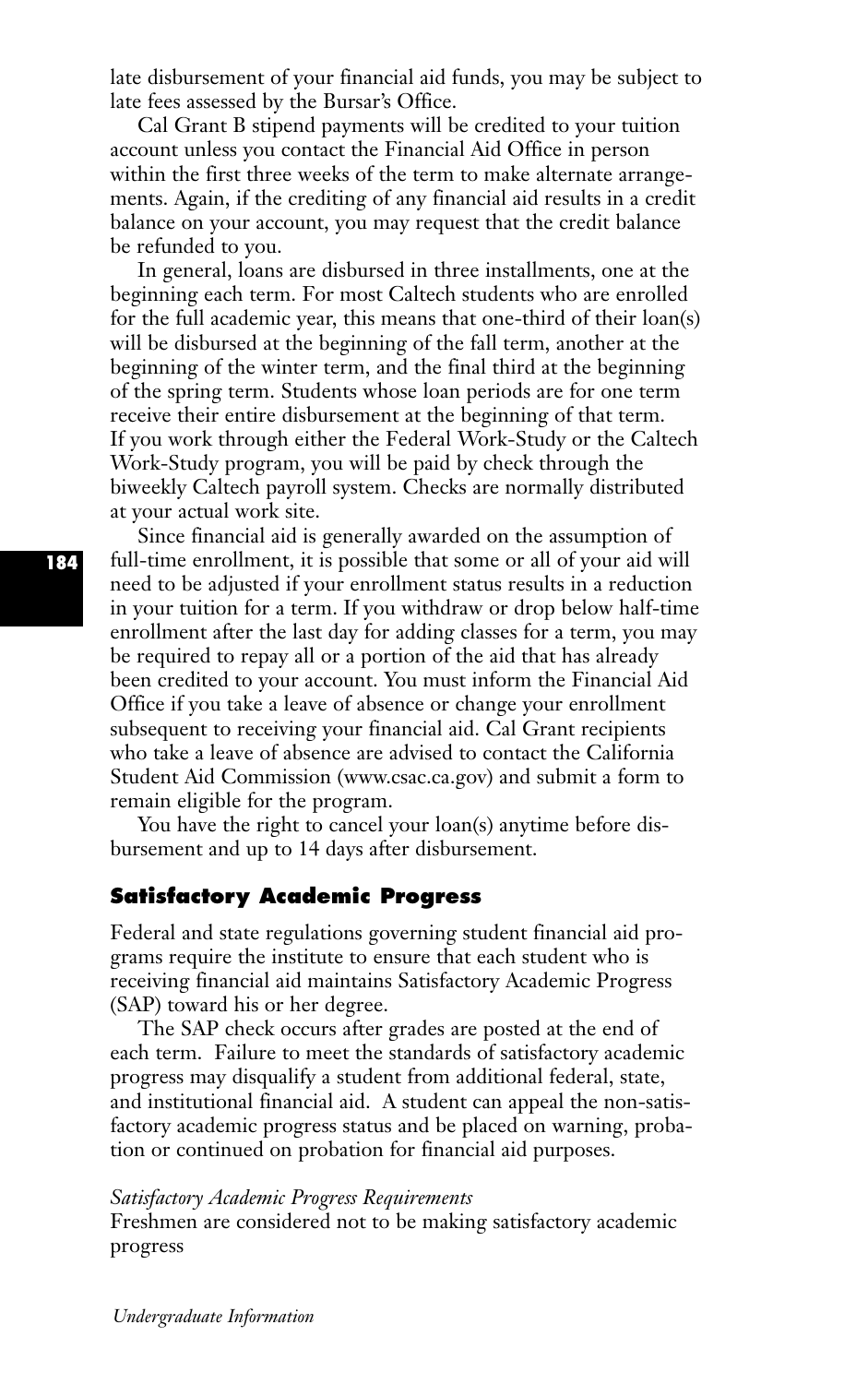late disbursement of your financial aid funds, you may be subject to late fees assessed by the Bursar's Office.

Cal Grant B stipend payments will be credited to your tuition account unless you contact the Financial Aid Office in person within the first three weeks of the term to make alternate arrangements. Again, if the crediting of any financial aid results in a credit balance on your account, you may request that the credit balance be refunded to you.

In general, loans are disbursed in three installments, one at the beginning each term. For most Caltech students who are enrolled for the full academic year, this means that one-third of their loan(s) will be disbursed at the beginning of the fall term, another at the beginning of the winter term, and the final third at the beginning of the spring term. Students whose loan periods are for one term receive their entire disbursement at the beginning of that term. If you work through either the Federal Work-Study or the Caltech Work-Study program, you will be paid by check through the biweekly Caltech payroll system. Checks are normally distributed at your actual work site.

Since financial aid is generally awarded on the assumption of full-time enrollment, it is possible that some or all of your aid will need to be adjusted if your enrollment status results in a reduction in your tuition for a term. If you withdraw or drop below half-time enrollment after the last day for adding classes for a term, you may be required to repay all or a portion of the aid that has already been credited to your account. You must inform the Financial Aid Office if you take a leave of absence or change your enrollment subsequent to receiving your financial aid. Cal Grant recipients who take a leave of absence are advised to contact the California Student Aid Commission (www.csac.ca.gov) and submit a form to remain eligible for the program.

You have the right to cancel your loan(s) anytime before disbursement and up to 14 days after disbursement.

# **Satisfactory Academic Progress**

Federal and state regulations governing student financial aid programs require the institute to ensure that each student who is receiving financial aid maintains Satisfactory Academic Progress (SAP) toward his or her degree.

The SAP check occurs after grades are posted at the end of each term. Failure to meet the standards of satisfactory academic progress may disqualify a student from additional federal, state, and institutional financial aid. A student can appeal the non-satisfactory academic progress status and be placed on warning, probation or continued on probation for financial aid purposes.

#### *Satisfactory Academic Progress Requirements*

Freshmen are considered not to be making satisfactory academic progress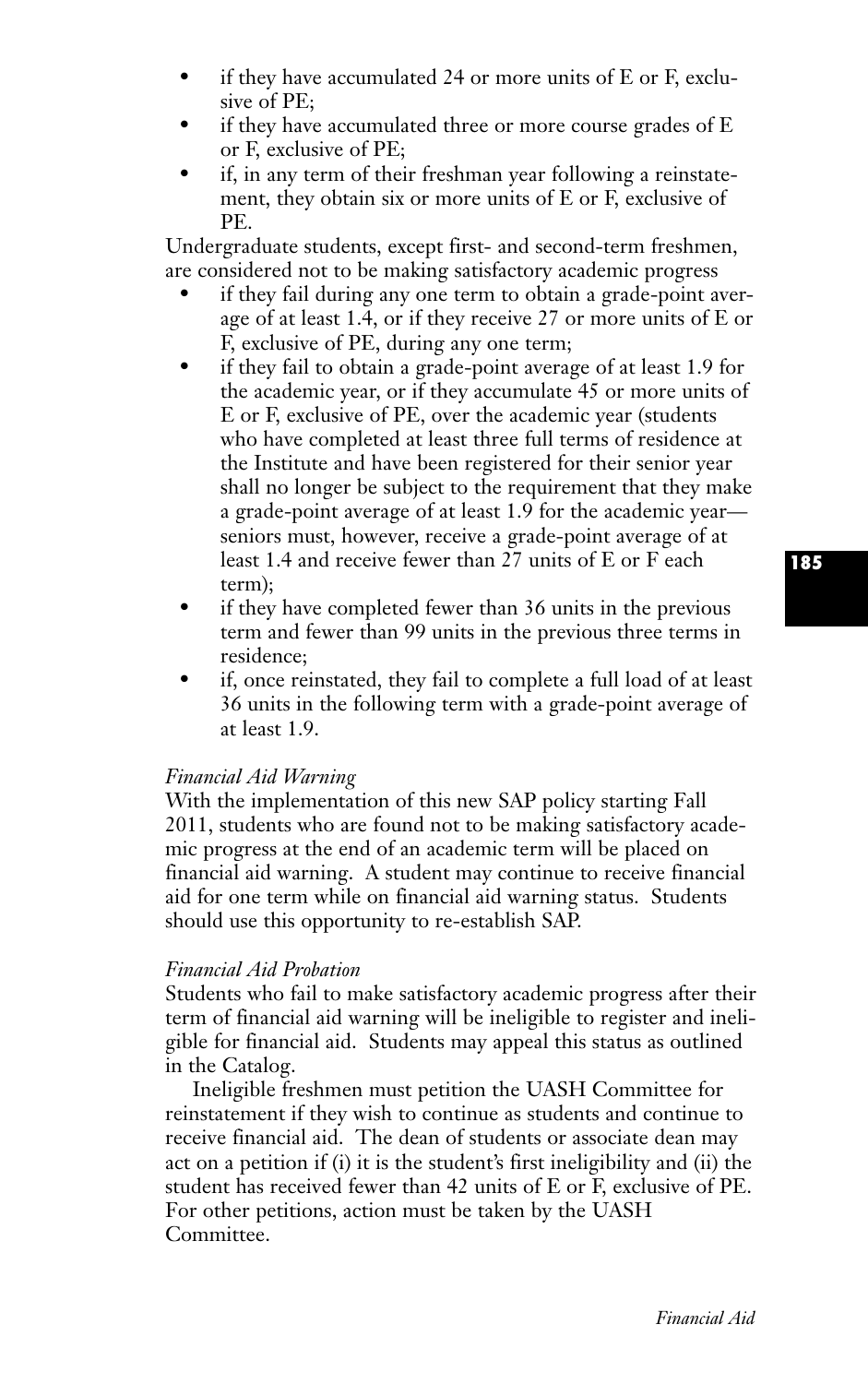- if they have accumulated 24 or more units of  $E$  or  $F$ , exclusive of PE;
- if they have accumulated three or more course grades of E or F, exclusive of PE;
- if, in any term of their freshman year following a reinstatement, they obtain six or more units of E or F, exclusive of PE.

Undergraduate students, except first- and second-term freshmen, are considered not to be making satisfactory academic progress

- if they fail during any one term to obtain a grade-point average of at least 1.4, or if they receive 27 or more units of E or F, exclusive of PE, during any one term;
- if they fail to obtain a grade-point average of at least 1.9 for the academic year, or if they accumulate 45 or more units of E or F, exclusive of PE, over the academic year (students who have completed at least three full terms of residence at the Institute and have been registered for their senior year shall no longer be subject to the requirement that they make a grade-point average of at least 1.9 for the academic year seniors must, however, receive a grade-point average of at least 1.4 and receive fewer than 27 units of E or F each term);
- if they have completed fewer than 36 units in the previous term and fewer than 99 units in the previous three terms in residence;
- if, once reinstated, they fail to complete a full load of at least 36 units in the following term with a grade-point average of at least 1.9.

# *Financial Aid Warning*

With the implementation of this new SAP policy starting Fall 2011, students who are found not to be making satisfactory academic progress at the end of an academic term will be placed on financial aid warning. A student may continue to receive financial aid for one term while on financial aid warning status. Students should use this opportunity to re-establish SAP.

# *Financial Aid Probation*

Students who fail to make satisfactory academic progress after their term of financial aid warning will be ineligible to register and ineligible for financial aid. Students may appeal this status as outlined in the Catalog.

Ineligible freshmen must petition the UASH Committee for reinstatement if they wish to continue as students and continue to receive financial aid. The dean of students or associate dean may act on a petition if (i) it is the student's first ineligibility and (ii) the student has received fewer than 42 units of E or F, exclusive of PE. For other petitions, action must be taken by the UASH Committee.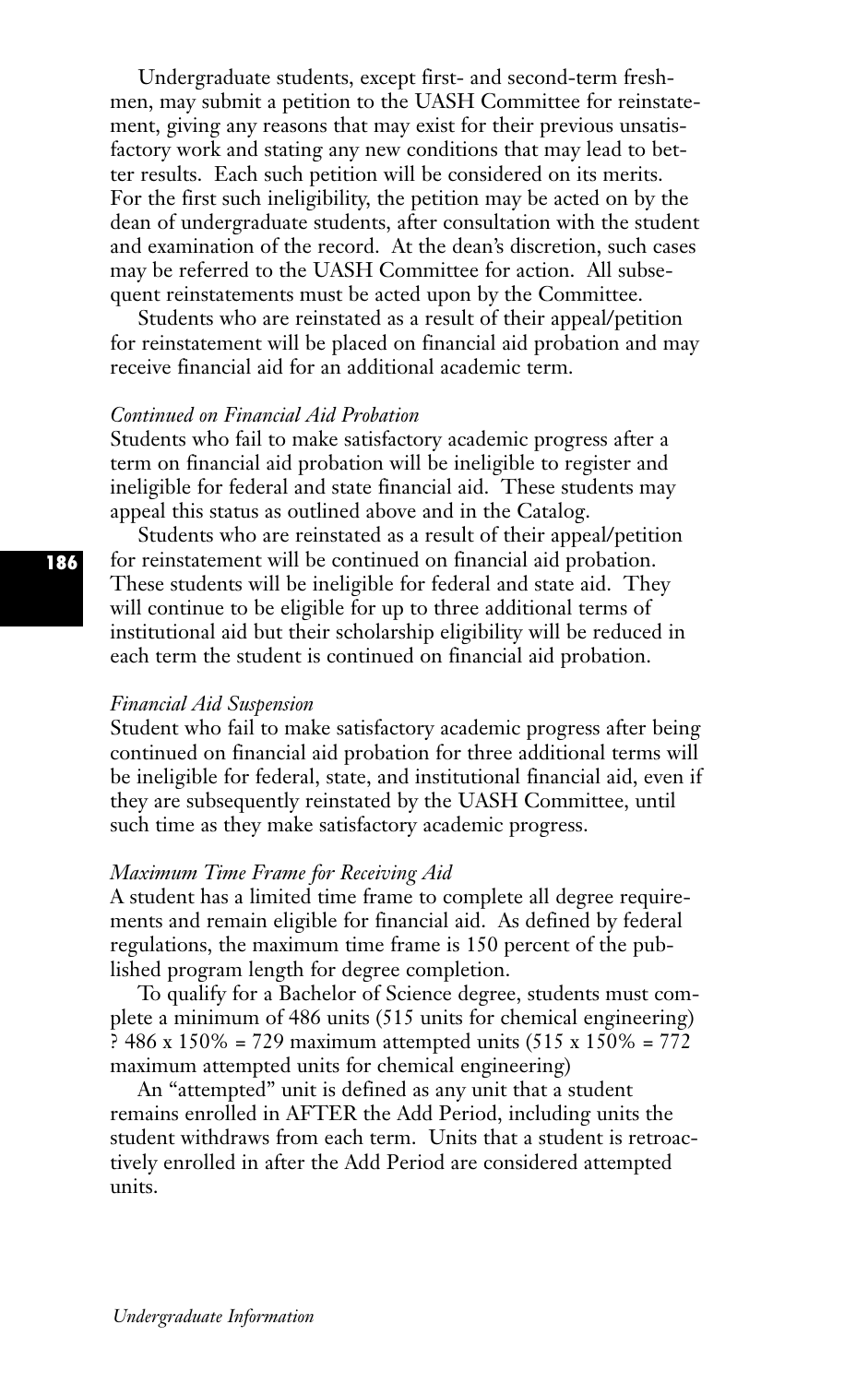Undergraduate students, except first- and second-term freshmen, may submit a petition to the UASH Committee for reinstatement, giving any reasons that may exist for their previous unsatisfactory work and stating any new conditions that may lead to better results. Each such petition will be considered on its merits. For the first such ineligibility, the petition may be acted on by the dean of undergraduate students, after consultation with the student and examination of the record. At the dean's discretion, such cases may be referred to the UASH Committee for action. All subsequent reinstatements must be acted upon by the Committee.

Students who are reinstated as a result of their appeal/petition for reinstatement will be placed on financial aid probation and may receive financial aid for an additional academic term.

# *Continued on Financial Aid Probation*

Students who fail to make satisfactory academic progress after a term on financial aid probation will be ineligible to register and ineligible for federal and state financial aid. These students may appeal this status as outlined above and in the Catalog.

Students who are reinstated as a result of their appeal/petition for reinstatement will be continued on financial aid probation. These students will be ineligible for federal and state aid. They will continue to be eligible for up to three additional terms of institutional aid but their scholarship eligibility will be reduced in each term the student is continued on financial aid probation.

#### *Financial Aid Suspension*

Student who fail to make satisfactory academic progress after being continued on financial aid probation for three additional terms will be ineligible for federal, state, and institutional financial aid, even if they are subsequently reinstated by the UASH Committee, until such time as they make satisfactory academic progress.

### *Maximum Time Frame for Receiving Aid*

A student has a limited time frame to complete all degree requirements and remain eligible for financial aid. As defined by federal regulations, the maximum time frame is 150 percent of the published program length for degree completion.

To qualify for a Bachelor of Science degree, students must complete a minimum of 486 units (515 units for chemical engineering) ? 486 x 150% = 729 maximum attempted units (515 x 150% = 772 maximum attempted units for chemical engineering)

An "attempted" unit is defined as any unit that a student remains enrolled in AFTER the Add Period, including units the student withdraws from each term. Units that a student is retroactively enrolled in after the Add Period are considered attempted units.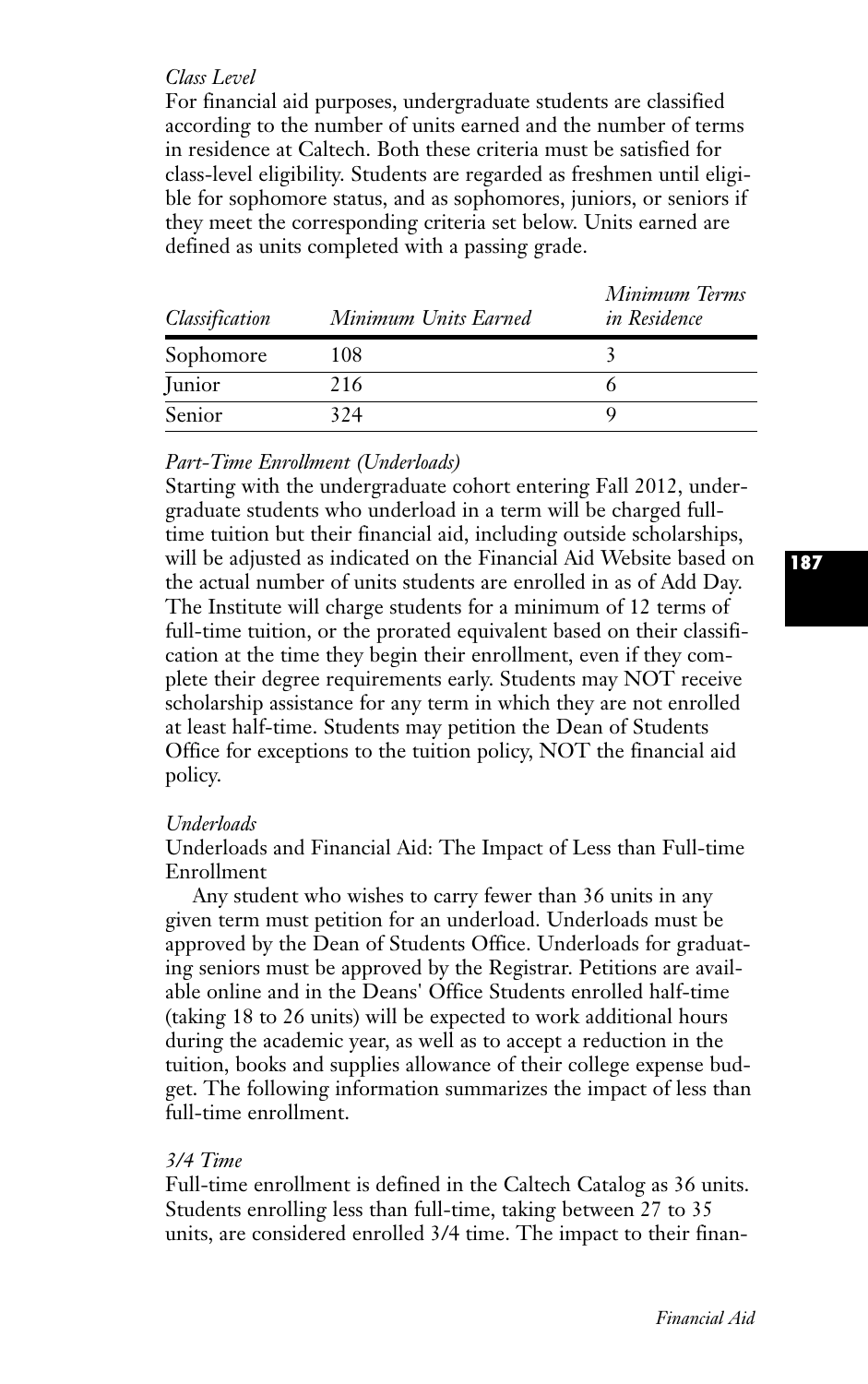### *Class Level*

For financial aid purposes, undergraduate students are classified according to the number of units earned and the number of terms in residence at Caltech. Both these criteria must be satisfied for class-level eligibility. Students are regarded as freshmen until eligible for sophomore status, and as sophomores, juniors, or seniors if they meet the corresponding criteria set below. Units earned are defined as units completed with a passing grade.

| Classification | Minimum Units Earned | Minimum Terms<br><i>in Residence</i> |
|----------------|----------------------|--------------------------------------|
| Sophomore      | 108                  |                                      |
| Junior         | 216                  |                                      |
| Senior         | 324                  |                                      |

# *Part-Time Enrollment (Underloads)*

Starting with the undergraduate cohort entering Fall 2012, undergraduate students who underload in a term will be charged fulltime tuition but their financial aid, including outside scholarships, will be adjusted as indicated on the Financial Aid Website based on the actual number of units students are enrolled in as of Add Day. The Institute will charge students for a minimum of 12 terms of full-time tuition, or the prorated equivalent based on their classification at the time they begin their enrollment, even if they complete their degree requirements early. Students may NOT receive scholarship assistance for any term in which they are not enrolled at least half-time. Students may petition the Dean of Students Office for exceptions to the tuition policy, NOT the financial aid policy.

# *Underloads*

Underloads and Financial Aid: The Impact of Less than Full-time Enrollment

Any student who wishes to carry fewer than 36 units in any given term must petition for an underload. Underloads must be approved by the Dean of Students Office. Underloads for graduating seniors must be approved by the Registrar. Petitions are available online and in the Deans' Office Students enrolled half-time (taking 18 to 26 units) will be expected to work additional hours during the academic year, as well as to accept a reduction in the tuition, books and supplies allowance of their college expense budget. The following information summarizes the impact of less than full-time enrollment.

# *3/4 Time*

Full-time enrollment is defined in the Caltech Catalog as 36 units. Students enrolling less than full-time, taking between 27 to 35 units, are considered enrolled 3/4 time. The impact to their finan**187**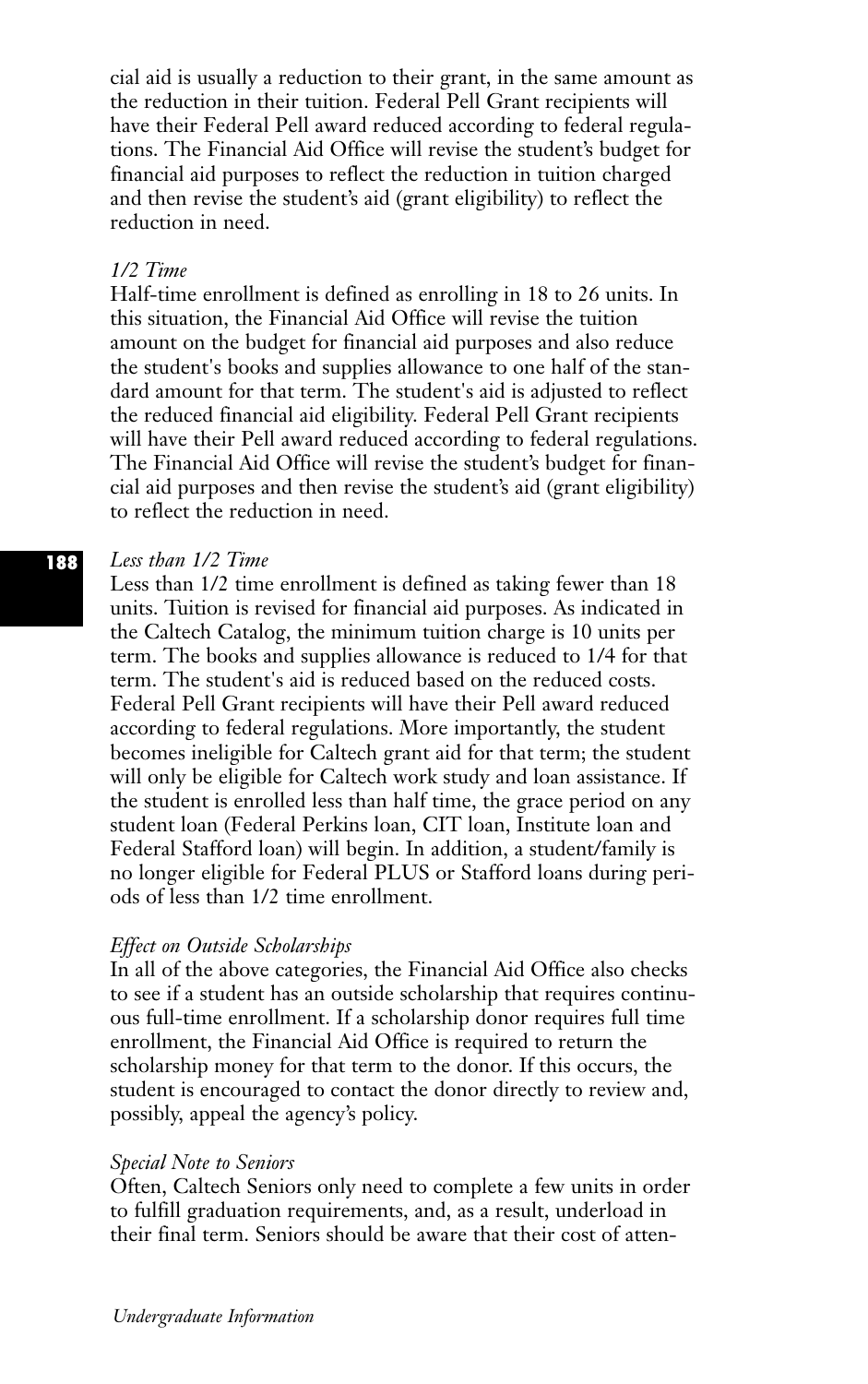cial aid is usually a reduction to their grant, in the same amount as the reduction in their tuition. Federal Pell Grant recipients will have their Federal Pell award reduced according to federal regulations. The Financial Aid Office will revise the student's budget for financial aid purposes to reflect the reduction in tuition charged and then revise the student's aid (grant eligibility) to reflect the reduction in need.

### *1/2 Time*

Half-time enrollment is defined as enrolling in 18 to 26 units. In this situation, the Financial Aid Office will revise the tuition amount on the budget for financial aid purposes and also reduce the student's books and supplies allowance to one half of the standard amount for that term. The student's aid is adjusted to reflect the reduced financial aid eligibility. Federal Pell Grant recipients will have their Pell award reduced according to federal regulations. The Financial Aid Office will revise the student's budget for financial aid purposes and then revise the student's aid (grant eligibility) to reflect the reduction in need.

#### *Less than 1/2 Time* **188**

Less than 1/2 time enrollment is defined as taking fewer than 18 units. Tuition is revised for financial aid purposes. As indicated in the Caltech Catalog, the minimum tuition charge is 10 units per term. The books and supplies allowance is reduced to 1/4 for that term. The student's aid is reduced based on the reduced costs. Federal Pell Grant recipients will have their Pell award reduced according to federal regulations. More importantly, the student becomes ineligible for Caltech grant aid for that term; the student will only be eligible for Caltech work study and loan assistance. If the student is enrolled less than half time, the grace period on any student loan (Federal Perkins loan, CIT loan, Institute loan and Federal Stafford loan) will begin. In addition, a student/family is no longer eligible for Federal PLUS or Stafford loans during periods of less than 1/2 time enrollment.

#### *Effect on Outside Scholarships*

In all of the above categories, the Financial Aid Office also checks to see if a student has an outside scholarship that requires continuous full-time enrollment. If a scholarship donor requires full time enrollment, the Financial Aid Office is required to return the scholarship money for that term to the donor. If this occurs, the student is encouraged to contact the donor directly to review and, possibly, appeal the agency's policy.

#### *Special Note to Seniors*

Often, Caltech Seniors only need to complete a few units in order to fulfill graduation requirements, and, as a result, underload in their final term. Seniors should be aware that their cost of atten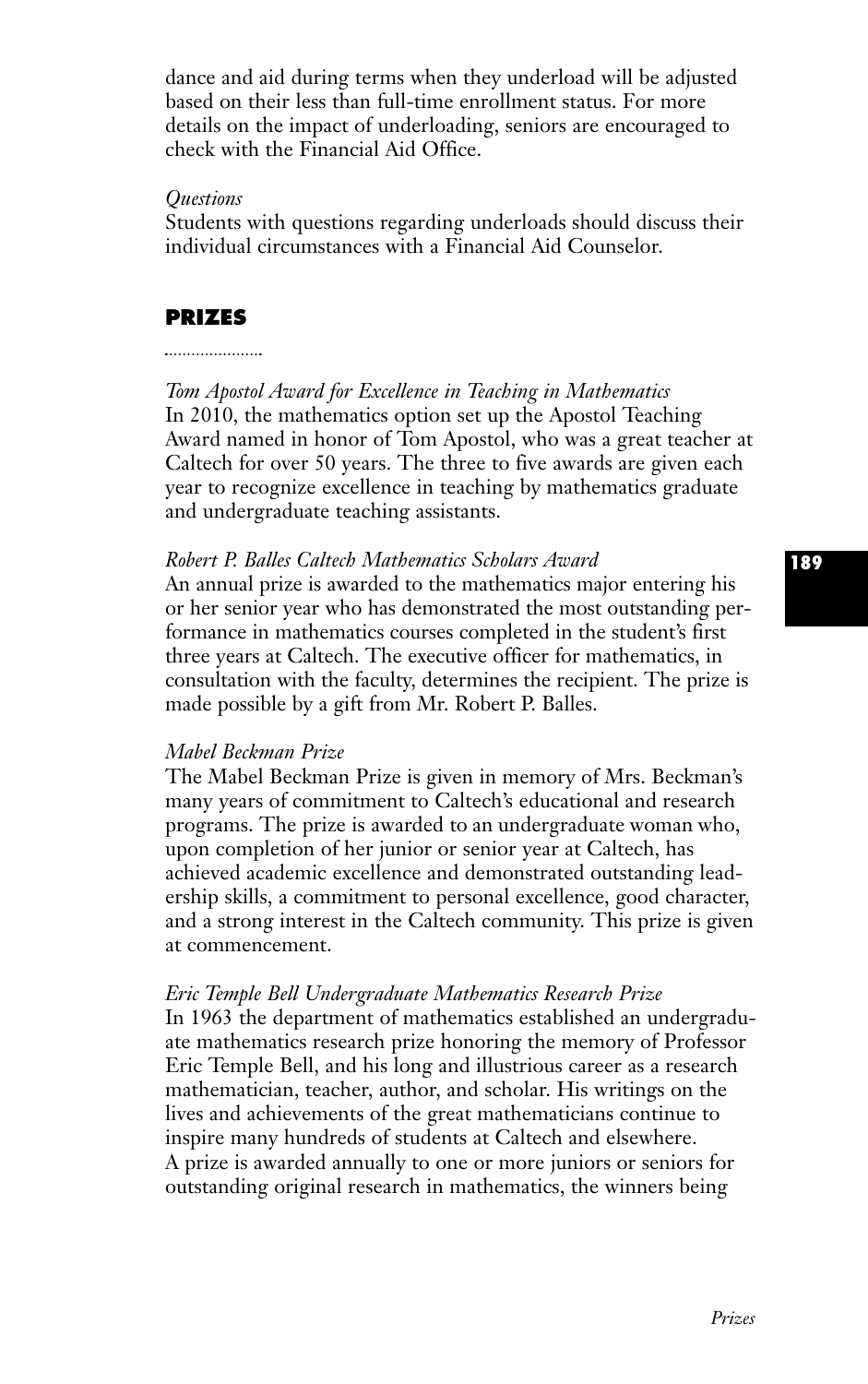dance and aid during terms when they underload will be adjusted based on their less than full-time enrollment status. For more details on the impact of underloading, seniors are encouraged to check with the Financial Aid Office.

### *Questions*

Students with questions regarding underloads should discuss their individual circumstances with a Financial Aid Counselor.

# **PRIZES**

#### 

*Tom Apostol Award for Excellence in Teaching in Mathematics* In 2010, the mathematics option set up the Apostol Teaching Award named in honor of Tom Apostol, who was a great teacher at Caltech for over 50 years. The three to five awards are given each year to recognize excellence in teaching by mathematics graduate and undergraduate teaching assistants.

## *Robert P. Balles Caltech Mathematics Scholars Award*

An annual prize is awarded to the mathematics major entering his or her senior year who has demonstrated the most outstanding performance in mathematics courses completed in the student's first three years at Caltech. The executive officer for mathematics, in consultation with the faculty, determines the recipient. The prize is made possible by a gift from Mr. Robert P. Balles.

## *Mabel Beckman Prize*

The Mabel Beckman Prize is given in memory of Mrs. Beckman's many years of commitment to Caltech's educational and research programs. The prize is awarded to an undergraduate woman who, upon completion of her junior or senior year at Caltech, has achieved academic excellence and demonstrated outstanding leadership skills, a commitment to personal excellence, good character, and a strong interest in the Caltech community. This prize is given at commencement.

## *Eric Temple Bell Undergraduate Mathematics Research Prize*

In 1963 the department of mathematics established an undergraduate mathematics research prize honoring the memory of Professor Eric Temple Bell, and his long and illustrious career as a research mathematician, teacher, author, and scholar. His writings on the lives and achievements of the great mathematicians continue to inspire many hundreds of students at Caltech and elsewhere. A prize is awarded annually to one or more juniors or seniors for outstanding original research in mathematics, the winners being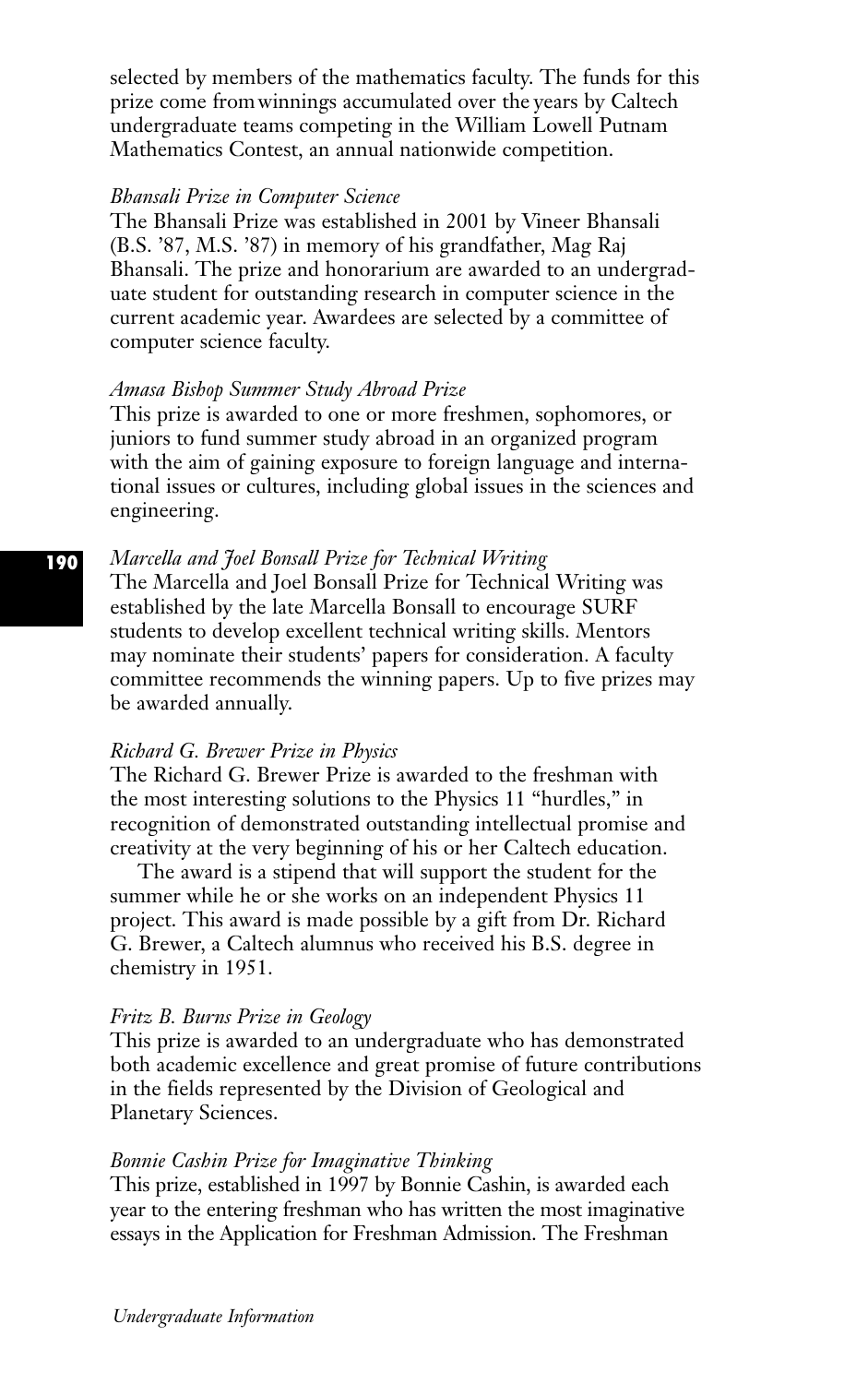selected by members of the mathematics faculty. The funds for this prize come from winnings accumulated over the years by Caltech undergraduate teams competing in the William Lowell Putnam Mathematics Contest, an annual nationwide competition.

### *Bhansali Prize in Computer Science*

The Bhansali Prize was established in 2001 by Vineer Bhansali (B.S. '87, M.S. '87) in memory of his grandfather, Mag Raj Bhansali. The prize and honorarium are awarded to an undergraduate student for outstanding research in computer science in the current academic year. Awardees are selected by a committee of computer science faculty.

#### *Amasa Bishop Summer Study Abroad Prize*

This prize is awarded to one or more freshmen, sophomores, or juniors to fund summer study abroad in an organized program with the aim of gaining exposure to foreign language and international issues or cultures, including global issues in the sciences and engineering.

### *Marcella and Joel Bonsall Prize for Technical Writing*

The Marcella and Joel Bonsall Prize for Technical Writing was established by the late Marcella Bonsall to encourage SURF students to develop excellent technical writing skills. Mentors may nominate their students' papers for consideration. A faculty committee recommends the winning papers. Up to five prizes may be awarded annually.

# *Richard G. Brewer Prize in Physics*

The Richard G. Brewer Prize is awarded to the freshman with the most interesting solutions to the Physics 11 "hurdles," in recognition of demonstrated outstanding intellectual promise and creativity at the very beginning of his or her Caltech education.

The award is a stipend that will support the student for the summer while he or she works on an independent Physics 11 project. This award is made possible by a gift from Dr. Richard G. Brewer, a Caltech alumnus who received his B.S. degree in chemistry in 1951.

### *Fritz B. Burns Prize in Geology*

This prize is awarded to an undergraduate who has demonstrated both academic excellence and great promise of future contributions in the fields represented by the Division of Geological and Planetary Sciences.

#### *Bonnie Cashin Prize for Imaginative Thinking*

This prize, established in 1997 by Bonnie Cashin, is awarded each year to the entering freshman who has written the most imaginative essays in the Application for Freshman Admission. The Freshman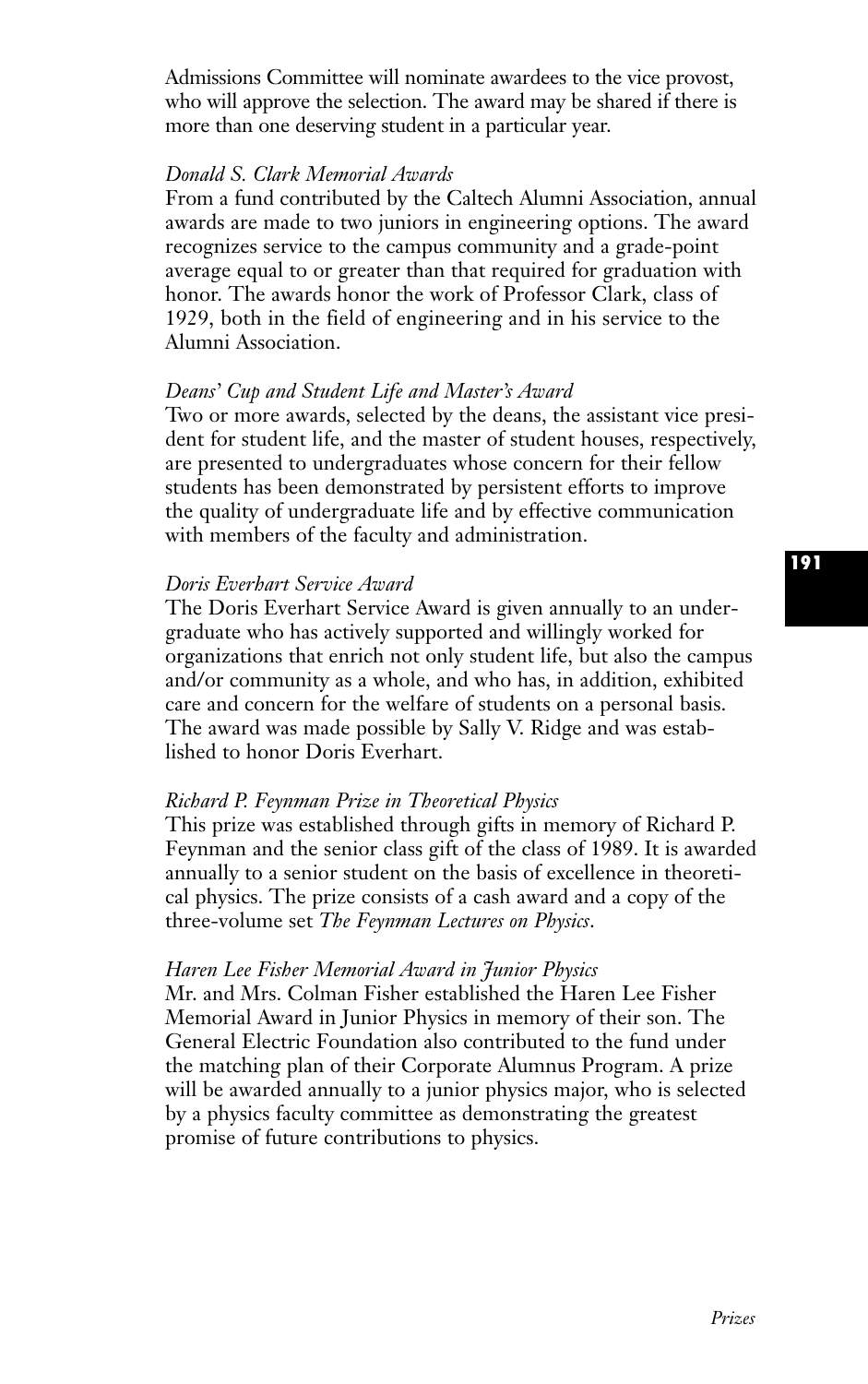Admissions Committee will nominate awardees to the vice provost, who will approve the selection. The award may be shared if there is more than one deserving student in a particular year.

### *Donald S. Clark Memorial Awards*

From a fund contributed by the Caltech Alumni Association, annual awards are made to two juniors in engineering options. The award recognizes service to the campus community and a grade-point average equal to or greater than that required for graduation with honor. The awards honor the work of Professor Clark, class of 1929, both in the field of engineering and in his service to the Alumni Association.

#### *Deans' Cup and Student Life and Master's Award*

Two or more awards, selected by the deans, the assistant vice president for student life, and the master of student houses, respectively, are presented to undergraduates whose concern for their fellow students has been demonstrated by persistent efforts to improve the quality of undergraduate life and by effective communication with members of the faculty and administration.

#### *Doris Everhart Service Award*

The Doris Everhart Service Award is given annually to an undergraduate who has actively supported and willingly worked for organizations that enrich not only student life, but also the campus and/or community as a whole, and who has, in addition, exhibited care and concern for the welfare of students on a personal basis. The award was made possible by Sally V. Ridge and was established to honor Doris Everhart.

### *Richard P. Feynman Prize in Theoretical Physics*

This prize was established through gifts in memory of Richard P. Feynman and the senior class gift of the class of 1989. It is awarded annually to a senior student on the basis of excellence in theoretical physics. The prize consists of a cash award and a copy of the three-volume set *The Feynman Lectures on Physics*.

#### *Haren Lee Fisher Memorial Award in Junior Physics*

Mr. and Mrs. Colman Fisher established the Haren Lee Fisher Memorial Award in Junior Physics in memory of their son. The General Electric Foundation also contributed to the fund under the matching plan of their Corporate Alumnus Program. A prize will be awarded annually to a junior physics major, who is selected by a physics faculty committee as demonstrating the greatest promise of future contributions to physics.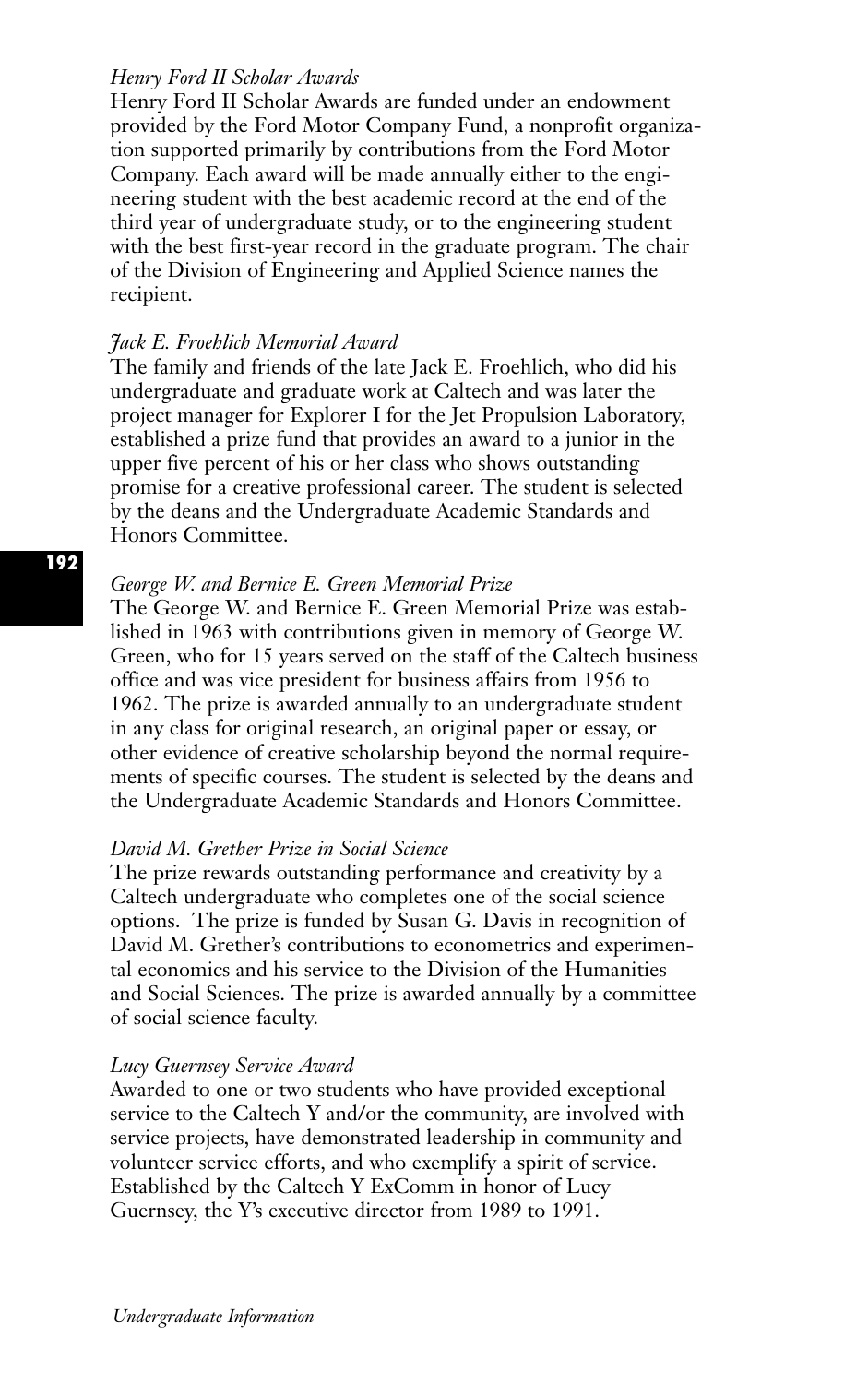# *Henry Ford II Scholar Awards*

Henry Ford II Scholar Awards are funded under an endowment provided by the Ford Motor Company Fund, a nonprofit organization supported primarily by contributions from the Ford Motor Company. Each award will be made annually either to the engineering student with the best academic record at the end of the third year of undergraduate study, or to the engineering student with the best first-year record in the graduate program. The chair of the Division of Engineering and Applied Science names the recipient.

# *Jack E. Froehlich Memorial Award*

The family and friends of the late Jack E. Froehlich, who did his undergraduate and graduate work at Caltech and was later the project manager for Explorer I for the Jet Propulsion Laboratory, established a prize fund that provides an award to a junior in the upper five percent of his or her class who shows outstanding promise for a creative professional career. The student is selected by the deans and the Undergraduate Academic Standards and Honors Committee.

# *George W. and Bernice E. Green Memorial Prize*

The George W. and Bernice E. Green Memorial Prize was established in 1963 with contributions given in memory of George W. Green, who for 15 years served on the staff of the Caltech business office and was vice president for business affairs from 1956 to 1962. The prize is awarded annually to an undergraduate student in any class for original research, an original paper or essay, or other evidence of creative scholarship beyond the normal requirements of specific courses. The student is selected by the deans and the Undergraduate Academic Standards and Honors Committee.

## *David M. Grether Prize in Social Science*

The prize rewards outstanding performance and creativity by a Caltech undergraduate who completes one of the social science options. The prize is funded by Susan G. Davis in recognition of David M. Grether's contributions to econometrics and experimental economics and his service to the Division of the Humanities and Social Sciences. The prize is awarded annually by a committee of social science faculty.

# *Lucy Guernsey Service Award*

Awarded to one or two students who have provided exceptional service to the Caltech Y and/or the community, are involved with service projects, have demonstrated leadership in community and volunteer service efforts, and who exemplify a spirit of service. Established by the Caltech Y ExComm in honor of Lucy Guernsey, the Y's executive director from 1989 to 1991.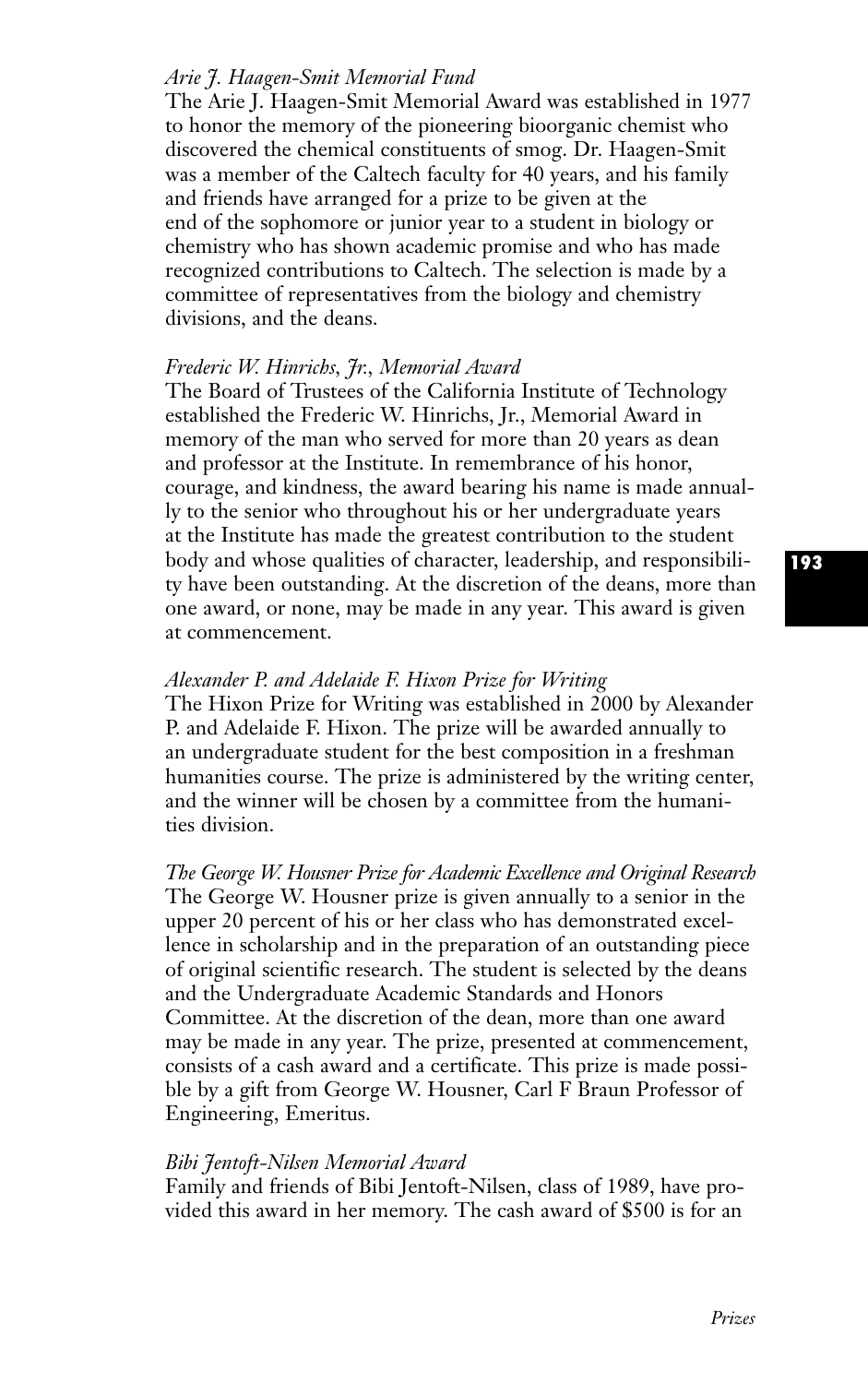# *Arie J. Haagen-Smit Memorial Fund*

The Arie J. Haagen-Smit Memorial Award was established in 1977 to honor the memory of the pioneering bioorganic chemist who discovered the chemical constituents of smog. Dr. Haagen-Smit was a member of the Caltech faculty for 40 years, and his family and friends have arranged for a prize to be given at the end of the sophomore or junior year to a student in biology or chemistry who has shown academic promise and who has made recognized contributions to Caltech. The selection is made by a committee of representatives from the biology and chemistry divisions, and the deans.

## *Frederic W. Hinrichs, Jr., Memorial Award*

The Board of Trustees of the California Institute of Technology established the Frederic W. Hinrichs, Jr., Memorial Award in memory of the man who served for more than 20 years as dean and professor at the Institute. In remembrance of his honor, courage, and kindness, the award bearing his name is made annually to the senior who throughout his or her undergraduate years at the Institute has made the greatest contribution to the student body and whose qualities of character, leadership, and responsibility have been outstanding. At the discretion of the deans, more than one award, or none, may be made in any year. This award is given at commencement.

## *Alexander P. and Adelaide F. Hixon Prize for Writing*

The Hixon Prize for Writing was established in 2000 by Alexander P. and Adelaide F. Hixon. The prize will be awarded annually to an undergraduate student for the best composition in a freshman humanities course. The prize is administered by the writing center, and the winner will be chosen by a committee from the humanities division.

*The George W. Housner Prize for Academic Excellence and Original Research* The George W. Housner prize is given annually to a senior in the upper 20 percent of his or her class who has demonstrated excellence in scholarship and in the preparation of an outstanding piece of original scientific research. The student is selected by the deans and the Undergraduate Academic Standards and Honors Committee. At the discretion of the dean, more than one award may be made in any year. The prize, presented at commencement, consists of a cash award and a certificate. This prize is made possible by a gift from George W. Housner, Carl F Braun Professor of Engineering, Emeritus.

#### *Bibi Jentoft-Nilsen Memorial Award*

Family and friends of Bibi Jentoft-Nilsen, class of 1989, have provided this award in her memory. The cash award of \$500 is for an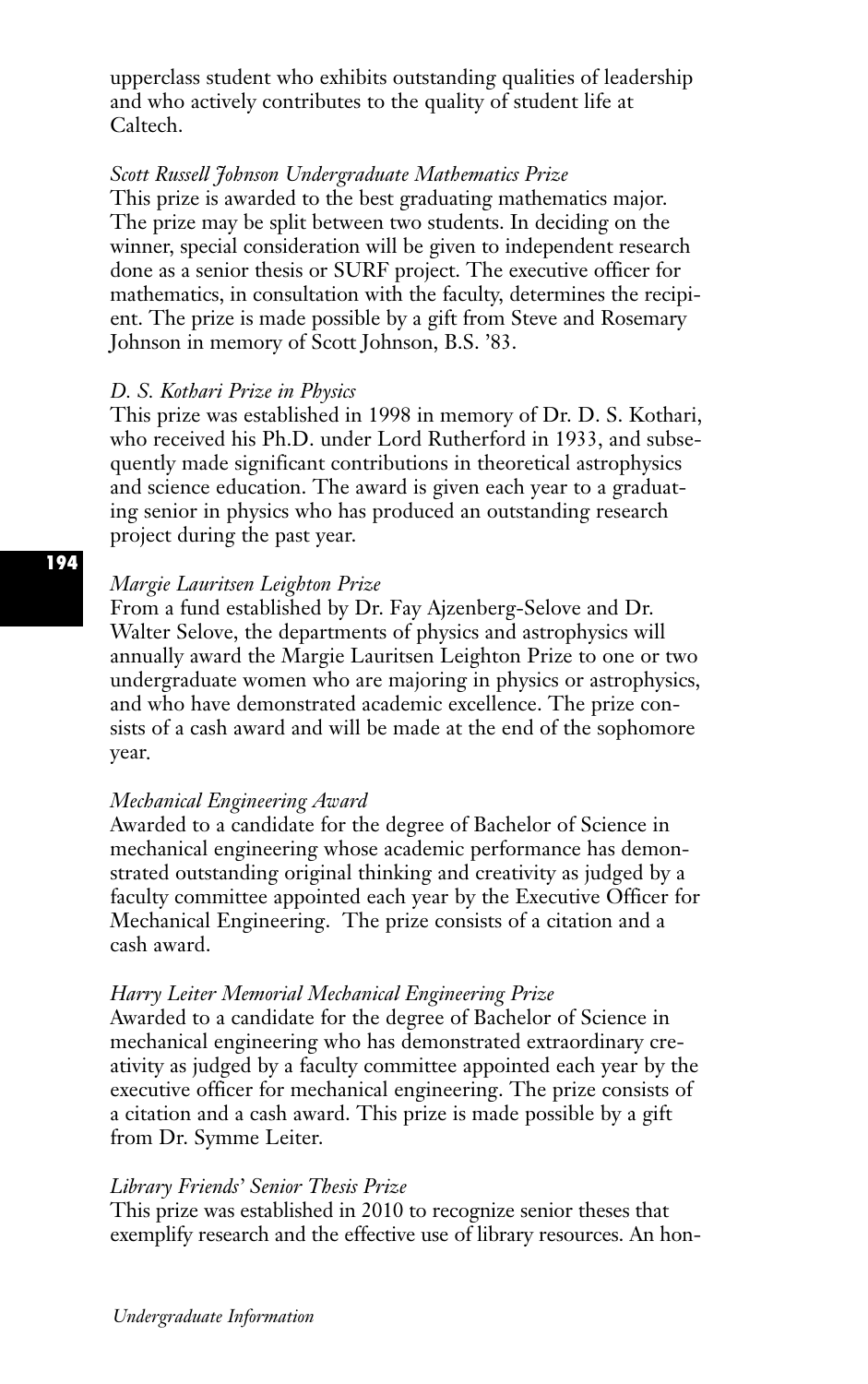upperclass student who exhibits outstanding qualities of leadership and who actively contributes to the quality of student life at Caltech.

# *Scott Russell Johnson Undergraduate Mathematics Prize*

This prize is awarded to the best graduating mathematics major. The prize may be split between two students. In deciding on the winner, special consideration will be given to independent research done as a senior thesis or SURF project. The executive officer for mathematics, in consultation with the faculty, determines the recipient. The prize is made possible by a gift from Steve and Rosemary Johnson in memory of Scott Johnson, B.S. '83.

#### *D. S. Kothari Prize in Physics*

This prize was established in 1998 in memory of Dr. D. S. Kothari, who received his Ph.D. under Lord Rutherford in 1933, and subsequently made significant contributions in theoretical astrophysics and science education. The award is given each year to a graduating senior in physics who has produced an outstanding research project during the past year.

# *Margie Lauritsen Leighton Prize*

From a fund established by Dr. Fay Ajzenberg-Selove and Dr. Walter Selove, the departments of physics and astrophysics will annually award the Margie Lauritsen Leighton Prize to one or two undergraduate women who are majoring in physics or astrophysics, and who have demonstrated academic excellence. The prize consists of a cash award and will be made at the end of the sophomore year.

#### *Mechanical Engineering Award*

Awarded to a candidate for the degree of Bachelor of Science in mechanical engineering whose academic performance has demonstrated outstanding original thinking and creativity as judged by a faculty committee appointed each year by the Executive Officer for Mechanical Engineering. The prize consists of a citation and a cash award.

#### *Harry Leiter Memorial Mechanical Engineering Prize*

Awarded to a candidate for the degree of Bachelor of Science in mechanical engineering who has demonstrated extraordinary creativity as judged by a faculty committee appointed each year by the executive officer for mechanical engineering. The prize consists of a citation and a cash award. This prize is made possible by a gift from Dr. Symme Leiter.

#### *Library Friends' Senior Thesis Prize*

This prize was established in 2010 to recognize senior theses that exemplify research and the effective use of library resources. An hon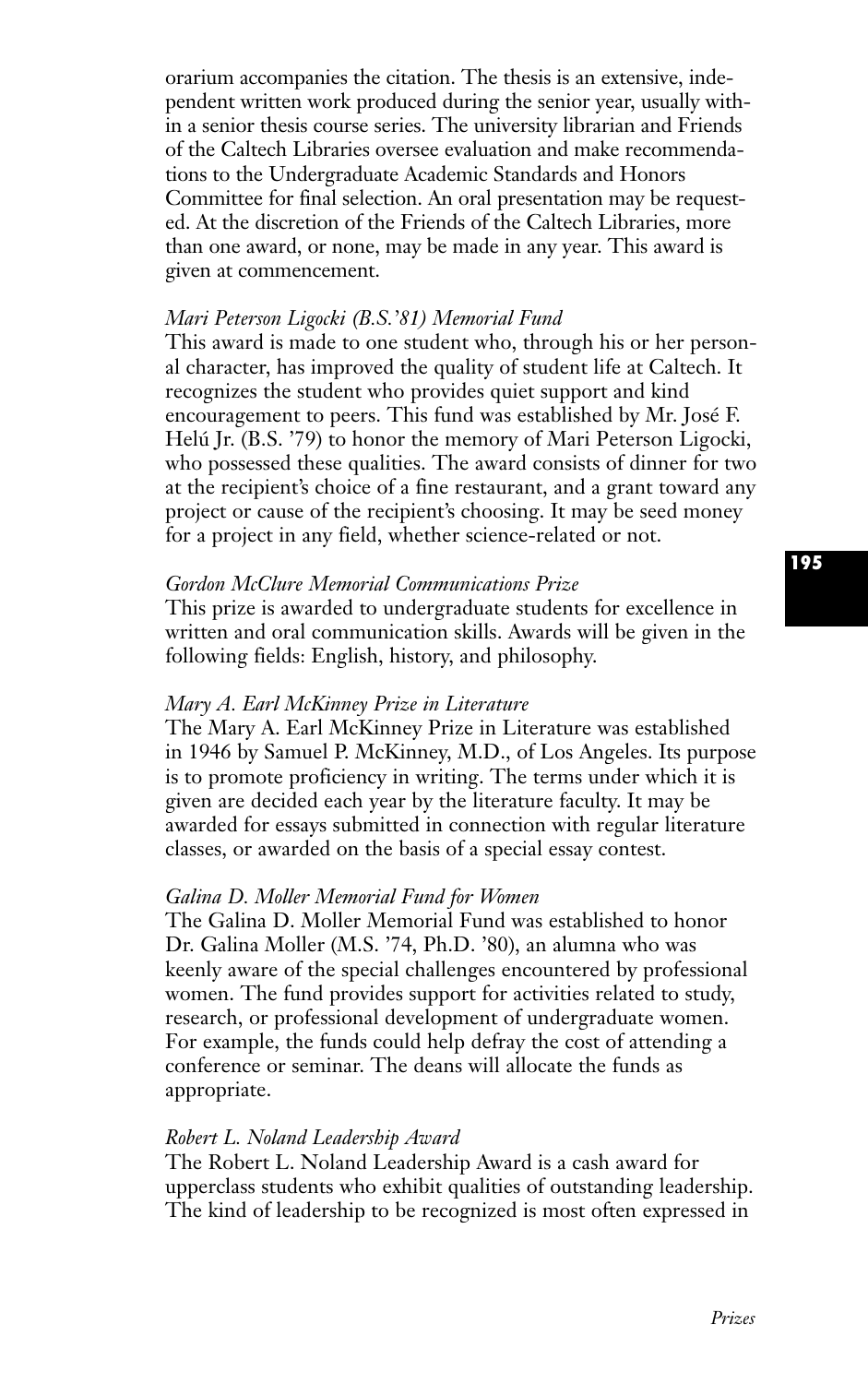orarium accompanies the citation. The thesis is an extensive, independent written work produced during the senior year, usually within a senior thesis course series. The university librarian and Friends of the Caltech Libraries oversee evaluation and make recommendations to the Undergraduate Academic Standards and Honors Committee for final selection. An oral presentation may be requested. At the discretion of the Friends of the Caltech Libraries, more than one award, or none, may be made in any year. This award is given at commencement.

# *Mari Peterson Ligocki (B.S.'81) Memorial Fund*

This award is made to one student who, through his or her personal character, has improved the quality of student life at Caltech. It recognizes the student who provides quiet support and kind encouragement to peers. This fund was established by Mr. José F. Helú Jr. (B.S. '79) to honor the memory of Mari Peterson Ligocki, who possessed these qualities. The award consists of dinner for two at the recipient's choice of a fine restaurant, and a grant toward any project or cause of the recipient's choosing. It may be seed money for a project in any field, whether science-related or not.

# *Gordon McClure Memorial Communications Prize*

This prize is awarded to undergraduate students for excellence in written and oral communication skills. Awards will be given in the following fields: English, history, and philosophy.

### *Mary A. Earl McKinney Prize in Literature*

The Mary A. Earl McKinney Prize in Literature was established in 1946 by Samuel P. McKinney, M.D., of Los Angeles. Its purpose is to promote proficiency in writing. The terms under which it is given are decided each year by the literature faculty. It may be awarded for essays submitted in connection with regular literature classes, or awarded on the basis of a special essay contest.

# *Galina D. Moller Memorial Fund for Women*

The Galina D. Moller Memorial Fund was established to honor Dr. Galina Moller (M.S. '74, Ph.D. '80), an alumna who was keenly aware of the special challenges encountered by professional women. The fund provides support for activities related to study, research, or professional development of undergraduate women. For example, the funds could help defray the cost of attending a conference or seminar. The deans will allocate the funds as appropriate.

### *Robert L. Noland Leadership Award*

The Robert L. Noland Leadership Award is a cash award for upperclass students who exhibit qualities of outstanding leadership. The kind of leadership to be recognized is most often expressed in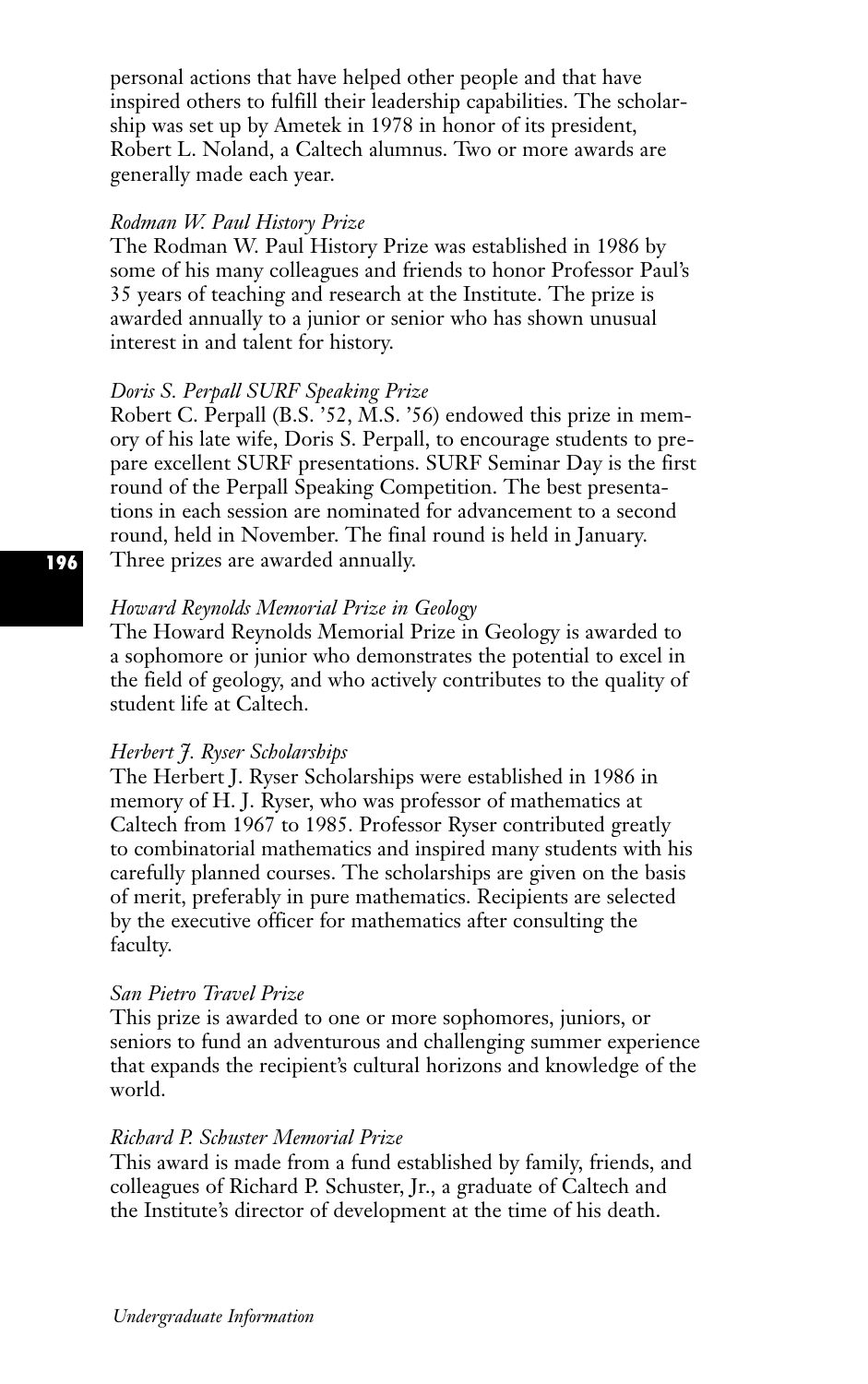personal actions that have helped other people and that have inspired others to fulfill their leadership capabilities. The scholarship was set up by Ametek in 1978 in honor of its president, Robert L. Noland, a Caltech alumnus. Two or more awards are generally made each year.

#### *Rodman W. Paul History Prize*

The Rodman W. Paul History Prize was established in 1986 by some of his many colleagues and friends to honor Professor Paul's 35 years of teaching and research at the Institute. The prize is awarded annually to a junior or senior who has shown unusual interest in and talent for history.

# *Doris S. Perpall SURF Speaking Prize*

Robert C. Perpall (B.S. '52, M.S. '56) endowed this prize in memory of his late wife, Doris S. Perpall, to encourage students to prepare excellent SURF presentations. SURF Seminar Day is the first round of the Perpall Speaking Competition. The best presentations in each session are nominated for advancement to a second round, held in November. The final round is held in January. Three prizes are awarded annually.

# *Howard Reynolds Memorial Prize in Geology*

The Howard Reynolds Memorial Prize in Geology is awarded to a sophomore or junior who demonstrates the potential to excel in the field of geology, and who actively contributes to the quality of student life at Caltech.

#### *Herbert J. Ryser Scholarships*

The Herbert J. Ryser Scholarships were established in 1986 in memory of H. J. Ryser, who was professor of mathematics at Caltech from 1967 to 1985. Professor Ryser contributed greatly to combinatorial mathematics and inspired many students with his carefully planned courses. The scholarships are given on the basis of merit, preferably in pure mathematics. Recipients are selected by the executive officer for mathematics after consulting the faculty.

#### *San Pietro Travel Prize*

This prize is awarded to one or more sophomores, juniors, or seniors to fund an adventurous and challenging summer experience that expands the recipient's cultural horizons and knowledge of the world.

# *Richard P. Schuster Memorial Prize*

This award is made from a fund established by family, friends, and colleagues of Richard P. Schuster, Jr., a graduate of Caltech and the Institute's director of development at the time of his death.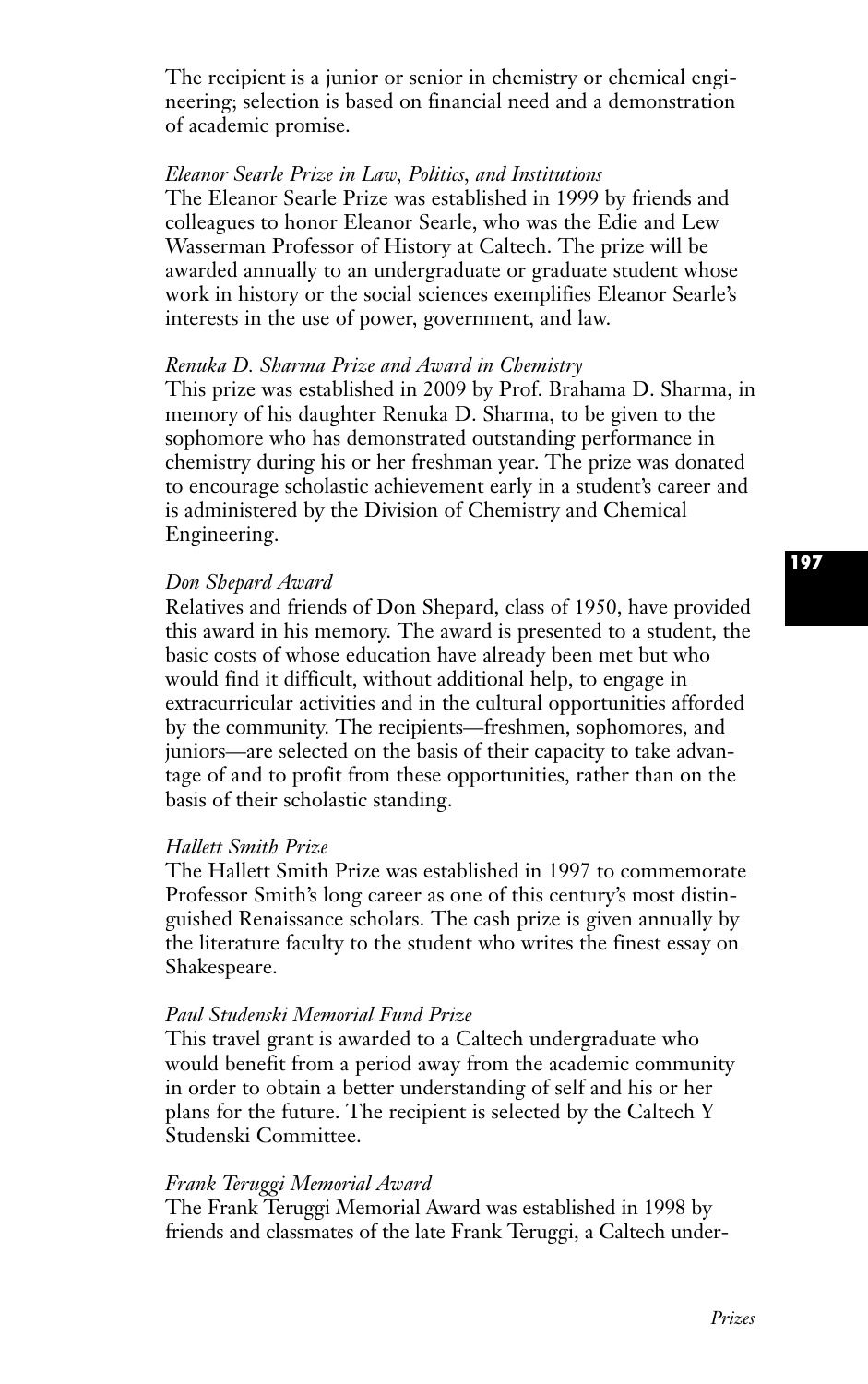The recipient is a junior or senior in chemistry or chemical engineering; selection is based on financial need and a demonstration of academic promise.

## *Eleanor Searle Prize in Law, Politics, and Institutions*

The Eleanor Searle Prize was established in 1999 by friends and colleagues to honor Eleanor Searle, who was the Edie and Lew Wasserman Professor of History at Caltech. The prize will be awarded annually to an undergraduate or graduate student whose work in history or the social sciences exemplifies Eleanor Searle's interests in the use of power, government, and law.

#### *Renuka D. Sharma Prize and Award in Chemistry*

This prize was established in 2009 by Prof. Brahama D. Sharma, in memory of his daughter Renuka D. Sharma, to be given to the sophomore who has demonstrated outstanding performance in chemistry during his or her freshman year. The prize was donated to encourage scholastic achievement early in a student's career and is administered by the Division of Chemistry and Chemical Engineering.

## *Don Shepard Award*

Relatives and friends of Don Shepard, class of 1950, have provided this award in his memory. The award is presented to a student, the basic costs of whose education have already been met but who would find it difficult, without additional help, to engage in extracurricular activities and in the cultural opportunities afforded by the community. The recipients—freshmen, sophomores, and juniors—are selected on the basis of their capacity to take advantage of and to profit from these opportunities, rather than on the basis of their scholastic standing.

#### *Hallett Smith Prize*

The Hallett Smith Prize was established in 1997 to commemorate Professor Smith's long career as one of this century's most distinguished Renaissance scholars. The cash prize is given annually by the literature faculty to the student who writes the finest essay on Shakespeare.

# *Paul Studenski Memorial Fund Prize*

This travel grant is awarded to a Caltech undergraduate who would benefit from a period away from the academic community in order to obtain a better understanding of self and his or her plans for the future. The recipient is selected by the Caltech Y Studenski Committee.

#### *Frank Teruggi Memorial Award*

The Frank Teruggi Memorial Award was established in 1998 by friends and classmates of the late Frank Teruggi, a Caltech under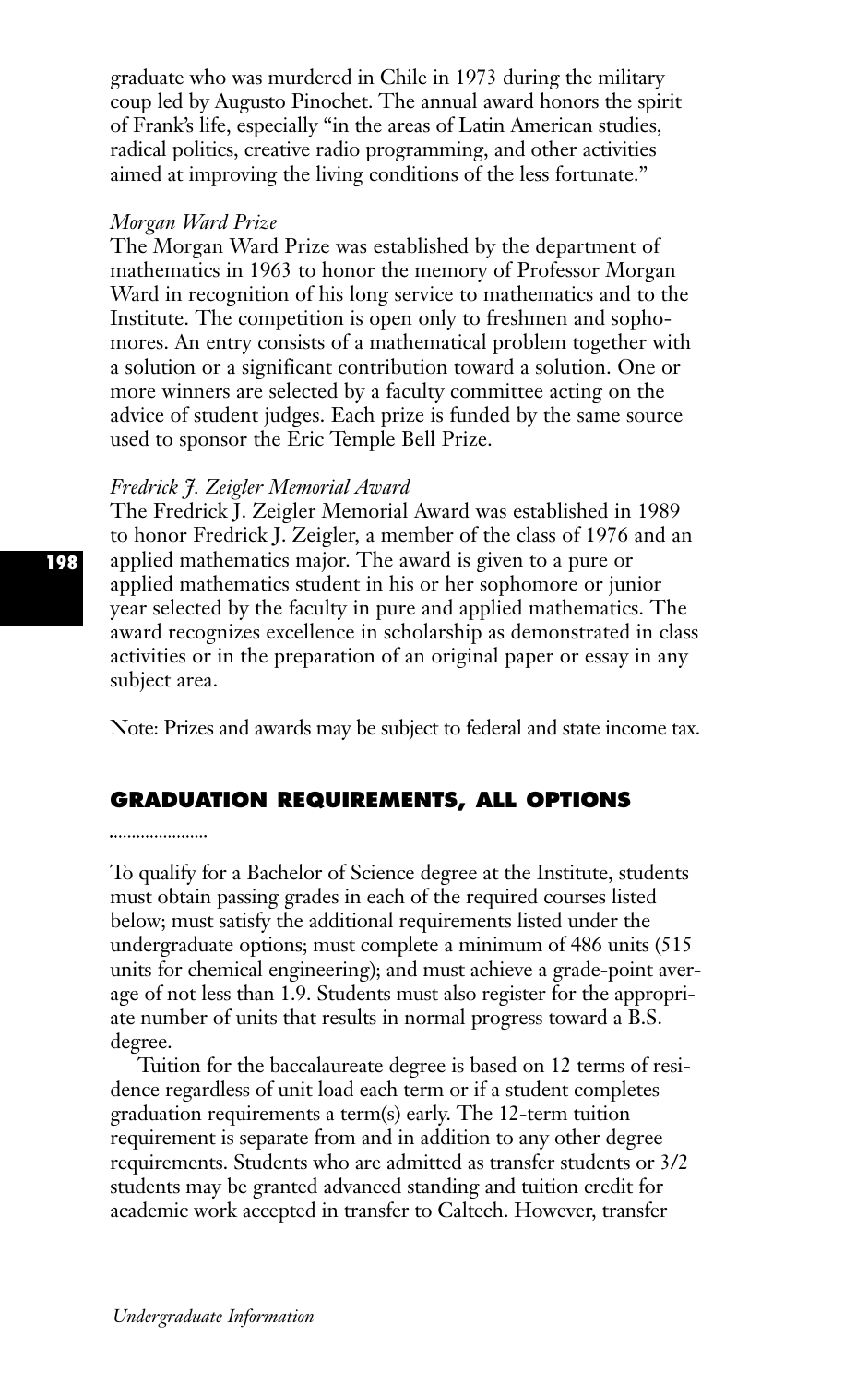graduate who was murdered in Chile in 1973 during the military coup led by Augusto Pinochet. The annual award honors the spirit of Frank's life, especially "in the areas of Latin American studies, radical politics, creative radio programming, and other activities aimed at improving the living conditions of the less fortunate."

#### *Morgan Ward Prize*

The Morgan Ward Prize was established by the department of mathematics in 1963 to honor the memory of Professor Morgan Ward in recognition of his long service to mathematics and to the Institute. The competition is open only to freshmen and sophomores. An entry consists of a mathematical problem together with a solution or a significant contribution toward a solution. One or more winners are selected by a faculty committee acting on the advice of student judges. Each prize is funded by the same source used to sponsor the Eric Temple Bell Prize.

### *Fredrick J. Zeigler Memorial Award*

The Fredrick J. Zeigler Memorial Award was established in 1989 to honor Fredrick J. Zeigler, a member of the class of 1976 and an applied mathematics major. The award is given to a pure or applied mathematics student in his or her sophomore or junior year selected by the faculty in pure and applied mathematics. The award recognizes excellence in scholarship as demonstrated in class activities or in the preparation of an original paper or essay in any subject area.

Note: Prizes and awards may be subject to federal and state income tax.

# **GRADUATION REQUIREMENTS, ALL OPTIONS**

To qualify for a Bachelor of Science degree at the Institute, students must obtain passing grades in each of the required courses listed below; must satisfy the additional requirements listed under the undergraduate options; must complete a minimum of 486 units (515 units for chemical engineering); and must achieve a grade-point average of not less than 1.9. Students must also register for the appropriate number of units that results in normal progress toward a B.S. degree.

Tuition for the baccalaureate degree is based on 12 terms of residence regardless of unit load each term or if a student completes graduation requirements a term(s) early. The 12-term tuition requirement is separate from and in addition to any other degree requirements. Students who are admitted as transfer students or 3/2 students may be granted advanced standing and tuition credit for academic work accepted in transfer to Caltech. However, transfer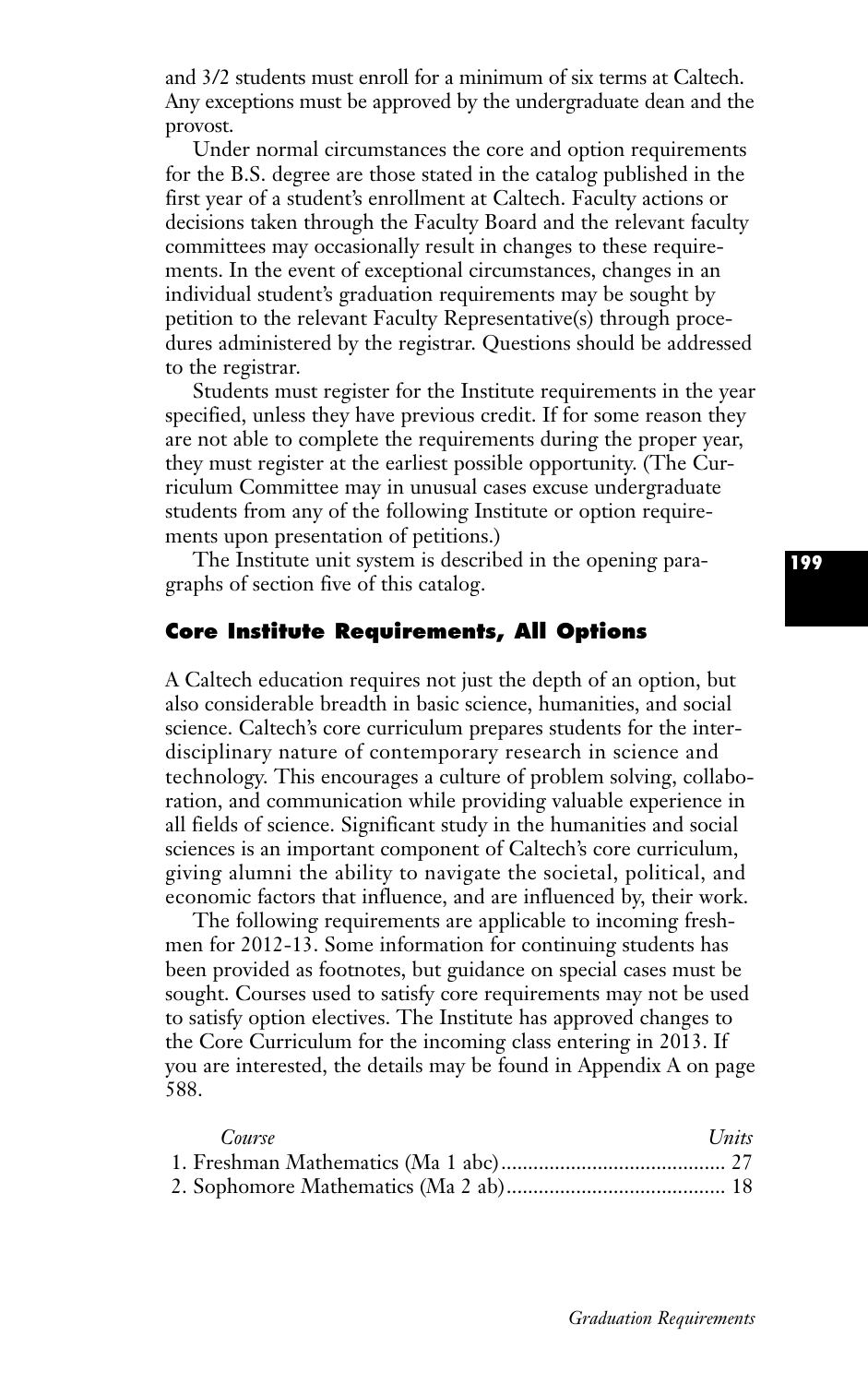and 3/2 students must enroll for a minimum of six terms at Caltech. Any exceptions must be approved by the undergraduate dean and the provost.

Under normal circumstances the core and option requirements for the B.S. degree are those stated in the catalog published in the first year of a student's enrollment at Caltech. Faculty actions or decisions taken through the Faculty Board and the relevant faculty committees may occasionally result in changes to these requirements. In the event of exceptional circumstances, changes in an individual student's graduation requirements may be sought by petition to the relevant Faculty Representative(s) through procedures administered by the registrar. Questions should be addressed to the registrar.

Students must register for the Institute requirements in the year specified, unless they have previous credit. If for some reason they are not able to complete the requirements during the proper year, they must register at the earliest possible opportunity. (The Curriculum Committee may in unusual cases excuse undergraduate students from any of the following Institute or option requirements upon presentation of petitions.)

The Institute unit system is described in the opening paragraphs of section five of this catalog.

# **Core Institute Requirements, All Options**

A Caltech education requires not just the depth of an option, but also considerable breadth in basic science, humanities, and social science. Caltech's core curriculum prepares students for the interdisciplinary nature of contemporary research in science and technology. This encourages a culture of problem solving, collaboration, and communication while providing valuable experience in all fields of science. Significant study in the humanities and social sciences is an important component of Caltech's core curriculum, giving alumni the ability to navigate the societal, political, and economic factors that influence, and are influenced by, their work.

The following requirements are applicable to incoming freshmen for 2012-13. Some information for continuing students has been provided as footnotes, but guidance on special cases must be sought. Courses used to satisfy core requirements may not be used to satisfy option electives. The Institute has approved changes to the Core Curriculum for the incoming class entering in 2013. If you are interested, the details may be found in Appendix A on page 588.

| Course | Units |
|--------|-------|
|        |       |
|        |       |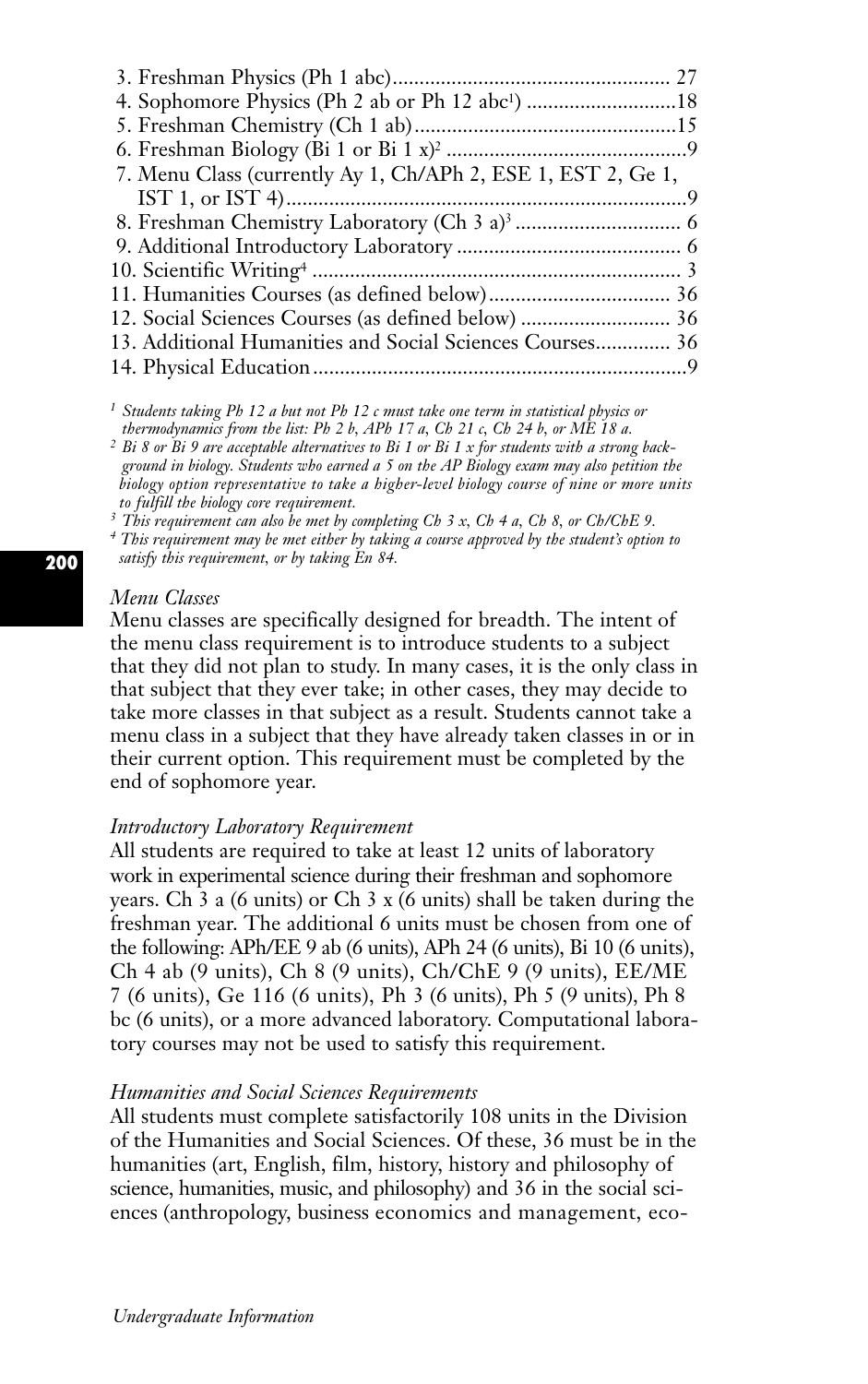| 4. Sophomore Physics (Ph 2 ab or Ph 12 abc <sup>1</sup> ) 18 |  |
|--------------------------------------------------------------|--|
|                                                              |  |
|                                                              |  |
| 7. Menu Class (currently Ay 1, Ch/APh 2, ESE 1, EST 2, Ge 1, |  |
|                                                              |  |
|                                                              |  |
|                                                              |  |
|                                                              |  |
|                                                              |  |
|                                                              |  |
| 13. Additional Humanities and Social Sciences Courses 36     |  |
|                                                              |  |
|                                                              |  |

*<sup>1</sup> Students taking Ph 12 a but not Ph 12 c must take one term in statistical physics or thermodynamics from the list: Ph 2 b, APh 17 a, Ch 21 c, Ch 24 b, or ME 18 a.*

*<sup>2</sup> Bi 8 or Bi 9 are acceptable alternatives to Bi 1 or Bi 1 x for students with a strong background in biology. Students who earned a 5 on the AP Biology exam may also petition the biology option representative to take a higher-level biology course of nine or more units to fulfill the biology core requirement.*

*<sup>3</sup> This requirement can also be met by completing Ch 3 x, Ch 4 a, Ch 8, or Ch/ChE 9.*

*<sup>4</sup> This requirement may be met either by taking a course approved by the student's option to satisfy this requirement, or by taking En 84.*

### *Menu Classes*

Menu classes are specifically designed for breadth. The intent of the menu class requirement is to introduce students to a subject that they did not plan to study. In many cases, it is the only class in that subject that they ever take; in other cases, they may decide to take more classes in that subject as a result. Students cannot take a menu class in a subject that they have already taken classes in or in their current option. This requirement must be completed by the end of sophomore year.

### *Introductory Laboratory Requirement*

All students are required to take at least 12 units of laboratory work in experimental science during their freshman and sophomore years. Ch 3 a (6 units) or Ch 3 x (6 units) shall be taken during the freshman year. The additional 6 units must be chosen from one of the following: APh/EE 9 ab (6 units), APh 24 (6 units), Bi 10 (6 units), Ch 4 ab (9 units), Ch 8 (9 units), Ch/ChE 9 (9 units), EE/ME 7 (6 units), Ge 116 (6 units), Ph 3 (6 units), Ph 5 (9 units), Ph 8 bc (6 units), or a more advanced laboratory. Computational laboratory courses may not be used to satisfy this requirement.

# *Humanities and Social Sciences Requirements*

All students must complete satisfactorily 108 units in the Division of the Humanities and Social Sciences. Of these, 36 must be in the humanities (art, English, film, history, history and philosophy of science, humanities, music, and philosophy) and 36 in the social sciences (anthropology, business economics and management, eco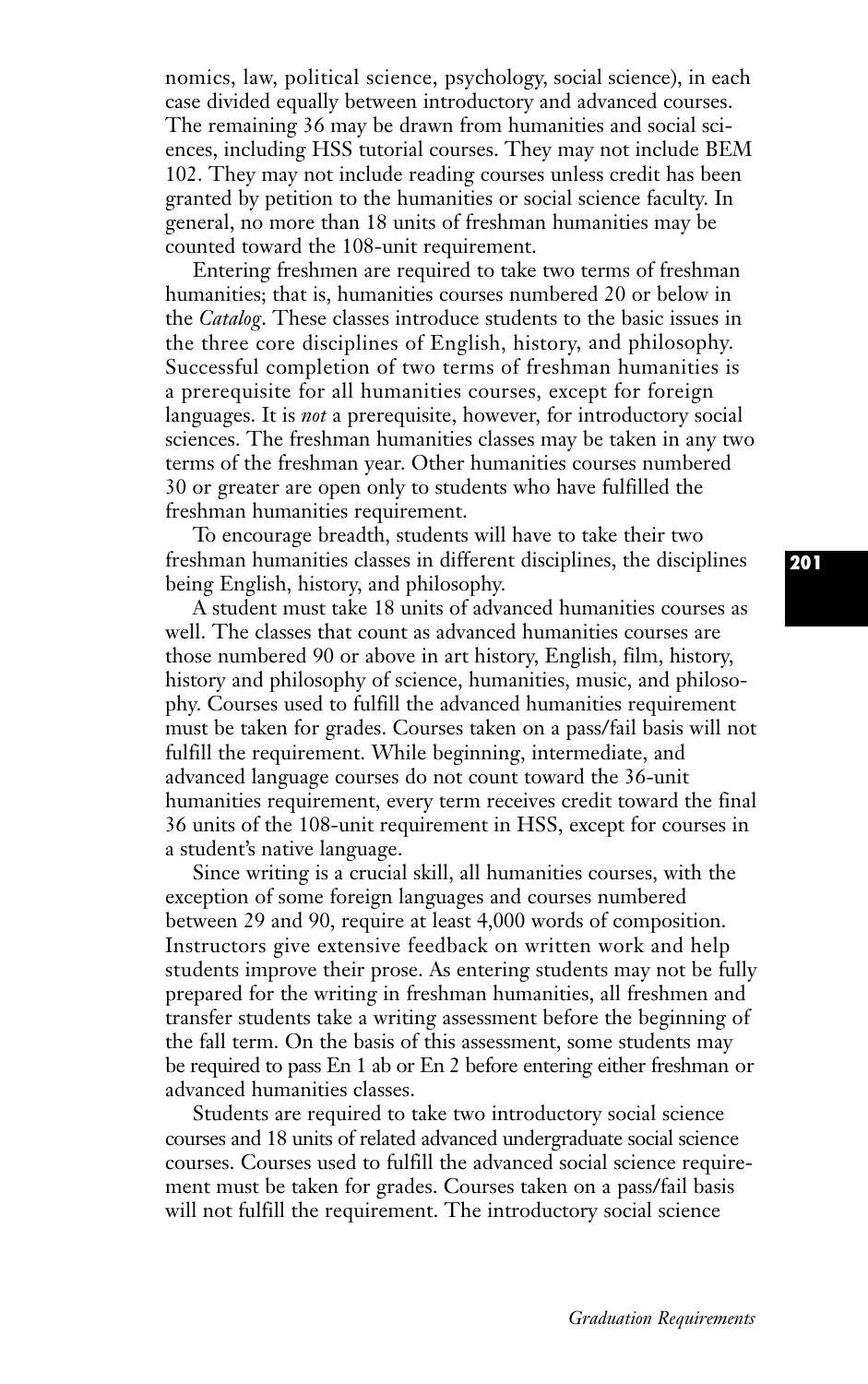nomics, law, political science, psychology, social science), in each case divided equally between introductory and advanced courses. The remaining 36 may be drawn from humanities and social sciences, including HSS tutorial courses. They may not include BEM 102. They may not include reading courses unless credit has been granted by petition to the humanities or social science faculty. In general, no more than 18 units of freshman humanities may be counted toward the 108-unit requirement.

Entering freshmen are required to take two terms of freshman humanities; that is, humanities courses numbered 20 or below in the *Catalog*. These classes introduce students to the basic issues in the three core disciplines of English, history, and philosophy. Successful completion of two terms of freshman humanities is a prerequisite for all humanities courses, except for foreign languages. It is *not* a prerequisite, however, for introductory social sciences. The freshman humanities classes may be taken in any two terms of the freshman year. Other humanities courses numbered 30 or greater are open only to students who have fulfilled the freshman humanities requirement.

To encourage breadth, students will have to take their two freshman humanities classes in different disciplines, the disciplines being English, history, and philosophy.

A student must take 18 units of advanced humanities courses as well. The classes that count as advanced humanities courses are those numbered 90 or above in art history, English, film, history, history and philosophy of science, humanities, music, and philosophy. Courses used to fulfill the advanced humanities requirement must be taken for grades. Courses taken on a pass/fail basis will not fulfill the requirement. While beginning, intermediate, and advanced language courses do not count toward the 36-unit humanities requirement, every term receives credit toward the final 36 units of the 108-unit requirement in HSS, except for courses in a student's native language.

Since writing is a crucial skill, all humanities courses, with the exception of some foreign languages and courses numbered between 29 and 90, require at least 4,000 words of composition. Instructors give extensive feedback on written work and help students improve their prose. As entering students may not be fully prepared for the writing in freshman humanities, all freshmen and transfer students take a writing assessment before the beginning of the fall term. On the basis of this assessment, some students may be required to pass En 1 ab or En 2 before entering either freshman or advanced humanities classes.

Students are required to take two introductory social science courses and 18 units of related advanced undergraduate social science courses. Courses used to fulfill the advanced social science requirement must be taken for grades. Courses taken on a pass/fail basis will not fulfill the requirement. The introductory social science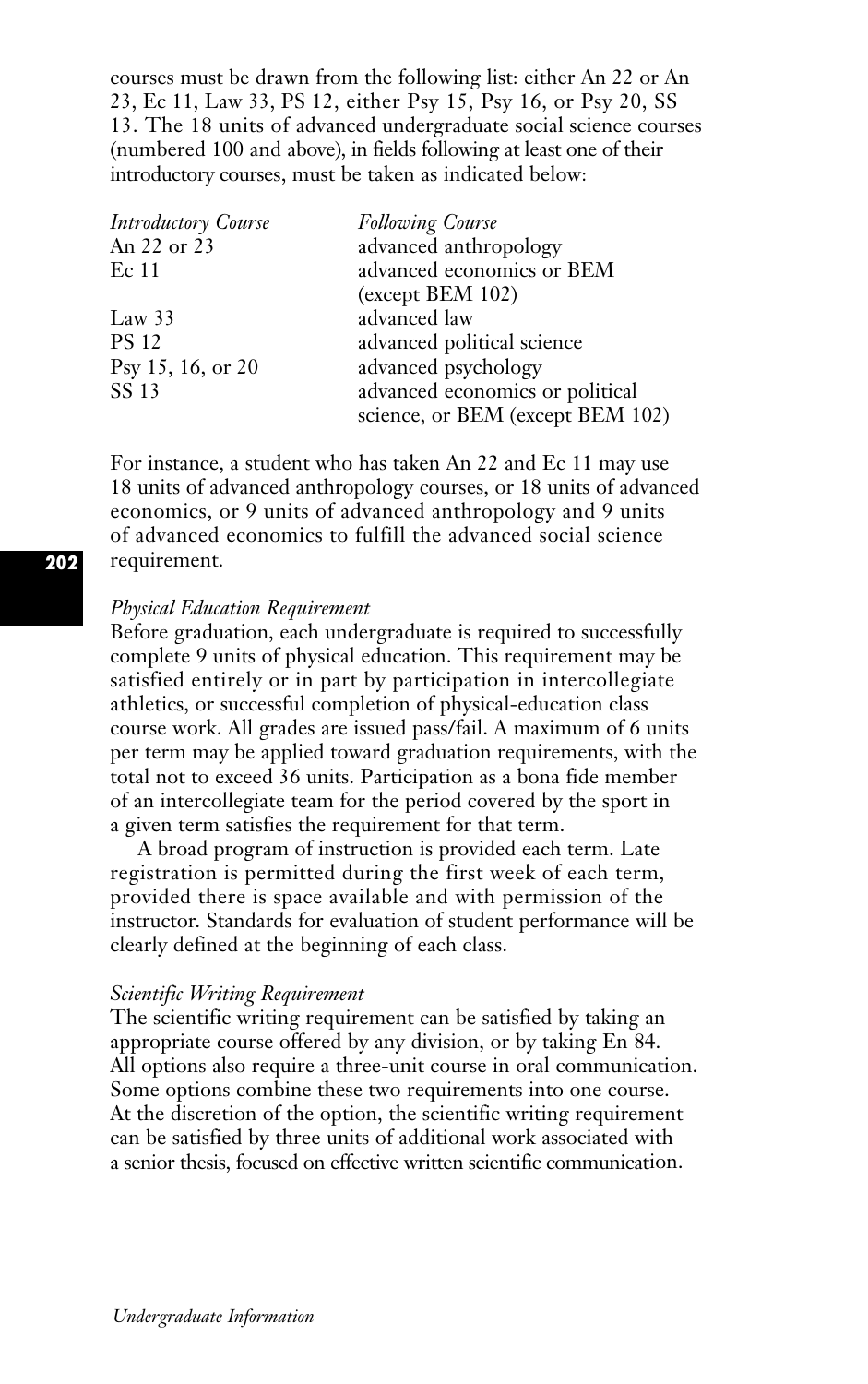courses must be drawn from the following list: either An 22 or An 23, Ec 11, Law 33, PS 12, either Psy 15, Psy 16, or Psy 20, SS 13. The 18 units of advanced undergraduate social science courses (numbered 100 and above), in fields following at least one of their introductory courses, must be taken as indicated below:

| <b>Introductory Course</b> | <b>Following Course</b>          |
|----------------------------|----------------------------------|
| An 22 or 23                | advanced anthropology            |
| Ec 11                      | advanced economics or BEM        |
|                            | $(except$ BEM 102)               |
| Law $33$                   | advanced law                     |
| <b>PS 12</b>               | advanced political science       |
| Psy 15, 16, or 20          | advanced psychology              |
| SS 13                      | advanced economics or political  |
|                            | science, or BEM (except BEM 102) |

For instance, a student who has taken An 22 and Ec 11 may use 18 units of advanced anthropology courses, or 18 units of advanced economics, or 9 units of advanced anthropology and 9 units of advanced economics to fulfill the advanced social science requirement.

# *Physical Education Requirement*

Before graduation, each undergraduate is required to successfully complete 9 units of physical education. This requirement may be satisfied entirely or in part by participation in intercollegiate athletics, or successful completion of physical-education class course work. All grades are issued pass/fail. A maximum of 6 units per term may be applied toward graduation requirements, with the total not to exceed 36 units. Participation as a bona fide member of an intercollegiate team for the period covered by the sport in a given term satisfies the requirement for that term.

A broad program of instruction is provided each term. Late registration is permitted during the first week of each term, provided there is space available and with permission of the instructor. Standards for evaluation of student performance will be clearly defined at the beginning of each class.

### *Scientific Writing Requirement*

The scientific writing requirement can be satisfied by taking an appropriate course offered by any division, or by taking En 84. All options also require a three-unit course in oral communication. Some options combine these two requirements into one course. At the discretion of the option, the scientific writing requirement can be satisfied by three units of additional work associated with a senior thesis, focused on effective written scientific communication.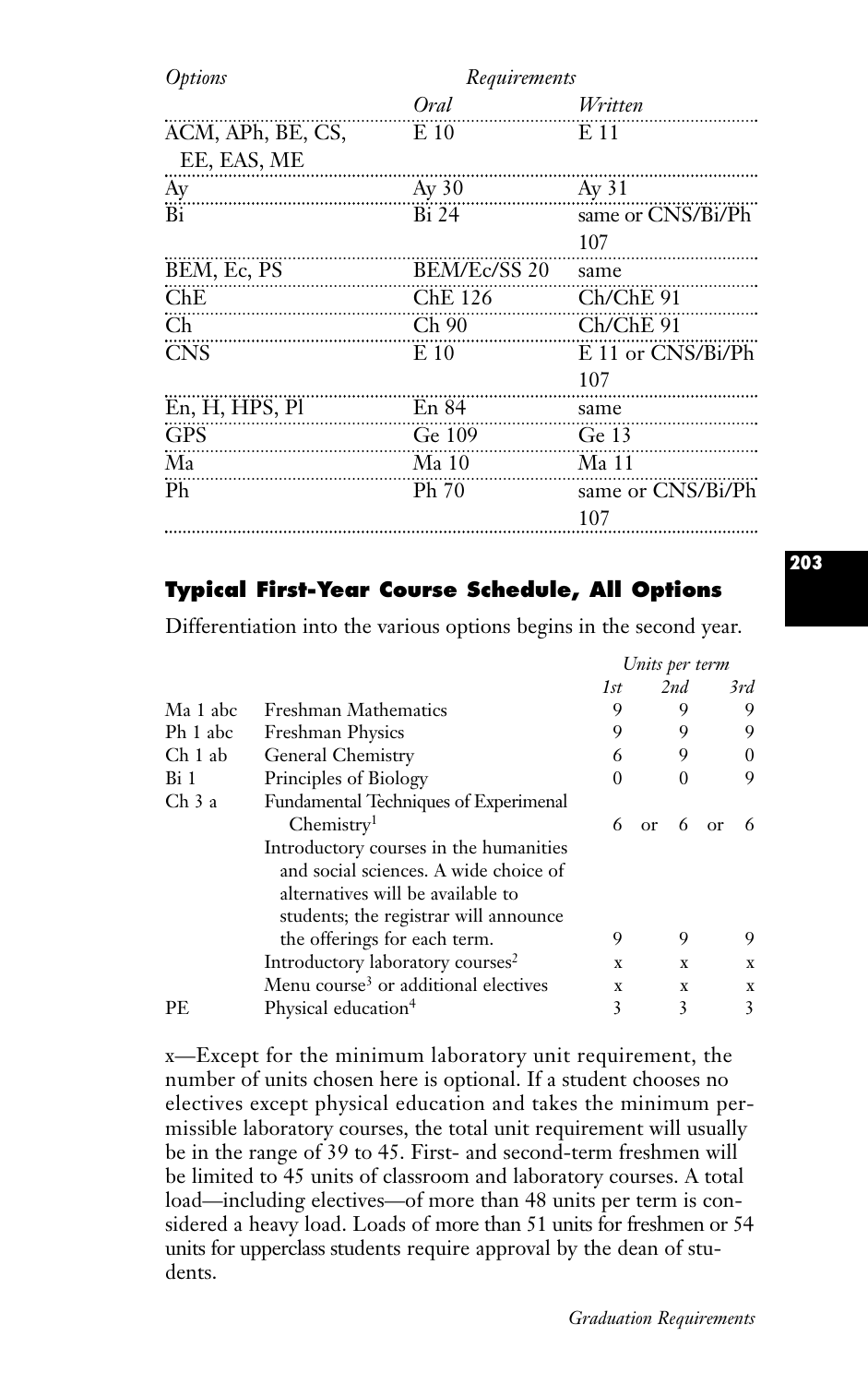| <i>Options</i>                   | Requirements |                       |
|----------------------------------|--------------|-----------------------|
|                                  | Oral         | Written               |
| ACM, APh, BE, CS,<br>EE, EAS, ME | $E_{10}$     | E 11                  |
| Ay                               | $Ay\,30$     | Ay 31                 |
| Bi                               | <b>Bi</b> 24 | same or CNS/Bi/Ph     |
|                                  |              | 107                   |
| BEM, Ec, PS                      | BEM/Ec/SS 20 | same                  |
| ChE                              | ChE 126      | $Ch/ChE$ 91           |
| $\mathop{\mathrm{Ch}}\nolimits$  | Ch90         | $Ch/ChE$ 91           |
| <b>CNS</b>                       | E 10         | $E$ 11 or $CNS/Bi/Ph$ |
|                                  |              | 107                   |
| En, H, HPS, Pl                   | En 84        | same                  |
| <b>GPS</b>                       | Ge 109       | Ge 13<br>.            |
| Ma                               | Ma 10        | Ma 11                 |
| Ph                               | Ph 70        | same or CNS/Bi/Ph     |
|                                  |              | 107<br>               |

# **Typical First-Year Course Schedule, All Options**

Differentiation into the various options begins in the second year.

|                    |                                                                                                                                                               | Units per term |         |               |
|--------------------|---------------------------------------------------------------------------------------------------------------------------------------------------------------|----------------|---------|---------------|
|                    |                                                                                                                                                               | 1st            | 2nd     | 3rd           |
| Ma 1 abc           | Freshman Mathematics                                                                                                                                          | 9              | 9       | 9             |
| Ph 1 abc           | <b>Freshman Physics</b>                                                                                                                                       | 9              | 9       | 9             |
| Ch <sub>1</sub> ab | General Chemistry                                                                                                                                             | 6              | 9       | $\Omega$      |
| Bi 1               | Principles of Biology                                                                                                                                         | $\Omega$       | 0       | 9             |
| Ch <sub>3</sub> a  | <b>Fundamental Techniques of Experimenal</b><br>Chemistry <sup>1</sup>                                                                                        | 6              | 6<br>or | 6<br>$\alpha$ |
|                    | Introductory courses in the humanities<br>and social sciences. A wide choice of<br>alternatives will be available to<br>students; the registrar will announce |                |         |               |
|                    | the offerings for each term.                                                                                                                                  | 9              | 9       | 9             |
|                    | Introductory laboratory courses <sup>2</sup>                                                                                                                  | X              | X       | $\mathbf X$   |
|                    | Menu course <sup>3</sup> or additional electives                                                                                                              | X              | X       | $\mathbf X$   |
| PE.                | Physical education <sup>4</sup>                                                                                                                               | 3              | 3       | 3             |

x—Except for the minimum laboratory unit requirement, the number of units chosen here is optional. If a student chooses no electives except physical education and takes the minimum permissible laboratory courses, the total unit requirement will usually be in the range of 39 to 45. First- and second-term freshmen will be limited to 45 units of classroom and laboratory courses. A total load—including electives—of more than 48 units per term is considered a heavy load. Loads of more than 51 units for freshmen or 54 units for upperclass students require approval by the dean of students.

**203**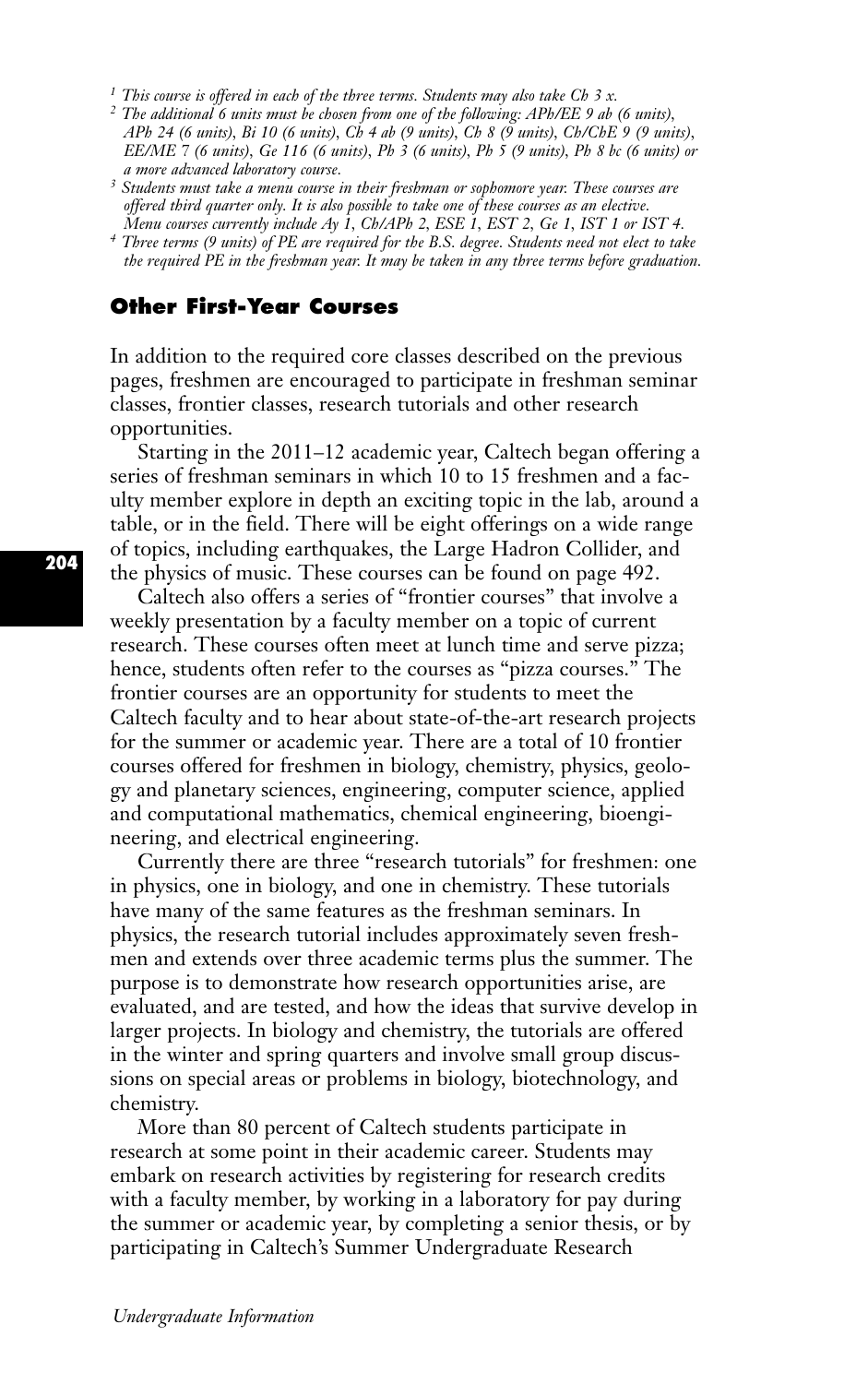*<sup>1</sup> This course is offered in each of the three terms. Students may also take Ch 3 x.*

- *<sup>2</sup> The additional 6 units must be chosen from one of the following: APh/EE 9 ab (6 units), APh 24 (6 units), Bi 10 (6 units), Ch 4 ab (9 units), Ch 8 (9 units), Ch/ChE 9 (9 units), EE/ME 7 (6 units), Ge 116 (6 units), Ph 3 (6 units), Ph 5 (9 units), Ph 8 bc (6 units) or a more advanced laboratory course.*
- *<sup>3</sup> Students must take a menu course in their freshman or sophomore year. These courses are offered third quarter only. It is also possible to take one of these courses as an elective.*
- *Menu courses currently include Ay 1, Ch/APh 2, ESE 1, EST 2, Ge 1, IST 1 or IST 4. 4 Three terms (9 units) of PE are required for the B.S. degree. Students need not elect to take the required PE in the freshman year. It may be taken in any three terms before graduation.*

# **Other First-Year Courses**

In addition to the required core classes described on the previous pages, freshmen are encouraged to participate in freshman seminar classes, frontier classes, research tutorials and other research opportunities.

Starting in the 2011–12 academic year, Caltech began offering a series of freshman seminars in which 10 to 15 freshmen and a faculty member explore in depth an exciting topic in the lab, around a table, or in the field. There will be eight offerings on a wide range of topics, including earthquakes, the Large Hadron Collider, and the physics of music. These courses can be found on page 492.

Caltech also offers a series of "frontier courses" that involve a weekly presentation by a faculty member on a topic of current research. These courses often meet at lunch time and serve pizza; hence, students often refer to the courses as "pizza courses." The frontier courses are an opportunity for students to meet the Caltech faculty and to hear about state-of-the-art research projects for the summer or academic year. There are a total of 10 frontier courses offered for freshmen in biology, chemistry, physics, geology and planetary sciences, engineering, computer science, applied and computational mathematics, chemical engineering, bioengineering, and electrical engineering.

Currently there are three "research tutorials" for freshmen: one in physics, one in biology, and one in chemistry. These tutorials have many of the same features as the freshman seminars. In physics, the research tutorial includes approximately seven freshmen and extends over three academic terms plus the summer. The purpose is to demonstrate how research opportunities arise, are evaluated, and are tested, and how the ideas that survive develop in larger projects. In biology and chemistry, the tutorials are offered in the winter and spring quarters and involve small group discussions on special areas or problems in biology, biotechnology, and chemistry.

More than 80 percent of Caltech students participate in research at some point in their academic career. Students may embark on research activities by registering for research credits with a faculty member, by working in a laboratory for pay during the summer or academic year, by completing a senior thesis, or by participating in Caltech's Summer Undergraduate Research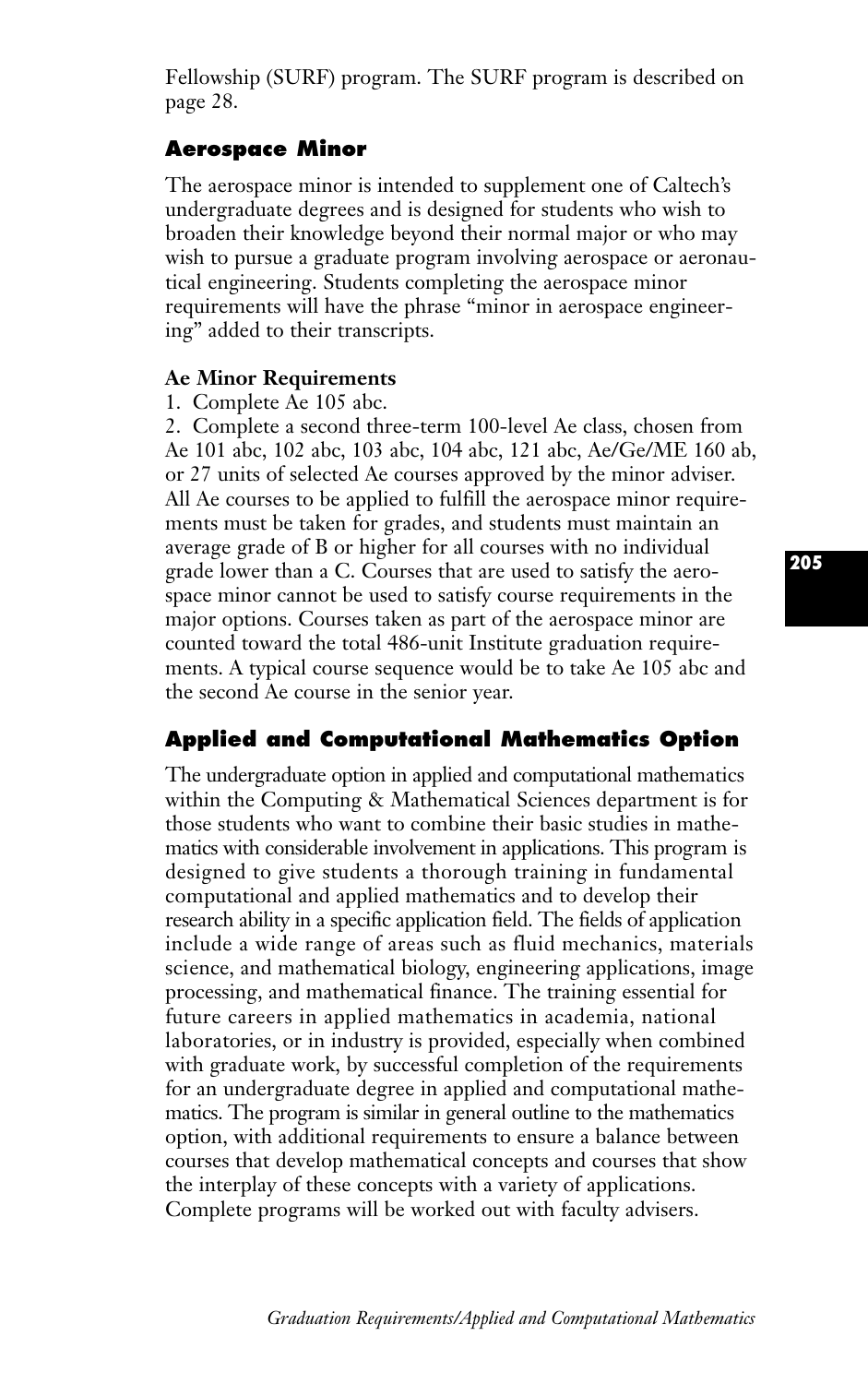Fellowship (SURF) program. The SURF program is described on page 28.

# **Aerospace Minor**

The aerospace minor is intended to supplement one of Caltech's undergraduate degrees and is designed for students who wish to broaden their knowledge beyond their normal major or who may wish to pursue a graduate program involving aerospace or aeronautical engineering. Students completing the aerospace minor requirements will have the phrase "minor in aerospace engineering" added to their transcripts.

# **Ae Minor Requirements**

1. Complete Ae 105 abc.

2. Complete a second three-term 100-level Ae class, chosen from Ae 101 abc, 102 abc, 103 abc, 104 abc, 121 abc, Ae/Ge/ME 160 ab, or 27 units of selected Ae courses approved by the minor adviser. All Ae courses to be applied to fulfill the aerospace minor requirements must be taken for grades, and students must maintain an average grade of B or higher for all courses with no individual grade lower than a C. Courses that are used to satisfy the aerospace minor cannot be used to satisfy course requirements in the major options. Courses taken as part of the aerospace minor are counted toward the total 486-unit Institute graduation requirements. A typical course sequence would be to take Ae 105 abc and the second Ae course in the senior year.

# **Applied and Computational Mathematics Option**

The undergraduate option in applied and computational mathematics within the Computing & Mathematical Sciences department is for those students who want to combine their basic studies in mathematics with considerable involvement in applications. This program is designed to give students a thorough training in fundamental computational and applied mathematics and to develop their research ability in a specific application field. The fields of application include a wide range of areas such as fluid mechanics, materials science, and mathematical biology, engineering applications, image processing, and mathematical finance. The training essential for future careers in applied mathematics in academia, national laboratories, or in industry is provided, especially when combined with graduate work, by successful completion of the requirements for an undergraduate degree in applied and computational mathematics. The program is similar in general outline to the mathematics option, with additional requirements to ensure a balance between courses that develop mathematical concepts and courses that show the interplay of these concepts with a variety of applications. Complete programs will be worked out with faculty advisers.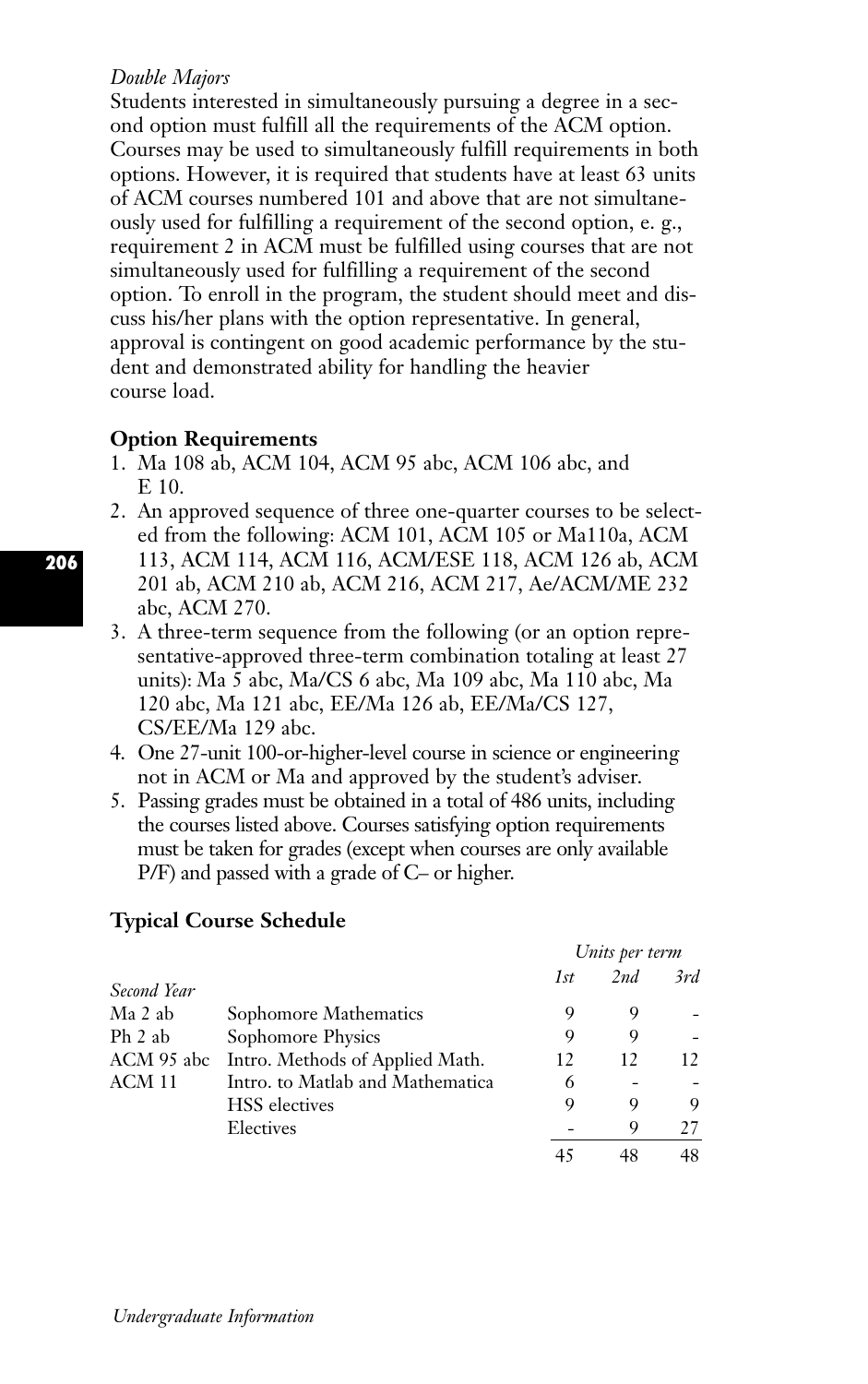# *Double Majors*

Students interested in simultaneously pursuing a degree in a second option must fulfill all the requirements of the ACM option. Courses may be used to simultaneously fulfill requirements in both options. However, it is required that students have at least 63 units of ACM courses numbered 101 and above that are not simultaneously used for fulfilling a requirement of the second option, e. g., requirement 2 in ACM must be fulfilled using courses that are not simultaneously used for fulfilling a requirement of the second option. To enroll in the program, the student should meet and discuss his/her plans with the option representative. In general, approval is contingent on good academic performance by the student and demonstrated ability for handling the heavier course load.

# **Option Requirements**

- 1. Ma 108 ab, ACM 104, ACM 95 abc, ACM 106 abc, and E 10.
- 2. An approved sequence of three one-quarter courses to be selected from the following: ACM 101, ACM 105 or Ma110a, ACM 113, ACM 114, ACM 116, ACM/ESE 118, ACM 126 ab, ACM 201 ab, ACM 210 ab, ACM 216, ACM 217, Ae/ACM/ME 232 abc, ACM 270.
- 3. A three-term sequence from the following (or an option representative-approved three-term combination totaling at least 27 units): Ma 5 abc, Ma/CS 6 abc, Ma 109 abc, Ma 110 abc, Ma 120 abc, Ma 121 abc, EE/Ma 126 ab, EE/Ma/CS 127, CS/EE/Ma 129 abc.
- 4. One 27-unit 100-or-higher-level course in science or engineering not in ACM or Ma and approved by the student's adviser.
- 5. Passing grades must be obtained in a total of 486 units, including the courses listed above. Courses satisfying option requirements must be taken for grades (except when courses are only available P/F) and passed with a grade of C– or higher.

# **Typical Course Schedule**

|             |                                  | Units per term |     |     |
|-------------|----------------------------------|----------------|-----|-----|
| Second Year |                                  | 1st            | 2nd | 3rd |
| Ma 2 ab     | Sophomore Mathematics            | 9              | 9   |     |
| Ph 2 ab     | Sophomore Physics                | 9              | 9   |     |
| ACM 95 abc  | Intro. Methods of Applied Math.  | 12             | 12  | 12. |
| ACM 11      | Intro. to Matlab and Mathematica | 6              |     |     |
|             | <b>HSS</b> electives             | 9              | 9   | 9   |
|             | Electives                        |                | 9   | 27  |
|             |                                  |                | 48  | 48  |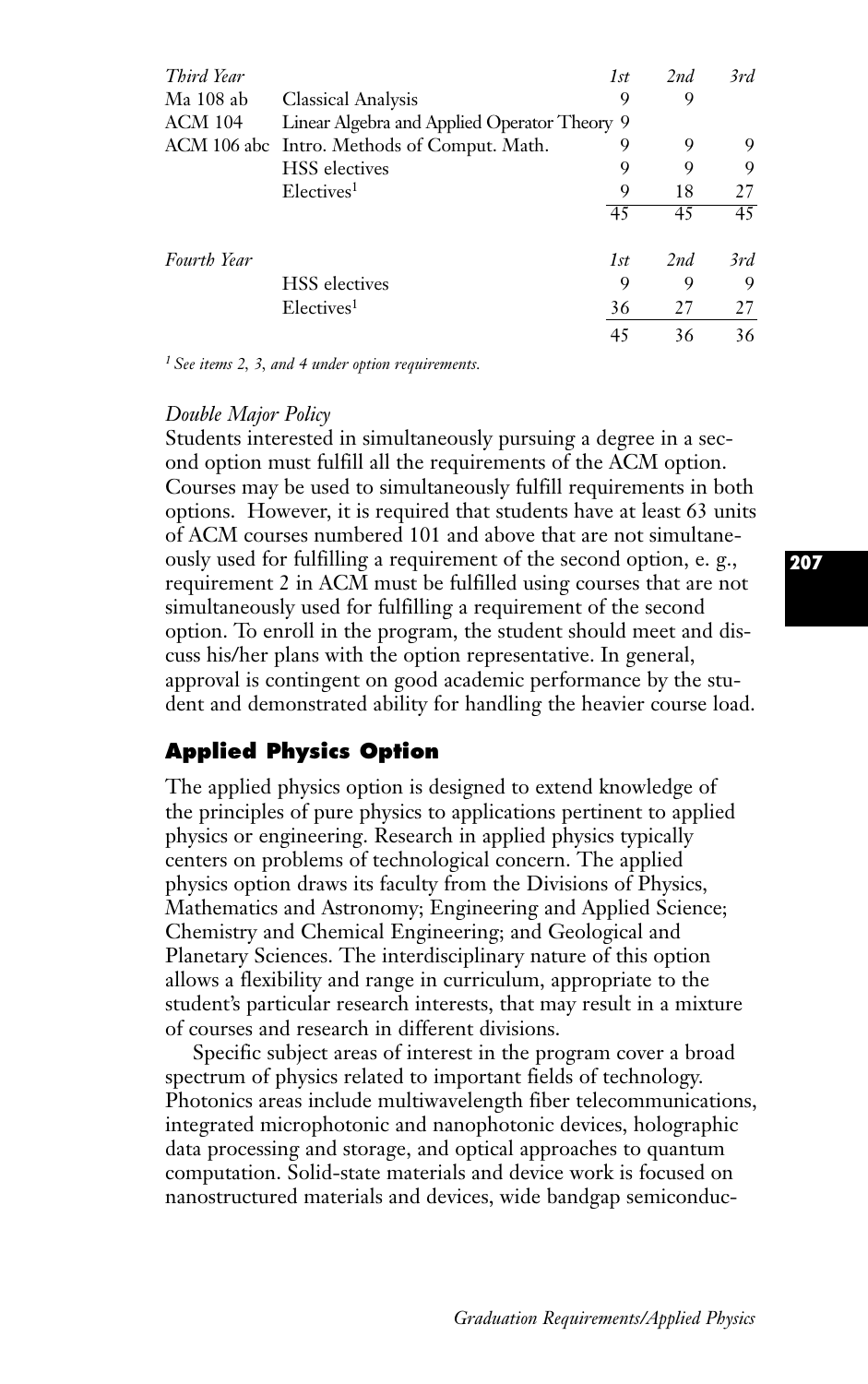| Third Year     |                                              | 1st | 2nd | 3rd |
|----------------|----------------------------------------------|-----|-----|-----|
| Ma 108 ab      | <b>Classical Analysis</b>                    | 9   | 9   |     |
| <b>ACM 104</b> | Linear Algebra and Applied Operator Theory 9 |     |     |     |
|                | ACM 106 abc Intro. Methods of Comput. Math.  | 9   | 9   | 9   |
|                | <b>HSS</b> electives                         | 9   | 9   | 9   |
|                | Electives <sup>1</sup>                       | 9   | 18  | 27  |
|                |                                              | 45  | 45  | 45  |
| Fourth Year    |                                              | 1st | 2nd | 3rd |
|                | <b>HSS</b> electives                         | 9   | 9   | 9   |
|                | Electives <sup>1</sup>                       | 36  | 27  | 27  |
|                |                                              | 45  | 36  | 36  |

*<sup>1</sup> See items 2, 3, and 4 under option requirements.*

#### *Double Major Policy*

Students interested in simultaneously pursuing a degree in a second option must fulfill all the requirements of the ACM option. Courses may be used to simultaneously fulfill requirements in both options. However, it is required that students have at least 63 units of ACM courses numbered 101 and above that are not simultaneously used for fulfilling a requirement of the second option, e. g., requirement 2 in ACM must be fulfilled using courses that are not simultaneously used for fulfilling a requirement of the second option. To enroll in the program, the student should meet and discuss his/her plans with the option representative. In general, approval is contingent on good academic performance by the student and demonstrated ability for handling the heavier course load.

# **Applied Physics Option**

The applied physics option is designed to extend knowledge of the principles of pure physics to applications pertinent to applied physics or engineering. Research in applied physics typically centers on problems of technological concern. The applied physics option draws its faculty from the Divisions of Physics, Mathematics and Astronomy; Engineering and Applied Science; Chemistry and Chemical Engineering; and Geological and Planetary Sciences. The interdisciplinary nature of this option allows a flexibility and range in curriculum, appropriate to the student's particular research interests, that may result in a mixture of courses and research in different divisions.

Specific subject areas of interest in the program cover a broad spectrum of physics related to important fields of technology. Photonics areas include multiwavelength fiber telecommunications, integrated microphotonic and nanophotonic devices, holographic data processing and storage, and optical approaches to quantum computation. Solid-state materials and device work is focused on nanostructured materials and devices, wide bandgap semiconduc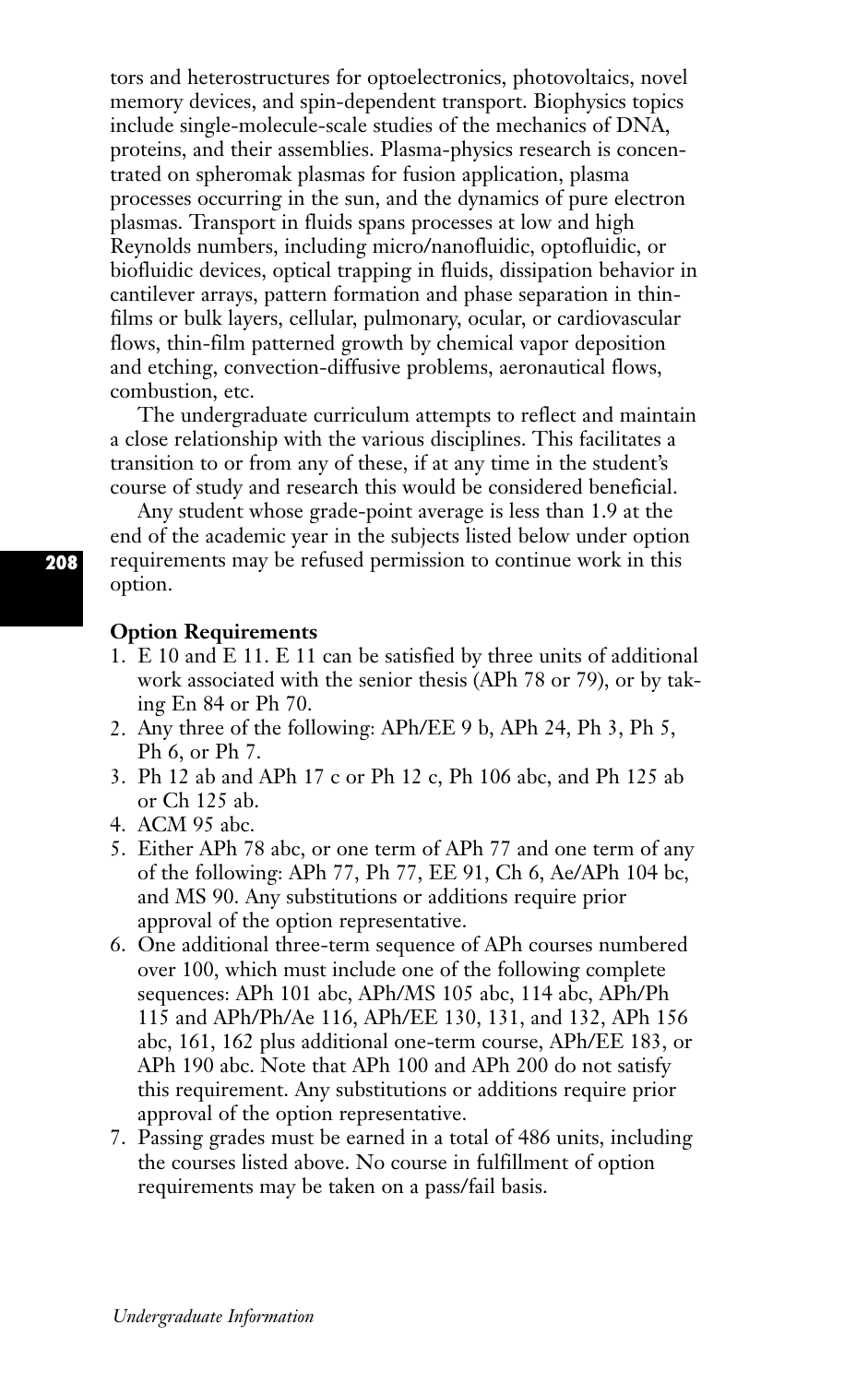tors and heterostructures for optoelectronics, photovoltaics, novel memory devices, and spin-dependent transport. Biophysics topics include single-molecule-scale studies of the mechanics of DNA, proteins, and their assemblies. Plasma-physics research is concentrated on spheromak plasmas for fusion application, plasma processes occurring in the sun, and the dynamics of pure electron plasmas. Transport in fluids spans processes at low and high Reynolds numbers, including micro/nanofluidic, optofluidic, or biofluidic devices, optical trapping in fluids, dissipation behavior in cantilever arrays, pattern formation and phase separation in thinfilms or bulk layers, cellular, pulmonary, ocular, or cardiovascular flows, thin-film patterned growth by chemical vapor deposition and etching, convection-diffusive problems, aeronautical flows, combustion, etc.

The undergraduate curriculum attempts to reflect and maintain a close relationship with the various disciplines. This facilitates a transition to or from any of these, if at any time in the student's course of study and research this would be considered beneficial.

Any student whose grade-point average is less than 1.9 at the end of the academic year in the subjects listed below under option requirements may be refused permission to continue work in this option.

# **Option Requirements**

- 1. E 10 and E 11. E 11 can be satisfied by three units of additional work associated with the senior thesis (APh 78 or 79), or by taking En 84 or Ph 70.
- 2. Any three of the following: APh/EE 9 b, APh 24, Ph 3, Ph 5, Ph 6, or Ph 7.
- 3. Ph 12 ab and APh 17 c or Ph 12 c, Ph 106 abc, and Ph 125 ab or Ch 125 ab.
- 4. ACM 95 abc.
- 5. Either APh 78 abc, or one term of APh 77 and one term of any of the following: APh 77, Ph 77, EE 91, Ch 6, Ae/APh 104 bc, and MS 90. Any substitutions or additions require prior approval of the option representative.
- 6. One additional three-term sequence of APh courses numbered over 100, which must include one of the following complete sequences: APh 101 abc, APh/MS 105 abc, 114 abc, APh/Ph 115 and APh/Ph/Ae 116, APh/EE 130, 131, and 132, APh 156 abc, 161, 162 plus additional one-term course, APh/EE 183, or APh 190 abc. Note that APh 100 and APh 200 do not satisfy this requirement. Any substitutions or additions require prior approval of the option representative.
- 7. Passing grades must be earned in a total of 486 units, including the courses listed above. No course in fulfillment of option requirements may be taken on a pass/fail basis.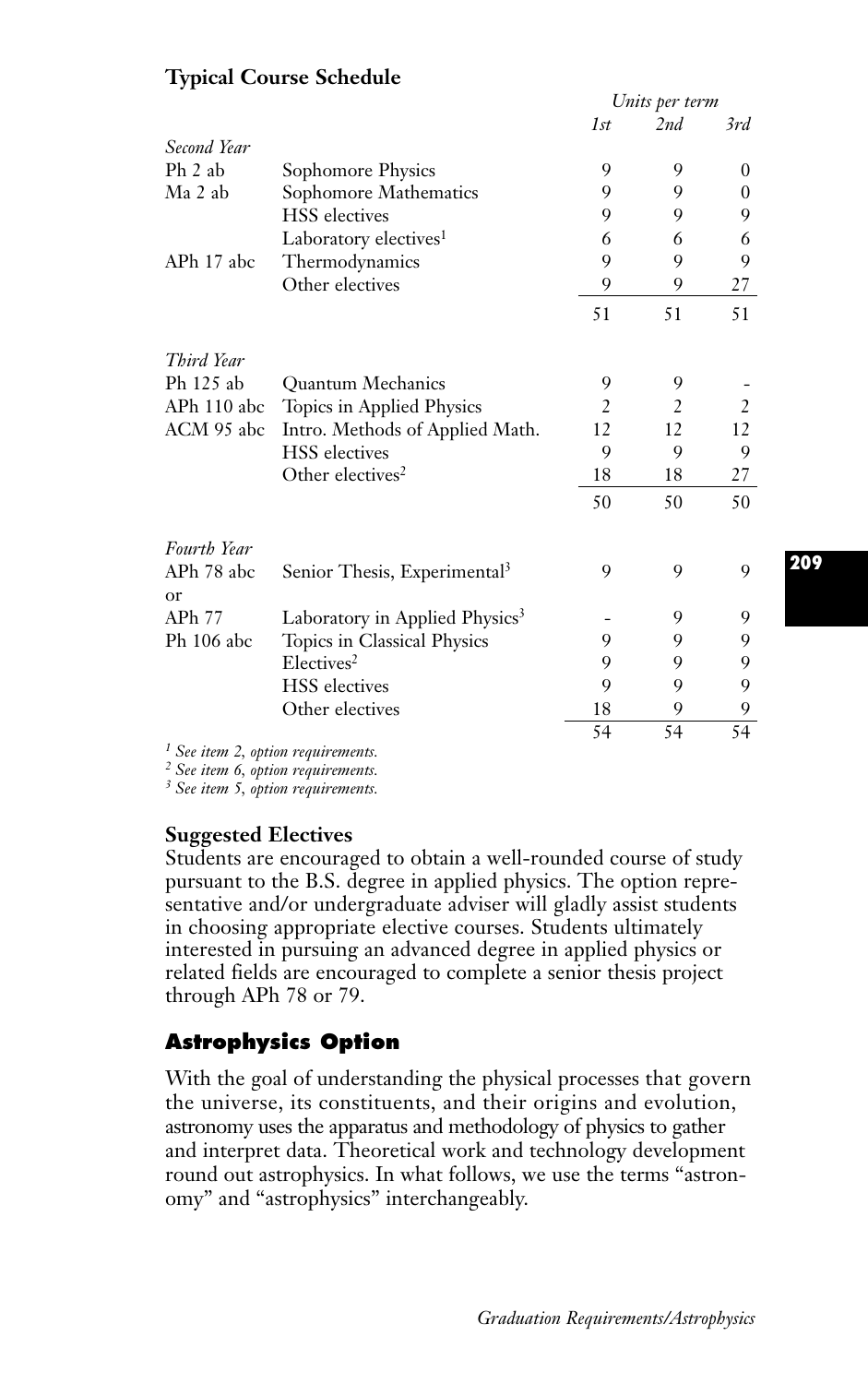|                  |                                            | Units per term |     |     |
|------------------|--------------------------------------------|----------------|-----|-----|
|                  |                                            | 1st            | 2nd | 3rd |
| Second Year      |                                            |                |     |     |
| $Ph$ 2 ab        | Sophomore Physics                          | 9              | 9   | 0   |
| Ma 2 ab          | Sophomore Mathematics                      | 9              | 9   | 0   |
|                  | <b>HSS</b> electives                       | 9              | 9   | 9   |
|                  | Laboratory electives <sup>1</sup>          | 6              | 6   | 6   |
| APh 17 abc       | Thermodynamics                             | 9              | 9   | 9   |
|                  | Other electives                            | 9              | 9   | 27  |
|                  |                                            | 51             | 51  | 51  |
| Third Year       |                                            |                |     |     |
| Ph 125 ab        | <b>Ouantum Mechanics</b>                   | 9              | 9   |     |
| APh 110 abc      | Topics in Applied Physics                  | $\overline{2}$ | 2   | 2   |
| ACM 95 abc       | Intro. Methods of Applied Math.            | 12             | 12  | 12  |
|                  | <b>HSS</b> electives                       | 9              | 9   | 9   |
|                  | Other electives <sup>2</sup>               | 18             | 18  | 27  |
|                  |                                            | 50             | 50  | 50  |
| Fourth Year      |                                            |                |     |     |
| APh 78 abc<br>or | Senior Thesis, Experimental <sup>3</sup>   | 9              | 9   | 9   |
| APh 77           | Laboratory in Applied Physics <sup>3</sup> |                | 9   | 9   |
| Ph 106 abc       | Topics in Classical Physics                | 9              | 9   | 9   |
|                  | Electives <sup>2</sup>                     | 9              | 9   | 9   |
|                  | <b>HSS</b> electives                       | 9              | 9   | 9   |
|                  | Other electives                            | 18             | 9   | 9   |
|                  |                                            | 54             | 54  | 54  |

# **Typical Course Schedule**

*<sup>1</sup> See item 2, option requirements.*

*<sup>2</sup> See item 6, option requirements.*

*<sup>3</sup> See item 5, option requirements.*

# **Suggested Electives**

Students are encouraged to obtain a well-rounded course of study pursuant to the B.S. degree in applied physics. The option representative and/or undergraduate adviser will gladly assist students in choosing appropriate elective courses. Students ultimately interested in pursuing an advanced degree in applied physics or related fields are encouraged to complete a senior thesis project through APh 78 or 79.

# **Astrophysics Option**

With the goal of understanding the physical processes that govern the universe, its constituents, and their origins and evolution, astronomy uses the apparatus and methodology of physics to gather and interpret data. Theoretical work and technology development round out astrophysics. In what follows, we use the terms "astronomy" and "astrophysics" interchangeably.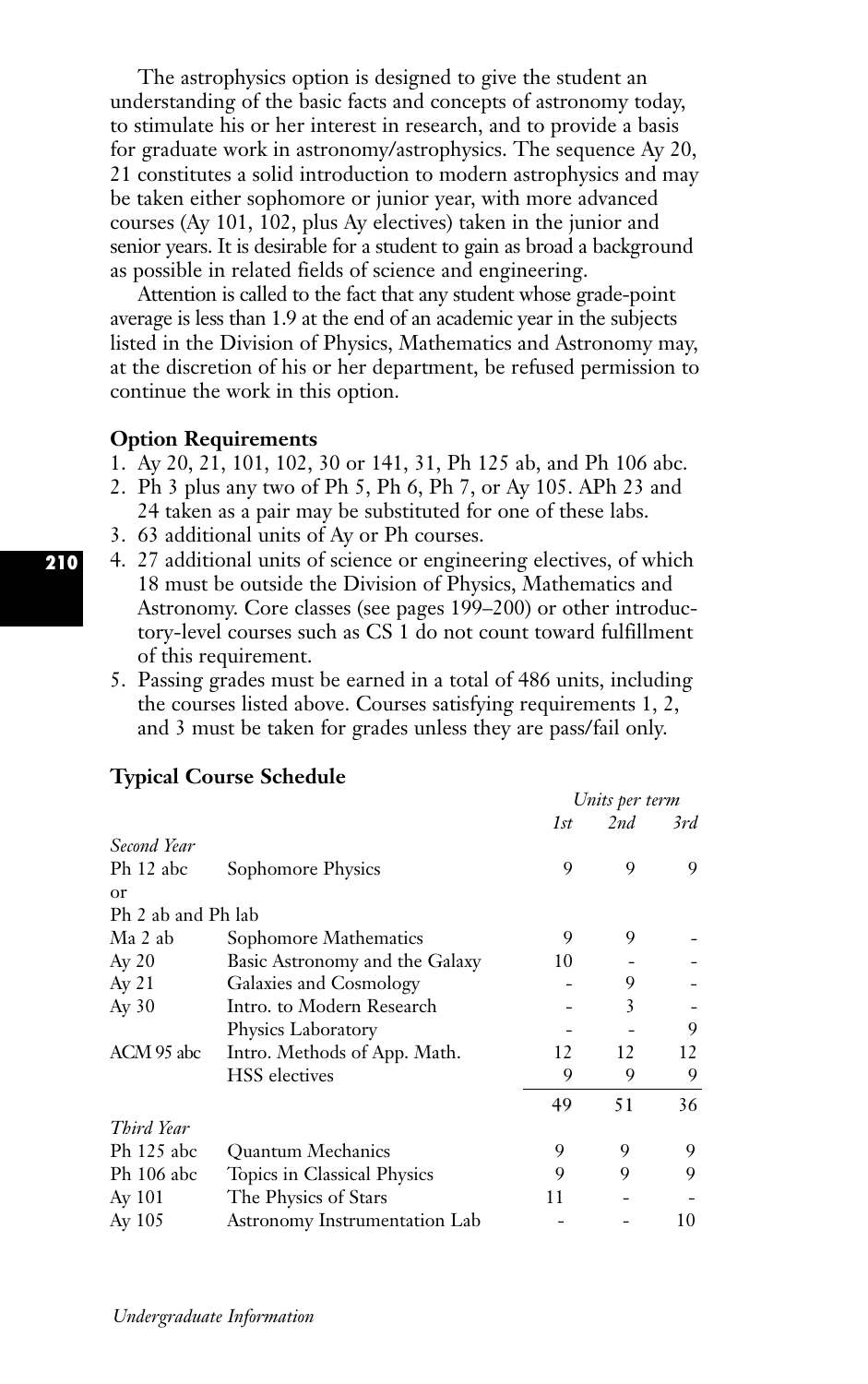The astrophysics option is designed to give the student an understanding of the basic facts and concepts of astronomy today, to stimulate his or her interest in research, and to provide a basis for graduate work in astronomy/astrophysics. The sequence Ay 20, 21 constitutes a solid introduction to modern astrophysics and may be taken either sophomore or junior year, with more advanced courses (Ay 101, 102, plus Ay electives) taken in the junior and senior years. It is desirable for a student to gain as broad a background as possible in related fields of science and engineering.

Attention is called to the fact that any student whose grade-point average is less than 1.9 at the end of an academic year in the subjects listed in the Division of Physics, Mathematics and Astronomy may, at the discretion of his or her department, be refused permission to continue the work in this option.

#### **Option Requirements**

- 1. Ay 20, 21, 101, 102, 30 or 141, 31, Ph 125 ab, and Ph 106 abc.
- 2. Ph 3 plus any two of Ph 5, Ph 6, Ph 7, or Ay 105. APh 23 and
- 24 taken as a pair may be substituted for one of these labs.
- 3. 63 additional units of Ay or Ph courses.
- 4. 27 additional units of science or engineering electives, of which 18 must be outside the Division of Physics, Mathematics and Astronomy. Core classes (see pages 199–200) or other introductory-level courses such as CS 1 do not count toward fulfillment of this requirement.
- 5. Passing grades must be earned in a total of 486 units, including the courses listed above. Courses satisfying requirements 1, 2, and 3 must be taken for grades unless they are pass/fail only.

|                    |                                | Units per term |     |     |
|--------------------|--------------------------------|----------------|-----|-----|
|                    |                                | 1st            | 2nd | 3rd |
| Second Year        |                                |                |     |     |
| Ph 12 abc          | Sophomore Physics              | 9              | 9   | 9   |
| or                 |                                |                |     |     |
| Ph 2 ab and Ph lab |                                |                |     |     |
| Ma 2 ab            | Sophomore Mathematics          | 9              | 9   |     |
| Ay 20              | Basic Astronomy and the Galaxy | 10             |     |     |
| Ay 21              | Galaxies and Cosmology         |                | 9   |     |
| Ay 30              | Intro. to Modern Research      |                | 3   |     |
|                    | Physics Laboratory             |                |     | 9   |
| ACM 95 abc         | Intro. Methods of App. Math.   | 12             | 12  | 12  |
|                    | <b>HSS</b> electives           | 9              | 9   | 9   |
|                    |                                | 49             | 51  | 36  |
| Third Year         |                                |                |     |     |
| Ph 125 abc         | <b>Ouantum Mechanics</b>       | 9              | 9   | 9   |
| Ph 106 abc         | Topics in Classical Physics    | 9              | 9   | 9   |
| Ay 101             | The Physics of Stars           | 11             |     |     |
| Ay $105$           | Astronomy Instrumentation Lab  |                |     | 10  |

## **Typical Course Schedule**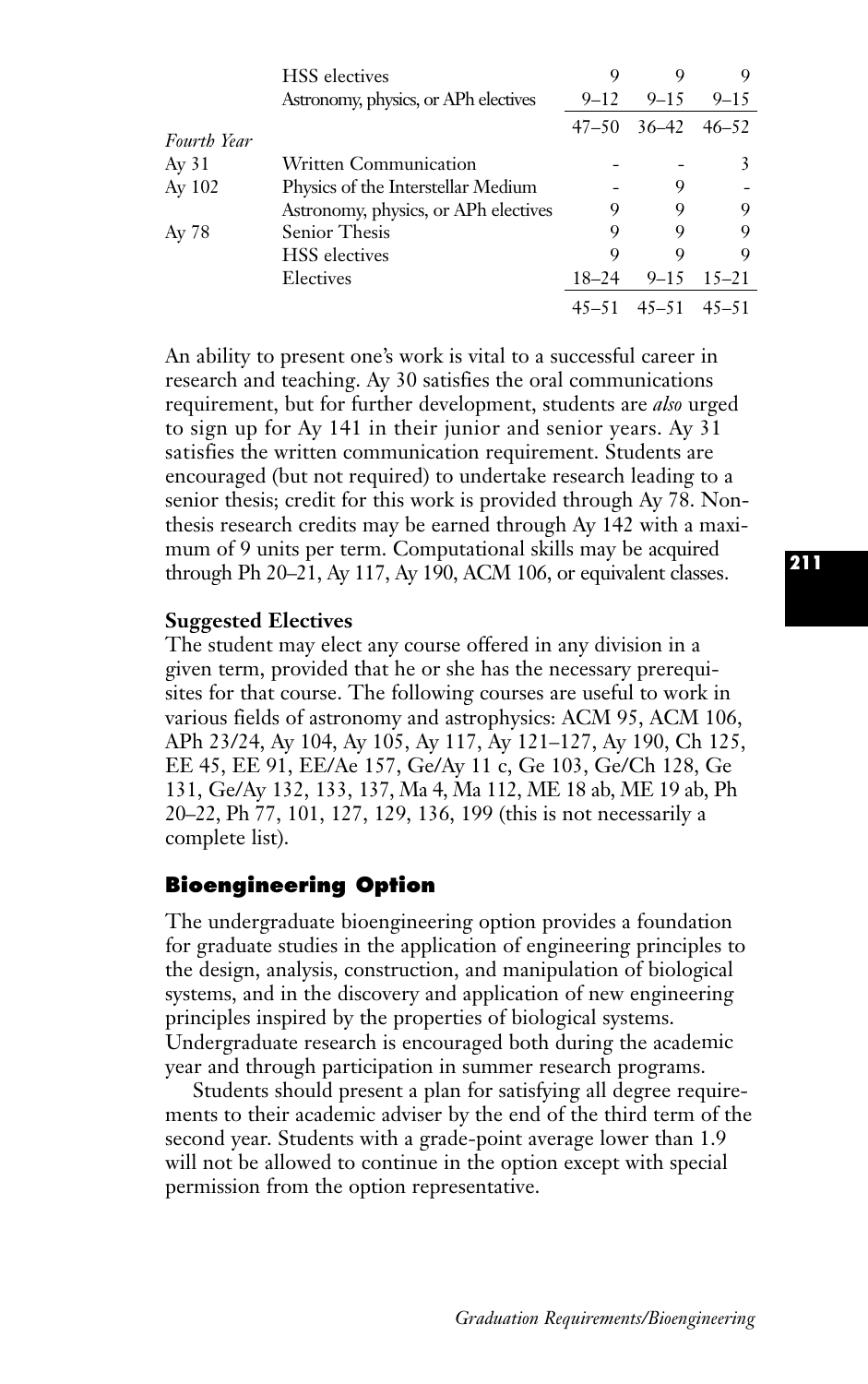|             | <b>HSS</b> electives                 |           |           |                 |
|-------------|--------------------------------------|-----------|-----------|-----------------|
|             | Astronomy, physics, or APh electives | $9 - 12$  | $9 - 15$  | $9 - 15$        |
| Fourth Year |                                      | $47 - 50$ |           | $36-42$ $46-52$ |
| Ay 31       | Written Communication                |           |           | 3               |
| Ay 102      | Physics of the Interstellar Medium   |           | 9         |                 |
|             | Astronomy, physics, or APh electives | 9         | 9         | 9               |
| Ay 78       | Senior Thesis                        | 9         | 9         | 9               |
|             | <b>HSS</b> electives                 | Q         | Q         | 9               |
|             | Electives                            | $18 - 24$ | $9 - 15$  | $15 - 21$       |
|             |                                      | $45 - 51$ | $45 - 51$ | $45 - 51$       |

An ability to present one's work is vital to a successful career in research and teaching. Ay 30 satisfies the oral communications requirement, but for further development, students are *also* urged to sign up for Ay 141 in their junior and senior years. Ay 31 satisfies the written communication requirement. Students are encouraged (but not required) to undertake research leading to a senior thesis; credit for this work is provided through Ay 78. Nonthesis research credits may be earned through Ay 142 with a maximum of 9 units per term. Computational skills may be acquired through Ph 20–21, Ay 117, Ay 190, ACM 106, or equivalent classes.

## **Suggested Electives**

The student may elect any course offered in any division in a given term, provided that he or she has the necessary prerequisites for that course. The following courses are useful to work in various fields of astronomy and astrophysics: ACM 95, ACM 106, APh 23/24, Ay 104, Ay 105, Ay 117, Ay 121–127, Ay 190, Ch 125, EE 45, EE 91, EE/Ae 157, Ge/Ay 11 c, Ge 103, Ge/Ch 128, Ge 131, Ge/Ay 132, 133, 137, Ma 4, Ma 112, ME 18 ab, ME 19 ab, Ph 20–22, Ph 77, 101, 127, 129, 136, 199 (this is not necessarily a complete list).

# **Bioengineering Option**

The undergraduate bioengineering option provides a foundation for graduate studies in the application of engineering principles to the design, analysis, construction, and manipulation of biological systems, and in the discovery and application of new engineering principles inspired by the properties of biological systems. Undergraduate research is encouraged both during the academic year and through participation in summer research programs.

Students should present a plan for satisfying all degree requirements to their academic adviser by the end of the third term of the second year. Students with a grade-point average lower than 1.9 will not be allowed to continue in the option except with special permission from the option representative.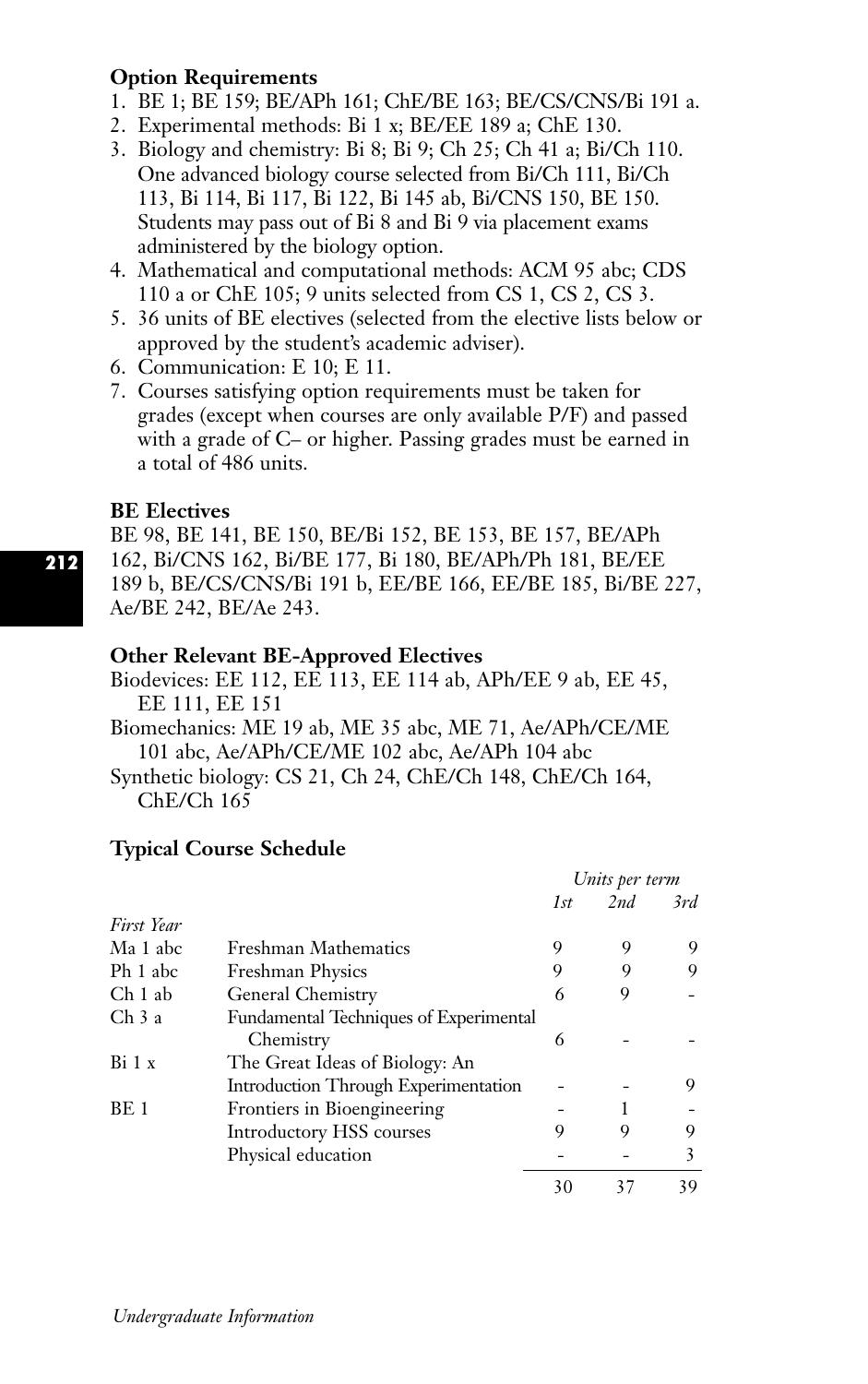# **Option Requirements**

- 1. BE 1; BE 159; BE/APh 161; ChE/BE 163; BE/CS/CNS/Bi 191 a.
- 2. Experimental methods: Bi 1 x; BE/EE 189 a; ChE 130.
- 3. Biology and chemistry: Bi 8; Bi 9; Ch 25; Ch 41 a; Bi/Ch 110. One advanced biology course selected from Bi/Ch 111, Bi/Ch 113, Bi 114, Bi 117, Bi 122, Bi 145 ab, Bi/CNS 150, BE 150. Students may pass out of Bi 8 and Bi 9 via placement exams administered by the biology option.
- 4. Mathematical and computational methods: ACM 95 abc; CDS 110 a or ChE 105; 9 units selected from CS 1, CS 2, CS 3.
- 5. 36 units of BE electives (selected from the elective lists below or approved by the student's academic adviser).
- 6. Communication: E 10; E 11.
- 7. Courses satisfying option requirements must be taken for grades (except when courses are only available P/F) and passed with a grade of C– or higher. Passing grades must be earned in a total of 486 units.

# **BE Electives**

BE 98, BE 141, BE 150, BE/Bi 152, BE 153, BE 157, BE/APh 162, Bi/CNS 162, Bi/BE 177, Bi 180, BE/APh/Ph 181, BE/EE 189 b, BE/CS/CNS/Bi 191 b, EE/BE 166, EE/BE 185, Bi/BE 227, Ae/BE 242, BE/Ae 243.

# **Other Relevant BE-Approved Electives**

Biodevices: EE 112, EE 113, EE 114 ab, APh/EE 9 ab, EE 45, EE 111, EE 151

Biomechanics: ME 19 ab, ME 35 abc, ME 71, Ae/APh/CE/ME 101 abc, Ae/APh/CE/ME 102 abc, Ae/APh 104 abc

Synthetic biology: CS 21, Ch 24, ChE/Ch 148, ChE/Ch 164, ChE/Ch 165

# **Typical Course Schedule**

|            |                                        | Units per term |     |     |
|------------|----------------------------------------|----------------|-----|-----|
|            |                                        | 1st            | 2nd | 3rd |
| First Year |                                        |                |     |     |
| Ma 1 abc   | <b>Freshman Mathematics</b>            | 9              | 9   | 9   |
| Ph 1 abc   | <b>Freshman Physics</b>                | 9              | 9   | 9   |
| Ch 1 ab    | General Chemistry                      | 6              | 9   |     |
| Ch 3 a     | Fundamental Techniques of Experimental |                |     |     |
|            | Chemistry                              | 6              |     |     |
| Bi 1 x     | The Great Ideas of Biology: An         |                |     |     |
|            | Introduction Through Experimentation   |                |     | 9   |
| BE 1       | Frontiers in Bioengineering            |                |     |     |
|            | Introductory HSS courses               | 9              | 9   | 9   |
|            | Physical education                     |                |     | 3   |
|            |                                        | 30             | 37  | 39  |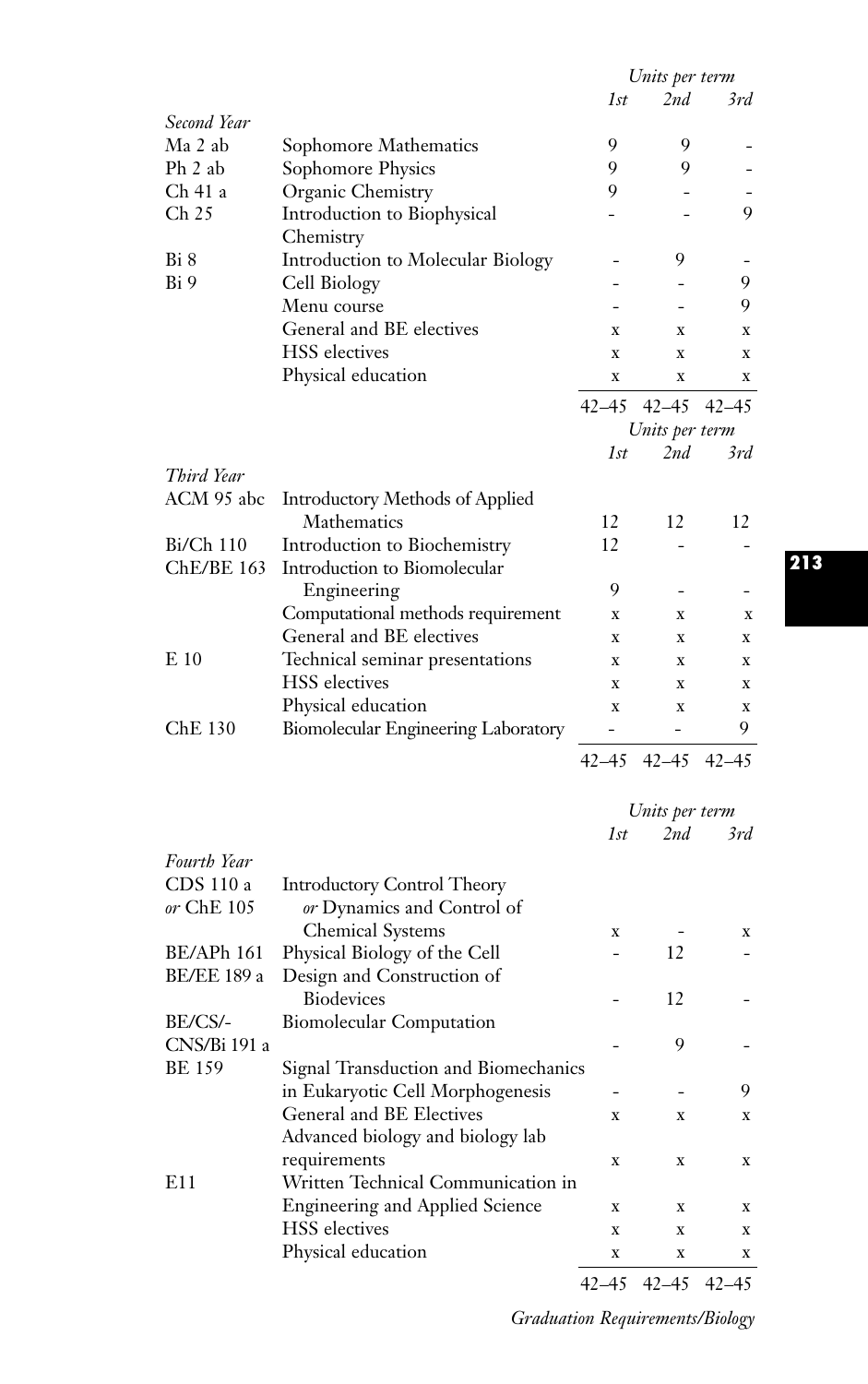|                    |                                        |             | Units per term |             |
|--------------------|----------------------------------------|-------------|----------------|-------------|
|                    |                                        | 1st         | 2nd            | 3rd         |
| Second Year        |                                        |             |                |             |
| Ma 2 ab            | Sophomore Mathematics                  | 9           | 9              |             |
| Ph 2 ab            | Sophomore Physics                      | 9           | 9              |             |
| Ch 41 a            | Organic Chemistry                      | 9           |                |             |
| Ch 25              | Introduction to Biophysical            |             |                | 9           |
|                    | Chemistry                              |             |                |             |
| Bi 8               | Introduction to Molecular Biology      |             | 9              |             |
| Bi 9               | Cell Biology                           |             | L.             | 9           |
|                    | Menu course                            |             |                | 9           |
|                    | General and BE electives               | x           | x              | X           |
|                    | <b>HSS</b> electives                   | x           | x              | x           |
|                    | Physical education                     | x           | X              | x           |
|                    |                                        | 42–45       | $42 - 45$      | 42–45       |
|                    |                                        |             | Units per term |             |
|                    |                                        | 1st         | 2nd            | 3rd         |
| Third Year         |                                        |             |                |             |
| ACM 95 abc         | <b>Introductory Methods of Applied</b> |             |                |             |
|                    | Mathematics                            | 12          | 12             | 12          |
| $Bi/Ch$ 110        | Introduction to Biochemistry           | 12          |                |             |
| <b>ChE/BE 163</b>  | Introduction to Biomolecular           |             |                |             |
|                    | Engineering                            | 9           | $\overline{a}$ |             |
|                    | Computational methods requirement      | x           | x              | x           |
|                    | General and BE electives               | X           | x              | x           |
| E 10               | Technical seminar presentations        | x           | x              | x           |
|                    | <b>HSS</b> electives                   | x           | x              | x           |
|                    | Physical education                     | $\mathbf x$ | X              | x           |
| ChE 130            | Biomolecular Engineering Laboratory    | -           | -              | 9           |
|                    |                                        | $42 - 45$   | $42 - 45$      | $42 - 45$   |
|                    |                                        |             |                |             |
|                    |                                        |             | Units per term |             |
|                    |                                        | 1st         | 2nd            | 3rd         |
| <b>Fourth Year</b> |                                        |             |                |             |
| CDS 110 a          | <b>Introductory Control Theory</b>     |             |                |             |
| or ChE 105         | or Dynamics and Control of             |             |                |             |
|                    | <b>Chemical Systems</b>                | x           |                | x           |
| BE/APh 161         | Physical Biology of the Cell           |             | 12             |             |
| <b>BE/EE 189 a</b> | Design and Construction of             |             |                |             |
|                    | <b>Biodevices</b>                      |             | 12             |             |
| BE/CS/-            | <b>Biomolecular Computation</b>        |             |                |             |
| CNS/Bi 191 a       |                                        |             | 9              |             |
| BE 159             | Signal Transduction and Biomechanics   |             |                |             |
|                    | in Eukaryotic Cell Morphogenesis       |             |                | 9           |
|                    | General and BE Electives               | X           | x              | X           |
|                    | Advanced biology and biology lab       |             |                |             |
|                    | requirements                           | X           | X              | $\mathbf x$ |
| E11                | Written Technical Communication in     |             |                |             |
|                    | Engineering and Applied Science        | X           | X              | x           |
|                    | <b>HSS</b> electives                   | X           | X              | x           |
|                    | Physical education                     | X           | X              | X           |
|                    |                                        | $42 - 45$   | 42–45          | $42 - 45$   |

**213**

*Graduation Requirements/Biology*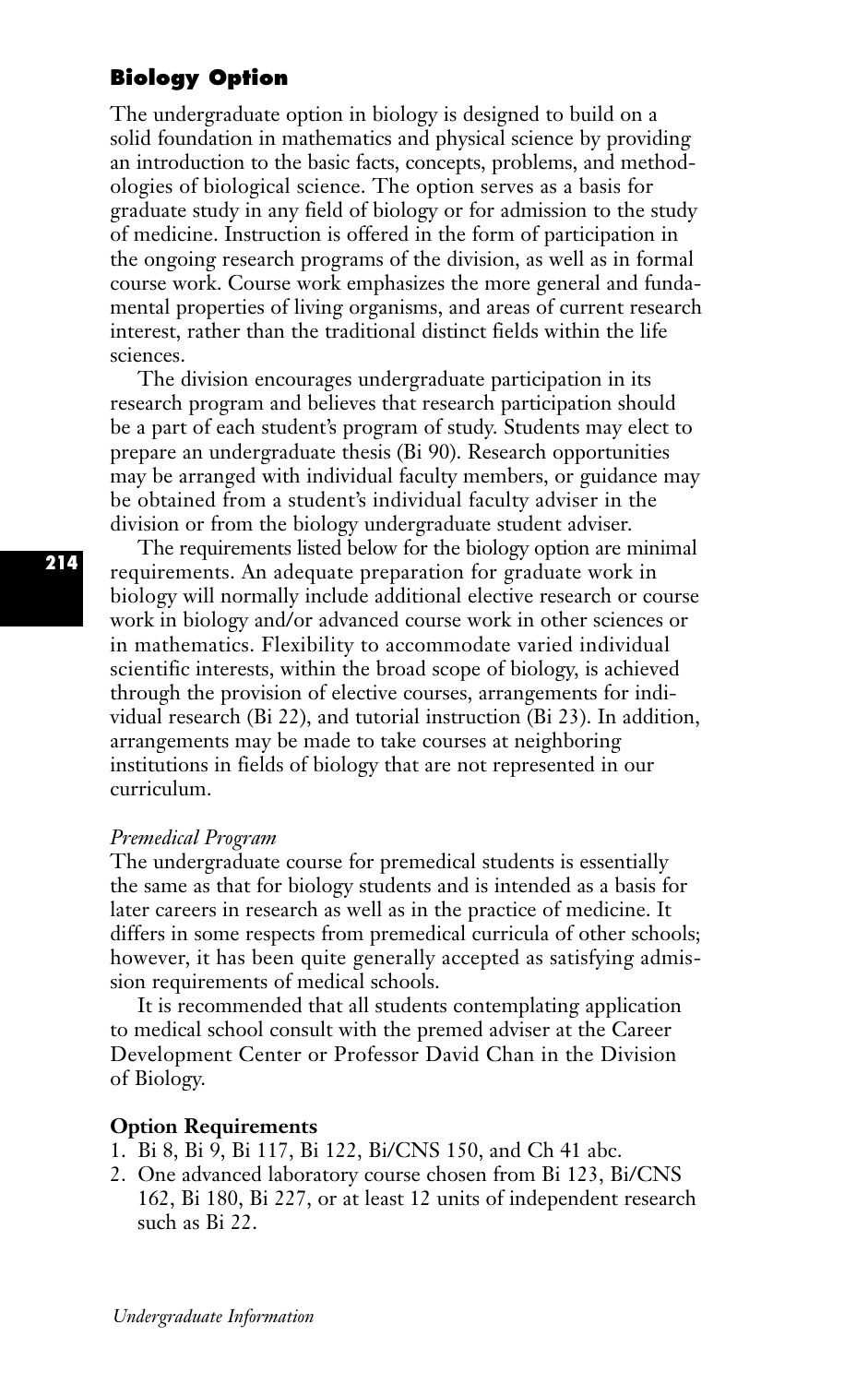# **Biology Option**

The undergraduate option in biology is designed to build on a solid foundation in mathematics and physical science by providing an introduction to the basic facts, concepts, problems, and methodologies of biological science. The option serves as a basis for graduate study in any field of biology or for admission to the study of medicine. Instruction is offered in the form of participation in the ongoing research programs of the division, as well as in formal course work. Course work emphasizes the more general and fundamental properties of living organisms, and areas of current research interest, rather than the traditional distinct fields within the life sciences.

The division encourages undergraduate participation in its research program and believes that research participation should be a part of each student's program of study. Students may elect to prepare an undergraduate thesis (Bi 90). Research opportunities may be arranged with individual faculty members, or guidance may be obtained from a student's individual faculty adviser in the division or from the biology undergraduate student adviser.

The requirements listed below for the biology option are minimal requirements. An adequate preparation for graduate work in biology will normally include additional elective research or course work in biology and/or advanced course work in other sciences or in mathematics. Flexibility to accommodate varied individual scientific interests, within the broad scope of biology, is achieved through the provision of elective courses, arrangements for individual research (Bi 22), and tutorial instruction (Bi 23). In addition, arrangements may be made to take courses at neighboring institutions in fields of biology that are not represented in our curriculum.

## *Premedical Program*

The undergraduate course for premedical students is essentially the same as that for biology students and is intended as a basis for later careers in research as well as in the practice of medicine. It differs in some respects from premedical curricula of other schools; however, it has been quite generally accepted as satisfying admission requirements of medical schools.

It is recommended that all students contemplating application to medical school consult with the premed adviser at the Career Development Center or Professor David Chan in the Division of Biology.

## **Option Requirements**

- 1. Bi 8, Bi 9, Bi 117, Bi 122, Bi/CNS 150, and Ch 41 abc.
- 2. One advanced laboratory course chosen from Bi 123, Bi/CNS 162, Bi 180, Bi 227, or at least 12 units of independent research such as Bi 22.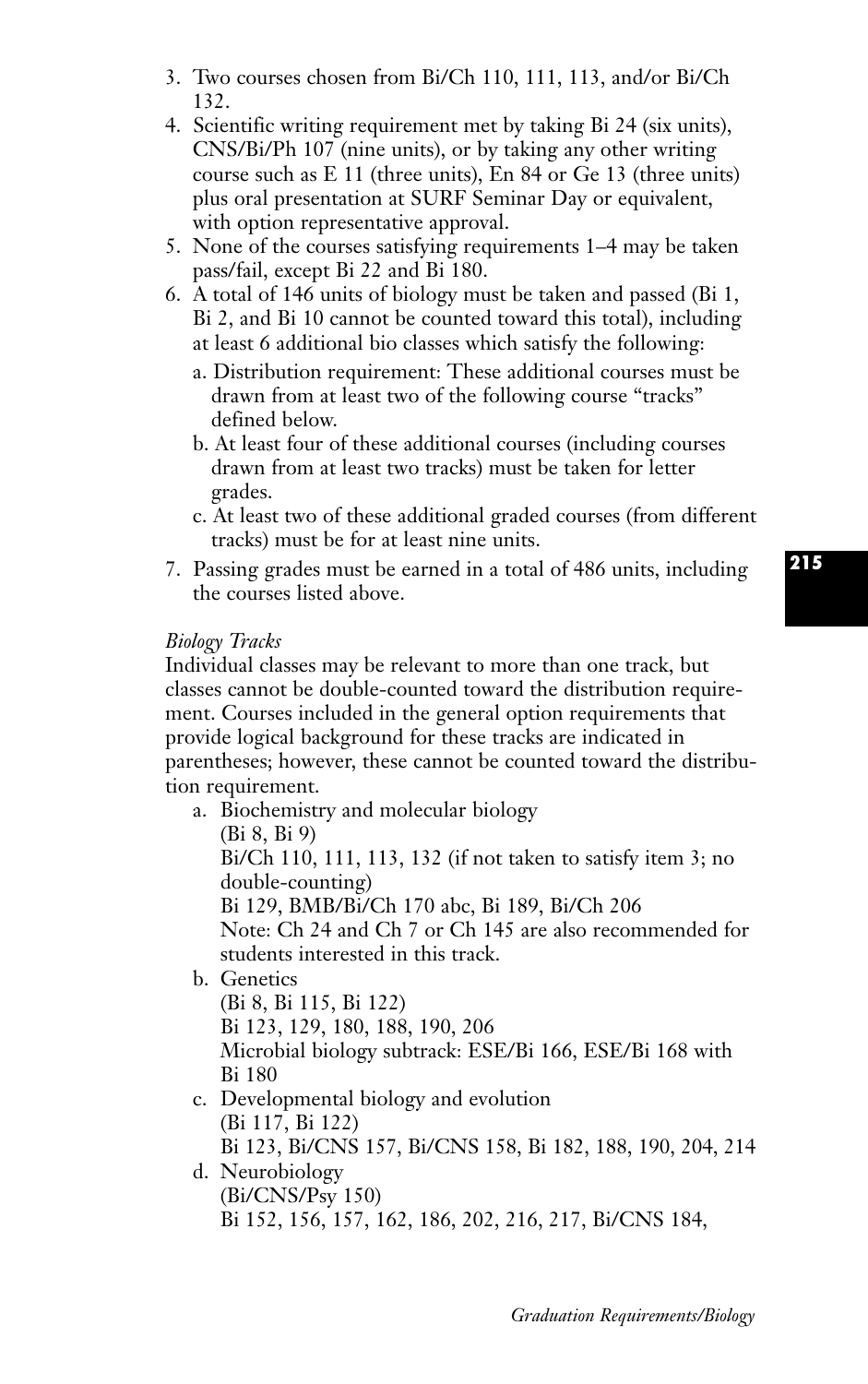- 3. Two courses chosen from Bi/Ch 110, 111, 113, and/or Bi/Ch 132.
- 4. Scientific writing requirement met by taking Bi 24 (six units), CNS/Bi/Ph 107 (nine units), or by taking any other writing course such as E 11 (three units), En 84 or Ge 13 (three units) plus oral presentation at SURF Seminar Day or equivalent, with option representative approval.
- 5. None of the courses satisfying requirements 1–4 may be taken pass/fail, except Bi 22 and Bi 180.
- 6. A total of 146 units of biology must be taken and passed (Bi 1, Bi 2, and Bi 10 cannot be counted toward this total), including at least 6 additional bio classes which satisfy the following:
	- a. Distribution requirement: These additional courses must be drawn from at least two of the following course "tracks" defined below.
	- b. At least four of these additional courses (including courses drawn from at least two tracks) must be taken for letter grades.
	- c. At least two of these additional graded courses (from different tracks) must be for at least nine units.
- 7. Passing grades must be earned in a total of 486 units, including the courses listed above.

## *Biology Tracks*

Individual classes may be relevant to more than one track, but classes cannot be double-counted toward the distribution requirement. Courses included in the general option requirements that provide logical background for these tracks are indicated in parentheses; however, these cannot be counted toward the distribution requirement.

a. Biochemistry and molecular biology

(Bi 8, Bi 9)

Bi/Ch 110, 111, 113, 132 (if not taken to satisfy item 3; no double-counting)

Bi 129, BMB/Bi/Ch 170 abc, Bi 189, Bi/Ch 206

Note: Ch 24 and Ch 7 or Ch 145 are also recommended for students interested in this track.

b. Genetics

(Bi 8, Bi 115, Bi 122) Bi 123, 129, 180, 188, 190, 206 Microbial biology subtrack: ESE/Bi 166, ESE/Bi 168 with Bi 180

- c. Developmental biology and evolution (Bi 117, Bi 122) Bi 123, Bi/CNS 157, Bi/CNS 158, Bi 182, 188, 190, 204, 214
- d. Neurobiology (Bi/CNS/Psy 150) Bi 152, 156, 157, 162, 186, 202, 216, 217, Bi/CNS 184,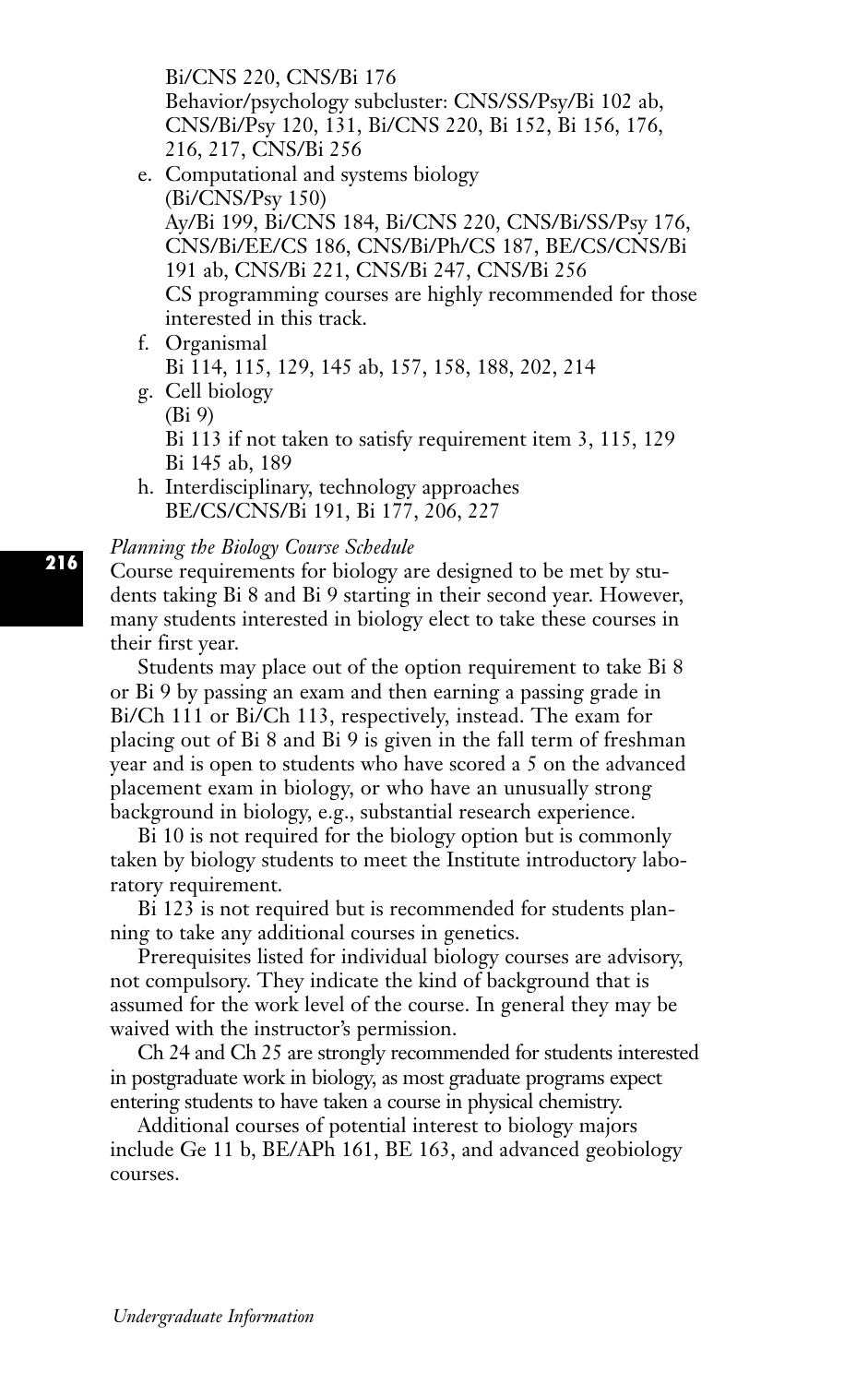Bi/CNS 220, CNS/Bi 176

Behavior/psychology subcluster: CNS/SS/Psy/Bi 102 ab, CNS/Bi/Psy 120, 131, Bi/CNS 220, Bi 152, Bi 156, 176, 216, 217, CNS/Bi 256

- e. Computational and systems biology (Bi/CNS/Psy 150) Ay/Bi 199, Bi/CNS 184, Bi/CNS 220, CNS/Bi/SS/Psy 176, CNS/Bi/EE/CS 186, CNS/Bi/Ph/CS 187, BE/CS/CNS/Bi 191 ab, CNS/Bi 221, CNS/Bi 247, CNS/Bi 256 CS programming courses are highly recommended for those interested in this track.
- f. Organismal Bi 114, 115, 129, 145 ab, 157, 158, 188, 202, 214 g. Cell biology
- (Bi 9) Bi 113 if not taken to satisfy requirement item 3, 115, 129 Bi 145 ab, 189
- h. Interdisciplinary, technology approaches BE/CS/CNS/Bi 191, Bi 177, 206, 227

#### *Planning the Biology Course Schedule*

Course requirements for biology are designed to be met by students taking Bi 8 and Bi 9 starting in their second year. However, many students interested in biology elect to take these courses in their first year.

Students may place out of the option requirement to take Bi 8 or Bi 9 by passing an exam and then earning a passing grade in Bi/Ch 111 or Bi/Ch 113, respectively, instead. The exam for placing out of Bi 8 and Bi 9 is given in the fall term of freshman year and is open to students who have scored a 5 on the advanced placement exam in biology, or who have an unusually strong background in biology, e.g., substantial research experience.

Bi 10 is not required for the biology option but is commonly taken by biology students to meet the Institute introductory laboratory requirement.

Bi 123 is not required but is recommended for students planning to take any additional courses in genetics.

Prerequisites listed for individual biology courses are advisory, not compulsory. They indicate the kind of background that is assumed for the work level of the course. In general they may be waived with the instructor's permission.

Ch 24 and Ch 25 are strongly recommended for students interested in postgraduate work in biology, as most graduate programs expect entering students to have taken a course in physical chemistry.

Additional courses of potential interest to biology majors include Ge 11 b, BE/APh 161, BE 163, and advanced geobiology courses.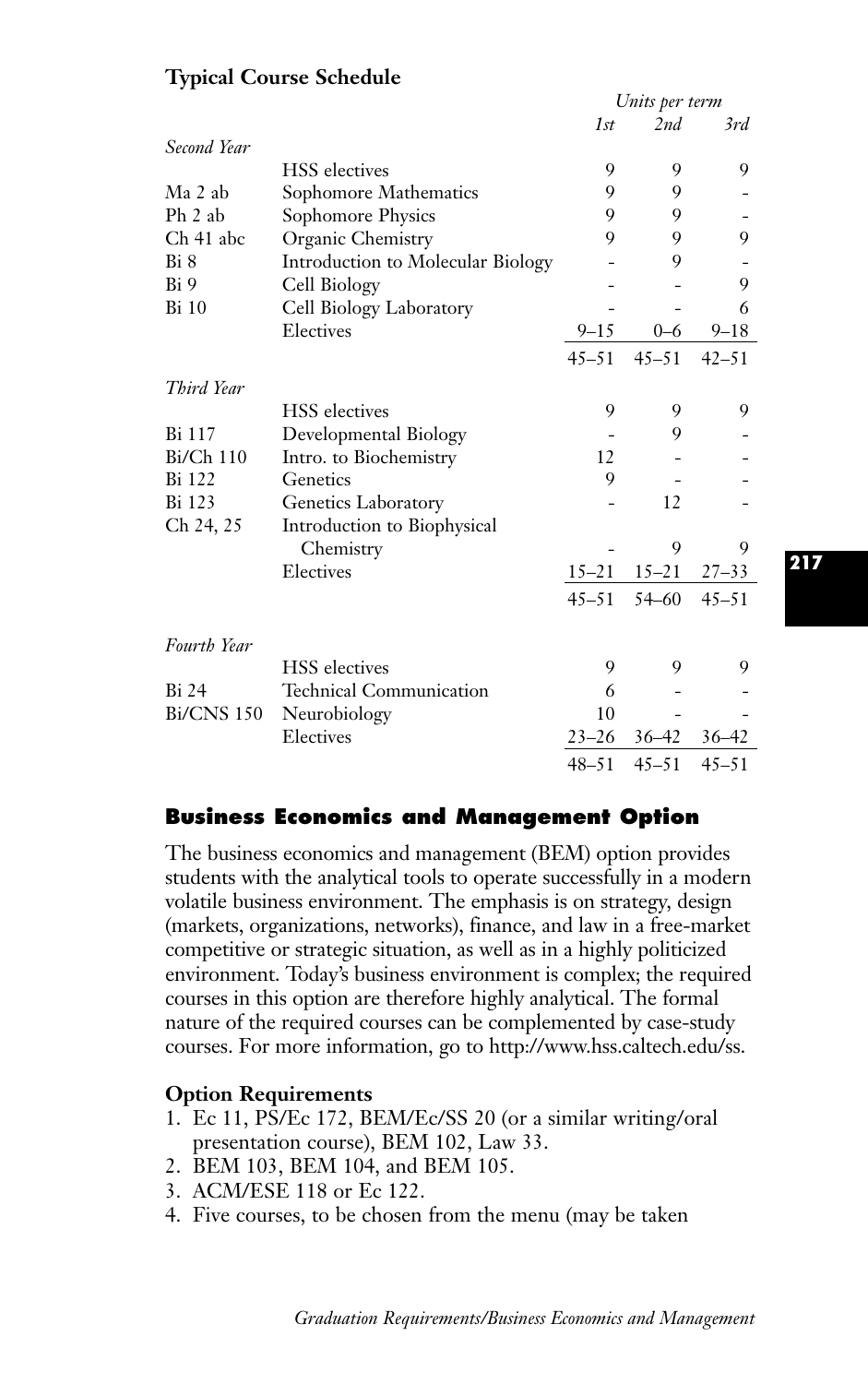|                   |                                   |           | Units per term |           |  |  |
|-------------------|-----------------------------------|-----------|----------------|-----------|--|--|
|                   |                                   | 1st       | 2nd            | 3rd       |  |  |
| Second Year       |                                   |           |                |           |  |  |
|                   | <b>HSS</b> electives              | 9         | 9              | 9         |  |  |
| Ma 2 ab           | Sophomore Mathematics             | 9         | 9              |           |  |  |
| $Ph$ 2 ab         | Sophomore Physics                 | 9         | 9              |           |  |  |
| Ch 41 abc         | Organic Chemistry                 | 9         | 9              | 9         |  |  |
| Bi 8              | Introduction to Molecular Biology |           | 9              |           |  |  |
| Bi 9              | Cell Biology                      |           |                | 9         |  |  |
| <b>Bi</b> 10      | Cell Biology Laboratory           |           |                | 6         |  |  |
|                   | Electives                         | $9 - 15$  | $0 - 6$        | $9 - 18$  |  |  |
|                   |                                   | $45 - 51$ | $45 - 51$      | $42 - 51$ |  |  |
| Third Year        |                                   |           |                |           |  |  |
|                   | <b>HSS</b> electives              | 9         | 9              | 9         |  |  |
| Bi 117            | Developmental Biology             |           | 9              |           |  |  |
| $Bi/Ch$ 110       | Intro. to Biochemistry            | 12        |                |           |  |  |
| Bi 122            | Genetics                          | 9         |                |           |  |  |
| Bi 123            | Genetics Laboratory               |           | 12             |           |  |  |
| Ch 24, 25         | Introduction to Biophysical       |           |                |           |  |  |
|                   | Chemistry                         |           | 9              | 9         |  |  |
|                   | Electives                         | $15 - 21$ | $15 - 21$      | $27 - 33$ |  |  |
|                   |                                   | $45 - 51$ | $54 - 60$      | $45 - 51$ |  |  |
| Fourth Year       |                                   |           |                |           |  |  |
|                   | <b>HSS</b> electives              | 9         | 9              | 9         |  |  |
| <b>Bi</b> 24      | <b>Technical Communication</b>    | 6         |                |           |  |  |
| <b>Bi/CNS 150</b> | Neurobiology                      | 10        |                |           |  |  |
|                   | Electives                         | $23 - 26$ | $36 - 42$      | $36 - 42$ |  |  |
|                   |                                   | $48 - 51$ | $45 - 51$      | $45 - 51$ |  |  |

# **Typical Course Schedule**

# **Business Economics and Management Option**

The business economics and management (BEM) option provides students with the analytical tools to operate successfully in a modern volatile business environment. The emphasis is on strategy, design (markets, organizations, networks), finance, and law in a free-market competitive or strategic situation, as well as in a highly politicized environment. Today's business environment is complex; the required courses in this option are therefore highly analytical. The formal nature of the required courses can be complemented by case-study courses. For more information, go to http://www.hss.caltech.edu/ss.

# **Option Requirements**

- 1. Ec 11, PS/Ec 172, BEM/Ec/SS 20 (or a similar writing/oral presentation course), BEM 102, Law 33.
- 2. BEM 103, BEM 104, and BEM 105.
- 3. ACM/ESE 118 or Ec 122.
- 4. Five courses, to be chosen from the menu (may be taken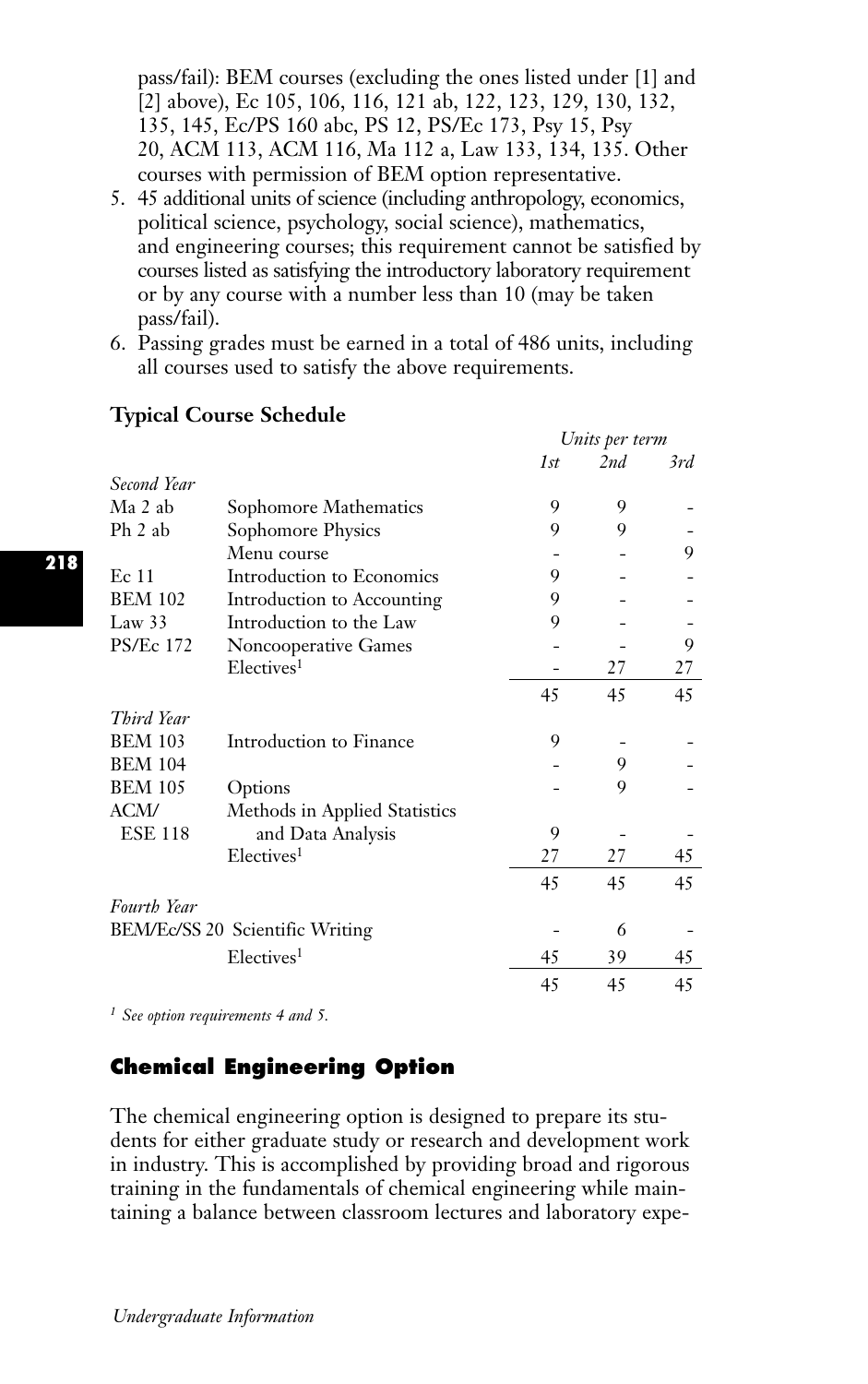pass/fail): BEM courses (excluding the ones listed under [1] and [2] above), Ec 105, 106, 116, 121 ab, 122, 123, 129, 130, 132, 135, 145, Ec/PS 160 abc, PS 12, PS/Ec 173, Psy 15, Psy 20, ACM 113, ACM 116, Ma 112 a, Law 133, 134, 135. Other courses with permission of BEM option representative.

- 5. 45 additional units of science (including anthropology, economics, political science, psychology, social science), mathematics, and engineering courses; this requirement cannot be satisfied by courses listed as satisfying the introductory laboratory requirement or by any course with a number less than 10 (may be taken pass/fail).
- 6. Passing grades must be earned in a total of 486 units, including all courses used to satisfy the above requirements.

|                  |                                 | Units per term |     |     |
|------------------|---------------------------------|----------------|-----|-----|
|                  |                                 | 1st            | 2nd | 3rd |
| Second Year      |                                 |                |     |     |
| Ma 2 ab          | Sophomore Mathematics           | 9              | 9   |     |
| Ph 2 ab          | Sophomore Physics               | 9              | 9   |     |
|                  | Menu course                     |                |     | 9   |
| Ec 11            | Introduction to Economics       | 9              |     |     |
| <b>BEM 102</b>   | Introduction to Accounting      | 9              |     |     |
| Law $33$         | Introduction to the Law         | 9              |     |     |
| <b>PS/Ec 172</b> | Noncooperative Games            |                |     | 9   |
|                  | Electives <sup>1</sup>          |                | 27  | 27  |
|                  |                                 | 45             | 45  | 45  |
| Third Year       |                                 |                |     |     |
| <b>BEM 103</b>   | Introduction to Finance         | 9              |     |     |
| <b>BEM 104</b>   |                                 |                | 9   |     |
| <b>BEM 105</b>   | Options                         |                | 9   |     |
| <b>ACM/</b>      | Methods in Applied Statistics   |                |     |     |
| <b>ESE 118</b>   | and Data Analysis               | 9              |     |     |
|                  | Electives <sup>1</sup>          | 27             | 27  | 45  |
|                  |                                 | 45             | 45  | 45  |
| Fourth Year      |                                 |                |     |     |
|                  | BEM/Ec/SS 20 Scientific Writing |                | 6   |     |
|                  | Electives <sup>1</sup>          | 45             | 39  | 45  |
|                  |                                 | 45             | 45  | 45  |

# **Typical Course Schedule**

*<sup>1</sup> See option requirements 4 and 5.*

# **Chemical Engineering Option**

The chemical engineering option is designed to prepare its students for either graduate study or research and development work in industry. This is accomplished by providing broad and rigorous training in the fundamentals of chemical engineering while maintaining a balance between classroom lectures and laboratory expe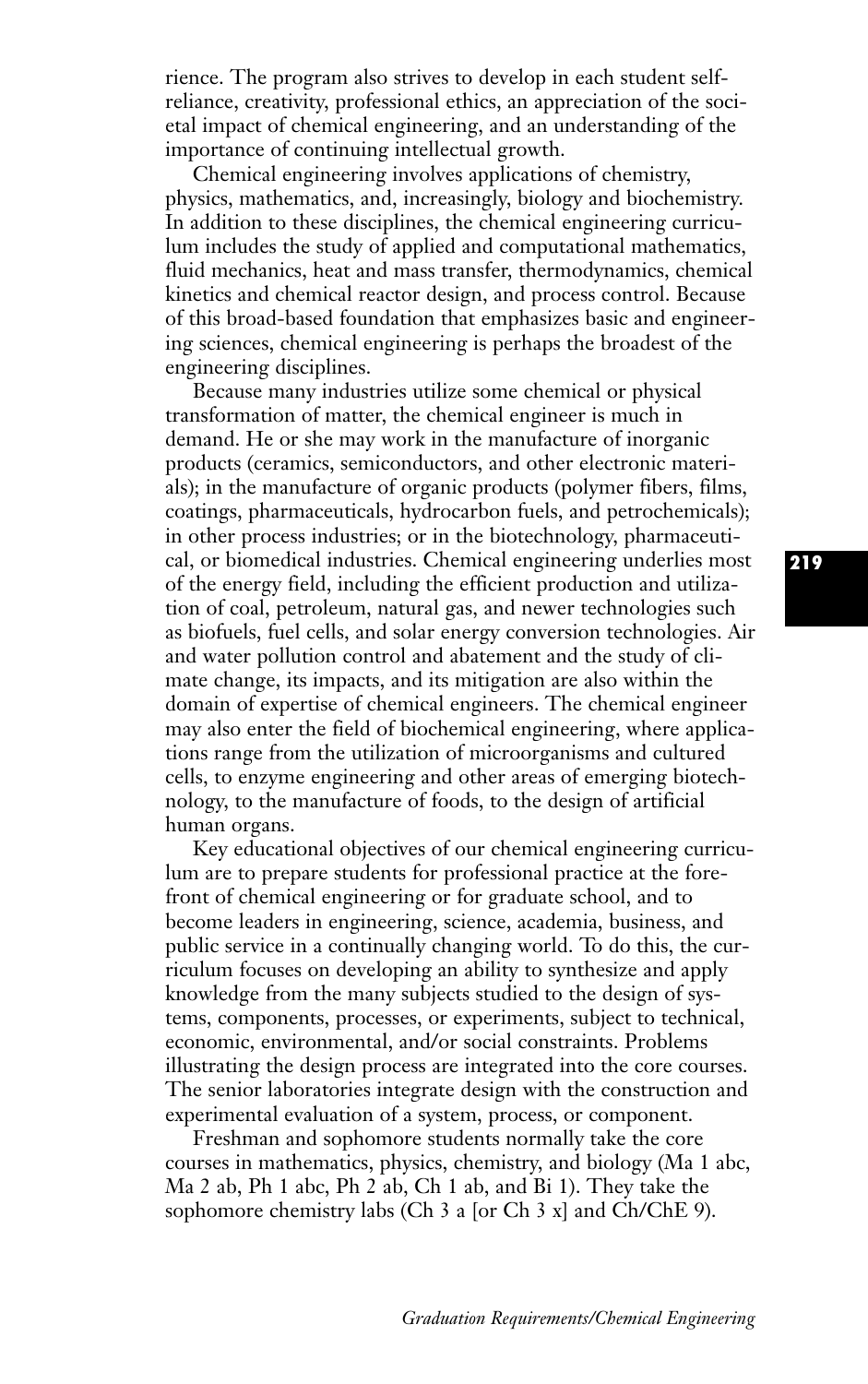rience. The program also strives to develop in each student selfreliance, creativity, professional ethics, an appreciation of the societal impact of chemical engineering, and an understanding of the importance of continuing intellectual growth.

Chemical engineering involves applications of chemistry, physics, mathematics, and, increasingly, biology and biochemistry. In addition to these disciplines, the chemical engineering curriculum includes the study of applied and computational mathematics, fluid mechanics, heat and mass transfer, thermodynamics, chemical kinetics and chemical reactor design, and process control. Because of this broad-based foundation that emphasizes basic and engineering sciences, chemical engineering is perhaps the broadest of the engineering disciplines.

Because many industries utilize some chemical or physical transformation of matter, the chemical engineer is much in demand. He or she may work in the manufacture of inorganic products (ceramics, semiconductors, and other electronic materials); in the manufacture of organic products (polymer fibers, films, coatings, pharmaceuticals, hydrocarbon fuels, and petrochemicals); in other process industries; or in the biotechnology, pharmaceutical, or biomedical industries. Chemical engineering underlies most of the energy field, including the efficient production and utilization of coal, petroleum, natural gas, and newer technologies such as biofuels, fuel cells, and solar energy conversion technologies. Air and water pollution control and abatement and the study of climate change, its impacts, and its mitigation are also within the domain of expertise of chemical engineers. The chemical engineer may also enter the field of biochemical engineering, where applications range from the utilization of microorganisms and cultured cells, to enzyme engineering and other areas of emerging biotechnology, to the manufacture of foods, to the design of artificial human organs.

Key educational objectives of our chemical engineering curriculum are to prepare students for professional practice at the forefront of chemical engineering or for graduate school, and to become leaders in engineering, science, academia, business, and public service in a continually changing world. To do this, the curriculum focuses on developing an ability to synthesize and apply knowledge from the many subjects studied to the design of systems, components, processes, or experiments, subject to technical, economic, environmental, and/or social constraints. Problems illustrating the design process are integrated into the core courses. The senior laboratories integrate design with the construction and experimental evaluation of a system, process, or component.

Freshman and sophomore students normally take the core courses in mathematics, physics, chemistry, and biology (Ma 1 abc, Ma 2 ab, Ph 1 abc, Ph 2 ab, Ch 1 ab, and Bi 1). They take the sophomore chemistry labs (Ch 3 a [or Ch 3 x] and Ch/ChE 9).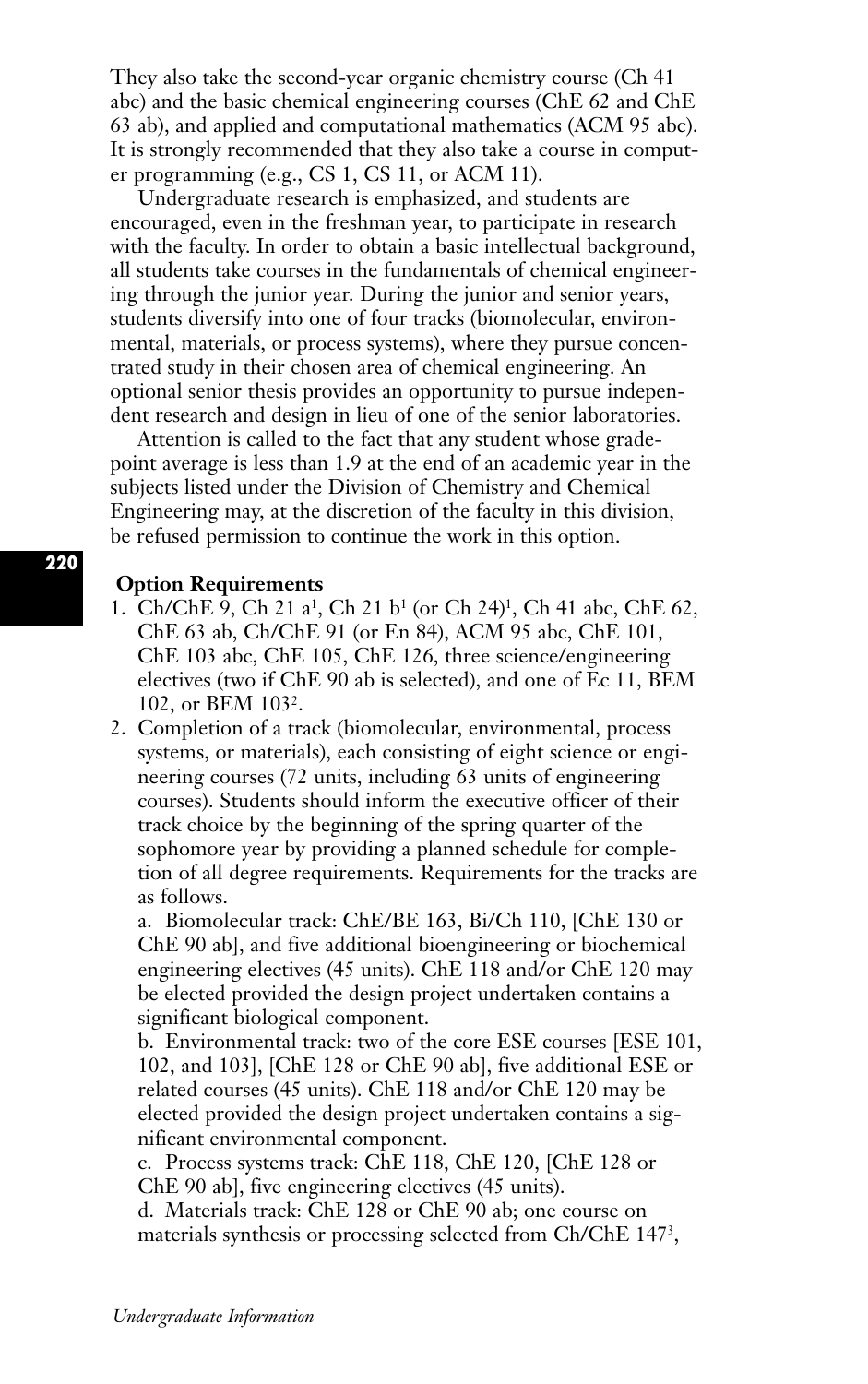They also take the second-year organic chemistry course (Ch 41 abc) and the basic chemical engineering courses (ChE 62 and ChE 63 ab), and applied and computational mathematics (ACM 95 abc). It is strongly recommended that they also take a course in computer programming (e.g., CS 1, CS 11, or ACM 11).

Undergraduate research is emphasized, and students are encouraged, even in the freshman year, to participate in research with the faculty. In order to obtain a basic intellectual background, all students take courses in the fundamentals of chemical engineering through the junior year. During the junior and senior years, students diversify into one of four tracks (biomolecular, environmental, materials, or process systems), where they pursue concentrated study in their chosen area of chemical engineering. An optional senior thesis provides an opportunity to pursue independent research and design in lieu of one of the senior laboratories.

Attention is called to the fact that any student whose gradepoint average is less than 1.9 at the end of an academic year in the subjects listed under the Division of Chemistry and Chemical Engineering may, at the discretion of the faculty in this division, be refused permission to continue the work in this option.

#### **Option Requirements**

- 1. Ch/ChE 9, Ch 21 a1, Ch 21 b1 (or Ch 24)1, Ch 41 abc, ChE 62, ChE 63 ab, Ch/ChE 91 (or En 84), ACM 95 abc, ChE 101, ChE 103 abc, ChE 105, ChE 126, three science/engineering electives (two if ChE 90 ab is selected), and one of Ec 11, BEM 102, or BEM 1032.
- 2. Completion of a track (biomolecular, environmental, process systems, or materials), each consisting of eight science or engineering courses (72 units, including 63 units of engineering courses). Students should inform the executive officer of their track choice by the beginning of the spring quarter of the sophomore year by providing a planned schedule for completion of all degree requirements. Requirements for the tracks are as follows.

a. Biomolecular track: ChE/BE 163, Bi/Ch 110, [ChE 130 or ChE 90 ab], and five additional bioengineering or biochemical engineering electives (45 units). ChE 118 and/or ChE 120 may be elected provided the design project undertaken contains a significant biological component.

b. Environmental track: two of the core ESE courses [ESE 101, 102, and 103], [ChE 128 or ChE 90 ab], five additional ESE or related courses (45 units). ChE 118 and/or ChE 120 may be elected provided the design project undertaken contains a significant environmental component.

c. Process systems track: ChE 118, ChE 120, [ChE 128 or ChE 90 ab], five engineering electives (45 units).

d. Materials track: ChE 128 or ChE 90 ab; one course on materials synthesis or processing selected from Ch/ChE 1473,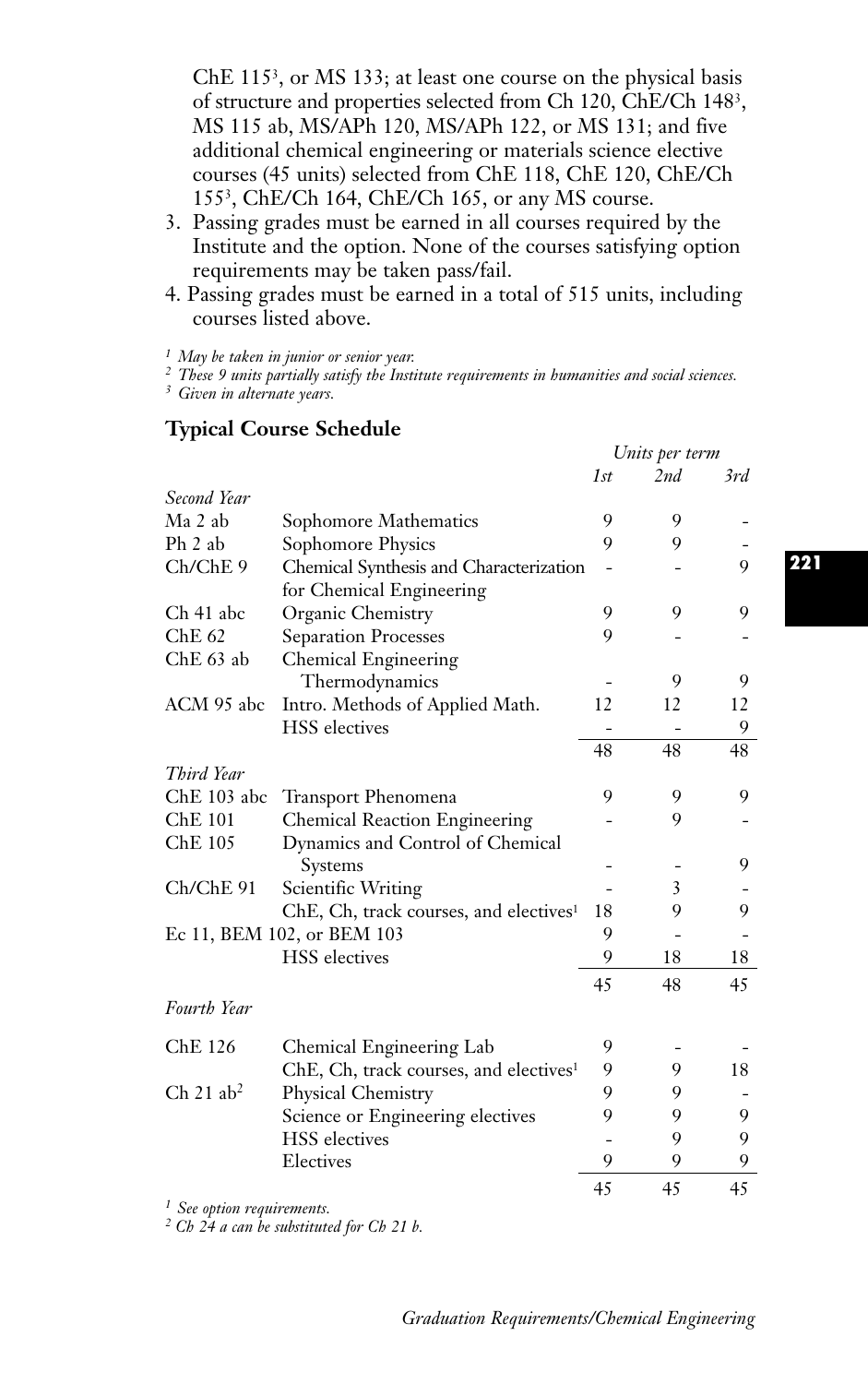ChE 1153, or MS 133; at least one course on the physical basis of structure and properties selected from Ch 120, ChE/Ch 1483, MS 115 ab, MS/APh 120, MS/APh 122, or MS 131; and five additional chemical engineering or materials science elective courses (45 units) selected from ChE 118, ChE 120, ChE/Ch 1553, ChE/Ch 164, ChE/Ch 165, or any MS course.

- 3. Passing grades must be earned in all courses required by the Institute and the option. None of the courses satisfying option requirements may be taken pass/fail.
- 4. Passing grades must be earned in a total of 515 units, including courses listed above.

*<sup>1</sup> May be taken in junior or senior year.*

*<sup>2</sup> These 9 units partially satisfy the Institute requirements in humanities and social sciences.*

*<sup>3</sup> Given in alternate years.*

## **Typical Course Schedule**

|                         |                                                    | Units per term |     |     |
|-------------------------|----------------------------------------------------|----------------|-----|-----|
|                         |                                                    | 1st            | 2nd | 3rd |
| Second Year             |                                                    |                |     |     |
| Ma 2 ab                 | Sophomore Mathematics                              | 9              | 9   |     |
| Ph 2 ab                 | Sophomore Physics                                  | 9              | 9   |     |
| Ch/ChE 9                | Chemical Synthesis and Characterization            |                |     | 9   |
|                         | for Chemical Engineering                           |                |     |     |
| Ch 41 abc               | Organic Chemistry                                  | 9              | 9   | 9   |
| Che 62                  | <b>Separation Processes</b>                        | 9              |     |     |
| ChE 63 ab               | Chemical Engineering                               |                |     |     |
|                         | Thermodynamics                                     |                | 9   | 9   |
| ACM 95 abc              | Intro. Methods of Applied Math.                    | 12             | 12  | 12  |
|                         | <b>HSS</b> electives                               |                |     | 9   |
|                         |                                                    | 48             | 48  | 48  |
| Third Year              |                                                    |                |     |     |
| ChE 103 abc             | Transport Phenomena                                | 9              | 9   | 9   |
| $Che$ 101               | Chemical Reaction Engineering                      |                | 9   |     |
| ChE 105                 | Dynamics and Control of Chemical                   |                |     |     |
|                         | Systems                                            |                |     | 9   |
| Ch/ChE 91               | Scientific Writing                                 |                | 3   |     |
|                         | ChE, Ch, track courses, and electives <sup>1</sup> | 18             | 9   | 9   |
|                         | Ec 11, BEM 102, or BEM 103                         | 9              |     |     |
|                         | <b>HSS</b> electives                               | 9              | 18  | 18  |
|                         |                                                    | 45             | 48  | 45  |
| <b>Fourth Year</b>      |                                                    |                |     |     |
|                         |                                                    |                |     |     |
| ChE 126                 | Chemical Engineering Lab                           | 9              |     |     |
|                         | ChE, Ch, track courses, and electives <sup>1</sup> | 9              | 9   | 18  |
| $Ch$ 21 ab <sup>2</sup> | Physical Chemistry                                 | 9              | 9   |     |
|                         | Science or Engineering electives                   | 9              | 9   | 9   |
|                         | <b>HSS</b> electives                               |                | 9   | 9   |
|                         | Electives                                          | 9              | 9   | 9   |
|                         |                                                    | 45             | 45  | 45  |
|                         |                                                    |                |     |     |

*<sup>1</sup> See option requirements.*

*<sup>2</sup> Ch 24 a can be substituted for Ch 21 b.*

**221**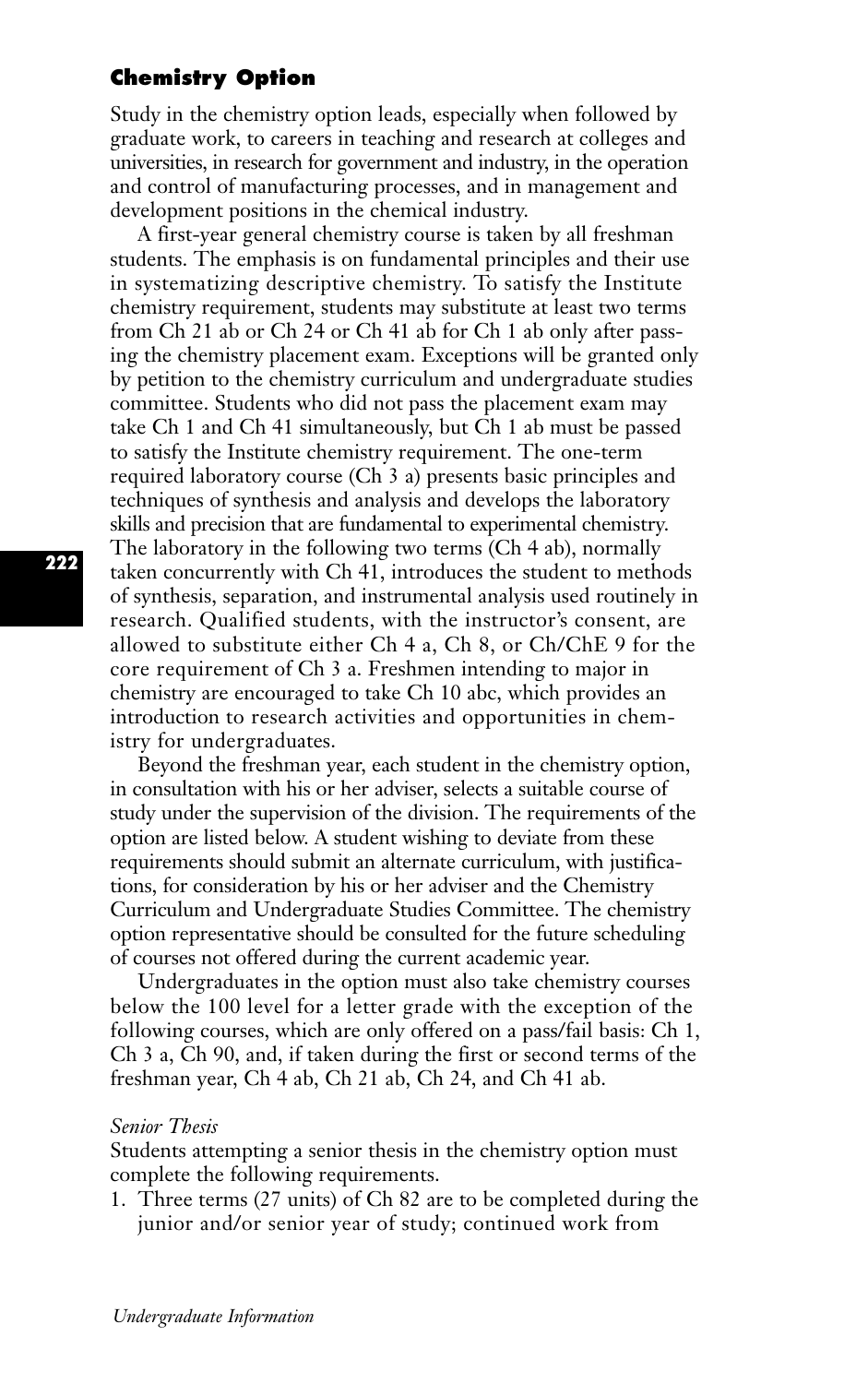## **Chemistry Option**

Study in the chemistry option leads, especially when followed by graduate work, to careers in teaching and research at colleges and universities, in research for government and industry, in the operation and control of manufacturing processes, and in management and development positions in the chemical industry.

A first-year general chemistry course is taken by all freshman students. The emphasis is on fundamental principles and their use in systematizing descriptive chemistry. To satisfy the Institute chemistry requirement, students may substitute at least two terms from Ch 21 ab or Ch 24 or Ch 41 ab for Ch 1 ab only after passing the chemistry placement exam. Exceptions will be granted only by petition to the chemistry curriculum and undergraduate studies committee. Students who did not pass the placement exam may take Ch 1 and Ch 41 simultaneously, but Ch 1 ab must be passed to satisfy the Institute chemistry requirement. The one-term required laboratory course (Ch 3 a) presents basic principles and techniques of synthesis and analysis and develops the laboratory skills and precision that are fundamental to experimental chemistry. The laboratory in the following two terms (Ch 4 ab), normally taken concurrently with Ch 41, introduces the student to methods of synthesis, separation, and instrumental analysis used routinely in research. Qualified students, with the instructor's consent, are allowed to substitute either Ch 4 a, Ch 8, or Ch/ChE 9 for the core requirement of Ch 3 a. Freshmen intending to major in chemistry are encouraged to take Ch 10 abc, which provides an introduction to research activities and opportunities in chemistry for undergraduates.

Beyond the freshman year, each student in the chemistry option, in consultation with his or her adviser, selects a suitable course of study under the supervision of the division. The requirements of the option are listed below. A student wishing to deviate from these requirements should submit an alternate curriculum, with justifications, for consideration by his or her adviser and the Chemistry Curriculum and Undergraduate Studies Committee. The chemistry option representative should be consulted for the future scheduling of courses not offered during the current academic year.

Undergraduates in the option must also take chemistry courses below the 100 level for a letter grade with the exception of the following courses, which are only offered on a pass/fail basis: Ch 1, Ch 3 a, Ch 90, and, if taken during the first or second terms of the freshman year, Ch 4 ab, Ch 21 ab, Ch 24, and Ch 41 ab.

## *Senior Thesis*

Students attempting a senior thesis in the chemistry option must complete the following requirements.

1. Three terms (27 units) of Ch 82 are to be completed during the junior and/or senior year of study; continued work from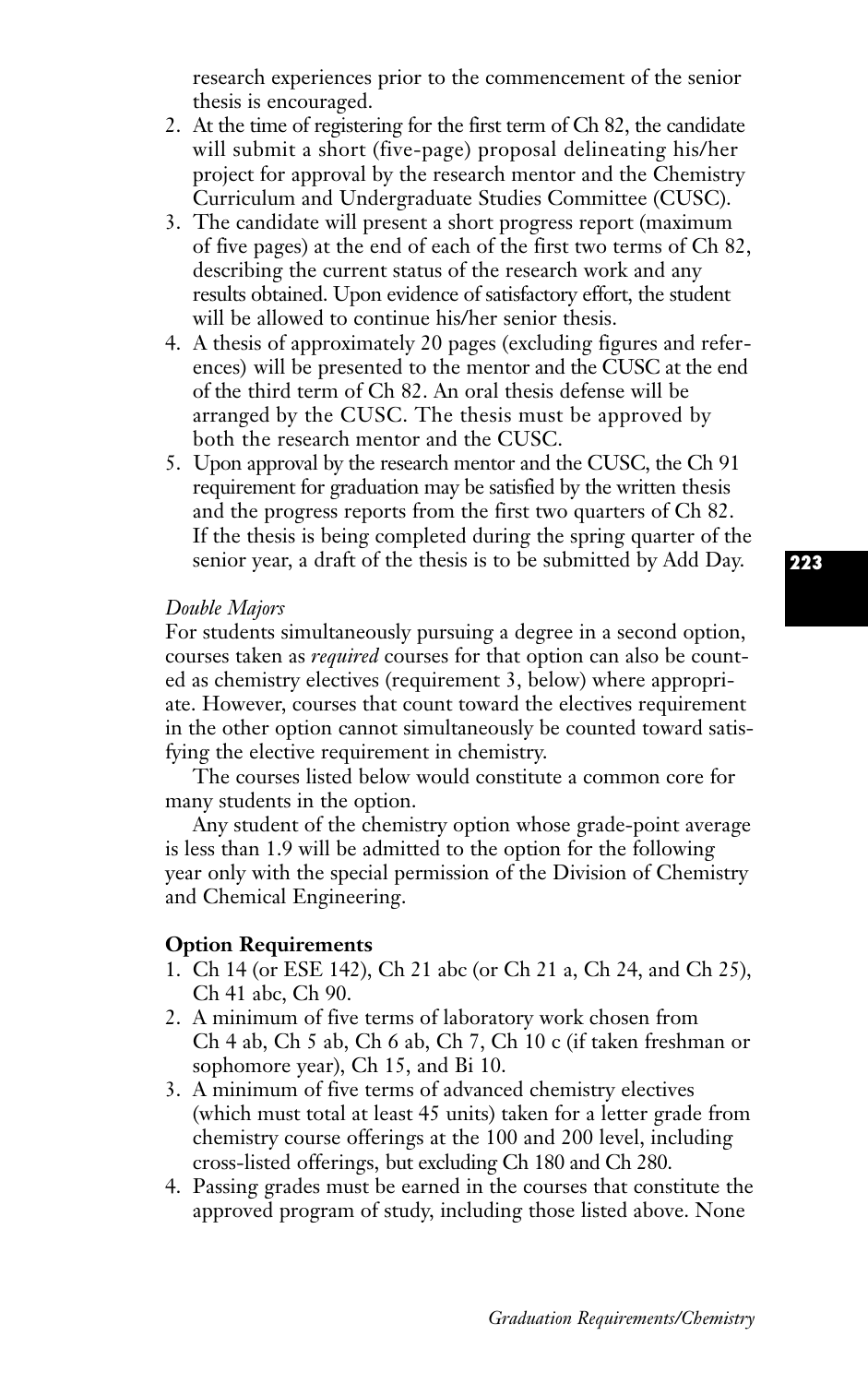research experiences prior to the commencement of the senior thesis is encouraged.

- 2. At the time of registering for the first term of Ch 82, the candidate will submit a short (five-page) proposal delineating his/her project for approval by the research mentor and the Chemistry Curriculum and Undergraduate Studies Committee (CUSC).
- 3. The candidate will present a short progress report (maximum of five pages) at the end of each of the first two terms of Ch 82, describing the current status of the research work and any results obtained. Upon evidence of satisfactory effort, the student will be allowed to continue his/her senior thesis.
- 4. A thesis of approximately 20 pages (excluding figures and references) will be presented to the mentor and the CUSC at the end of the third term of Ch 82. An oral thesis defense will be arranged by the CUSC. The thesis must be approved by both the research mentor and the CUSC.
- 5. Upon approval by the research mentor and the CUSC, the Ch 91 requirement for graduation may be satisfied by the written thesis and the progress reports from the first two quarters of Ch 82. If the thesis is being completed during the spring quarter of the senior year, a draft of the thesis is to be submitted by Add Day.

#### *Double Majors*

For students simultaneously pursuing a degree in a second option, courses taken as *required* courses for that option can also be counted as chemistry electives (requirement 3, below) where appropriate. However, courses that count toward the electives requirement in the other option cannot simultaneously be counted toward satisfying the elective requirement in chemistry.

The courses listed below would constitute a common core for many students in the option.

Any student of the chemistry option whose grade-point average is less than 1.9 will be admitted to the option for the following year only with the special permission of the Division of Chemistry and Chemical Engineering.

### **Option Requirements**

- 1. Ch 14 (or ESE 142), Ch 21 abc (or Ch 21 a, Ch 24, and Ch 25), Ch 41 abc, Ch 90.
- 2. A minimum of five terms of laboratory work chosen from Ch 4 ab, Ch 5 ab, Ch 6 ab, Ch 7, Ch 10 c (if taken freshman or sophomore year), Ch 15, and Bi 10.
- 3. A minimum of five terms of advanced chemistry electives (which must total at least 45 units) taken for a letter grade from chemistry course offerings at the 100 and 200 level, including cross-listed offerings, but excluding Ch 180 and Ch 280.
- 4. Passing grades must be earned in the courses that constitute the approved program of study, including those listed above. None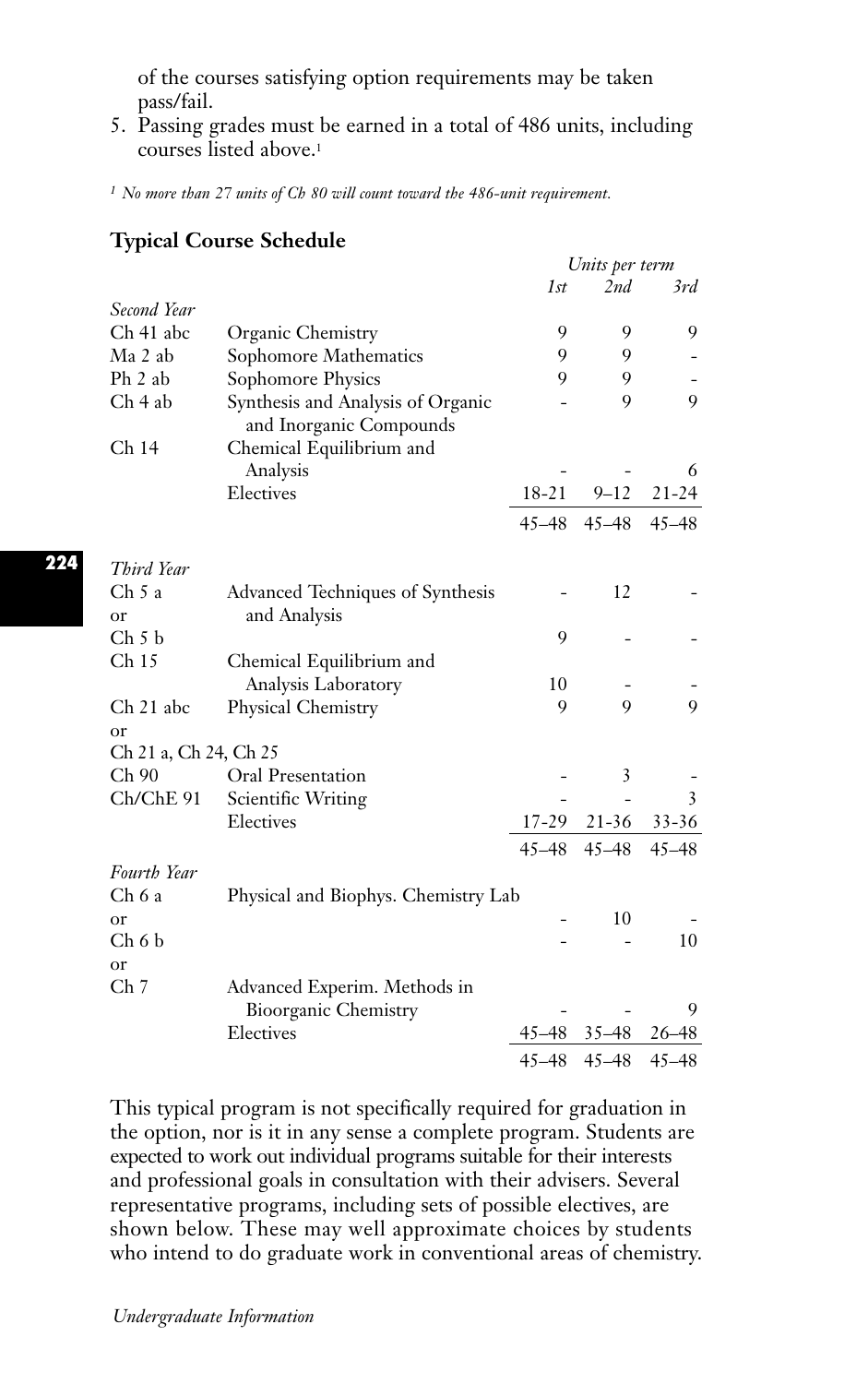of the courses satisfying option requirements may be taken pass/fail.

5. Passing grades must be earned in a total of 486 units, including courses listed above.1

*<sup>1</sup> No more than 27 units of Ch 80 will count toward the 486-unit requirement.*

|                       |                                     |           | Units per term |                |
|-----------------------|-------------------------------------|-----------|----------------|----------------|
|                       |                                     | 1st       | 2nd            | 3rd            |
| Second Year           |                                     |           |                |                |
| Ch 41 abc             | Organic Chemistry                   | 9         | 9              | 9              |
| Ma 2 ab               | Sophomore Mathematics               | 9         | 9              |                |
| Ph 2 ab               | Sophomore Physics                   | 9         | 9              |                |
| Ch <sub>4</sub> ab    | Synthesis and Analysis of Organic   |           | 9              | 9              |
|                       | and Inorganic Compounds             |           |                |                |
| Ch 14                 | Chemical Equilibrium and            |           |                |                |
|                       | Analysis                            |           |                | 6              |
|                       | Electives                           | $18 - 21$ | $9 - 12$       | $21 - 24$      |
|                       |                                     | $45 - 48$ | $45 - 48$      | $45 - 48$      |
| Third Year            |                                     |           |                |                |
| Ch 5a                 | Advanced Techniques of Synthesis    |           | 12             |                |
| or                    | and Analysis                        |           |                |                |
| Ch 5 b                |                                     | 9         |                |                |
| Ch <sub>15</sub>      | Chemical Equilibrium and            |           |                |                |
|                       | Analysis Laboratory                 | 10        |                |                |
| Ch 21 abc             | Physical Chemistry                  | 9         | 9              | $\overline{Q}$ |
| or                    |                                     |           |                |                |
| Ch 21 a, Ch 24, Ch 25 |                                     |           |                |                |
| Ch 90                 | Oral Presentation                   |           | 3              |                |
| Ch/ChE 91             | Scientific Writing                  |           |                | 3              |
|                       | Electives                           | 17-29     | $21 - 36$      | $33 - 36$      |
|                       |                                     | $45 - 48$ | $45 - 48$      | $45 - 48$      |
| Fourth Year           |                                     |           |                |                |
| Ch 6a                 | Physical and Biophys. Chemistry Lab |           |                |                |
| or                    |                                     |           | 10             |                |
| $Ch6$ b               |                                     |           |                | 10             |
| or                    |                                     |           |                |                |
| Ch 7                  | Advanced Experim. Methods in        |           |                |                |
|                       | <b>Bioorganic Chemistry</b>         |           |                | 9              |
|                       | Electives                           | $45 - 48$ | $35 - 48$      | 26–48          |
|                       |                                     | $45 - 48$ | $45 - 48$      | $45 - 48$      |

This typical program is not specifically required for graduation in the option, nor is it in any sense a complete program. Students are expected to work out individual programs suitable for their interests and professional goals in consultation with their advisers. Several representative programs, including sets of possible electives, are shown below. These may well approximate choices by students who intend to do graduate work in conventional areas of chemistry.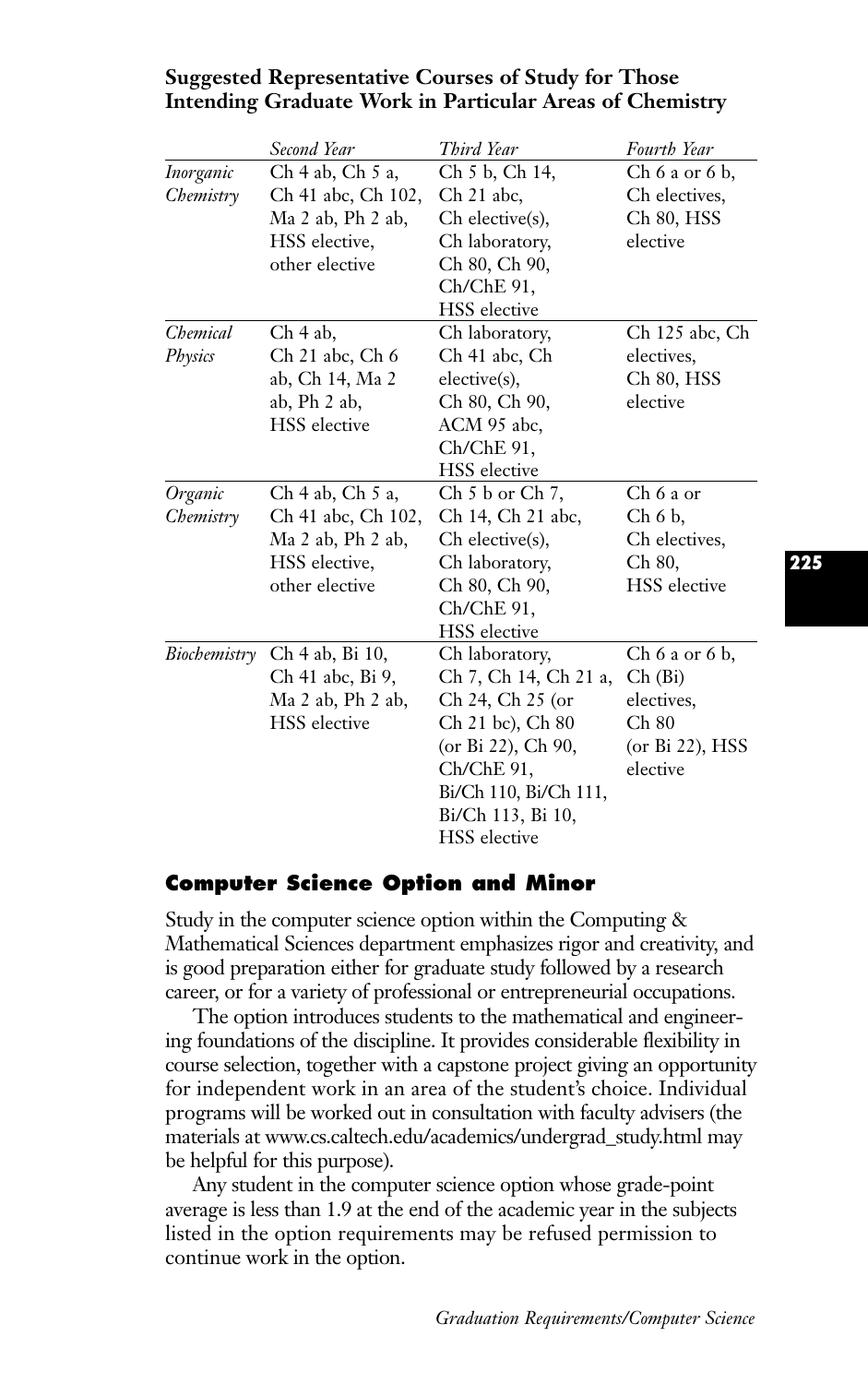|                        | Second Year                                                                                        | Third Year                                                                                                                                                                               | Fourth Year                                                                            |
|------------------------|----------------------------------------------------------------------------------------------------|------------------------------------------------------------------------------------------------------------------------------------------------------------------------------------------|----------------------------------------------------------------------------------------|
| Inorganic<br>Chemistry | Ch 4 ab, Ch 5 a,<br>Ch 41 abc, Ch 102,<br>Ma 2 ab, Ph 2 ab,<br>HSS elective,<br>other elective     | Ch 5 b, Ch 14,<br>Ch 21 abc,<br>Ch elective(s),<br>Ch laboratory,<br>Ch 80, Ch 90,<br>Ch/ChE 91,<br><b>HSS</b> elective                                                                  | $Ch 6$ a or $6$ b,<br>Ch electives,<br>Ch 80, HSS<br>elective                          |
| Chemical<br>Physics    | Ch 4 ab.<br>Ch 21 abc, Ch 6<br>ab, Ch 14, Ma 2<br>ab, Ph 2 ab,<br><b>HSS</b> elective              | Ch laboratory,<br>Ch 41 abc, Ch<br>elective(s),<br>Ch 80, Ch 90,<br>ACM 95 abc.<br>Ch/ChE 91,<br><b>HSS</b> elective                                                                     | Ch 125 abc, Ch<br>electives.<br>Ch 80, HSS<br>elective                                 |
| Organic<br>Chemistry   | Ch 4 ab, Ch 5 a,<br>Ch 41 abc, Ch 102,<br>$Ma$ 2 ab, $Ph$ 2 ab,<br>HSS elective,<br>other elective | $Ch 5 b$ or $Ch 7$ ,<br>Ch 14, Ch 21 abc,<br>Ch elective(s),<br>Ch laboratory,<br>Ch 80, Ch 90,<br>Ch/ChE 91,<br><b>HSS</b> elective                                                     | $Ch6a$ or<br>Ch 6 b.<br>Ch electives,<br>Ch 80,<br><b>HSS</b> elective                 |
| Biochemistry           | Ch 4 ab, Bi 10,<br>Ch 41 abc, Bi 9,<br>Ma 2 ab, Ph 2 ab,<br><b>HSS</b> elective                    | Ch laboratory,<br>Ch 7, Ch 14, Ch 21 a,<br>Ch 24, Ch 25 (or<br>Ch 21 bc), Ch 80<br>(or Bi 22), Ch 90,<br>Ch/ChE 91,<br>Bi/Ch 110, Bi/Ch 111,<br>Bi/Ch 113, Bi 10,<br><b>HSS</b> elective | $Ch 6$ a or $6$ b,<br>Ch(Bi)<br>electives.<br>Ch 80<br>(or $Bi$ 22), $HSS$<br>elective |

## **Suggested Representative Courses of Study for Those Intending Graduate Work in Particular Areas of Chemistry**

## **Computer Science Option and Minor**

Study in the computer science option within the Computing & Mathematical Sciences department emphasizes rigor and creativity, and is good preparation either for graduate study followed by a research career, or for a variety of professional or entrepreneurial occupations.

The option introduces students to the mathematical and engineering foundations of the discipline. It provides considerable flexibility in course selection, together with a capstone project giving an opportunity for independent work in an area of the student's choice. Individual programs will be worked out in consultation with faculty advisers (the materials at www.cs.caltech.edu/academics/undergrad\_study.html may be helpful for this purpose).

Any student in the computer science option whose grade-point average is less than 1.9 at the end of the academic year in the subjects listed in the option requirements may be refused permission to continue work in the option.

**225**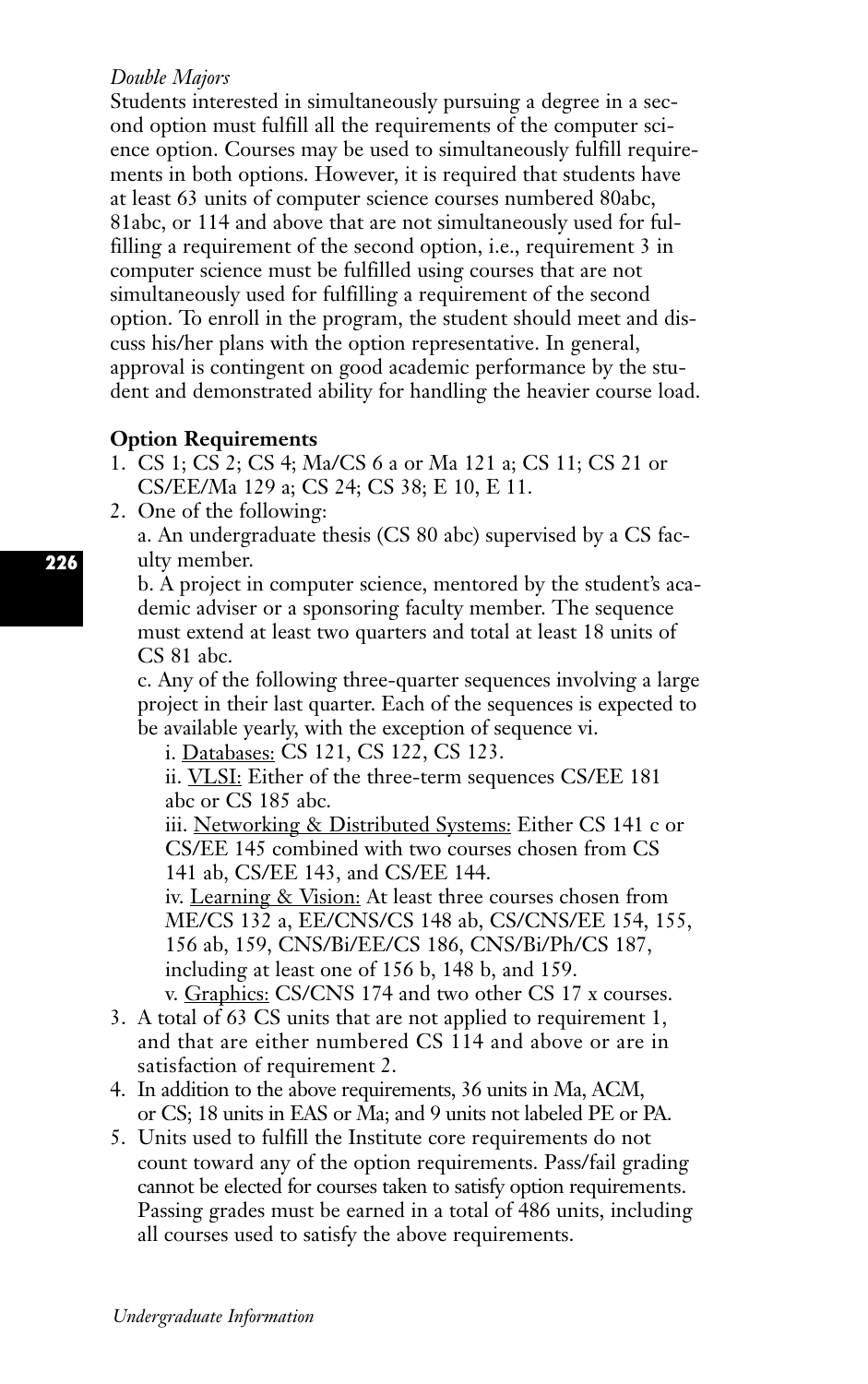## *Double Majors*

Students interested in simultaneously pursuing a degree in a second option must fulfill all the requirements of the computer science option. Courses may be used to simultaneously fulfill requirements in both options. However, it is required that students have at least 63 units of computer science courses numbered 80abc, 81abc, or 114 and above that are not simultaneously used for fulfilling a requirement of the second option, i.e., requirement 3 in computer science must be fulfilled using courses that are not simultaneously used for fulfilling a requirement of the second option. To enroll in the program, the student should meet and discuss his/her plans with the option representative. In general, approval is contingent on good academic performance by the student and demonstrated ability for handling the heavier course load.

## **Option Requirements**

- 1. CS 1; CS 2; CS 4; Ma/CS 6 a or Ma 121 a; CS 11; CS 21 or CS/EE/Ma 129 a; CS 24; CS 38; E 10, E 11.
- 2. One of the following:

a. An undergraduate thesis (CS 80 abc) supervised by a CS faculty member.

b. A project in computer science, mentored by the student's academic adviser or a sponsoring faculty member. The sequence must extend at least two quarters and total at least 18 units of CS 81 abc.

c. Any of the following three-quarter sequences involving a large project in their last quarter. Each of the sequences is expected to be available yearly, with the exception of sequence vi.

i. Databases: CS 121, CS 122, CS 123.

ii. VLSI: Either of the three-term sequences CS/EE 181 abc or CS 185 abc.

iii. Networking & Distributed Systems: Either CS 141 c or CS/EE 145 combined with two courses chosen from CS 141 ab, CS/EE 143, and CS/EE 144.

iv. Learning & Vision: At least three courses chosen from ME/CS 132 a, EE/CNS/CS 148 ab, CS/CNS/EE 154, 155, 156 ab, 159, CNS/Bi/EE/CS 186, CNS/Bi/Ph/CS 187, including at least one of 156 b, 148 b, and 159. v. Graphics: CS/CNS 174 and two other CS 17 x courses.

- 3. A total of 63 CS units that are not applied to requirement 1, and that are either numbered CS 114 and above or are in satisfaction of requirement 2.
- 4. In addition to the above requirements, 36 units in Ma, ACM, or CS; 18 units in EAS or Ma; and 9 units not labeled PE or PA.
- 5. Units used to fulfill the Institute core requirements do not count toward any of the option requirements. Pass/fail grading cannot be elected for courses taken to satisfy option requirements. Passing grades must be earned in a total of 486 units, including all courses used to satisfy the above requirements.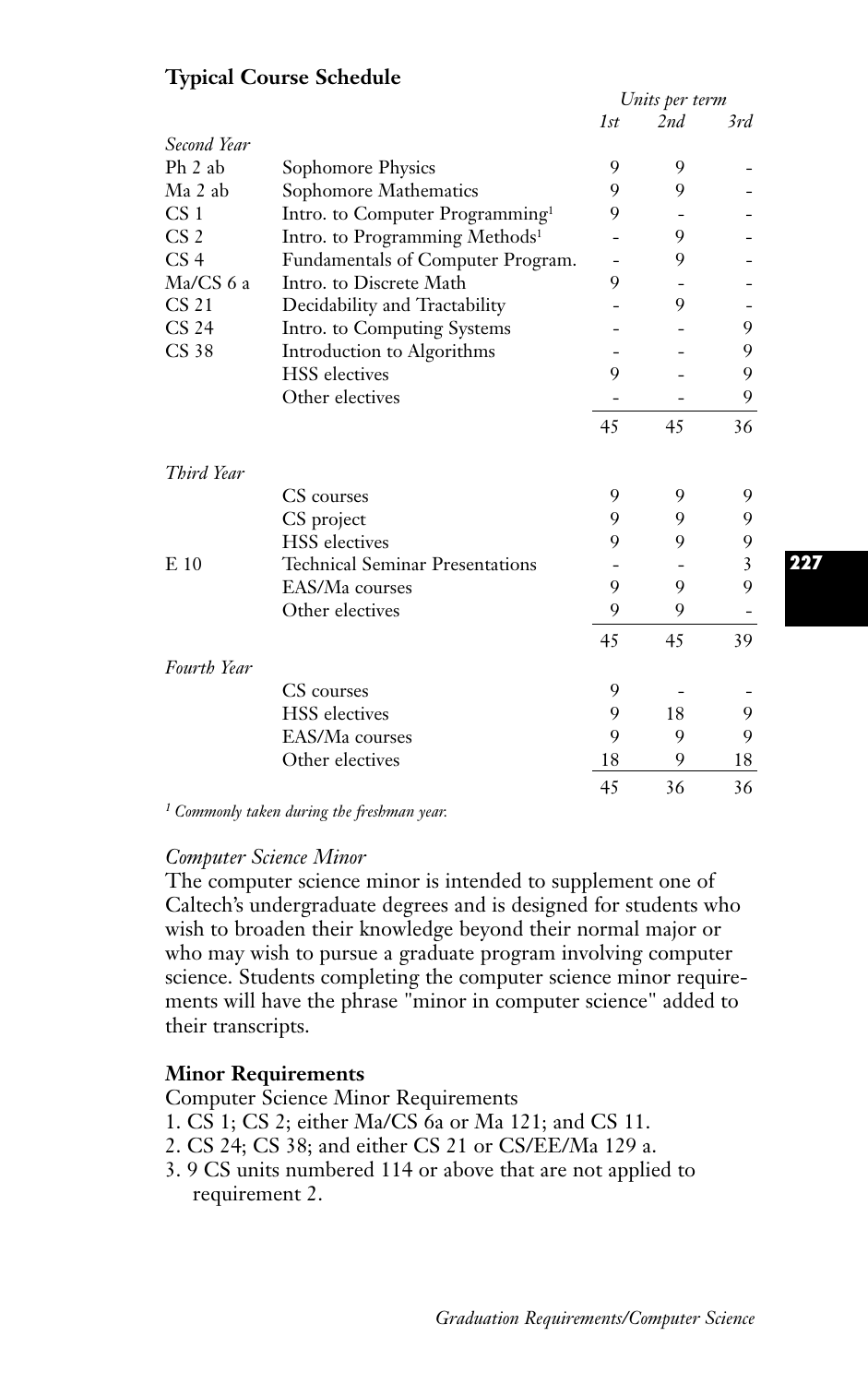# **Typical Course Schedule**

|                  |                                             | Units per term |     |     |
|------------------|---------------------------------------------|----------------|-----|-----|
|                  |                                             | 1st            | 2nd | 3rd |
| Second Year      |                                             |                |     |     |
| $Ph 2$ ab        | Sophomore Physics                           | 9              | 9   |     |
| Ma 2 ab          | Sophomore Mathematics                       | 9              | 9   |     |
| CS <sub>1</sub>  | Intro. to Computer Programming <sup>1</sup> | 9              |     |     |
| CS <sub>2</sub>  | Intro. to Programming Methods <sup>1</sup>  |                | 9   |     |
| CS <sub>4</sub>  | Fundamentals of Computer Program.           |                | 9   |     |
| Ma/CS 6 a        | Intro. to Discrete Math                     | 9              |     |     |
| CS <sub>21</sub> | Decidability and Tractability               |                | 9   |     |
| CS <sub>24</sub> | Intro. to Computing Systems                 |                |     | 9   |
| CS 38            | Introduction to Algorithms                  |                |     | 9   |
|                  | <b>HSS</b> electives                        | 9              |     | 9   |
|                  | Other electives                             |                |     | 9   |
|                  |                                             | 45             | 45  | 36  |
| Third Year       |                                             |                |     |     |
|                  | CS courses                                  | 9              | 9   | 9   |
|                  | CS project                                  | 9              | 9   | 9   |
|                  | <b>HSS</b> electives                        | 9              | 9   | 9   |
| $E_{10}$         | <b>Technical Seminar Presentations</b>      |                |     | 3   |
|                  | EAS/Ma courses                              | 9              | 9   | 9   |
|                  | Other electives                             | 9              | 9   |     |
|                  |                                             | 45             | 45  | 39  |
| Fourth Year      |                                             |                |     |     |
|                  | CS courses                                  | 9              |     |     |
|                  | <b>HSS</b> electives                        | 9              | 18  | 9   |
|                  | EAS/Ma courses                              | 9              | 9   | 9   |
|                  | Other electives                             | 18             | 9   | 18  |
|                  |                                             | 45             | 36  | 36  |

*<sup>1</sup> Commonly taken during the freshman year.*

#### *Computer Science Minor*

The computer science minor is intended to supplement one of Caltech's undergraduate degrees and is designed for students who wish to broaden their knowledge beyond their normal major or who may wish to pursue a graduate program involving computer science. Students completing the computer science minor requirements will have the phrase "minor in computer science" added to their transcripts.

# **Minor Requirements**

Computer Science Minor Requirements

- 1. CS 1; CS 2; either Ma/CS 6a or Ma 121; and CS 11.
- 2. CS 24; CS 38; and either CS 21 or CS/EE/Ma 129 a.
- 3. 9 CS units numbered 114 or above that are not applied to requirement 2.

**227**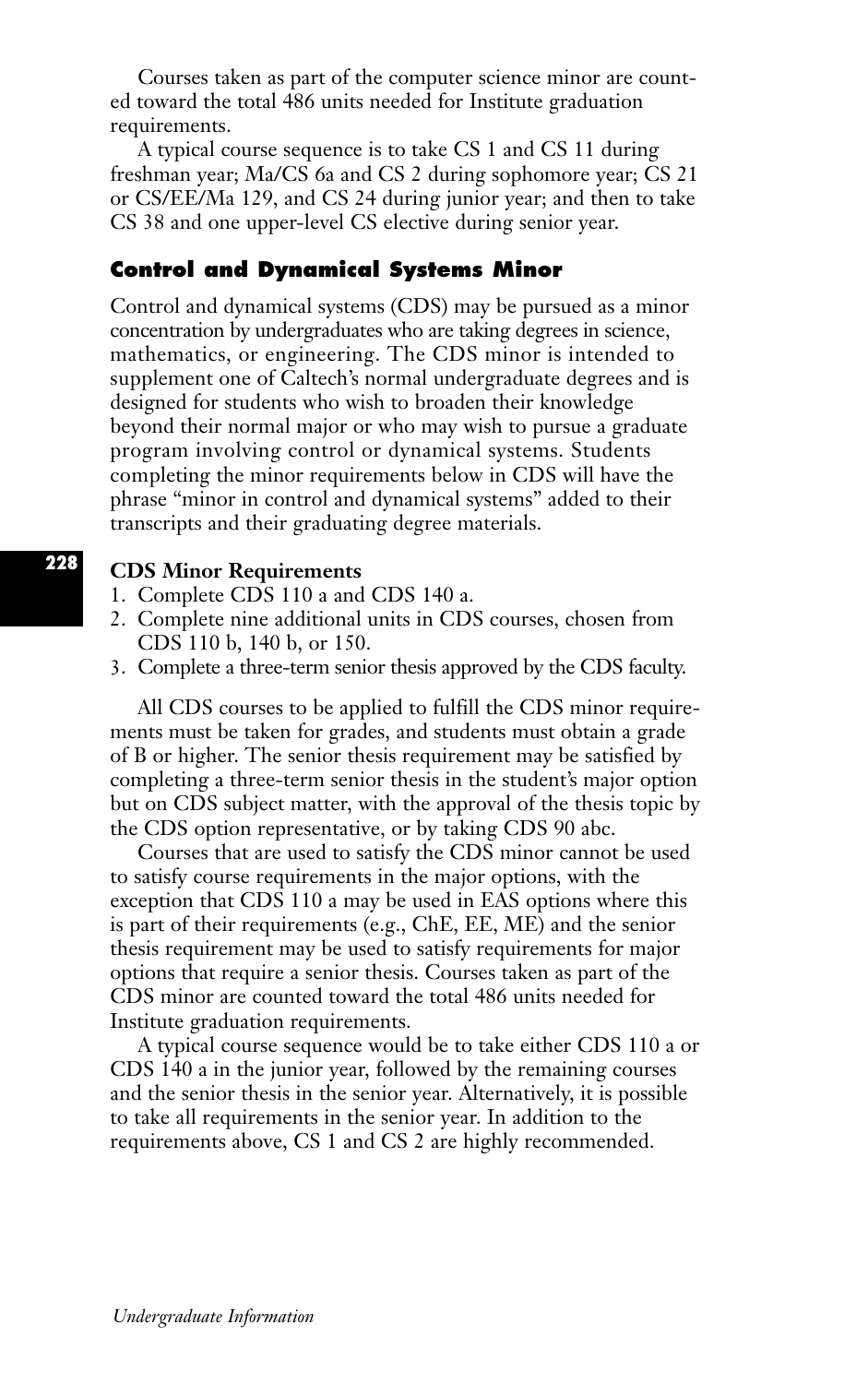Courses taken as part of the computer science minor are counted toward the total 486 units needed for Institute graduation requirements.

A typical course sequence is to take CS 1 and CS 11 during freshman year; Ma/CS 6a and CS 2 during sophomore year; CS 21 or CS/EE/Ma 129, and CS 24 during junior year; and then to take CS 38 and one upper-level CS elective during senior year.

## **Control and Dynamical Systems Minor**

Control and dynamical systems (CDS) may be pursued as a minor concentration by undergraduates who are taking degrees in science, mathematics, or engineering. The CDS minor is intended to supplement one of Caltech's normal undergraduate degrees and is designed for students who wish to broaden their knowledge beyond their normal major or who may wish to pursue a graduate program involving control or dynamical systems. Students completing the minor requirements below in CDS will have the phrase "minor in control and dynamical systems" added to their transcripts and their graduating degree materials.

## **CDS Minor Requirements**

- 1. Complete CDS 110 a and CDS 140 a.
- 2. Complete nine additional units in CDS courses, chosen from CDS 110 b, 140 b, or 150.
- 3. Complete a three-term senior thesis approved by the CDS faculty.

All CDS courses to be applied to fulfill the CDS minor requirements must be taken for grades, and students must obtain a grade of B or higher. The senior thesis requirement may be satisfied by completing a three-term senior thesis in the student's major option but on CDS subject matter, with the approval of the thesis topic by the CDS option representative, or by taking CDS 90 abc.

Courses that are used to satisfy the CDS minor cannot be used to satisfy course requirements in the major options, with the exception that CDS 110 a may be used in EAS options where this is part of their requirements (e.g., ChE, EE, ME) and the senior thesis requirement may be used to satisfy requirements for major options that require a senior thesis. Courses taken as part of the CDS minor are counted toward the total 486 units needed for Institute graduation requirements.

A typical course sequence would be to take either CDS 110 a or CDS 140 a in the junior year, followed by the remaining courses and the senior thesis in the senior year. Alternatively, it is possible to take all requirements in the senior year. In addition to the requirements above, CS 1 and CS 2 are highly recommended.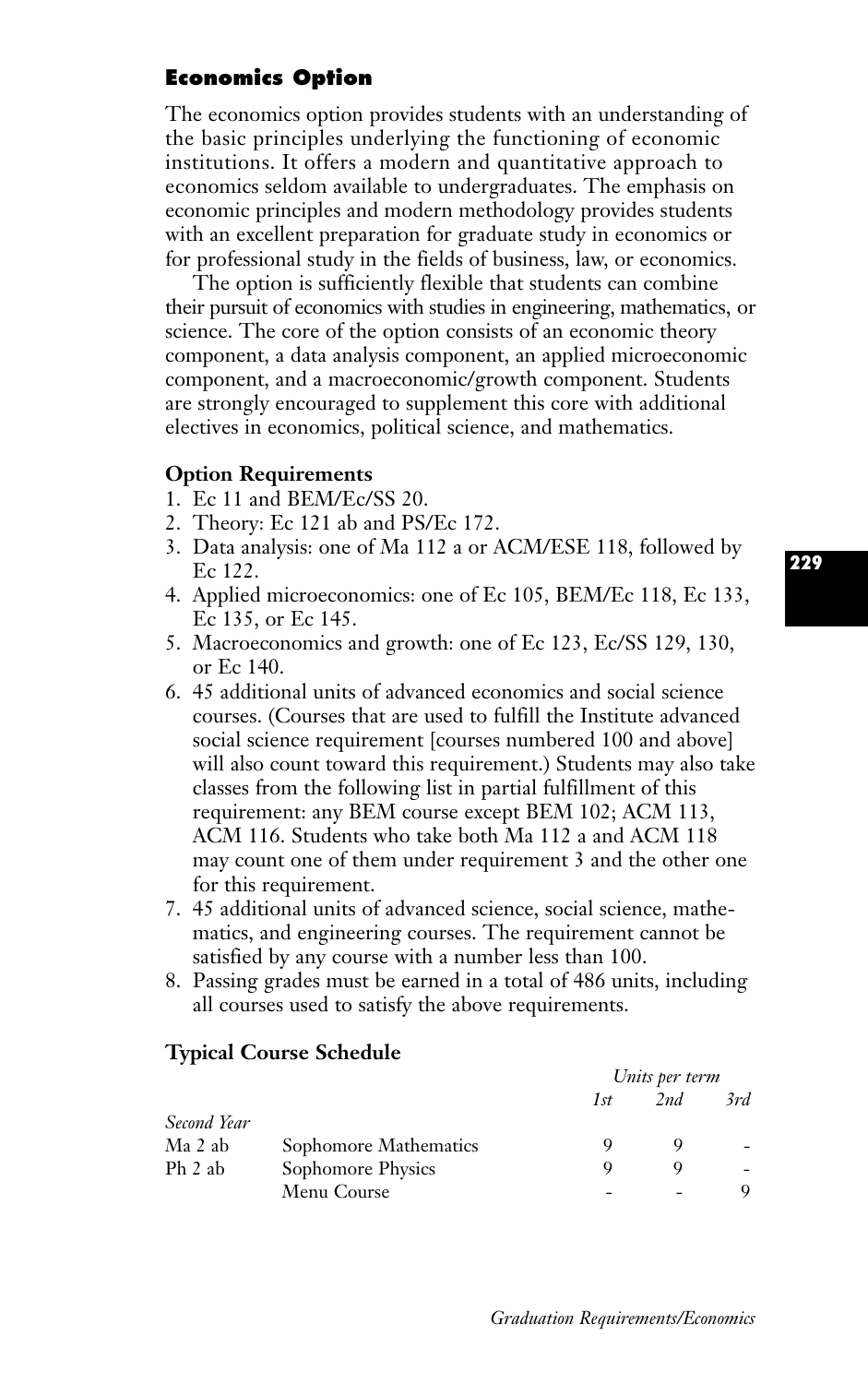# **Economics Option**

The economics option provides students with an understanding of the basic principles underlying the functioning of economic institutions. It offers a modern and quantitative approach to economics seldom available to undergraduates. The emphasis on economic principles and modern methodology provides students with an excellent preparation for graduate study in economics or for professional study in the fields of business, law, or economics.

The option is sufficiently flexible that students can combine their pursuit of economics with studies in engineering, mathematics, or science. The core of the option consists of an economic theory component, a data analysis component, an applied microeconomic component, and a macroeconomic/growth component. Students are strongly encouraged to supplement this core with additional electives in economics, political science, and mathematics.

#### **Option Requirements**

- 1. Ec 11 and BEM/Ec/SS 20.
- 2. Theory: Ec 121 ab and PS/Ec 172.
- 3. Data analysis: one of Ma 112 a or ACM/ESE 118, followed by Ec 122.
- 4. Applied microeconomics: one of Ec 105, BEM/Ec 118, Ec 133, Ec 135, or Ec 145.
- 5. Macroeconomics and growth: one of Ec 123, Ec/SS 129, 130, or Ec 140.
- 6. 45 additional units of advanced economics and social science courses. (Courses that are used to fulfill the Institute advanced social science requirement [courses numbered 100 and above] will also count toward this requirement.) Students may also take classes from the following list in partial fulfillment of this requirement: any BEM course except BEM 102; ACM 113, ACM 116. Students who take both Ma 112 a and ACM 118 may count one of them under requirement 3 and the other one for this requirement.
- 7. 45 additional units of advanced science, social science, mathematics, and engineering courses. The requirement cannot be satisfied by any course with a number less than 100.
- 8. Passing grades must be earned in a total of 486 units, including all courses used to satisfy the above requirements.

#### **Typical Course Schedule**

|             |                       | Units per term |     |     |
|-------------|-----------------------|----------------|-----|-----|
|             |                       | 1st            | 2nd | 3rd |
| Second Year |                       |                |     |     |
| Ma 2 ab     | Sophomore Mathematics |                |     |     |
| Ph 2 ab     | Sophomore Physics     |                |     |     |
|             | Menu Course           | ٠              |     | 9   |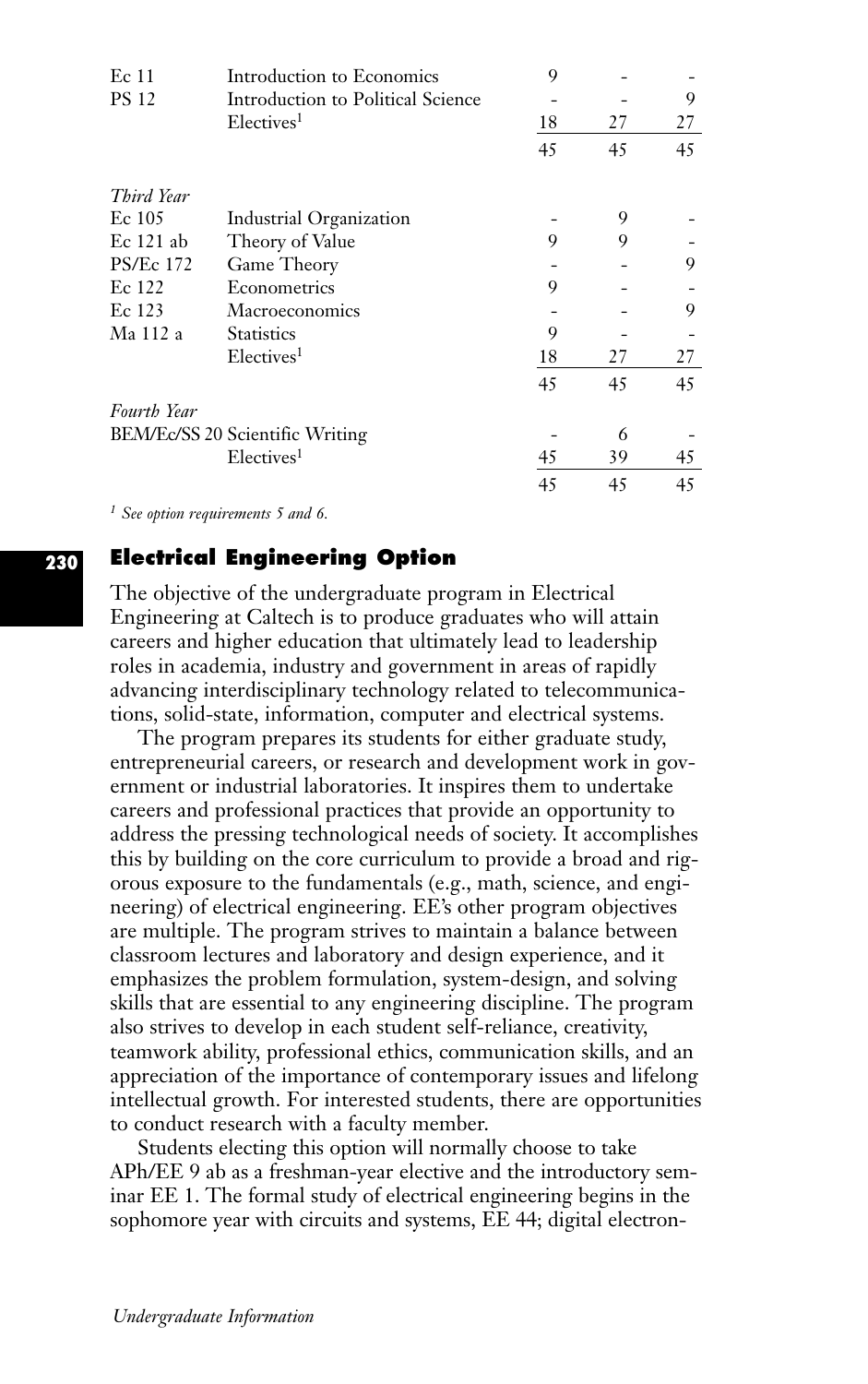| Ec 11              | Introduction to Economics         | 9  |    |    |
|--------------------|-----------------------------------|----|----|----|
| <b>PS 12</b>       | Introduction to Political Science |    |    | 9  |
|                    | Electives <sup>1</sup>            | 18 | 27 | 27 |
|                    |                                   | 45 | 45 | 45 |
| Third Year         |                                   |    |    |    |
| Ec 105             | Industrial Organization           |    | 9  |    |
| $Ec 121$ ab        | Theory of Value                   | 9  | 9  |    |
| <b>PS/Ec 172</b>   | Game Theory                       |    |    | 9  |
| Ec 122             | Econometrics                      | 9  |    |    |
| Ec 123             | Macroeconomics                    |    |    | 9  |
| Ma 112 a           | <b>Statistics</b>                 | 9  |    |    |
|                    | Electives <sup>1</sup>            | 18 | 27 | 27 |
|                    |                                   | 45 | 45 | 45 |
| <b>Fourth Year</b> |                                   |    |    |    |
|                    | BEM/Ec/SS 20 Scientific Writing   |    | 6  |    |
|                    | Electives <sup>1</sup>            | 45 | 39 | 45 |
|                    |                                   | 45 | 45 | 45 |

*<sup>1</sup> See option requirements 5 and 6.*

# **Electrical Engineering Option**

The objective of the undergraduate program in Electrical Engineering at Caltech is to produce graduates who will attain careers and higher education that ultimately lead to leadership roles in academia, industry and government in areas of rapidly advancing interdisciplinary technology related to telecommunications, solid-state, information, computer and electrical systems.

The program prepares its students for either graduate study, entrepreneurial careers, or research and development work in government or industrial laboratories. It inspires them to undertake careers and professional practices that provide an opportunity to address the pressing technological needs of society. It accomplishes this by building on the core curriculum to provide a broad and rigorous exposure to the fundamentals (e.g., math, science, and engineering) of electrical engineering. EE's other program objectives are multiple. The program strives to maintain a balance between classroom lectures and laboratory and design experience, and it emphasizes the problem formulation, system-design, and solving skills that are essential to any engineering discipline. The program also strives to develop in each student self-reliance, creativity, teamwork ability, professional ethics, communication skills, and an appreciation of the importance of contemporary issues and lifelong intellectual growth. For interested students, there are opportunities to conduct research with a faculty member.

Students electing this option will normally choose to take APh/EE 9 ab as a freshman-year elective and the introductory seminar EE 1. The formal study of electrical engineering begins in the sophomore year with circuits and systems, EE 44; digital electron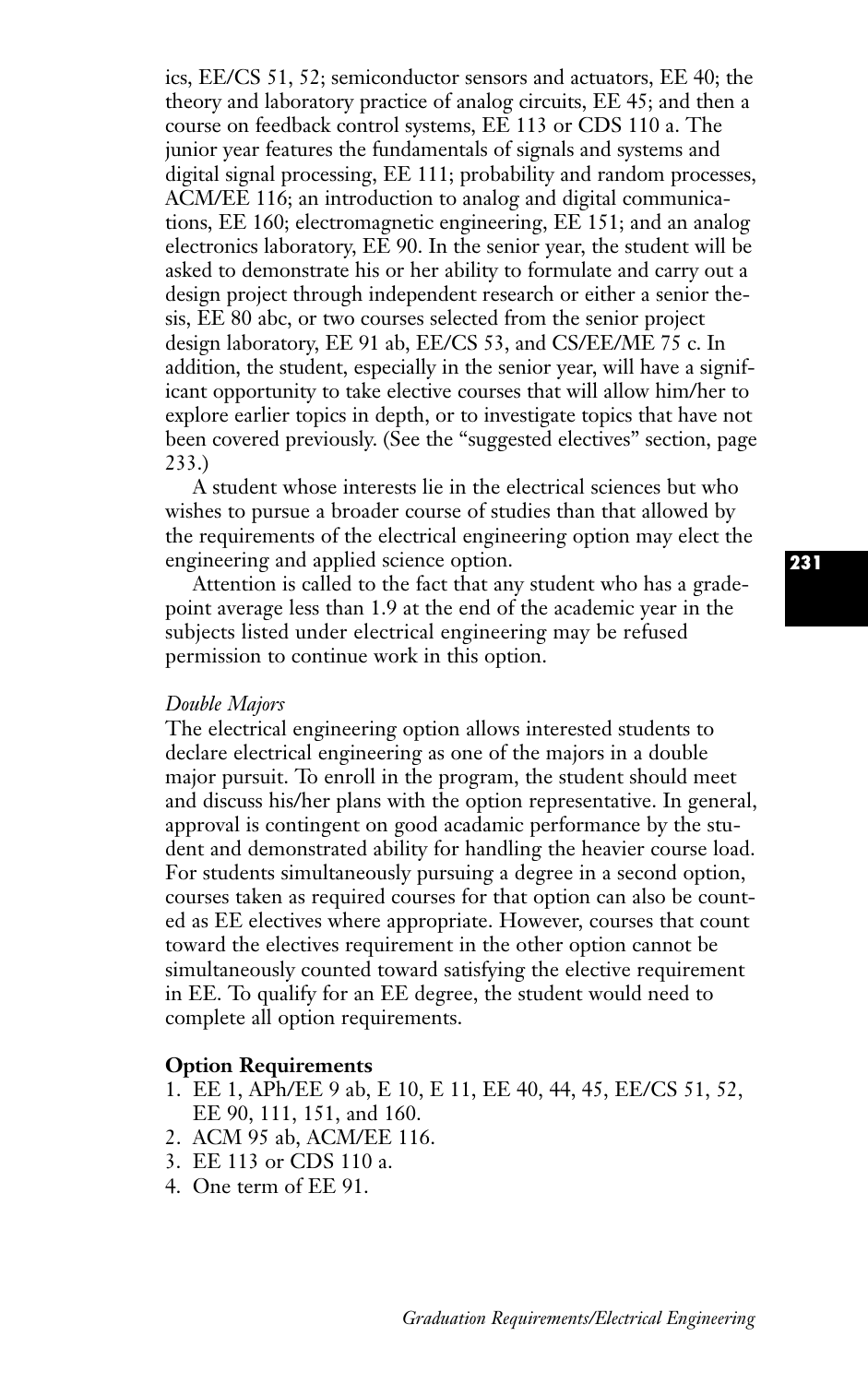ics, EE/CS 51, 52; semiconductor sensors and actuators, EE 40; the theory and laboratory practice of analog circuits, EE 45; and then a course on feedback control systems, EE 113 or CDS 110 a. The junior year features the fundamentals of signals and systems and digital signal processing, EE 111; probability and random processes, ACM/EE 116; an introduction to analog and digital communications, EE 160; electromagnetic engineering, EE 151; and an analog electronics laboratory, EE 90. In the senior year, the student will be asked to demonstrate his or her ability to formulate and carry out a design project through independent research or either a senior thesis, EE 80 abc, or two courses selected from the senior project design laboratory, EE 91 ab, EE/CS 53, and CS/EE/ME 75 c. In addition, the student, especially in the senior year, will have a significant opportunity to take elective courses that will allow him/her to explore earlier topics in depth, or to investigate topics that have not been covered previously. (See the "suggested electives" section, page 233.)

A student whose interests lie in the electrical sciences but who wishes to pursue a broader course of studies than that allowed by the requirements of the electrical engineering option may elect the engineering and applied science option.

Attention is called to the fact that any student who has a gradepoint average less than 1.9 at the end of the academic year in the subjects listed under electrical engineering may be refused permission to continue work in this option.

#### *Double Majors*

The electrical engineering option allows interested students to declare electrical engineering as one of the majors in a double major pursuit. To enroll in the program, the student should meet and discuss his/her plans with the option representative. In general, approval is contingent on good acadamic performance by the student and demonstrated ability for handling the heavier course load. For students simultaneously pursuing a degree in a second option, courses taken as required courses for that option can also be counted as EE electives where appropriate. However, courses that count toward the electives requirement in the other option cannot be simultaneously counted toward satisfying the elective requirement in EE. To qualify for an EE degree, the student would need to complete all option requirements.

#### **Option Requirements**

- 1. EE 1, APh/EE 9 ab, E 10, E 11, EE 40, 44, 45, EE/CS 51, 52, EE 90, 111, 151, and 160.
- 2. ACM 95 ab, ACM/EE 116.
- 3. EE 113 or CDS 110 a.
- 4. One term of EE 91.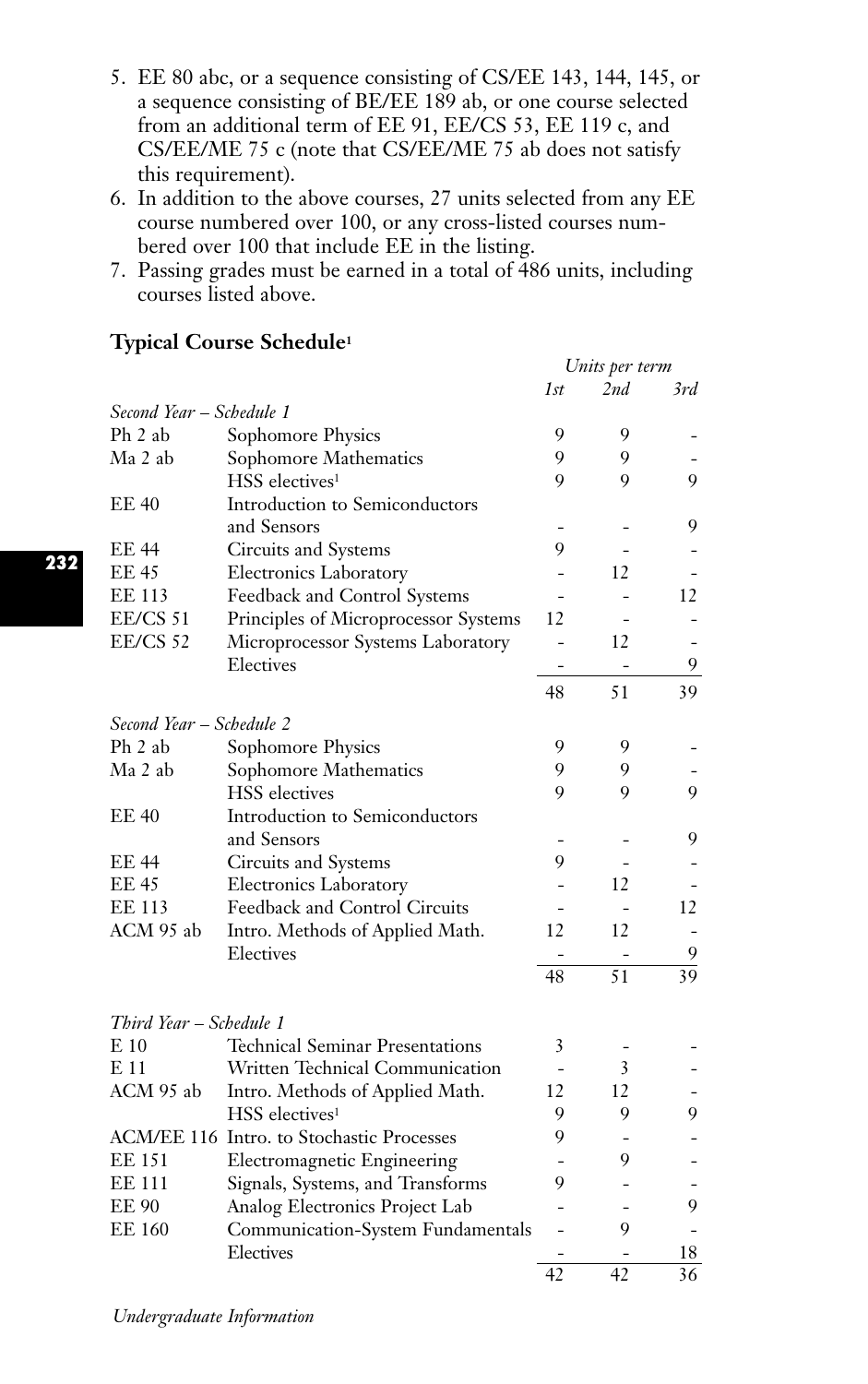- 5. EE 80 abc, or a sequence consisting of CS/EE 143, 144, 145, or a sequence consisting of BE/EE 189 ab, or one course selected from an additional term of EE 91, EE/CS 53, EE 119 c, and CS/EE/ME 75 c (note that CS/EE/ME 75 ab does not satisfy this requirement).
- 6. In addition to the above courses, 27 units selected from any EE course numbered over 100, or any cross-listed courses numbered over 100 that include EE in the listing.
- 7. Passing grades must be earned in a total of 486 units, including courses listed above.

# **Typical Course Schedule1**

|                          |                                                               | Units per term |                 |     |
|--------------------------|---------------------------------------------------------------|----------------|-----------------|-----|
|                          |                                                               | 1st            | 2nd             | 3rd |
| Second Year – Schedule 1 |                                                               |                |                 |     |
| Ph 2 ab                  | Sophomore Physics                                             | 9              | 9               |     |
| Ma 2 ab                  | Sophomore Mathematics                                         | 9              | 9               |     |
|                          | HSS electives <sup>1</sup>                                    | 9              | 9               | 9   |
| <b>EE 40</b>             | Introduction to Semiconductors                                |                |                 |     |
|                          | and Sensors                                                   |                |                 | 9   |
| EE 44                    | Circuits and Systems                                          | 9              |                 |     |
| <b>EE 45</b>             | <b>Electronics Laboratory</b>                                 |                | 12              |     |
| <b>EE 113</b>            | Feedback and Control Systems                                  |                |                 | 12  |
| EE/CS 51                 | Principles of Microprocessor Systems                          | 12             |                 |     |
| <b>EE/CS 52</b>          | Microprocessor Systems Laboratory                             |                | 12              |     |
|                          | Electives                                                     |                |                 | 9   |
|                          |                                                               | 48             | 51              | 39  |
|                          |                                                               |                |                 |     |
| Second Year - Schedule 2 |                                                               |                |                 |     |
| Ph 2 ab                  | Sophomore Physics                                             | 9              | 9               |     |
| Ma 2 ab                  | Sophomore Mathematics                                         | 9              | 9               |     |
|                          | <b>HSS</b> electives                                          | 9              | 9               | 9   |
| <b>EE 40</b>             | Introduction to Semiconductors                                |                |                 |     |
|                          | and Sensors                                                   |                |                 | 9   |
| <b>EE 44</b>             | Circuits and Systems                                          | 9              |                 |     |
| <b>EE 45</b>             | <b>Electronics Laboratory</b>                                 |                | 12              |     |
| <b>EE 113</b>            | Feedback and Control Circuits                                 |                |                 | 12  |
| ACM 95 ab                | Intro. Methods of Applied Math.                               | 12             | 12              |     |
|                          | Electives                                                     |                |                 | 9   |
|                          |                                                               | 48             | $\overline{51}$ | 39  |
|                          |                                                               |                |                 |     |
| Third Year – Schedule 1  | <b>Technical Seminar Presentations</b>                        |                |                 |     |
| E 10                     |                                                               | 3              |                 |     |
| E 11                     | Written Technical Communication                               |                | 3               |     |
| ACM 95 ab                | Intro. Methods of Applied Math.<br>HSS electives <sup>1</sup> | 12             | 12              |     |
|                          |                                                               | 9              | 9               | 9   |
|                          | ACM/EE 116 Intro. to Stochastic Processes                     | 9              |                 |     |
| <b>EE 151</b>            | <b>Electromagnetic Engineering</b>                            |                | 9               |     |
| <b>EE 111</b>            | Signals, Systems, and Transforms                              | 9              |                 |     |
| <b>EE 90</b>             | Analog Electronics Project Lab                                |                |                 | 9   |
| <b>EE 160</b>            | Communication-System Fundamentals                             |                | 9               |     |
|                          | Electives                                                     |                |                 | 18  |
|                          |                                                               | 42             | 42              | 36  |

*Undergraduate Information*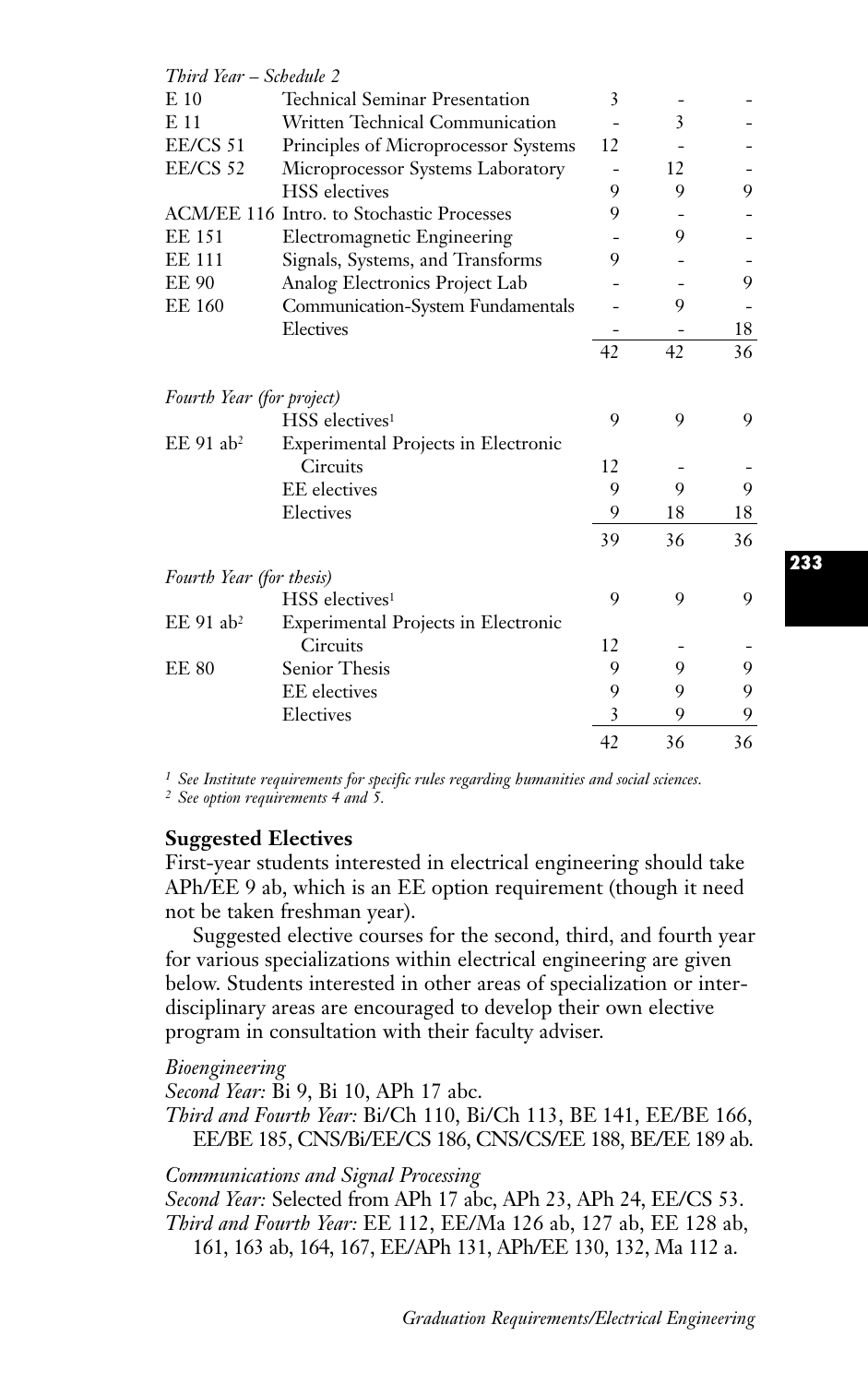| Third Year – Schedule 2   |                                           |    |    |    |
|---------------------------|-------------------------------------------|----|----|----|
| $E_{10}$                  | <b>Technical Seminar Presentation</b>     | 3  |    |    |
| E 11                      | Written Technical Communication           |    | 3  |    |
| $EE/CS$ 51                | Principles of Microprocessor Systems      | 12 |    |    |
| <b>EE/CS 52</b>           | Microprocessor Systems Laboratory         |    | 12 |    |
|                           | <b>HSS</b> electives                      | 9  | 9  | 9  |
|                           | ACM/EE 116 Intro. to Stochastic Processes | 9  |    |    |
| <b>EE 151</b>             | Electromagnetic Engineering               |    | 9  |    |
| <b>EE 111</b>             | Signals, Systems, and Transforms          | 9  |    |    |
| <b>EE 90</b>              | Analog Electronics Project Lab            |    |    | 9  |
| <b>EE 160</b>             | Communication-System Fundamentals         |    | 9  |    |
|                           | Electives                                 |    |    | 18 |
|                           |                                           | 42 | 42 | 36 |
| Fourth Year (for project) |                                           |    |    |    |
|                           | HSS electives <sup>1</sup>                | 9  | 9  | 9  |
| $EE$ 91 ab <sup>2</sup>   | Experimental Projects in Electronic       |    |    |    |
|                           | <b>Circuits</b>                           | 12 |    |    |
|                           | <b>EE</b> electives                       | 9  | 9  | 9  |
|                           | Electives                                 | 9  | 18 | 18 |
|                           |                                           | 39 | 36 | 36 |
| Fourth Year (for thesis)  |                                           |    |    |    |
|                           | HSS electives <sup>1</sup>                | 9  | 9  | 9  |
| $EE$ 91 ab <sup>2</sup>   | Experimental Projects in Electronic       |    |    |    |
|                           | <b>Circuits</b>                           | 12 |    |    |
| <b>EE 80</b>              | Senior Thesis                             | 9  | 9  | 9  |
|                           | <b>EE</b> electives                       | 9  | 9  | 9  |
|                           | Electives                                 | 3  | 9  | 9  |
|                           |                                           | 42 | 36 | 36 |

*<sup>1</sup> See Institute requirements for specific rules regarding humanities and social sciences.*

*<sup>2</sup> See option requirements 4 and 5.*

#### **Suggested Electives**

First-year students interested in electrical engineering should take APh/EE 9 ab, which is an EE option requirement (though it need not be taken freshman year).

Suggested elective courses for the second, third, and fourth year for various specializations within electrical engineering are given below. Students interested in other areas of specialization or interdisciplinary areas are encouraged to develop their own elective program in consultation with their faculty adviser.

*Bioengineering*

*Second Year:* Bi 9, Bi 10, APh 17 abc.

*Third and Fourth Year:* Bi/Ch 110, Bi/Ch 113, BE 141, EE/BE 166, EE/BE 185, CNS/Bi/EE/CS 186, CNS/CS/EE 188, BE/EE 189 ab.

## *Communications and Signal Processing*

*Second Year:* Selected from APh 17 abc, APh 23, APh 24, EE/CS 53. *Third and Fourth Year:* EE 112, EE/Ma 126 ab, 127 ab, EE 128 ab, 161, 163 ab, 164, 167, EE/APh 131, APh/EE 130, 132, Ma 112 a.

**233**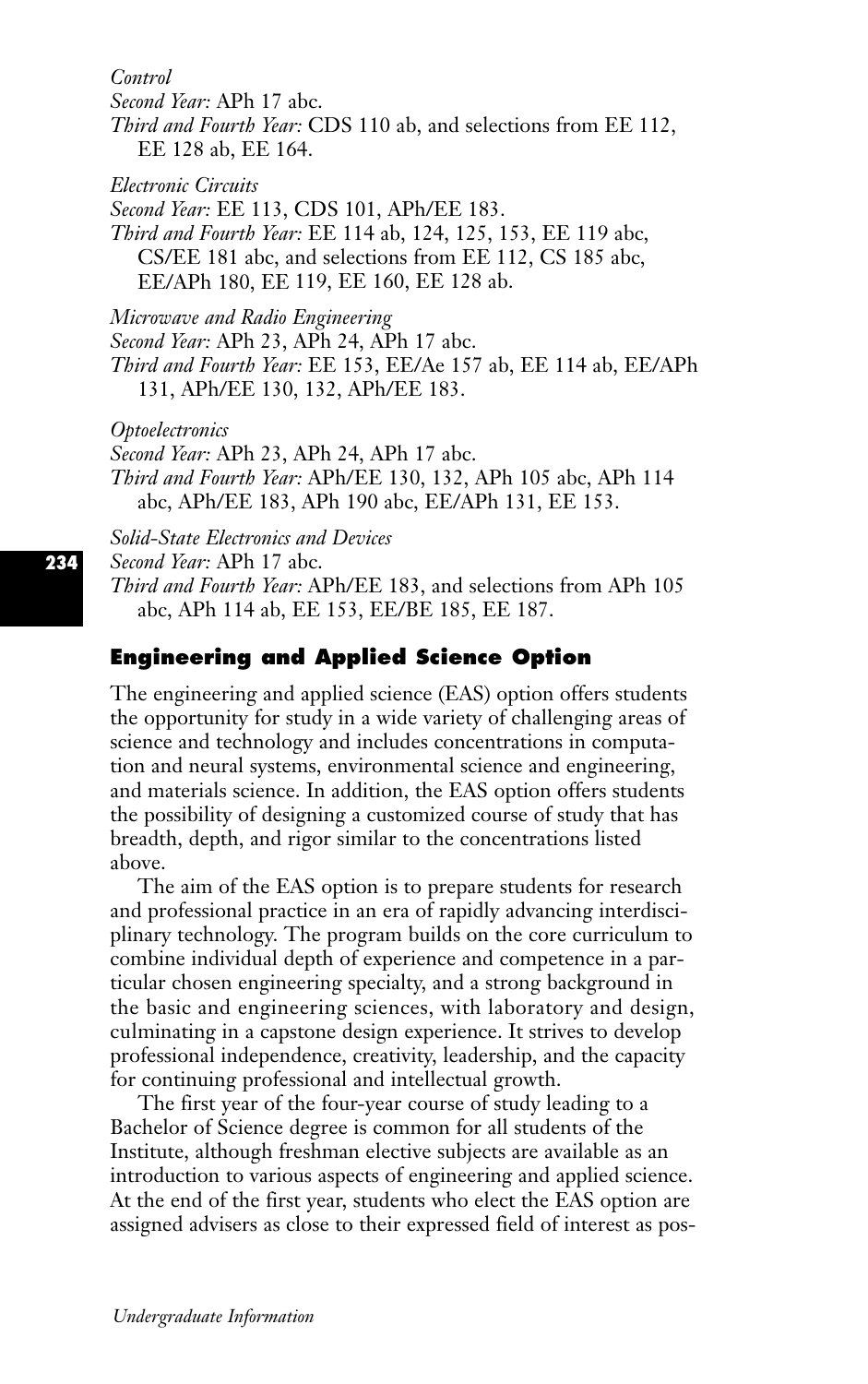*Control*

*Second Year:* APh 17 abc.

*Third and Fourth Year:* CDS 110 ab, and selections from EE 112, EE 128 ab, EE 164.

*Electronic Circuits*

*Second Year:* EE 113, CDS 101, APh/EE 183.

*Third and Fourth Year:* EE 114 ab, 124, 125, 153, EE 119 abc, CS/EE 181 abc, and selections from EE 112, CS 185 abc, EE/APh 180, EE 119, EE 160, EE 128 ab.

*Microwave and Radio Engineering*

*Second Year:* APh 23, APh 24, APh 17 abc.

*Third and Fourth Year:* EE 153, EE/Ae 157 ab, EE 114 ab, EE/APh 131, APh/EE 130, 132, APh/EE 183.

*Optoelectronics*

*Second Year:* APh 23, APh 24, APh 17 abc.

*Third and Fourth Year:* APh/EE 130, 132, APh 105 abc, APh 114 abc, APh/EE 183, APh 190 abc, EE/APh 131, EE 153.

*Solid-State Electronics and Devices*

*Second Year:* APh 17 abc.

*Third and Fourth Year:* APh/EE 183, and selections from APh 105 abc, APh 114 ab, EE 153, EE/BE 185, EE 187.

# **Engineering and Applied Science Option**

The engineering and applied science (EAS) option offers students the opportunity for study in a wide variety of challenging areas of science and technology and includes concentrations in computation and neural systems, environmental science and engineering, and materials science. In addition, the EAS option offers students the possibility of designing a customized course of study that has breadth, depth, and rigor similar to the concentrations listed above.

The aim of the EAS option is to prepare students for research and professional practice in an era of rapidly advancing interdisciplinary technology. The program builds on the core curriculum to combine individual depth of experience and competence in a particular chosen engineering specialty, and a strong background in the basic and engineering sciences, with laboratory and design, culminating in a capstone design experience. It strives to develop professional independence, creativity, leadership, and the capacity for continuing professional and intellectual growth.

The first year of the four-year course of study leading to a Bachelor of Science degree is common for all students of the Institute, although freshman elective subjects are available as an introduction to various aspects of engineering and applied science. At the end of the first year, students who elect the EAS option are assigned advisers as close to their expressed field of interest as pos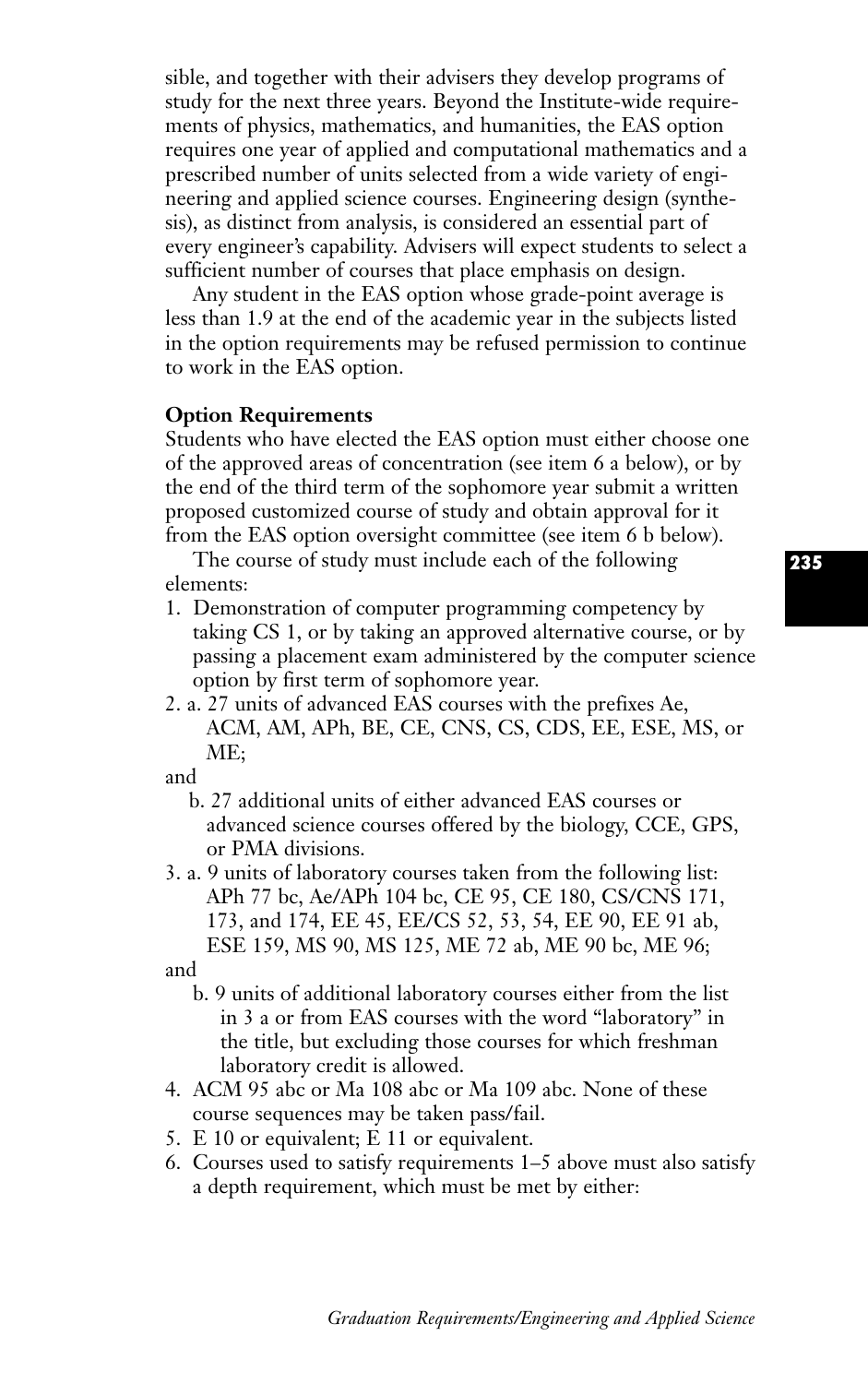sible, and together with their advisers they develop programs of study for the next three years. Beyond the Institute-wide requirements of physics, mathematics, and humanities, the EAS option requires one year of applied and computational mathematics and a prescribed number of units selected from a wide variety of engineering and applied science courses. Engineering design (synthesis), as distinct from analysis, is considered an essential part of every engineer's capability. Advisers will expect students to select a sufficient number of courses that place emphasis on design.

Any student in the EAS option whose grade-point average is less than 1.9 at the end of the academic year in the subjects listed in the option requirements may be refused permission to continue to work in the EAS option.

## **Option Requirements**

Students who have elected the EAS option must either choose one of the approved areas of concentration (see item 6 a below), or by the end of the third term of the sophomore year submit a written proposed customized course of study and obtain approval for it from the EAS option oversight committee (see item 6 b below).

The course of study must include each of the following elements:

- 1. Demonstration of computer programming competency by taking CS 1, or by taking an approved alternative course, or by passing a placement exam administered by the computer science option by first term of sophomore year.
- 2. a. 27 units of advanced EAS courses with the prefixes Ae, ACM, AM, APh, BE, CE, CNS, CS, CDS, EE, ESE, MS, or ME;

and

- b. 27 additional units of either advanced EAS courses or advanced science courses offered by the biology, CCE, GPS, or PMA divisions.
- 3. a. 9 units of laboratory courses taken from the following list: APh 77 bc, Ae/APh 104 bc, CE 95, CE 180, CS/CNS 171, 173, and 174, EE 45, EE/CS 52, 53, 54, EE 90, EE 91 ab, ESE 159, MS 90, MS 125, ME 72 ab, ME 90 bc, ME 96;

and

- b. 9 units of additional laboratory courses either from the list in 3 a or from EAS courses with the word "laboratory" in the title, but excluding those courses for which freshman laboratory credit is allowed.
- 4. ACM 95 abc or Ma 108 abc or Ma 109 abc. None of these course sequences may be taken pass/fail.
- 5. E 10 or equivalent; E 11 or equivalent.
- 6. Courses used to satisfy requirements 1–5 above must also satisfy a depth requirement, which must be met by either: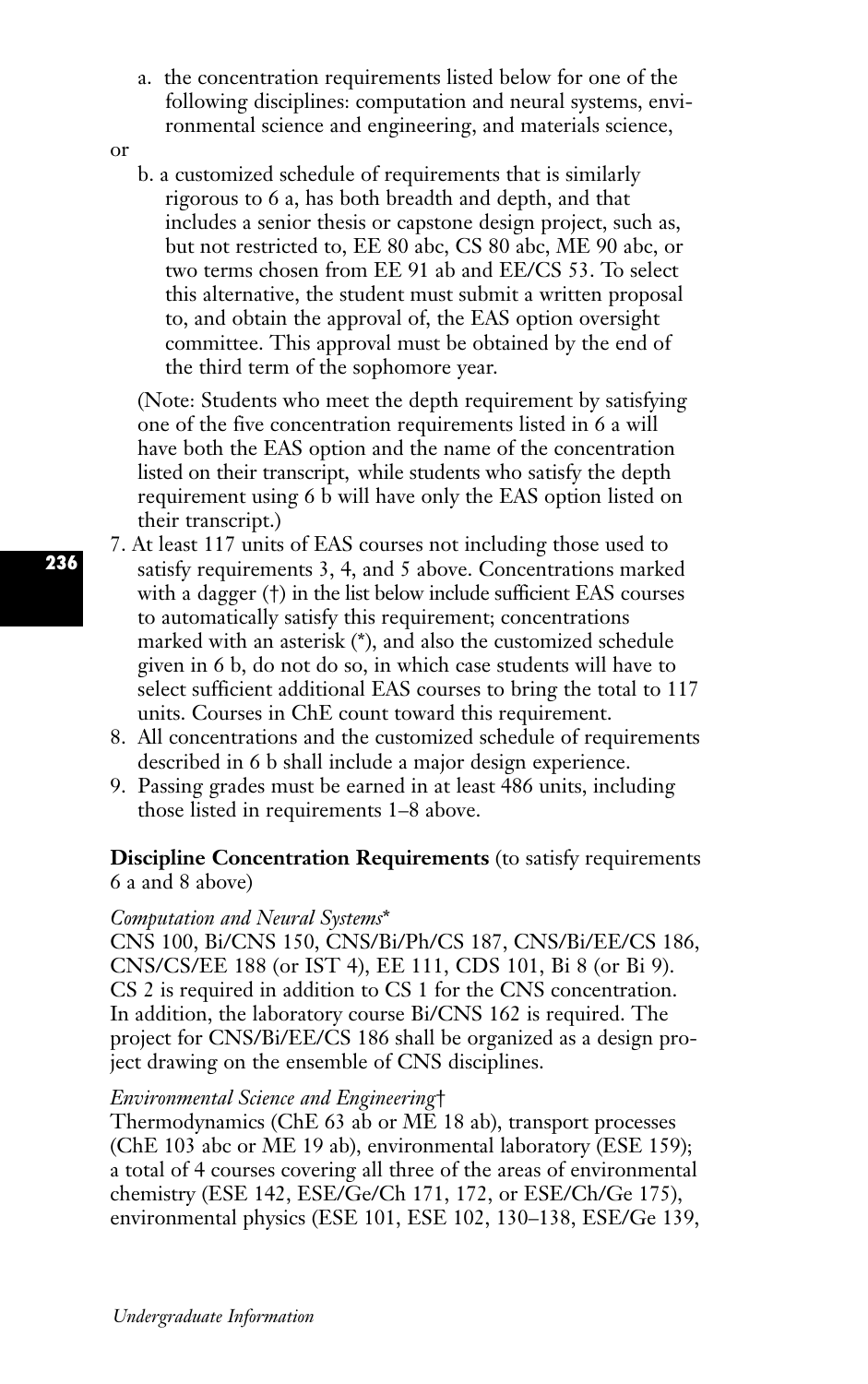- a. the concentration requirements listed below for one of the following disciplines: computation and neural systems, environmental science and engineering, and materials science,
- or
- b. a customized schedule of requirements that is similarly rigorous to 6 a, has both breadth and depth, and that includes a senior thesis or capstone design project, such as, but not restricted to, EE 80 abc, CS 80 abc, ME 90 abc, or two terms chosen from EE 91 ab and EE/CS 53. To select this alternative, the student must submit a written proposal to, and obtain the approval of, the EAS option oversight committee. This approval must be obtained by the end of the third term of the sophomore year.

(Note: Students who meet the depth requirement by satisfying one of the five concentration requirements listed in 6 a will have both the EAS option and the name of the concentration listed on their transcript, while students who satisfy the depth requirement using 6 b will have only the EAS option listed on their transcript.)

- 7. At least 117 units of EAS courses not including those used to satisfy requirements 3, 4, and 5 above. Concentrations marked with a dagger (†) in the list below include sufficient EAS courses to automatically satisfy this requirement; concentrations marked with an asterisk (\*), and also the customized schedule given in 6 b, do not do so, in which case students will have to select sufficient additional EAS courses to bring the total to 117 units. Courses in ChE count toward this requirement.
	- 8. All concentrations and the customized schedule of requirements described in 6 b shall include a major design experience.
	- 9. Passing grades must be earned in at least 486 units, including those listed in requirements 1–8 above.

## **Discipline Concentration Requirements** (to satisfy requirements 6 a and 8 above)

#### *Computation and Neural Systems*\*

CNS 100, Bi/CNS 150, CNS/Bi/Ph/CS 187, CNS/Bi/EE/CS 186, CNS/CS/EE 188 (or IST 4), EE 111, CDS 101, Bi 8 (or Bi 9). CS 2 is required in addition to CS 1 for the CNS concentration. In addition, the laboratory course Bi/CNS 162 is required. The project for CNS/Bi/EE/CS 186 shall be organized as a design project drawing on the ensemble of CNS disciplines.

## *Environmental Science and Engineering*†

Thermodynamics (ChE 63 ab or ME 18 ab), transport processes (ChE 103 abc or ME 19 ab), environmental laboratory (ESE 159); a total of 4 courses covering all three of the areas of environmental chemistry (ESE 142, ESE/Ge/Ch 171, 172, or ESE/Ch/Ge 175), environmental physics (ESE 101, ESE 102, 130–138, ESE/Ge 139,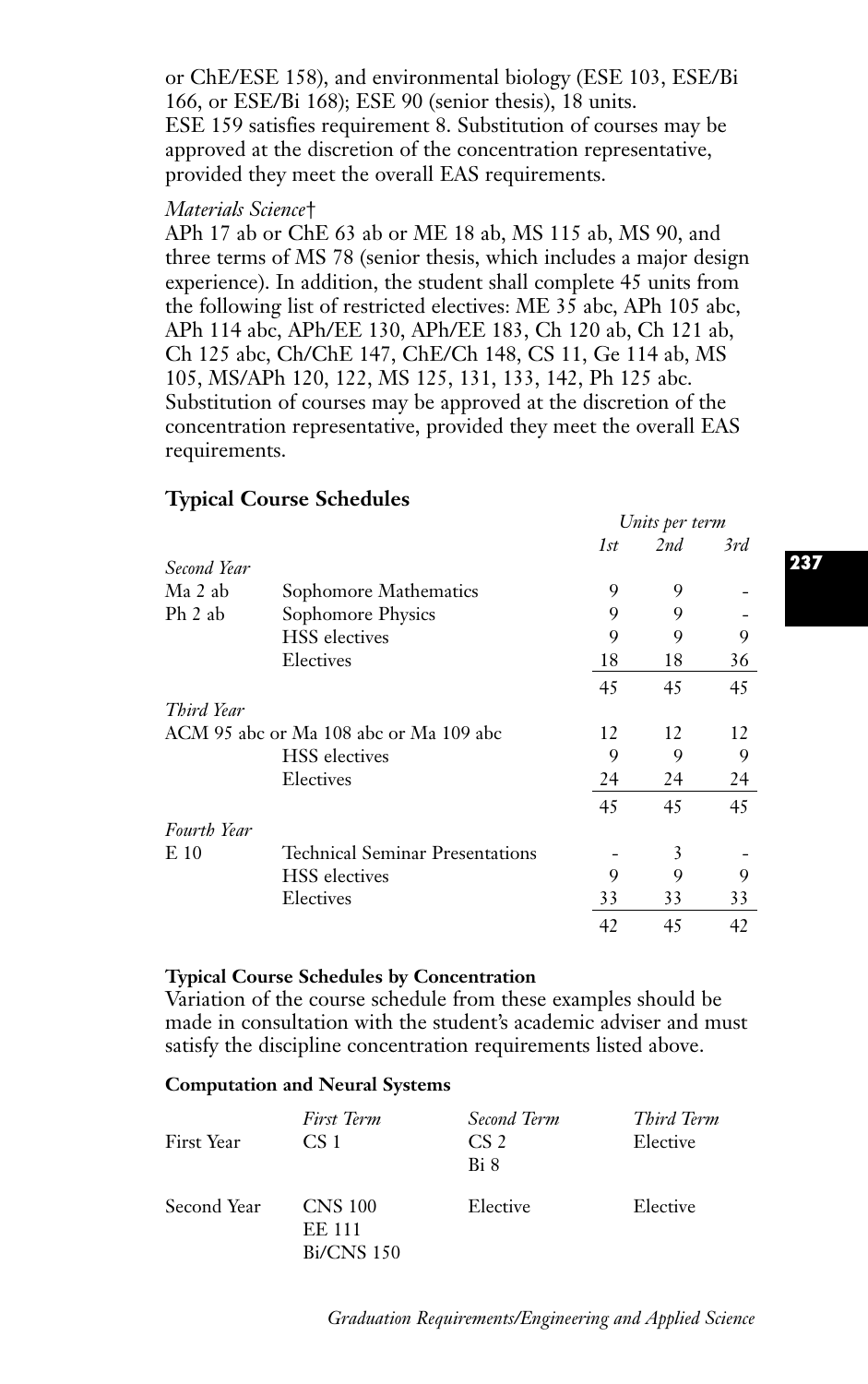or ChE/ESE 158), and environmental biology (ESE 103, ESE/Bi 166, or ESE/Bi 168); ESE 90 (senior thesis), 18 units. ESE 159 satisfies requirement 8. Substitution of courses may be approved at the discretion of the concentration representative, provided they meet the overall EAS requirements.

#### *Materials Science*†

APh 17 ab or ChE 63 ab or ME 18 ab, MS 115 ab, MS 90, and three terms of MS 78 (senior thesis, which includes a major design experience). In addition, the student shall complete 45 units from the following list of restricted electives: ME 35 abc, APh 105 abc, APh 114 abc, APh/EE 130, APh/EE 183, Ch 120 ab, Ch 121 ab, Ch 125 abc, Ch/ChE 147, ChE/Ch 148, CS 11, Ge 114 ab, MS 105, MS/APh 120, 122, MS 125, 131, 133, 142, Ph 125 abc. Substitution of courses may be approved at the discretion of the concentration representative, provided they meet the overall EAS requirements.

|             |                                        | Units per term |     |     |
|-------------|----------------------------------------|----------------|-----|-----|
|             |                                        | 1st            | 2nd | 3rd |
| Second Year |                                        |                |     |     |
| Ma 2 ab     | Sophomore Mathematics                  | 9              | 9   |     |
| Ph 2 ab     | Sophomore Physics                      | 9              | 9   |     |
|             | <b>HSS</b> electives                   | 9              | 9   | 9   |
|             | Electives                              | 18             | 18  | 36  |
|             |                                        | 45             | 45  | 45  |
| Third Year  |                                        |                |     |     |
|             | ACM 95 abc or Ma 108 abc or Ma 109 abc | 12             | 12  | 12  |
|             | <b>HSS</b> electives                   | 9              | 9   | 9   |
|             | Electives                              | 24             | 24  | 24  |
|             |                                        | 45             | 45  | 45  |
| Fourth Year |                                        |                |     |     |
| $E_{10}$    | Technical Seminar Presentations        |                | 3   |     |
|             | <b>HSS</b> electives                   | 9              | 9   | 9   |
|             | Electives                              | 33             | 33  | 33  |
|             |                                        | 42             | 45  | 42  |

## **Typical Course Schedules**

#### **Typical Course Schedules by Concentration**

Variation of the course schedule from these examples should be made in consultation with the student's academic adviser and must satisfy the discipline concentration requirements listed above.

#### **Computation and Neural Systems**

| First Year  | First Term<br>CS <sub>1</sub>                        | Second Term<br>CS <sub>2</sub><br>Bi 8 | Third Term<br>Elective |
|-------------|------------------------------------------------------|----------------------------------------|------------------------|
| Second Year | <b>CNS 100</b><br><b>EE 111</b><br><b>Bi/CNS 150</b> | Elective                               | Elective               |

**237**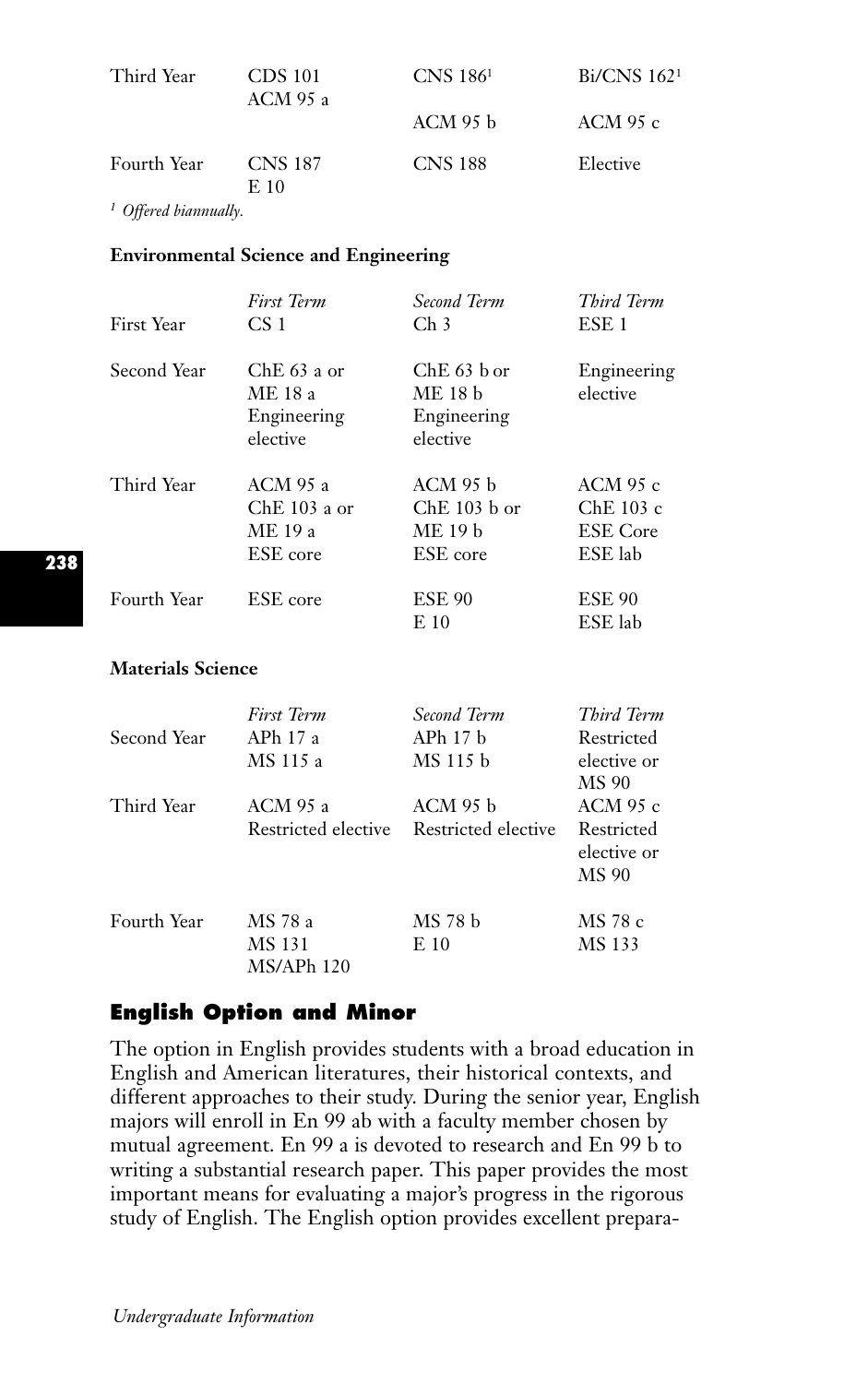| Third Year  | CDS 101<br><b>ACM 95 a</b> | CNS 186 <sup>1</sup> | Bi/CNS 162 <sup>1</sup> |
|-------------|----------------------------|----------------------|-------------------------|
|             |                            | ACM 95 b             | ACM 95 c                |
| Fourth Year | <b>CNS 187</b><br>E 10     | <b>CNS 188</b>       | Elective                |

*<sup>1</sup> Offered biannually.*

#### **Environmental Science and Engineering**

|                          | <b>First Term</b>                                   | Second Term                                         | Third Term                                            |
|--------------------------|-----------------------------------------------------|-----------------------------------------------------|-------------------------------------------------------|
| First Year               | CS <sub>1</sub>                                     | $\rm Ch$ 3                                          | ESE <sub>1</sub>                                      |
| Second Year              | $ChE 63$ a or<br>ME 18 a<br>Engineering<br>elective | $ChE 63$ b or<br>ME 18 b<br>Engineering<br>elective | Engineering<br>elective                               |
| Third Year               | ACM 95 a<br>$ChE$ 103 a or<br>ME 19 a<br>ESE core   | ACM 95 b<br>$ChE$ 103 b or<br>ME 19 b<br>ESE core   | ACM 95 $c$<br>ChE 103 c<br><b>ESE</b> Core<br>ESE lab |
| Fourth Year              | ESE core                                            | <b>ESE 90</b><br>E 10                               | <b>ESE 90</b><br>ESE lab                              |
| <b>Materials Science</b> |                                                     |                                                     |                                                       |

# *First Term Second Term Third Term* Second Year APh 17 a APh 17 b Restricted MS 115 a MS 115 b elective or MS 90<br>ACM 95 c Third Year ACM 95 a ACM 95 b Restricted elective Restricted elective Restricted elective or MS 90 Fourth Year MS 78 a MS 78 b MS 78 c MS 131 E 10 MS 133 MS/APh 120

# **English Option and Minor**

The option in English provides students with a broad education in English and American literatures, their historical contexts, and different approaches to their study. During the senior year, English majors will enroll in En 99 ab with a faculty member chosen by mutual agreement. En 99 a is devoted to research and En 99 b to writing a substantial research paper. This paper provides the most important means for evaluating a major's progress in the rigorous study of English. The English option provides excellent prepara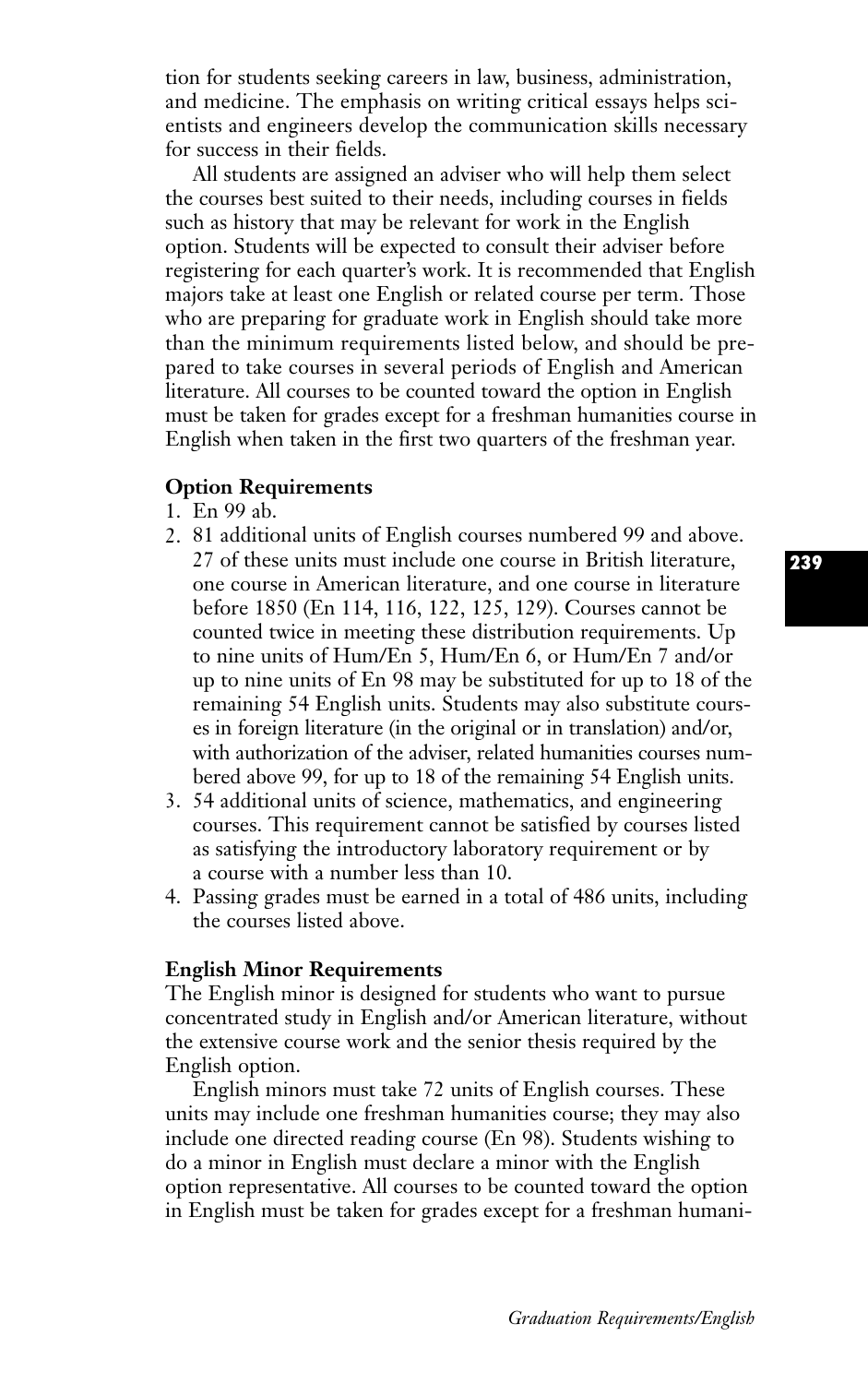tion for students seeking careers in law, business, administration, and medicine. The emphasis on writing critical essays helps scientists and engineers develop the communication skills necessary for success in their fields.

All students are assigned an adviser who will help them select the courses best suited to their needs, including courses in fields such as history that may be relevant for work in the English option. Students will be expected to consult their adviser before registering for each quarter's work. It is recommended that English majors take at least one English or related course per term. Those who are preparing for graduate work in English should take more than the minimum requirements listed below, and should be prepared to take courses in several periods of English and American literature. All courses to be counted toward the option in English must be taken for grades except for a freshman humanities course in English when taken in the first two quarters of the freshman year.

## **Option Requirements**

- 1. En 99 ab.
- 2. 81 additional units of English courses numbered 99 and above. 27 of these units must include one course in British literature, one course in American literature, and one course in literature before 1850 (En 114, 116, 122, 125, 129). Courses cannot be counted twice in meeting these distribution requirements. Up to nine units of Hum/En 5, Hum/En 6, or Hum/En 7 and/or up to nine units of En 98 may be substituted for up to 18 of the remaining 54 English units. Students may also substitute courses in foreign literature (in the original or in translation) and/or, with authorization of the adviser, related humanities courses numbered above 99, for up to 18 of the remaining 54 English units.
- 3. 54 additional units of science, mathematics, and engineering courses. This requirement cannot be satisfied by courses listed as satisfying the introductory laboratory requirement or by a course with a number less than 10.
- 4. Passing grades must be earned in a total of 486 units, including the courses listed above.

#### **English Minor Requirements**

The English minor is designed for students who want to pursue concentrated study in English and/or American literature, without the extensive course work and the senior thesis required by the English option.

English minors must take 72 units of English courses. These units may include one freshman humanities course; they may also include one directed reading course (En 98). Students wishing to do a minor in English must declare a minor with the English option representative. All courses to be counted toward the option in English must be taken for grades except for a freshman humani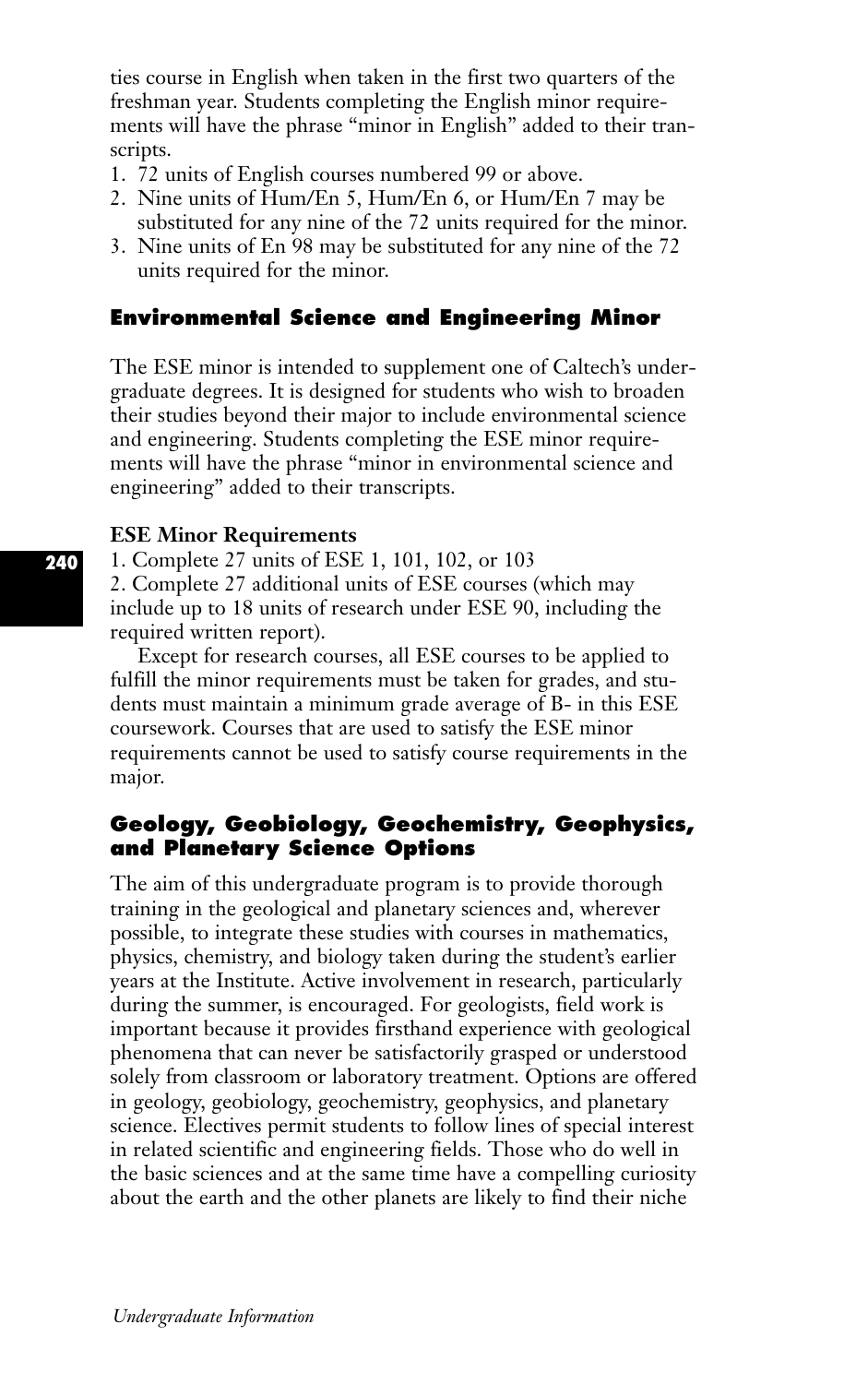ties course in English when taken in the first two quarters of the freshman year. Students completing the English minor requirements will have the phrase "minor in English" added to their transcripts.

- 1. 72 units of English courses numbered 99 or above.
- 2. Nine units of Hum/En 5, Hum/En 6, or Hum/En 7 may be substituted for any nine of the 72 units required for the minor.
- 3. Nine units of En 98 may be substituted for any nine of the 72 units required for the minor.

# **Environmental Science and Engineering Minor**

The ESE minor is intended to supplement one of Caltech's undergraduate degrees. It is designed for students who wish to broaden their studies beyond their major to include environmental science and engineering. Students completing the ESE minor requirements will have the phrase "minor in environmental science and engineering" added to their transcripts.

#### **ESE Minor Requirements**

1. Complete 27 units of ESE 1, 101, 102, or 103 2. Complete 27 additional units of ESE courses (which may include up to 18 units of research under ESE 90, including the

required written report).

Except for research courses, all ESE courses to be applied to fulfill the minor requirements must be taken for grades, and students must maintain a minimum grade average of B- in this ESE coursework. Courses that are used to satisfy the ESE minor requirements cannot be used to satisfy course requirements in the major.

# **Geology, Geobiology, Geochemistry, Geophysics, and Planetary Science Options**

The aim of this undergraduate program is to provide thorough training in the geological and planetary sciences and, wherever possible, to integrate these studies with courses in mathematics, physics, chemistry, and biology taken during the student's earlier years at the Institute. Active involvement in research, particularly during the summer, is encouraged. For geologists, field work is important because it provides firsthand experience with geological phenomena that can never be satisfactorily grasped or understood solely from classroom or laboratory treatment. Options are offered in geology, geobiology, geochemistry, geophysics, and planetary science. Electives permit students to follow lines of special interest in related scientific and engineering fields. Those who do well in the basic sciences and at the same time have a compelling curiosity about the earth and the other planets are likely to find their niche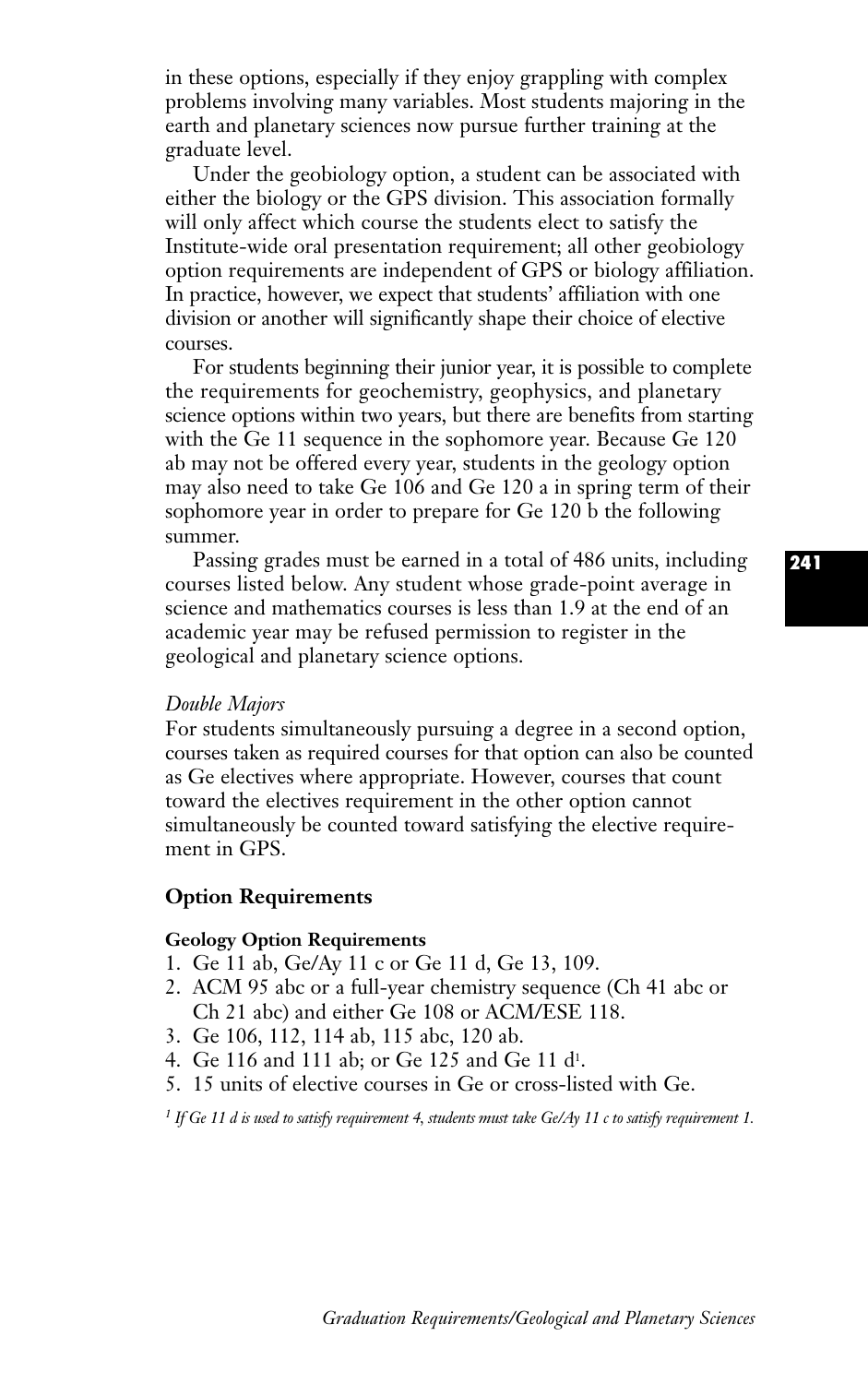in these options, especially if they enjoy grappling with complex problems involving many variables. Most students majoring in the earth and planetary sciences now pursue further training at the graduate level.

Under the geobiology option, a student can be associated with either the biology or the GPS division. This association formally will only affect which course the students elect to satisfy the Institute-wide oral presentation requirement; all other geobiology option requirements are independent of GPS or biology affiliation. In practice, however, we expect that students' affiliation with one division or another will significantly shape their choice of elective courses.

For students beginning their junior year, it is possible to complete the requirements for geochemistry, geophysics, and planetary science options within two years, but there are benefits from starting with the Ge 11 sequence in the sophomore year. Because Ge 120 ab may not be offered every year, students in the geology option may also need to take Ge 106 and Ge 120 a in spring term of their sophomore year in order to prepare for Ge 120 b the following summer.

Passing grades must be earned in a total of 486 units, including courses listed below. Any student whose grade-point average in science and mathematics courses is less than 1.9 at the end of an academic year may be refused permission to register in the geological and planetary science options.

#### *Double Majors*

For students simultaneously pursuing a degree in a second option, courses taken as required courses for that option can also be counted as Ge electives where appropriate. However, courses that count toward the electives requirement in the other option cannot simultaneously be counted toward satisfying the elective requirement in GPS.

#### **Option Requirements**

#### **Geology Option Requirements**

- 1. Ge 11 ab, Ge/Ay 11 c or Ge 11 d, Ge 13, 109.
- 2. ACM 95 abc or a full-year chemistry sequence (Ch 41 abc or Ch 21 abc) and either Ge 108 or ACM/ESE 118.
- 3. Ge 106, 112, 114 ab, 115 abc, 120 ab.
- 4. Ge 116 and 111 ab; or Ge 125 and Ge 11 d1.
- 5. 15 units of elective courses in Ge or cross-listed with Ge.

*<sup>1</sup> If Ge 11 d is used to satisfy requirement 4, students must take Ge/Ay 11 c to satisfy requirement 1.*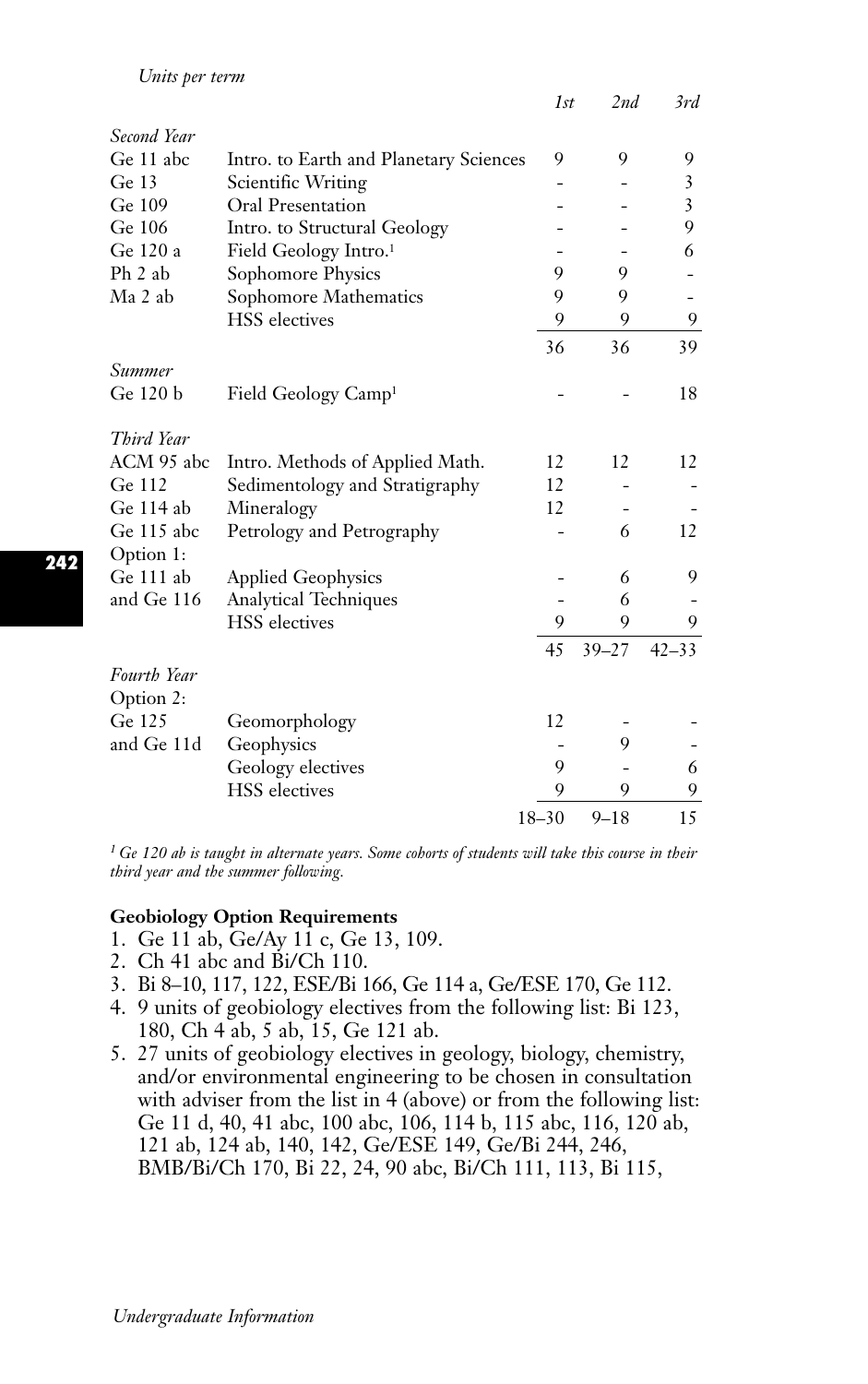|                         |                                        | 1st       | 2nd       | 3rd                      |
|-------------------------|----------------------------------------|-----------|-----------|--------------------------|
| Second Year             |                                        |           |           |                          |
| Ge 11 abc               | Intro. to Earth and Planetary Sciences | 9         | 9         | 9                        |
| Ge $13$                 | Scientific Writing                     |           |           | 3                        |
| Ge 109                  | <b>Oral Presentation</b>               |           |           | 3                        |
| Ge 106                  | Intro. to Structural Geology           |           |           | 9                        |
| Ge 120 a                | Field Geology Intro. <sup>1</sup>      |           |           | 6                        |
| Ph 2 ab                 | Sophomore Physics                      | 9         | 9         |                          |
| Ma 2 ab                 | Sophomore Mathematics                  | 9         | 9         | $\overline{\phantom{0}}$ |
|                         | <b>HSS</b> electives                   | 9         | 9         | 9                        |
|                         |                                        | 36        | 36        | 39                       |
| Summer                  |                                        |           |           |                          |
| Ge 120 b                | Field Geology Camp <sup>1</sup>        |           |           | 18                       |
| Third Year              |                                        |           |           |                          |
| ACM 95 abc              | Intro. Methods of Applied Math.        | 12        | 12        | 12                       |
| Ge 112                  | Sedimentology and Stratigraphy         | 12        |           |                          |
| Ge 114 ab               | Mineralogy                             | 12        |           |                          |
| Ge 115 abc<br>Option 1: | Petrology and Petrography              |           | 6         | 12                       |
| Ge 111 ab               | <b>Applied Geophysics</b>              |           | 6         | 9                        |
| and Ge 116              | <b>Analytical Techniques</b>           |           | 6         |                          |
|                         | <b>HSS</b> electives                   | 9         | 9         | 9                        |
|                         |                                        | 45        | $39 - 27$ | $42 - 33$                |
| <b>Fourth Year</b>      |                                        |           |           |                          |
| Option 2:               |                                        |           |           |                          |
| Ge 125                  | Geomorphology                          | 12        |           |                          |
| and Ge 11d              | Geophysics                             |           | 9         |                          |
|                         | Geology electives                      | 9         |           | 6                        |
|                         | <b>HSS</b> electives                   | 9         | 9         | 9                        |
|                         |                                        | $18 - 30$ | $9 - 18$  | 15                       |

*<sup>1</sup> Ge 120 ab is taught in alternate years. Some cohorts of students will take this course in their third year and the summer following.*

## **Geobiology Option Requirements**

- 1. Ge 11 ab, Ge/Ay 11 c, Ge 13, 109.
- 2. Ch 41 abc and Bi/Ch 110.
- 3. Bi 8–10, 117, 122, ESE/Bi 166, Ge 114 a, Ge/ESE 170, Ge 112.
- 4. 9 units of geobiology electives from the following list: Bi 123, 180, Ch 4 ab, 5 ab, 15, Ge 121 ab.
- 5. 27 units of geobiology electives in geology, biology, chemistry, and/or environmental engineering to be chosen in consultation with adviser from the list in 4 (above) or from the following list: Ge 11 d, 40, 41 abc, 100 abc, 106, 114 b, 115 abc, 116, 120 ab, 121 ab, 124 ab, 140, 142, Ge/ESE 149, Ge/Bi 244, 246, BMB/Bi/Ch 170, Bi 22, 24, 90 abc, Bi/Ch 111, 113, Bi 115,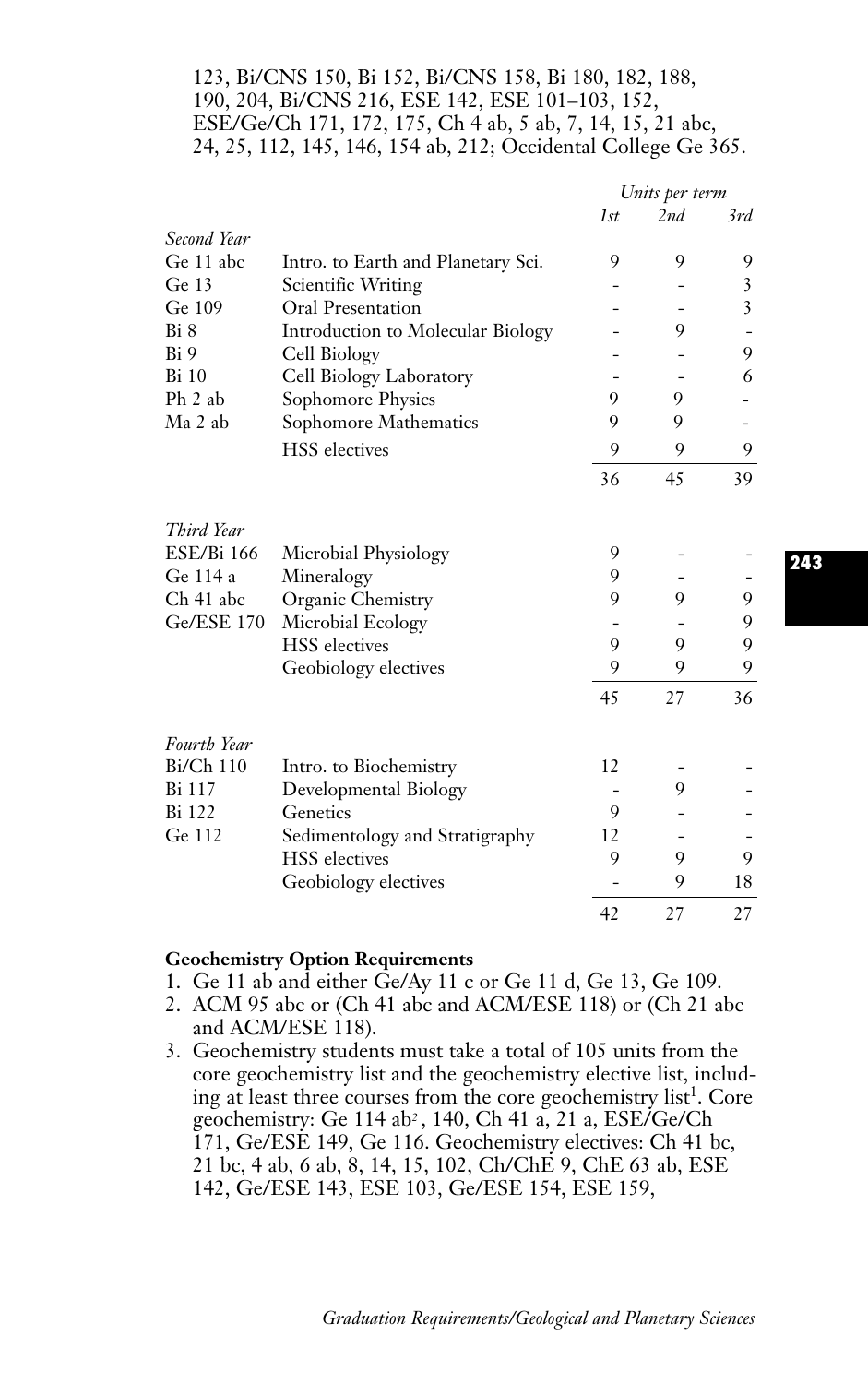## 123, Bi/CNS 150, Bi 152, Bi/CNS 158, Bi 180, 182, 188, 190, 204, Bi/CNS 216, ESE 142, ESE 101–103, 152, ESE/Ge/Ch 171, 172, 175, Ch 4 ab, 5 ab, 7, 14, 15, 21 abc, 24, 25, 112, 145, 146, 154 ab, 212; Occidental College Ge 365.

|                   |                                    | Units per term |     |                |
|-------------------|------------------------------------|----------------|-----|----------------|
|                   |                                    | 1st            | 2nd | 3rd            |
| Second Year       |                                    |                |     |                |
| Ge 11 abc         | Intro. to Earth and Planetary Sci. | 9              | 9   | 9              |
| Ge $13$           | Scientific Writing                 |                |     | 3              |
| Ge 109            | Oral Presentation                  |                |     | $\overline{3}$ |
| Bi 8              | Introduction to Molecular Biology  |                | 9   |                |
| Bi 9              | Cell Biology                       |                |     | 9              |
| <b>Bi</b> 10      | Cell Biology Laboratory            |                |     | 6              |
| Ph 2 ab           | Sophomore Physics                  | 9              | 9   |                |
| Ma 2 ab           | Sophomore Mathematics              | 9              | 9   |                |
|                   | <b>HSS</b> electives               | 9              | 9   | 9              |
|                   |                                    | 36             | 45  | 39             |
| Third Year        |                                    |                |     |                |
| <b>ESE/Bi 166</b> | Microbial Physiology               | 9              |     |                |
| Ge 114 a          | Mineralogy                         | 9              |     |                |
| Ch 41 abc         | Organic Chemistry                  | 9              | 9   | 9              |
| Ge/ESE 170        | Microbial Ecology                  |                |     | 9              |
|                   | <b>HSS</b> electives               | 9              | 9   | 9              |
|                   | Geobiology electives               | 9              | 9   | 9              |
|                   |                                    | 45             | 27  | 36             |
| Fourth Year       |                                    |                |     |                |
| Bi/Ch 110         | Intro. to Biochemistry             | 12             |     |                |
| Bi 117            | Developmental Biology              |                | 9   |                |
| Bi 122            | Genetics                           | 9              |     |                |
| Ge 112            | Sedimentology and Stratigraphy     | 12             |     |                |
|                   | <b>HSS</b> electives               | 9              | 9   | 9              |
|                   | Geobiology electives               |                | 9   | 18             |
|                   |                                    | 42             | 27  | 27             |

#### **Geochemistry Option Requirements**

- 1. Ge 11 ab and either Ge/Ay 11 c or Ge 11 d, Ge 13, Ge 109.
- 2. ACM 95 abc or (Ch 41 abc and ACM/ESE 118) or (Ch 21 abc and ACM/ESE 118).
- 3. Geochemistry students must take a total of 105 units from the core geochemistry list and the geochemistry elective list, including at least three courses from the core geochemistry list<sup>1</sup>. Core geochemistry: Ge 114 ab*<sup>2</sup>* , 140, Ch 41 a, 21 a, ESE/Ge/Ch 171, Ge/ESE 149, Ge 116. Geochemistry electives: Ch 41 bc, 21 bc, 4 ab, 6 ab, 8, 14, 15, 102, Ch/ChE 9, ChE 63 ab, ESE 142, Ge/ESE 143, ESE 103, Ge/ESE 154, ESE 159,

**243**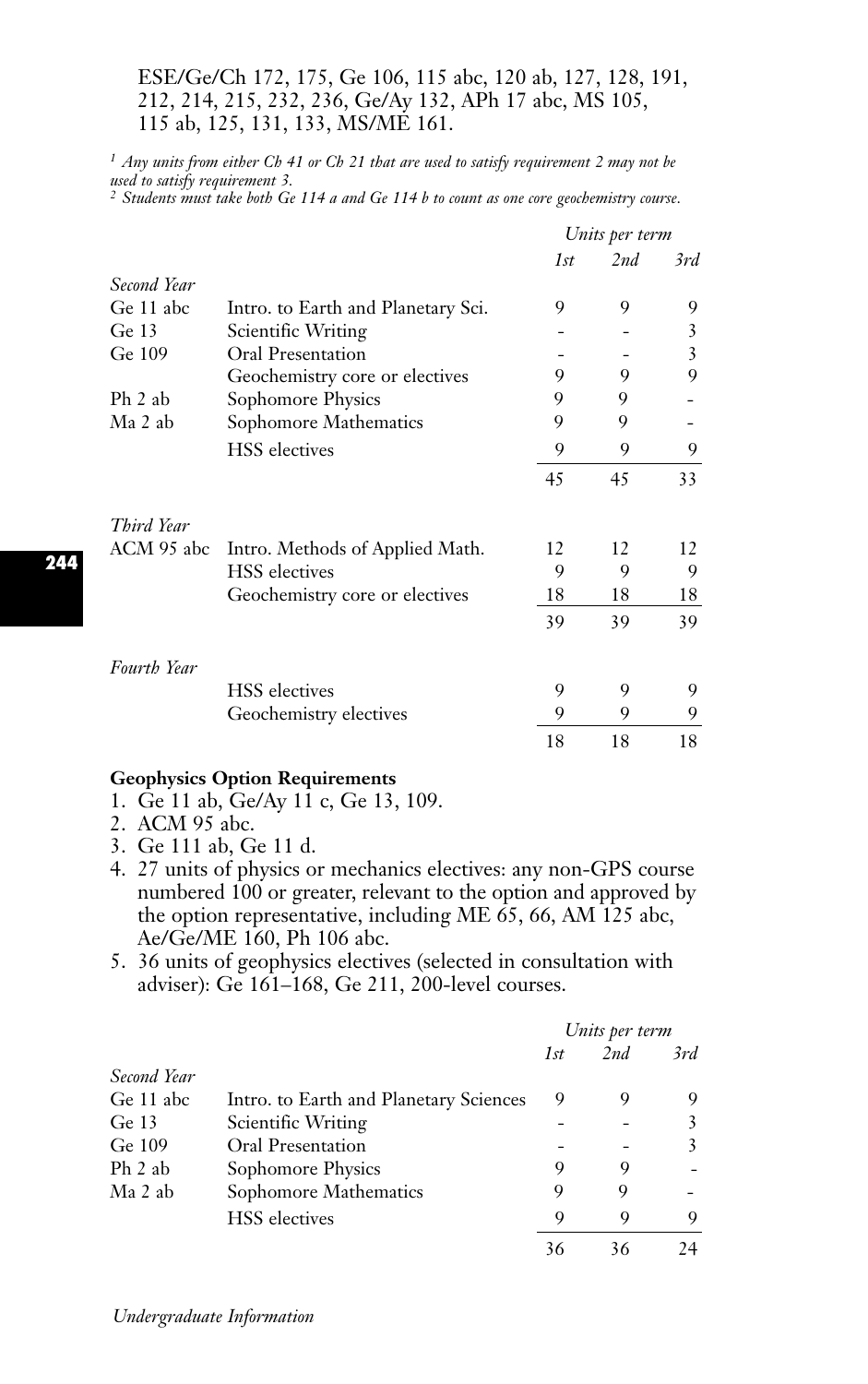## ESE/Ge/Ch 172, 175, Ge 106, 115 abc, 120 ab, 127, 128, 191, 212, 214, 215, 232, 236, Ge/Ay 132, APh 17 abc, MS 105, 115 ab, 125, 131, 133, MS/ME 161.

*<sup>1</sup> Any units from either Ch 41 or Ch 21 that are used to satisfy requirement 2 may not be used to satisfy requirement 3. <sup>2</sup> Students must take both Ge 114 a and Ge 114 b to count as one core geochemistry course.*

|             |                                    | Units per term |     |     |
|-------------|------------------------------------|----------------|-----|-----|
|             |                                    | 1st            | 2nd | 3rd |
| Second Year |                                    |                |     |     |
| Ge 11 abc   | Intro. to Earth and Planetary Sci. | 9              | 9   | 9   |
| Ge 13       | Scientific Writing                 |                |     | 3   |
| Ge 109      | Oral Presentation                  |                |     | 3   |
|             | Geochemistry core or electives     | 9              | 9   | 9   |
| Ph 2 ab     | Sophomore Physics                  | 9              | 9   |     |
| Ma 2 ab     | Sophomore Mathematics              | 9              | 9   |     |
|             | <b>HSS</b> electives               | 9              | 9   | 9   |
|             |                                    | 45             | 45  | 33  |
| Third Year  |                                    |                |     |     |
| ACM 95 abc  | Intro. Methods of Applied Math.    | 12             | 12  | 12  |
|             | <b>HSS</b> electives               | 9              | 9   | 9   |
|             | Geochemistry core or electives     | 18             | 18  | 18  |
|             |                                    | 39             | 39  | 39  |
| Fourth Year |                                    |                |     |     |
|             | <b>HSS</b> electives               | 9              | 9   | 9   |
|             | Geochemistry electives             | 9              | 9   | 9   |
|             |                                    | 18             | 18  | 18  |

#### **Geophysics Option Requirements**

- 1. Ge 11 ab, Ge/Ay 11 c, Ge 13, 109.
- 2. ACM 95 abc.
- 3. Ge 111 ab, Ge 11 d.
- 4. 27 units of physics or mechanics electives: any non-GPS course numbered 100 or greater, relevant to the option and approved by the option representative, including ME 65, 66, AM 125 abc, Ae/Ge/ME 160, Ph 106 abc.
- 5. 36 units of geophysics electives (selected in consultation with adviser): Ge 161–168, Ge 211, 200-level courses.

|             |                                        | Units per term |     |     |
|-------------|----------------------------------------|----------------|-----|-----|
|             |                                        | 1st            | 2nd | 3rd |
| Second Year |                                        |                |     |     |
| Ge 11 abc   | Intro. to Earth and Planetary Sciences | 9              | 9   | 9   |
| Ge $13$     | Scientific Writing                     |                |     | 3   |
| Ge 109      | Oral Presentation                      |                |     | 3   |
| Ph 2 ab     | Sophomore Physics                      | 9              | 9   |     |
| Ma 2 ab     | Sophomore Mathematics                  | 9              | 9   |     |
|             | <b>HSS</b> electives                   | 9              | 9   | 9   |
|             |                                        | 36             | 36  |     |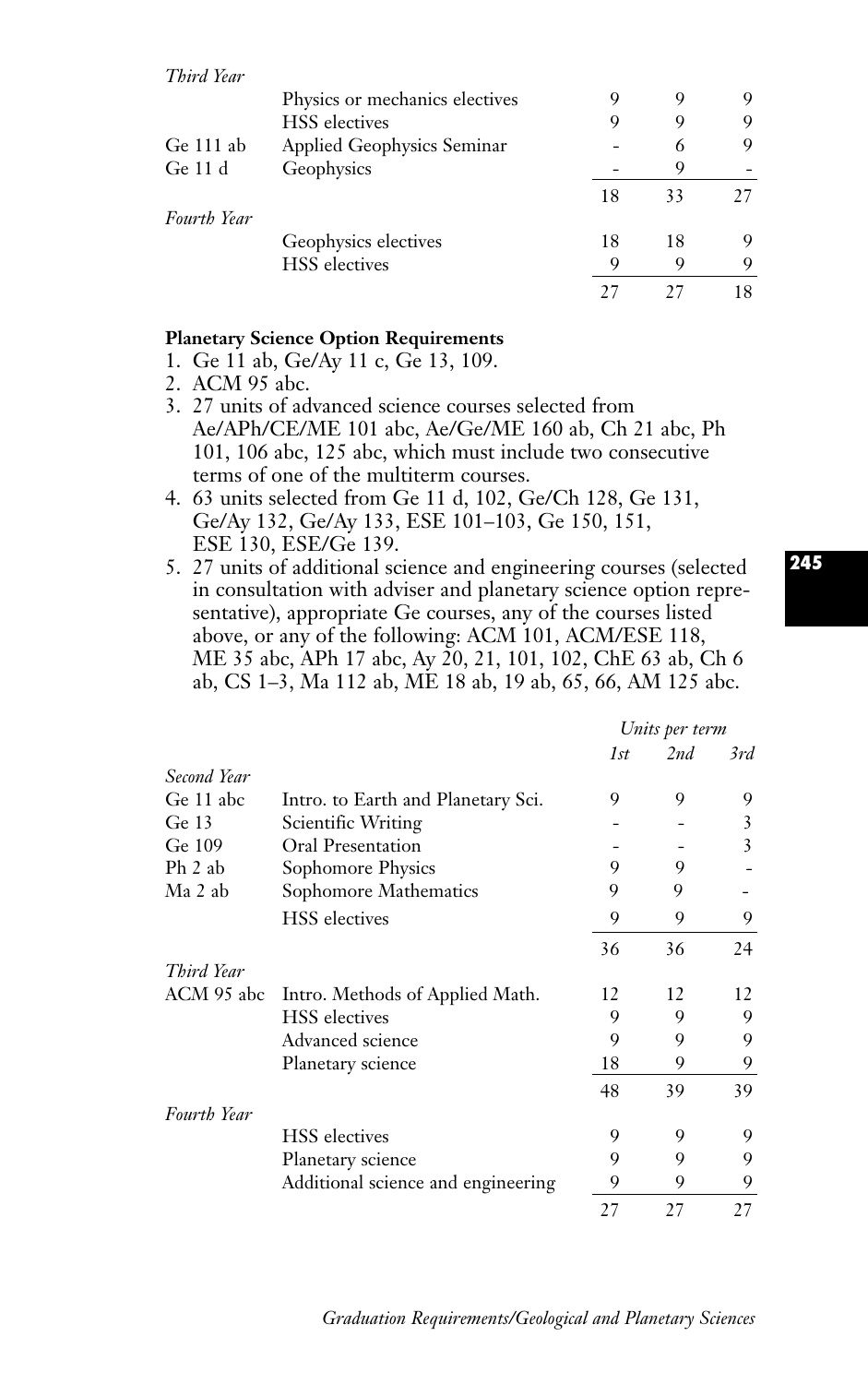|             | Physics or mechanics electives |    |    |    |
|-------------|--------------------------------|----|----|----|
|             | <b>HSS</b> electives           |    |    |    |
| Ge $111$ ab | Applied Geophysics Seminar     |    | 6  | 9  |
| Ge $11d$    | Geophysics                     |    |    |    |
|             |                                | 18 | 33 | 27 |
| Fourth Year |                                |    |    |    |
|             | Geophysics electives           | 18 | 18 | Q  |
|             | <b>HSS</b> electives           | Q  |    |    |
|             |                                |    |    |    |

## **Planetary Science Option Requirements**

- 1. Ge 11 ab, Ge/Ay 11 c, Ge 13, 109.
- 2. ACM 95 abc.
- 3. 27 units of advanced science courses selected from Ae/APh/CE/ME 101 abc, Ae/Ge/ME 160 ab, Ch 21 abc, Ph 101, 106 abc, 125 abc, which must include two consecutive terms of one of the multiterm courses.
- 4. 63 units selected from Ge 11 d, 102, Ge/Ch 128, Ge 131, Ge/Ay 132, Ge/Ay 133, ESE 101–103, Ge 150, 151, ESE 130, ESE/Ge 139.
- 5. 27 units of additional science and engineering courses (selected in consultation with adviser and planetary science option representative), appropriate Ge courses, any of the courses listed above, or any of the following: ACM 101, ACM/ESE 118, ME 35 abc, APh 17 abc, Ay 20, 21, 101, 102, ChE 63 ab, Ch 6 ab, CS 1–3, Ma 112 ab, ME 18 ab, 19 ab, 65, 66, AM 125 abc.

|                    |                                    | Units per term |     |     |
|--------------------|------------------------------------|----------------|-----|-----|
|                    |                                    | 1st            | 2nd | 3rd |
| Second Year        |                                    |                |     |     |
| Ge 11 abc          | Intro. to Earth and Planetary Sci. | 9              | 9   | 9   |
| Ge $13$            | Scientific Writing                 |                |     | 3   |
| Ge 109             | <b>Oral Presentation</b>           |                |     | 3   |
| Ph 2 ab            | Sophomore Physics                  | 9              | 9   |     |
| Ma 2 ab            | Sophomore Mathematics              | 9              | 9   |     |
|                    | <b>HSS</b> electives               | 9              | 9   | 9   |
|                    |                                    | 36             | 36  | 24  |
| Third Year         |                                    |                |     |     |
| ACM 95 abc         | Intro. Methods of Applied Math.    | 12             | 12  | 12  |
|                    | <b>HSS</b> electives               | 9              | 9   | 9   |
|                    | Advanced science                   | 9              | 9   | 9   |
|                    | Planetary science                  | 18             | 9   | 9   |
|                    |                                    | 48             | 39  | 39  |
| <b>Fourth Year</b> |                                    |                |     |     |
|                    | <b>HSS</b> electives               | 9              | 9   | 9   |
|                    | Planetary science                  | 9              | 9   | 9   |
|                    | Additional science and engineering | 9              | 9   | 9   |
|                    |                                    | 27             | 27  | 27  |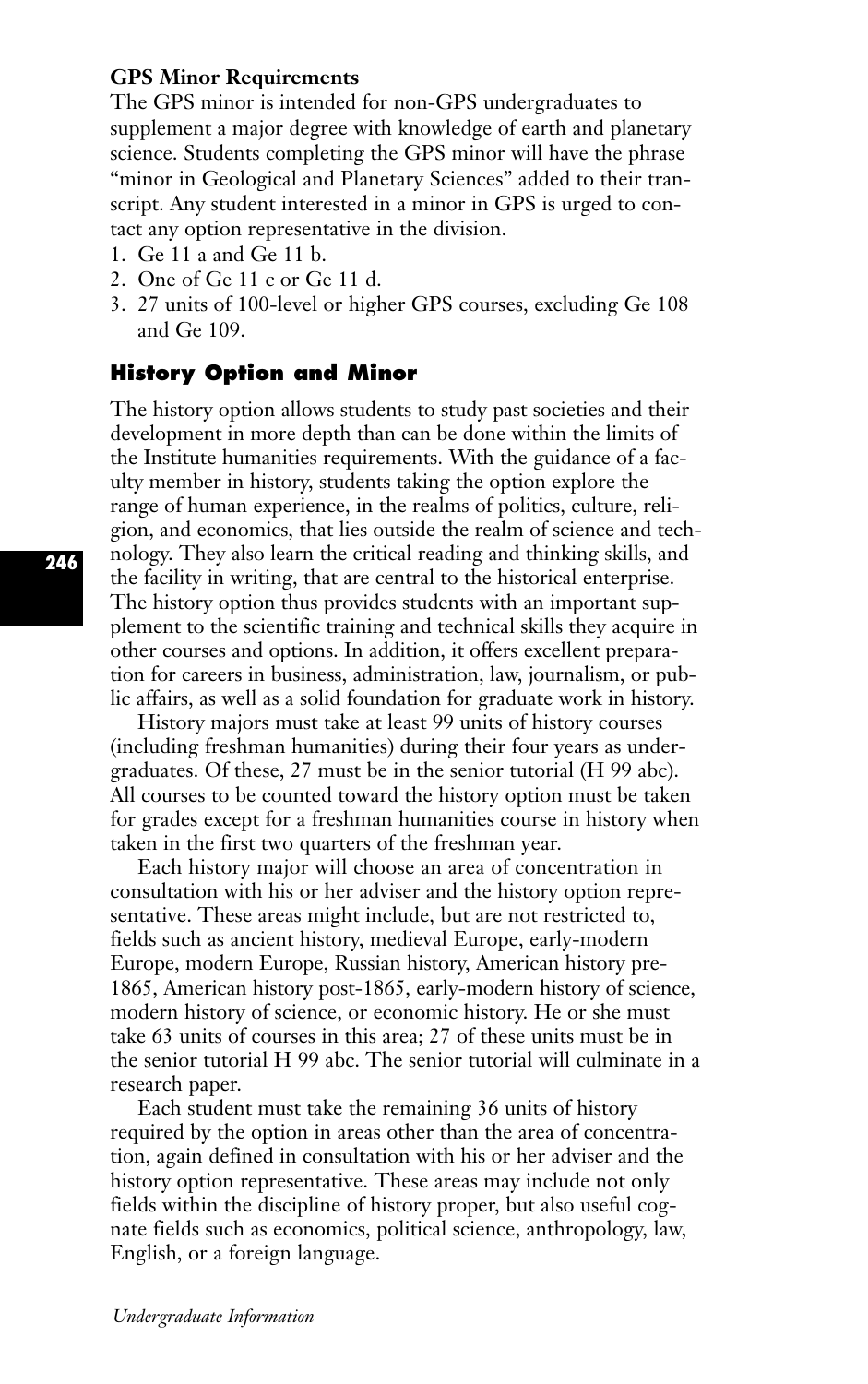## **GPS Minor Requirements**

The GPS minor is intended for non-GPS undergraduates to supplement a major degree with knowledge of earth and planetary science. Students completing the GPS minor will have the phrase "minor in Geological and Planetary Sciences" added to their transcript. Any student interested in a minor in GPS is urged to contact any option representative in the division.

- 1. Ge 11 a and Ge 11 b.
- 2. One of Ge 11 c or Ge 11 d.
- 3. 27 units of 100-level or higher GPS courses, excluding Ge 108 and Ge 109.

## **History Option and Minor**

The history option allows students to study past societies and their development in more depth than can be done within the limits of the Institute humanities requirements. With the guidance of a faculty member in history, students taking the option explore the range of human experience, in the realms of politics, culture, religion, and economics, that lies outside the realm of science and technology. They also learn the critical reading and thinking skills, and the facility in writing, that are central to the historical enterprise. The history option thus provides students with an important supplement to the scientific training and technical skills they acquire in other courses and options. In addition, it offers excellent preparation for careers in business, administration, law, journalism, or public affairs, as well as a solid foundation for graduate work in history.

History majors must take at least 99 units of history courses (including freshman humanities) during their four years as undergraduates. Of these, 27 must be in the senior tutorial (H 99 abc). All courses to be counted toward the history option must be taken for grades except for a freshman humanities course in history when taken in the first two quarters of the freshman year.

Each history major will choose an area of concentration in consultation with his or her adviser and the history option representative. These areas might include, but are not restricted to, fields such as ancient history, medieval Europe, early-modern Europe, modern Europe, Russian history, American history pre-1865, American history post-1865, early-modern history of science, modern history of science, or economic history. He or she must take 63 units of courses in this area; 27 of these units must be in the senior tutorial H 99 abc. The senior tutorial will culminate in a research paper.

Each student must take the remaining 36 units of history required by the option in areas other than the area of concentration, again defined in consultation with his or her adviser and the history option representative. These areas may include not only fields within the discipline of history proper, but also useful cognate fields such as economics, political science, anthropology, law, English, or a foreign language.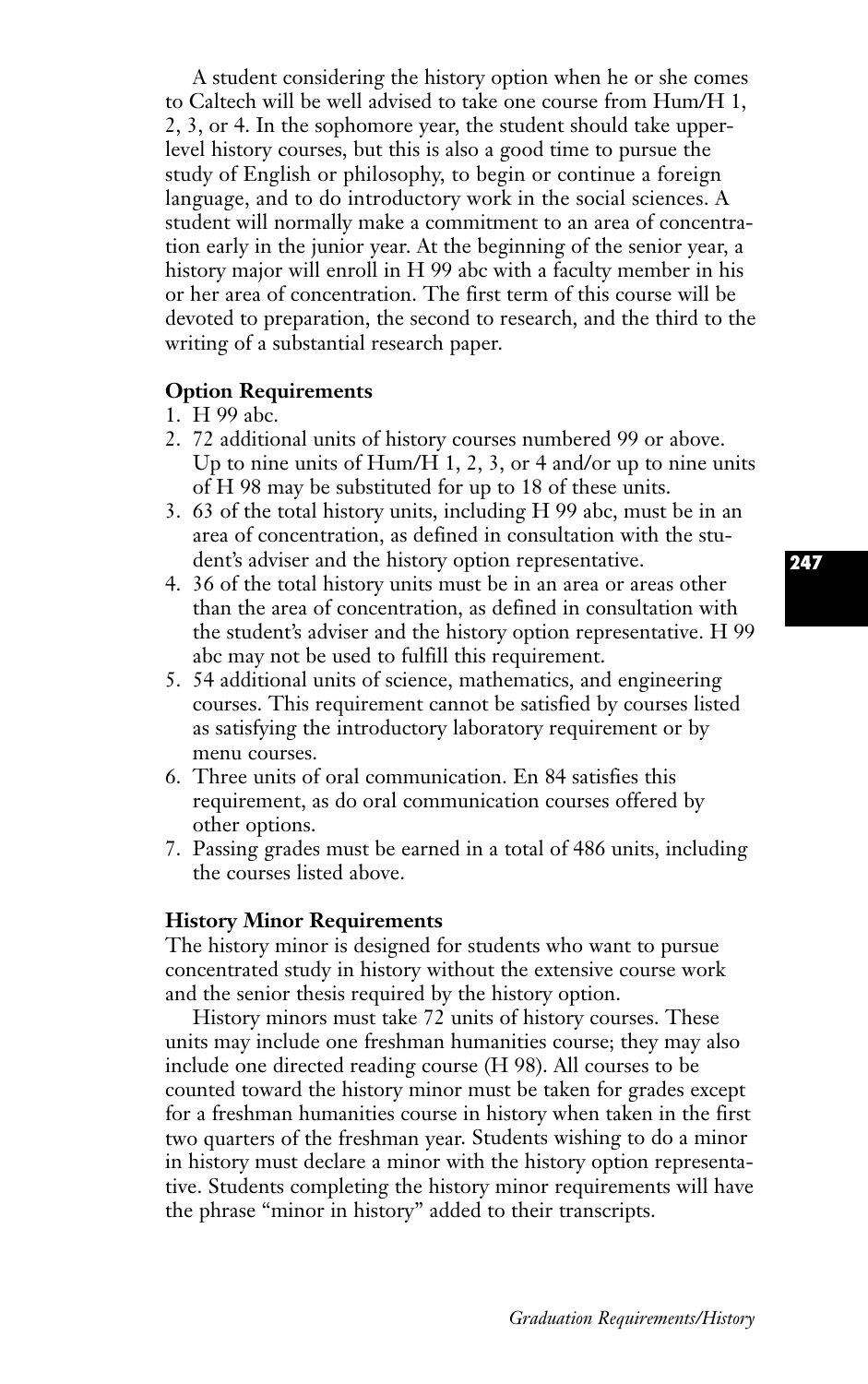A student considering the history option when he or she comes to Caltech will be well advised to take one course from Hum/H 1, 2, 3, or 4. In the sophomore year, the student should take upperlevel history courses, but this is also a good time to pursue the study of English or philosophy, to begin or continue a foreign language, and to do introductory work in the social sciences. A student will normally make a commitment to an area of concentration early in the junior year. At the beginning of the senior year, a history major will enroll in H 99 abc with a faculty member in his or her area of concentration. The first term of this course will be devoted to preparation, the second to research, and the third to the writing of a substantial research paper.

#### **Option Requirements**

- 1. H 99 abc.
- 2. 72 additional units of history courses numbered 99 or above. Up to nine units of Hum/H 1, 2, 3, or 4 and/or up to nine units of H 98 may be substituted for up to 18 of these units.
- 3. 63 of the total history units, including H 99 abc, must be in an area of concentration, as defined in consultation with the student's adviser and the history option representative.
- 4. 36 of the total history units must be in an area or areas other than the area of concentration, as defined in consultation with the student's adviser and the history option representative. H 99 abc may not be used to fulfill this requirement.
- 5. 54 additional units of science, mathematics, and engineering courses. This requirement cannot be satisfied by courses listed as satisfying the introductory laboratory requirement or by menu courses.
- 6. Three units of oral communication. En 84 satisfies this requirement, as do oral communication courses offered by other options.
- 7. Passing grades must be earned in a total of 486 units, including the courses listed above.

#### **History Minor Requirements**

The history minor is designed for students who want to pursue concentrated study in history without the extensive course work and the senior thesis required by the history option.

History minors must take 72 units of history courses. These units may include one freshman humanities course; they may also include one directed reading course (H 98). All courses to be counted toward the history minor must be taken for grades except for a freshman humanities course in history when taken in the first two quarters of the freshman year. Students wishing to do a minor in history must declare a minor with the history option representative. Students completing the history minor requirements will have the phrase "minor in history" added to their transcripts.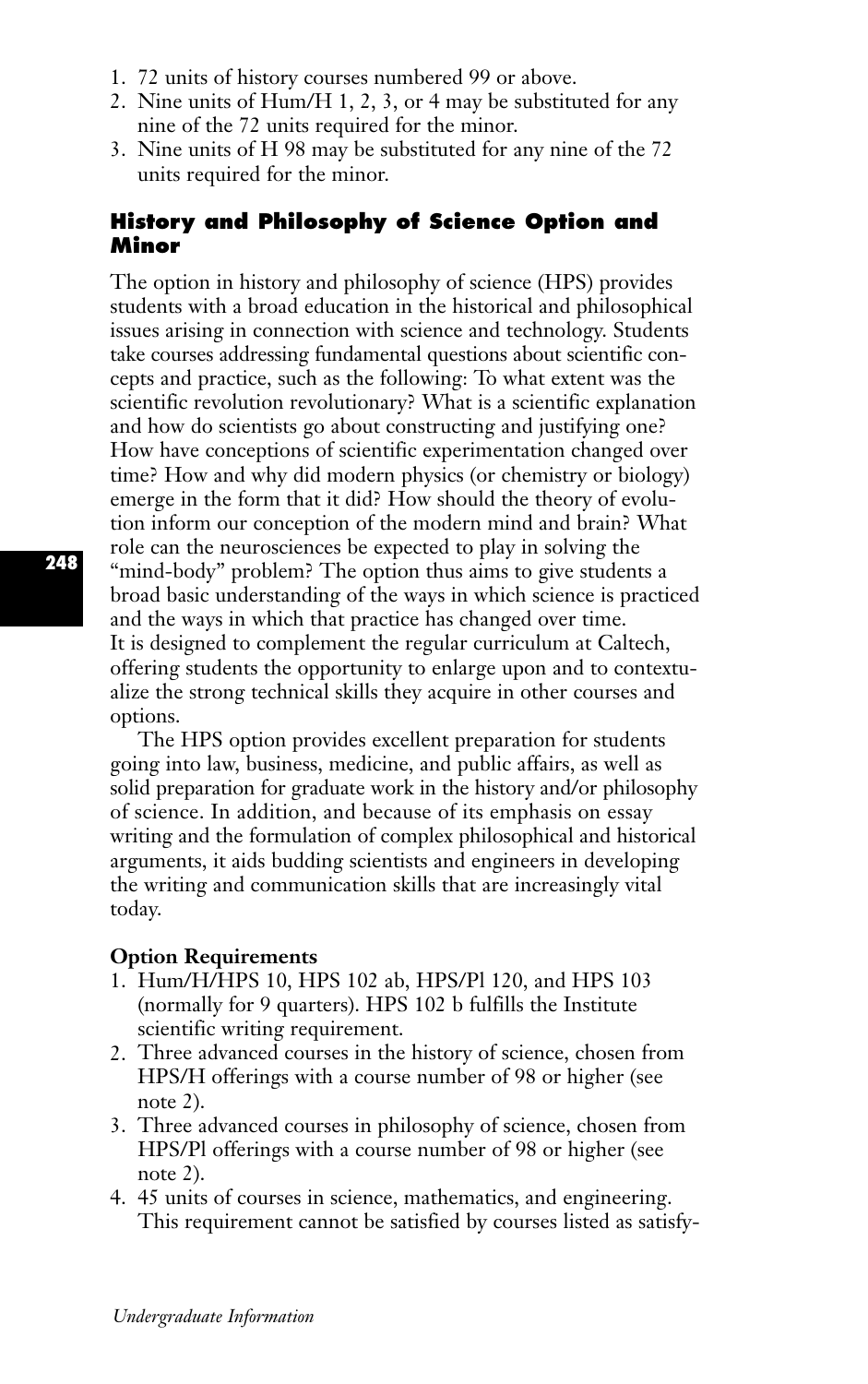- 1. 72 units of history courses numbered 99 or above.
- 2. Nine units of Hum/H 1, 2, 3, or 4 may be substituted for any nine of the 72 units required for the minor.
- 3. Nine units of H 98 may be substituted for any nine of the 72 units required for the minor.

## **History and Philosophy of Science Option and Minor**

The option in history and philosophy of science (HPS) provides students with a broad education in the historical and philosophical issues arising in connection with science and technology. Students take courses addressing fundamental questions about scientific concepts and practice, such as the following: To what extent was the scientific revolution revolutionary? What is a scientific explanation and how do scientists go about constructing and justifying one? How have conceptions of scientific experimentation changed over time? How and why did modern physics (or chemistry or biology) emerge in the form that it did? How should the theory of evolution inform our conception of the modern mind and brain? What role can the neurosciences be expected to play in solving the "mind-body" problem? The option thus aims to give students a broad basic understanding of the ways in which science is practiced and the ways in which that practice has changed over time. It is designed to complement the regular curriculum at Caltech, offering students the opportunity to enlarge upon and to contextualize the strong technical skills they acquire in other courses and options.

The HPS option provides excellent preparation for students going into law, business, medicine, and public affairs, as well as solid preparation for graduate work in the history and/or philosophy of science. In addition, and because of its emphasis on essay writing and the formulation of complex philosophical and historical arguments, it aids budding scientists and engineers in developing the writing and communication skills that are increasingly vital today.

#### **Option Requirements**

- 1. Hum/H/HPS 10, HPS 102 ab, HPS/Pl 120, and HPS 103 (normally for 9 quarters). HPS 102 b fulfills the Institute scientific writing requirement.
- 2. Three advanced courses in the history of science, chosen from HPS/H offerings with a course number of 98 or higher (see note 2).
- 3. Three advanced courses in philosophy of science, chosen from HPS/Pl offerings with a course number of 98 or higher (see note 2).
- 4. 45 units of courses in science, mathematics, and engineering. This requirement cannot be satisfied by courses listed as satisfy-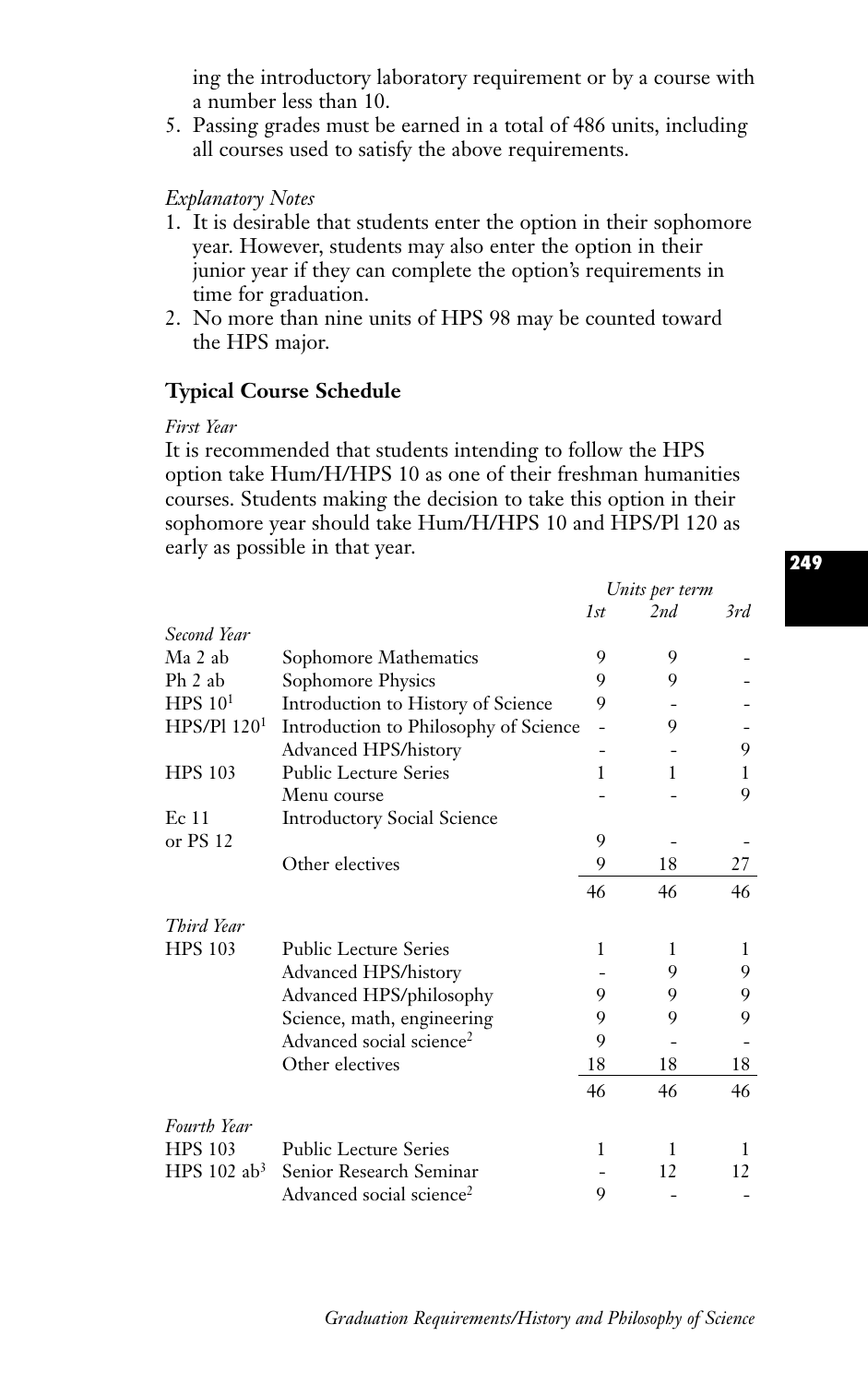ing the introductory laboratory requirement or by a course with a number less than 10.

5. Passing grades must be earned in a total of 486 units, including all courses used to satisfy the above requirements.

#### *Explanatory Notes*

- 1. It is desirable that students enter the option in their sophomore year. However, students may also enter the option in their junior year if they can complete the option's requirements in time for graduation.
- 2. No more than nine units of HPS 98 may be counted toward the HPS major.

## **Typical Course Schedule**

#### *First Year*

It is recommended that students intending to follow the HPS option take Hum/H/HPS 10 as one of their freshman humanities courses. Students making the decision to take this option in their sophomore year should take Hum/H/HPS 10 and HPS/Pl 120 as early as possible in that year.

|                           |                                       | Units per term |     |     |
|---------------------------|---------------------------------------|----------------|-----|-----|
|                           |                                       | 1st            | 2nd | 3rd |
| Second Year               |                                       |                |     |     |
| Ma 2 ab                   | Sophomore Mathematics                 | 9              | 9   |     |
| Ph 2 ab                   | Sophomore Physics                     | 9              | 9   |     |
| $HPS$ 10 <sup>1</sup>     | Introduction to History of Science    | 9              |     |     |
| HPS/P1120 <sup>1</sup>    | Introduction to Philosophy of Science |                | 9   |     |
|                           | Advanced HPS/history                  |                |     | 9   |
| <b>HPS 103</b>            | <b>Public Lecture Series</b>          | 1              | 1   | L   |
|                           | Menu course                           |                |     | 9   |
| Ec 11                     | <b>Introductory Social Science</b>    |                |     |     |
| or PS 12                  |                                       | 9              |     |     |
|                           | Other electives                       | 9              | 18  | 27  |
|                           |                                       | 46             | 46  | 46  |
| Third Year                |                                       |                |     |     |
| <b>HPS 103</b>            | <b>Public Lecture Series</b>          | 1              | 1   | 1   |
|                           | Advanced HPS/history                  |                | 9   | 9   |
|                           | Advanced HPS/philosophy               | 9              | 9   | 9   |
|                           | Science, math, engineering            | 9              | 9   | 9   |
|                           | Advanced social science <sup>2</sup>  | 9              |     |     |
|                           | Other electives                       | 18             | 18  | 18  |
|                           |                                       | 46             | 46  | 46  |
| Fourth Year               |                                       |                |     |     |
| <b>HPS 103</b>            | <b>Public Lecture Series</b>          | 1              | 1   | 1   |
| HPS $102$ ab <sup>3</sup> | Senior Research Seminar               |                | 12  | 12  |
|                           | Advanced social science <sup>2</sup>  | 9              |     |     |

## **249**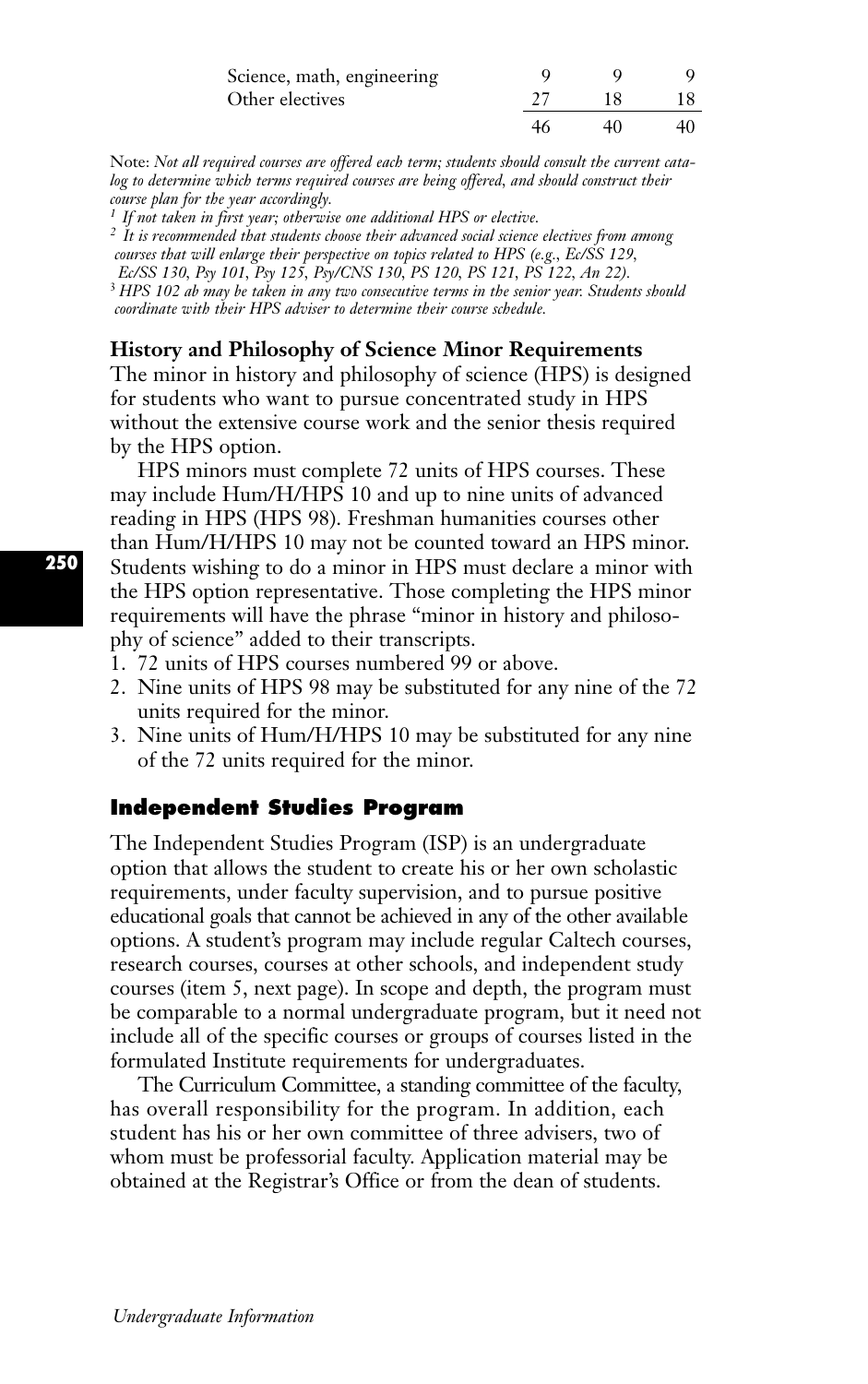| Science, math, engineering |    |    |
|----------------------------|----|----|
| Other electives            | 18 |    |
|                            | 40 | 40 |

Note: *Not all required courses are offered each term; students should consult the current catalog to determine which terms required courses are being offered, and should construct their course plan for the year accordingly.*

*<sup>1</sup> If not taken in first year; otherwise one additional HPS or elective.*

*<sup>2</sup> It is recommended that students choose their advanced social science electives from among courses that will enlarge their perspective on topics related to HPS (e.g., Ec/SS 129, Ec/SS 130, Psy 101, Psy 125, Psy/CNS 130, PS 120, PS 121, PS 122, An 22).*

<sup>3</sup> *HPS 102 ab may be taken in any two consecutive terms in the senior year. Students should coordinate with their HPS adviser to determine their course schedule.*

**History and Philosophy of Science Minor Requirements**

The minor in history and philosophy of science (HPS) is designed for students who want to pursue concentrated study in HPS without the extensive course work and the senior thesis required by the HPS option.

HPS minors must complete 72 units of HPS courses. These may include Hum/H/HPS 10 and up to nine units of advanced reading in HPS (HPS 98). Freshman humanities courses other than Hum/H/HPS 10 may not be counted toward an HPS minor. Students wishing to do a minor in HPS must declare a minor with the HPS option representative. Those completing the HPS minor requirements will have the phrase "minor in history and philosophy of science" added to their transcripts.

- 1. 72 units of HPS courses numbered 99 or above.
- 2. Nine units of HPS 98 may be substituted for any nine of the 72 units required for the minor.
- 3. Nine units of Hum/H/HPS 10 may be substituted for any nine of the 72 units required for the minor.

## **Independent Studies Program**

The Independent Studies Program (ISP) is an undergraduate option that allows the student to create his or her own scholastic requirements, under faculty supervision, and to pursue positive educational goals that cannot be achieved in any of the other available options. A student's program may include regular Caltech courses, research courses, courses at other schools, and independent study courses (item 5, next page). In scope and depth, the program must be comparable to a normal undergraduate program, but it need not include all of the specific courses or groups of courses listed in the formulated Institute requirements for undergraduates.

The Curriculum Committee, a standing committee of the faculty, has overall responsibility for the program. In addition, each student has his or her own committee of three advisers, two of whom must be professorial faculty. Application material may be obtained at the Registrar's Office or from the dean of students.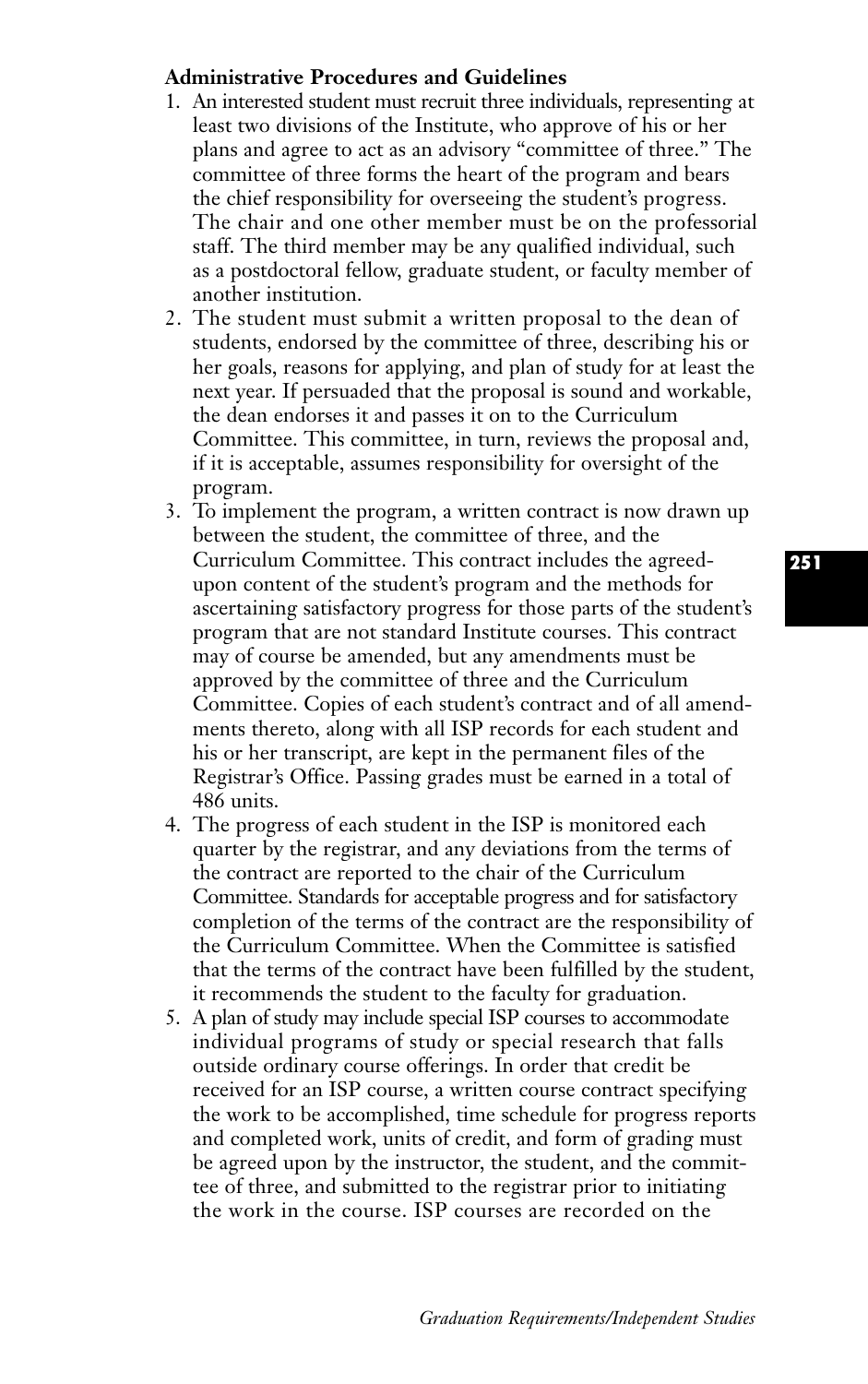## **Administrative Procedures and Guidelines**

- 1. An interested student must recruit three individuals, representing at least two divisions of the Institute, who approve of his or her plans and agree to act as an advisory "committee of three.'' The committee of three forms the heart of the program and bears the chief responsibility for overseeing the student's progress. The chair and one other member must be on the professorial staff. The third member may be any qualified individual, such as a postdoctoral fellow, graduate student, or faculty member of another institution.
- 2. The student must submit a written proposal to the dean of students, endorsed by the committee of three, describing his or her goals, reasons for applying, and plan of study for at least the next year. If persuaded that the proposal is sound and workable, the dean endorses it and passes it on to the Curriculum Committee. This committee, in turn, reviews the proposal and, if it is acceptable, assumes responsibility for oversight of the program.
- 3. To implement the program, a written contract is now drawn up between the student, the committee of three, and the Curriculum Committee. This contract includes the agreedupon content of the student's program and the methods for ascertaining satisfactory progress for those parts of the student's program that are not standard Institute courses. This contract may of course be amended, but any amendments must be approved by the committee of three and the Curriculum Committee. Copies of each student's contract and of all amendments thereto, along with all ISP records for each student and his or her transcript, are kept in the permanent files of the Registrar's Office. Passing grades must be earned in a total of 486 units.
- 4. The progress of each student in the ISP is monitored each quarter by the registrar, and any deviations from the terms of the contract are reported to the chair of the Curriculum Committee. Standards for acceptable progress and for satisfactory completion of the terms of the contract are the responsibility of the Curriculum Committee. When the Committee is satisfied that the terms of the contract have been fulfilled by the student, it recommends the student to the faculty for graduation.
- 5. A plan of study may include special ISP courses to accommodate individual programs of study or special research that falls outside ordinary course offerings. In order that credit be received for an ISP course, a written course contract specifying the work to be accomplished, time schedule for progress reports and completed work, units of credit, and form of grading must be agreed upon by the instructor, the student, and the committee of three, and submitted to the registrar prior to initiating the work in the course. ISP courses are recorded on the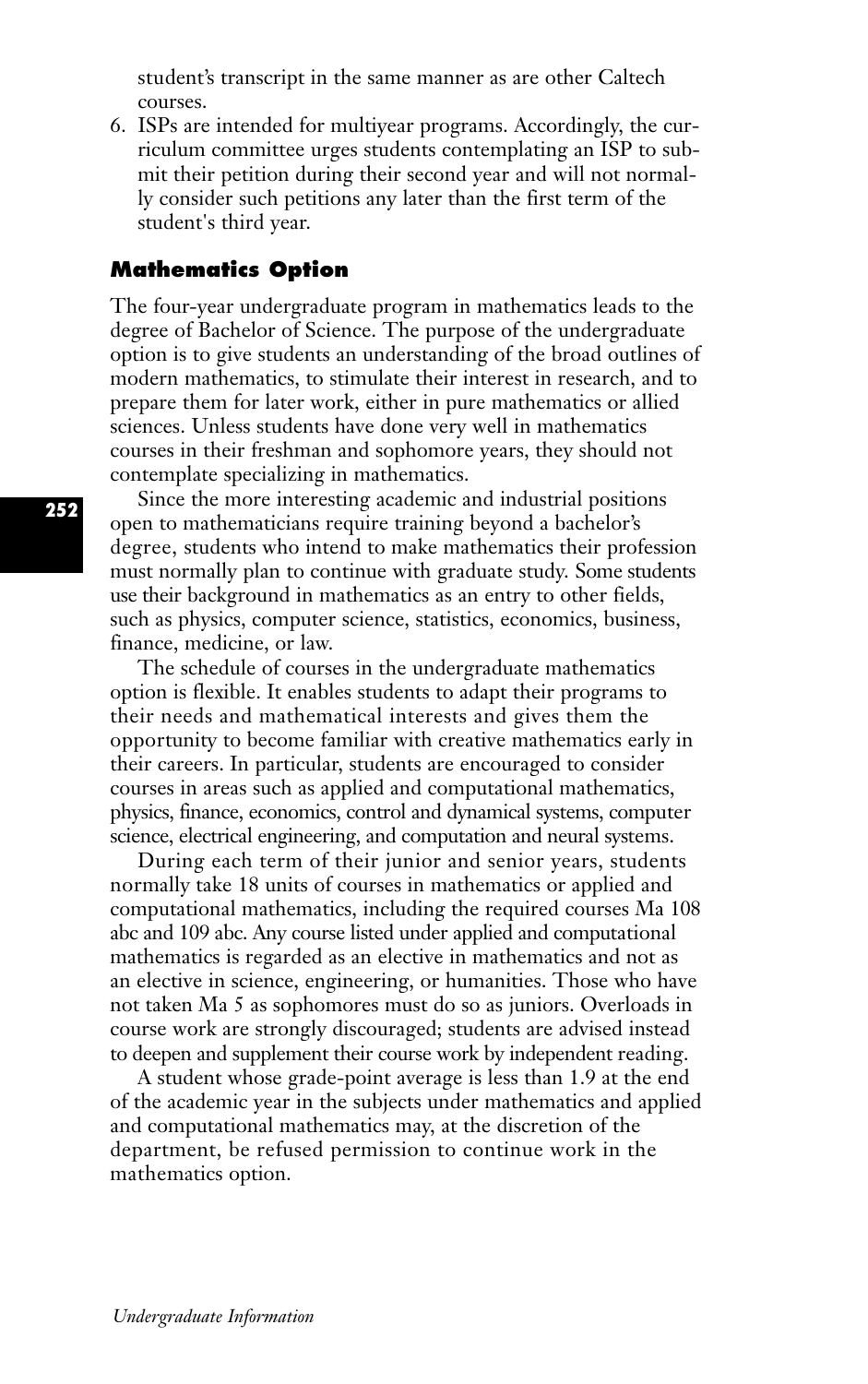student's transcript in the same manner as are other Caltech courses.

6. ISPs are intended for multiyear programs. Accordingly, the curriculum committee urges students contemplating an ISP to submit their petition during their second year and will not normally consider such petitions any later than the first term of the student's third year.

## **Mathematics Option**

The four-year undergraduate program in mathematics leads to the degree of Bachelor of Science. The purpose of the undergraduate option is to give students an understanding of the broad outlines of modern mathematics, to stimulate their interest in research, and to prepare them for later work, either in pure mathematics or allied sciences. Unless students have done very well in mathematics courses in their freshman and sophomore years, they should not contemplate specializing in mathematics.

Since the more interesting academic and industrial positions open to mathematicians require training beyond a bachelor's degree, students who intend to make mathematics their profession must normally plan to continue with graduate study. Some students use their background in mathematics as an entry to other fields, such as physics, computer science, statistics, economics, business, finance, medicine, or law.

The schedule of courses in the undergraduate mathematics option is flexible. It enables students to adapt their programs to their needs and mathematical interests and gives them the opportunity to become familiar with creative mathematics early in their careers. In particular, students are encouraged to consider courses in areas such as applied and computational mathematics, physics, finance, economics, control and dynamical systems, computer science, electrical engineering, and computation and neural systems.

During each term of their junior and senior years, students normally take 18 units of courses in mathematics or applied and computational mathematics, including the required courses Ma 108 abc and 109 abc. Any course listed under applied and computational mathematics is regarded as an elective in mathematics and not as an elective in science, engineering, or humanities. Those who have not taken Ma 5 as sophomores must do so as juniors. Overloads in course work are strongly discouraged; students are advised instead to deepen and supplement their course work by independent reading.

A student whose grade-point average is less than 1.9 at the end of the academic year in the subjects under mathematics and applied and computational mathematics may, at the discretion of the department, be refused permission to continue work in the mathematics option.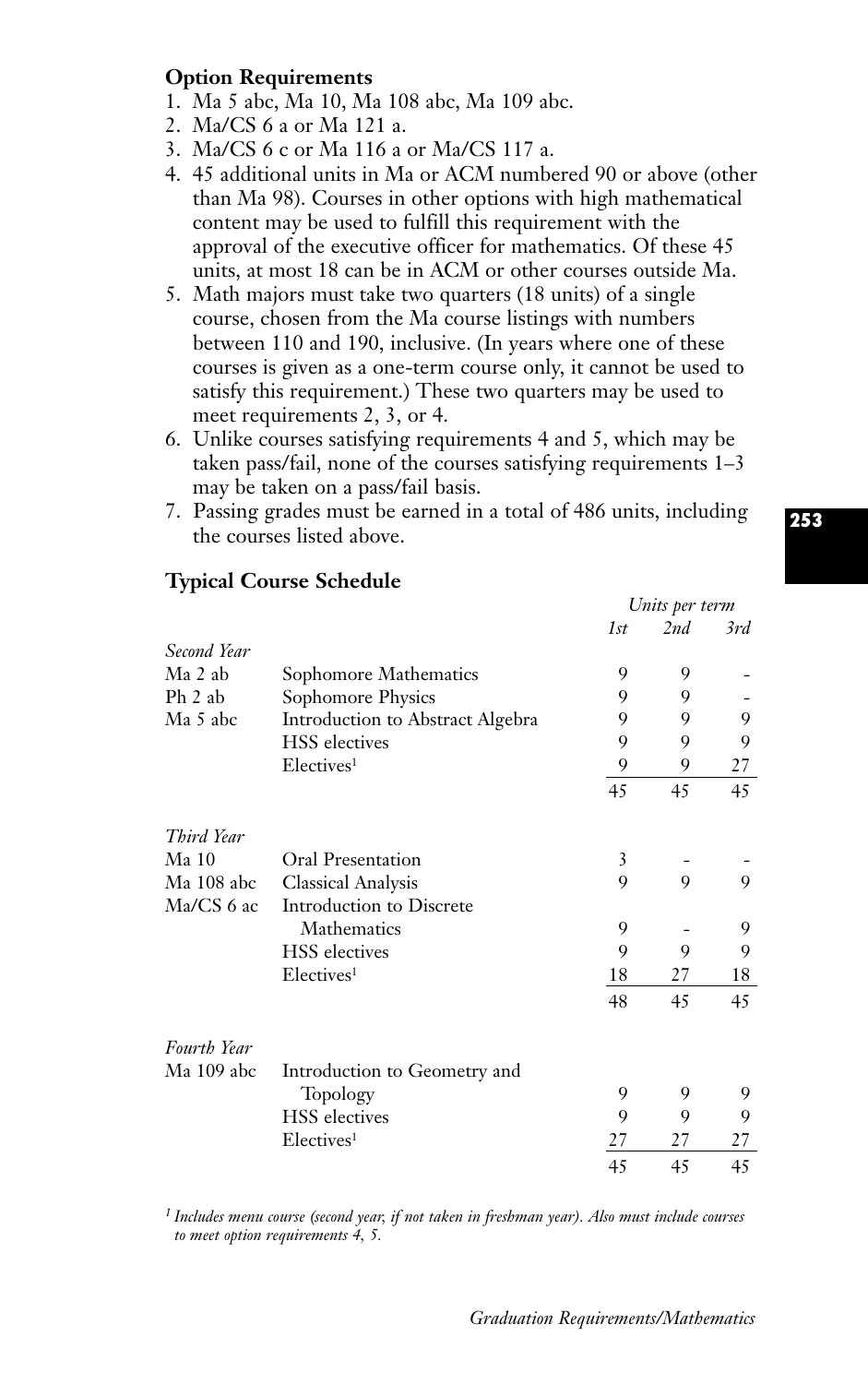## **Option Requirements**

- 1. Ma 5 abc, Ma 10, Ma 108 abc, Ma 109 abc.
- 2. Ma/CS 6 a or Ma 121 a.
- 3. Ma/CS 6 c or Ma 116 a or Ma/CS 117 a.
- 4. 45 additional units in Ma or ACM numbered 90 or above (other than Ma 98). Courses in other options with high mathematical content may be used to fulfill this requirement with the approval of the executive officer for mathematics. Of these 45 units, at most 18 can be in ACM or other courses outside Ma.
- 5. Math majors must take two quarters (18 units) of a single course, chosen from the Ma course listings with numbers between 110 and 190, inclusive. (In years where one of these courses is given as a one-term course only, it cannot be used to satisfy this requirement.) These two quarters may be used to meet requirements 2, 3, or 4.
- 6. Unlike courses satisfying requirements 4 and 5, which may be taken pass/fail, none of the courses satisfying requirements 1–3 may be taken on a pass/fail basis.
- 7. Passing grades must be earned in a total of 486 units, including the courses listed above.

|                  |                                  | Units per term |     |     |
|------------------|----------------------------------|----------------|-----|-----|
|                  |                                  | 1st            | 2nd | 3rd |
| Second Year      |                                  |                |     |     |
| Ma 2 ab          | Sophomore Mathematics            | 9              | 9   |     |
| Ph 2 ab          | Sophomore Physics                | 9              | 9   |     |
| Ma 5 abc         | Introduction to Abstract Algebra | 9              | 9   | 9   |
|                  | <b>HSS</b> electives             | 9              | 9   | 9   |
|                  | Electives <sup>1</sup>           | 9              | 9   | 27  |
|                  |                                  | 45             | 45  | 45  |
| Third Year       |                                  |                |     |     |
| Ma <sub>10</sub> | Oral Presentation                | 3              |     |     |
| Ma 108 abc       | <b>Classical Analysis</b>        | 9              | 9   | 9   |
| Ma/CS 6 ac       | Introduction to Discrete         |                |     |     |
|                  | Mathematics                      | 9              |     | 9   |
|                  | <b>HSS</b> electives             | 9              | 9   | 9   |
|                  | Electives <sup>1</sup>           | 18             | 27  | 18  |
|                  |                                  | 48             | 45  | 45  |
| Fourth Year      |                                  |                |     |     |
| Ma 109 abc       | Introduction to Geometry and     |                |     |     |
|                  | Topology                         | 9              | 9   | 9   |
|                  | <b>HSS</b> electives             | 9              | 9   | 9   |
|                  | Electives <sup>1</sup>           | 27             | 27  | 27  |
|                  |                                  | 45             | 45  | 45  |

## **Typical Course Schedule**

*<sup>1</sup> Includes menu course (second year, if not taken in freshman year). Also must include courses to meet option requirements 4, 5.*

**253**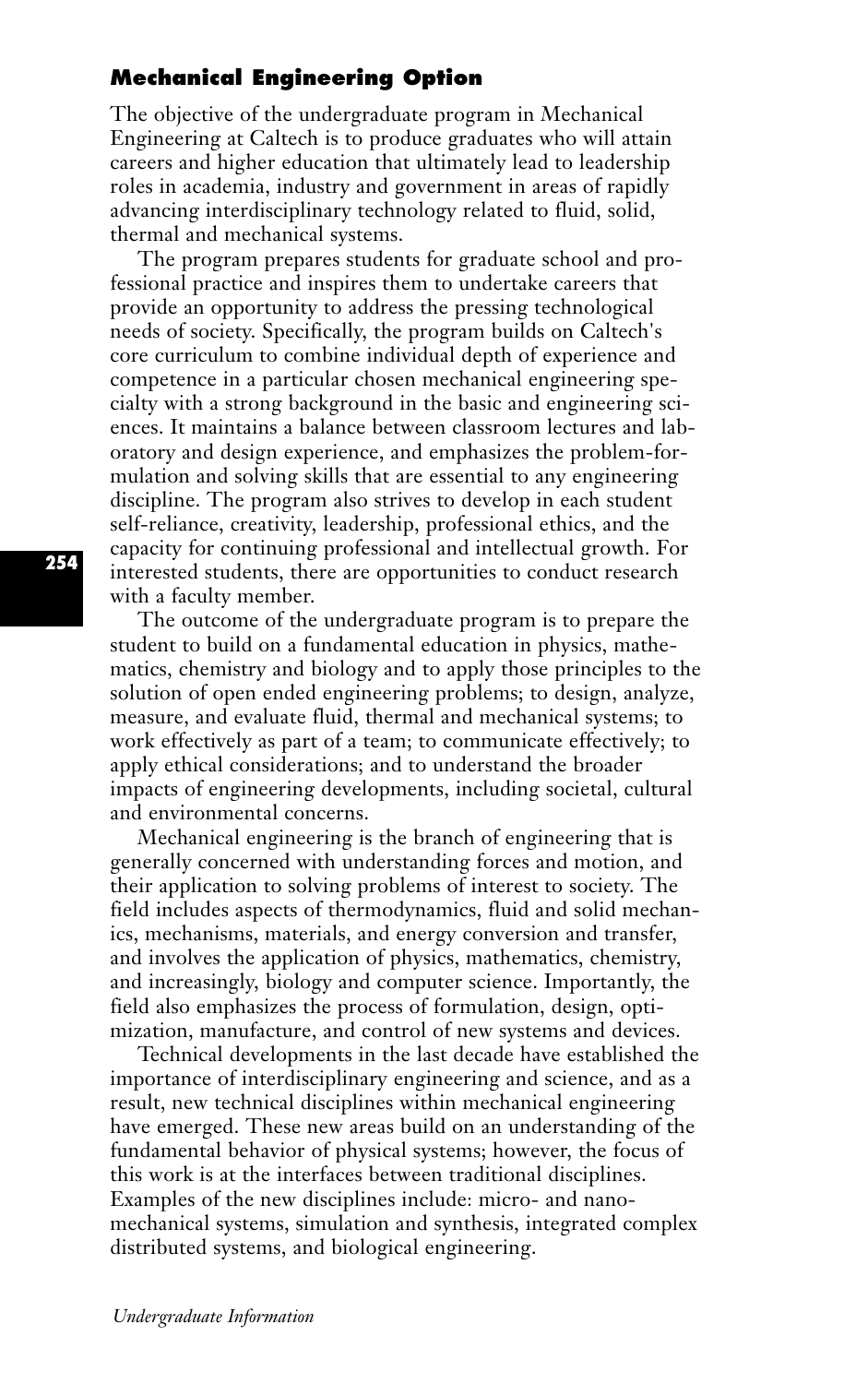## **Mechanical Engineering Option**

The objective of the undergraduate program in Mechanical Engineering at Caltech is to produce graduates who will attain careers and higher education that ultimately lead to leadership roles in academia, industry and government in areas of rapidly advancing interdisciplinary technology related to fluid, solid, thermal and mechanical systems.

The program prepares students for graduate school and professional practice and inspires them to undertake careers that provide an opportunity to address the pressing technological needs of society. Specifically, the program builds on Caltech's core curriculum to combine individual depth of experience and competence in a particular chosen mechanical engineering specialty with a strong background in the basic and engineering sciences. It maintains a balance between classroom lectures and laboratory and design experience, and emphasizes the problem-formulation and solving skills that are essential to any engineering discipline. The program also strives to develop in each student self-reliance, creativity, leadership, professional ethics, and the capacity for continuing professional and intellectual growth. For interested students, there are opportunities to conduct research with a faculty member.

The outcome of the undergraduate program is to prepare the student to build on a fundamental education in physics, mathematics, chemistry and biology and to apply those principles to the solution of open ended engineering problems; to design, analyze, measure, and evaluate fluid, thermal and mechanical systems; to work effectively as part of a team; to communicate effectively; to apply ethical considerations; and to understand the broader impacts of engineering developments, including societal, cultural and environmental concerns.

Mechanical engineering is the branch of engineering that is generally concerned with understanding forces and motion, and their application to solving problems of interest to society. The field includes aspects of thermodynamics, fluid and solid mechanics, mechanisms, materials, and energy conversion and transfer, and involves the application of physics, mathematics, chemistry, and increasingly, biology and computer science. Importantly, the field also emphasizes the process of formulation, design, optimization, manufacture, and control of new systems and devices.

Technical developments in the last decade have established the importance of interdisciplinary engineering and science, and as a result, new technical disciplines within mechanical engineering have emerged. These new areas build on an understanding of the fundamental behavior of physical systems; however, the focus of this work is at the interfaces between traditional disciplines. Examples of the new disciplines include: micro- and nanomechanical systems, simulation and synthesis, integrated complex distributed systems, and biological engineering.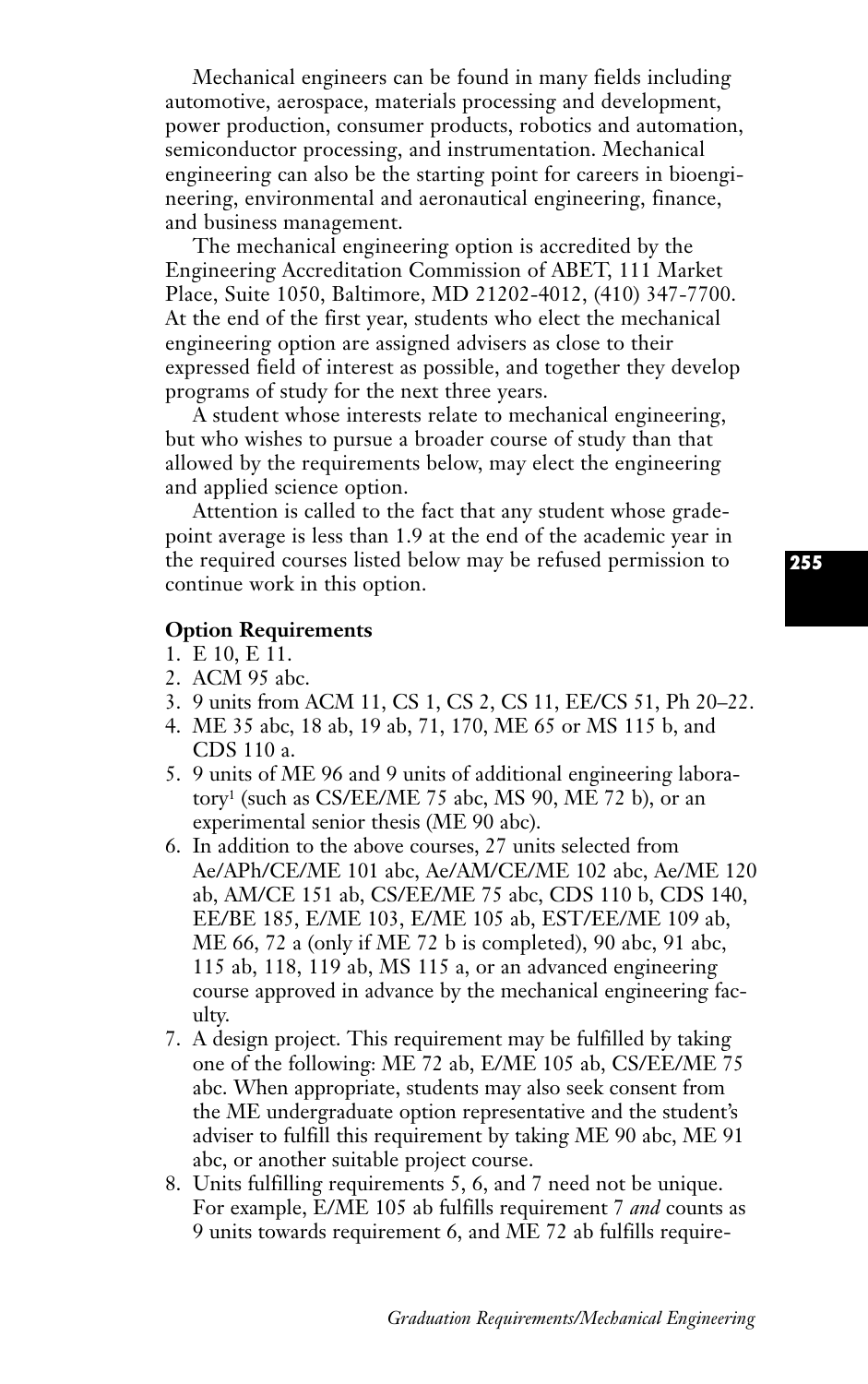Mechanical engineers can be found in many fields including automotive, aerospace, materials processing and development, power production, consumer products, robotics and automation, semiconductor processing, and instrumentation. Mechanical engineering can also be the starting point for careers in bioengineering, environmental and aeronautical engineering, finance, and business management.

The mechanical engineering option is accredited by the Engineering Accreditation Commission of ABET, 111 Market Place, Suite 1050, Baltimore, MD 21202-4012, (410) 347-7700. At the end of the first year, students who elect the mechanical engineering option are assigned advisers as close to their expressed field of interest as possible, and together they develop programs of study for the next three years.

A student whose interests relate to mechanical engineering, but who wishes to pursue a broader course of study than that allowed by the requirements below, may elect the engineering and applied science option.

Attention is called to the fact that any student whose gradepoint average is less than 1.9 at the end of the academic year in the required courses listed below may be refused permission to continue work in this option.

#### **Option Requirements**

- 1. E 10, E 11.
- 2. ACM 95 abc.
- 3. 9 units from ACM 11, CS 1, CS 2, CS 11, EE/CS 51, Ph 20–22.
- 4. ME 35 abc, 18 ab, 19 ab, 71, 170, ME 65 or MS 115 b, and CDS 110 a.
- 5. 9 units of ME 96 and 9 units of additional engineering laboratory1 (such as CS/EE/ME 75 abc, MS 90, ME 72 b), or an experimental senior thesis (ME 90 abc).
- 6. In addition to the above courses, 27 units selected from Ae/APh/CE/ME 101 abc, Ae/AM/CE/ME 102 abc, Ae/ME 120 ab, AM/CE 151 ab, CS/EE/ME 75 abc, CDS 110 b, CDS 140, EE/BE 185, E/ME 103, E/ME 105 ab, EST/EE/ME 109 ab, ME 66, 72 a (only if ME 72 b is completed), 90 abc, 91 abc, 115 ab, 118, 119 ab, MS 115 a, or an advanced engineering course approved in advance by the mechanical engineering faculty.
- 7. A design project. This requirement may be fulfilled by taking one of the following: ME 72 ab, E/ME 105 ab, CS/EE/ME 75 abc. When appropriate, students may also seek consent from the ME undergraduate option representative and the student's adviser to fulfill this requirement by taking ME 90 abc, ME 91 abc, or another suitable project course.
- 8. Units fulfilling requirements 5, 6, and 7 need not be unique. For example, E/ME 105 ab fulfills requirement 7 *and* counts as 9 units towards requirement 6, and ME 72 ab fulfills require-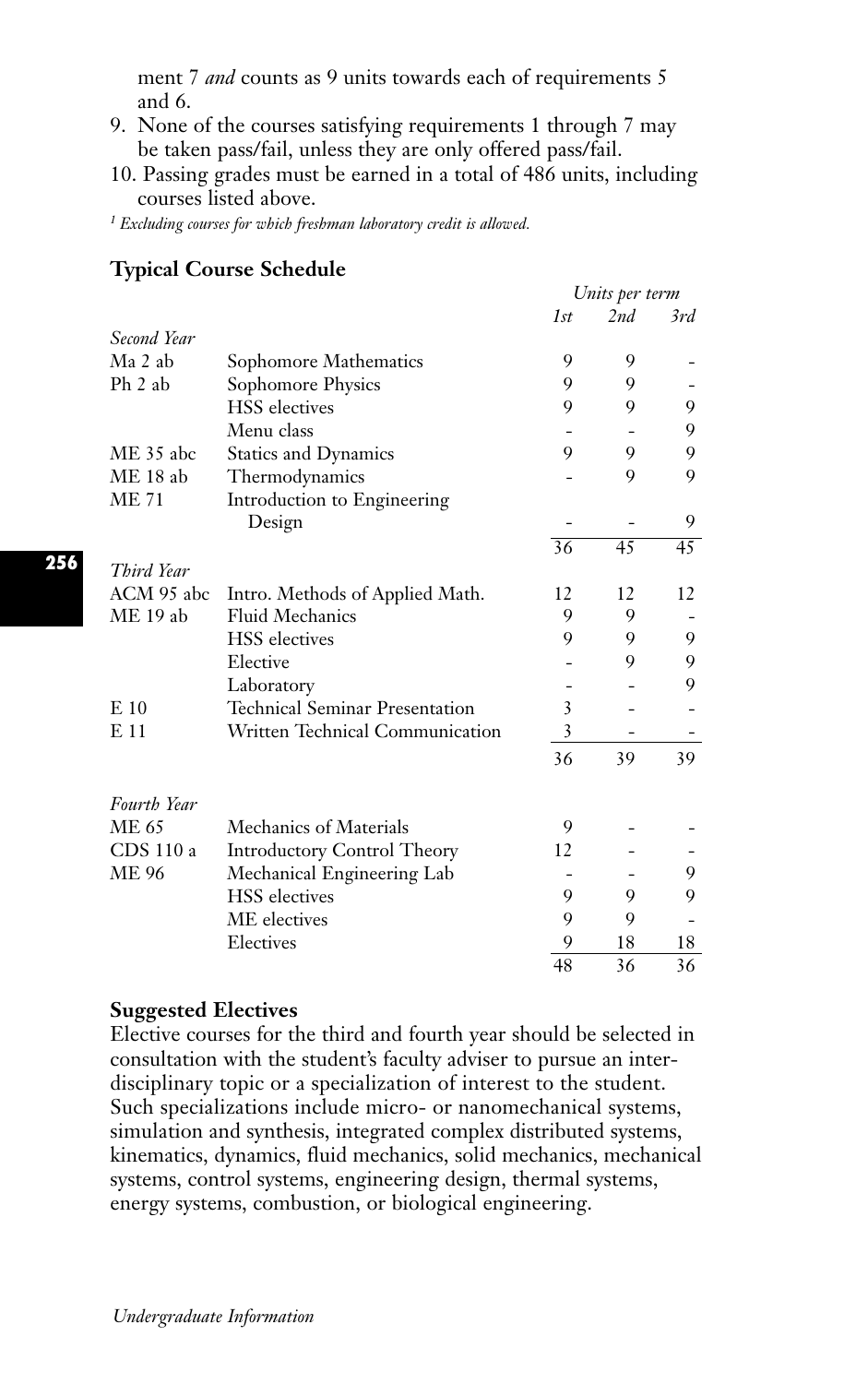ment 7 *and* counts as 9 units towards each of requirements 5 and 6.

- 9. None of the courses satisfying requirements 1 through 7 may be taken pass/fail, unless they are only offered pass/fail.
- 10. Passing grades must be earned in a total of 486 units, including courses listed above.

*<sup>1</sup> Excluding courses for which freshman laboratory credit is allowed.*

|              |                                       | Units per term  |     |     |
|--------------|---------------------------------------|-----------------|-----|-----|
|              |                                       | 1st             | 2nd | 3rd |
| Second Year  |                                       |                 |     |     |
| Ma 2 ab      | Sophomore Mathematics                 | 9               | 9   |     |
| $Ph$ 2 ab    | Sophomore Physics                     | 9               | 9   |     |
|              | <b>HSS</b> electives                  | 9               | 9   | 9   |
|              | Menu class                            |                 |     | 9   |
| ME 35 abc    | <b>Statics and Dynamics</b>           | 9               | 9   | 9   |
| $ME18$ ab    | Thermodynamics                        |                 | 9   | 9   |
| <b>ME 71</b> | Introduction to Engineering           |                 |     |     |
|              | Design                                |                 |     | 9   |
|              |                                       | $\overline{36}$ | 45  | 45  |
| Third Year   |                                       |                 |     |     |
| ACM 95 abc   | Intro. Methods of Applied Math.       | 12              | 12  | 12  |
| ME 19 ab     | Fluid Mechanics                       | 9               | 9   |     |
|              | <b>HSS</b> electives                  | 9               | 9   | 9   |
|              | Elective                              |                 | 9   | 9   |
|              | Laboratory                            |                 |     | 9   |
| $E_{10}$     | <b>Technical Seminar Presentation</b> | 3               |     |     |
| E 11         | Written Technical Communication       | 3               |     |     |
|              |                                       | 36              | 39  | 39  |
| Fourth Year  |                                       |                 |     |     |
| ME 65        | Mechanics of Materials                | 9               |     |     |
| CDS 110 a    | <b>Introductory Control Theory</b>    | 12              |     |     |
| ME 96        | Mechanical Engineering Lab            |                 |     | 9   |
|              | <b>HSS</b> electives                  | 9               | 9   | 9   |
|              | ME electives                          | 9               | 9   |     |
|              | Electives                             | 9               | 18  | 18  |
|              |                                       | 48              | 36  | 36  |

## **Typical Course Schedule**

#### **Suggested Electives**

Elective courses for the third and fourth year should be selected in consultation with the student's faculty adviser to pursue an interdisciplinary topic or a specialization of interest to the student. Such specializations include micro- or nanomechanical systems, simulation and synthesis, integrated complex distributed systems, kinematics, dynamics, fluid mechanics, solid mechanics, mechanical systems, control systems, engineering design, thermal systems, energy systems, combustion, or biological engineering.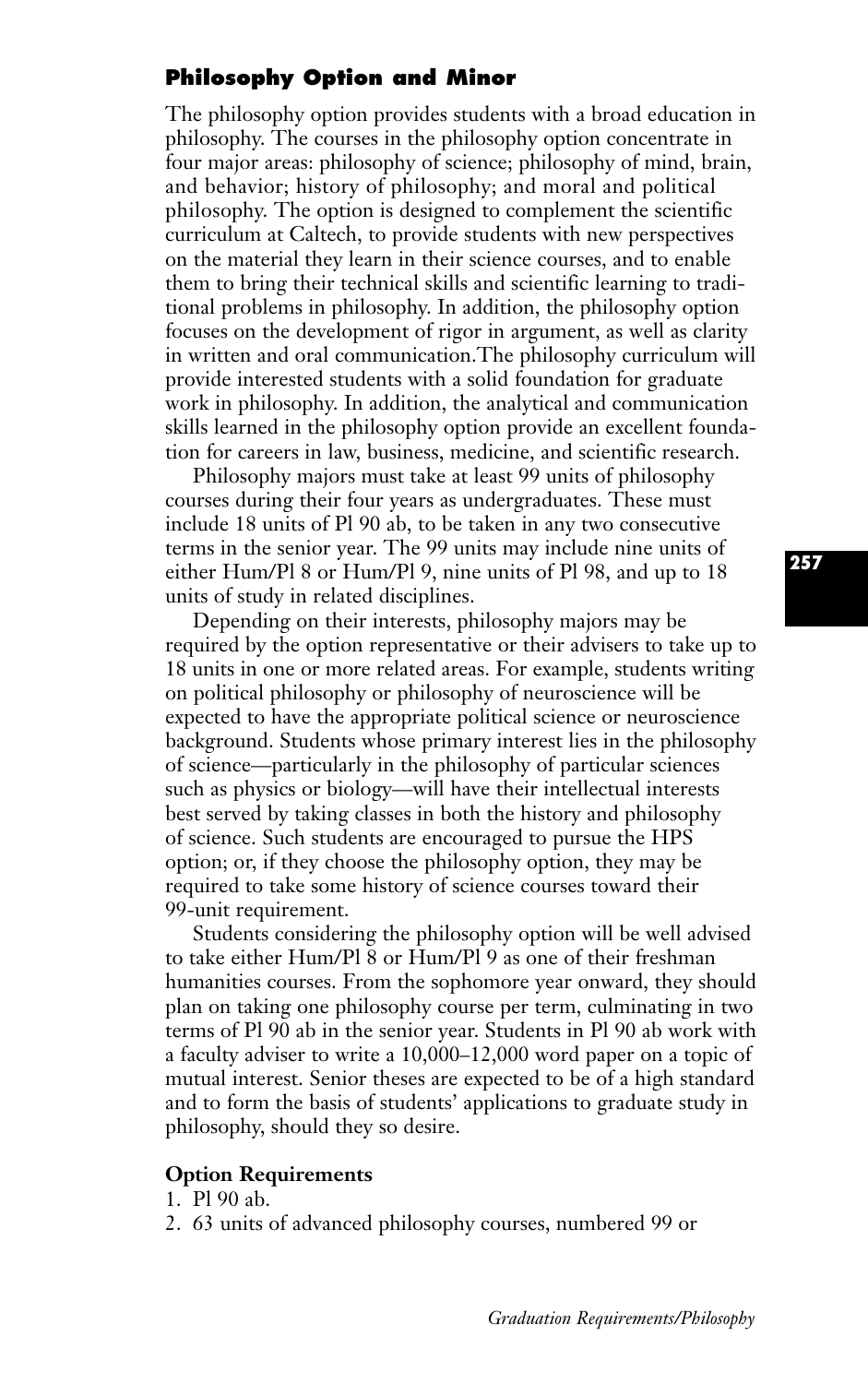## **Philosophy Option and Minor**

The philosophy option provides students with a broad education in philosophy. The courses in the philosophy option concentrate in four major areas: philosophy of science; philosophy of mind, brain, and behavior; history of philosophy; and moral and political philosophy. The option is designed to complement the scientific curriculum at Caltech, to provide students with new perspectives on the material they learn in their science courses, and to enable them to bring their technical skills and scientific learning to traditional problems in philosophy. In addition, the philosophy option focuses on the development of rigor in argument, as well as clarity in written and oral communication.The philosophy curriculum will provide interested students with a solid foundation for graduate work in philosophy. In addition, the analytical and communication skills learned in the philosophy option provide an excellent foundation for careers in law, business, medicine, and scientific research.

Philosophy majors must take at least 99 units of philosophy courses during their four years as undergraduates. These must include 18 units of Pl 90 ab, to be taken in any two consecutive terms in the senior year. The 99 units may include nine units of either Hum/Pl 8 or Hum/Pl 9, nine units of Pl 98, and up to 18 units of study in related disciplines.

Depending on their interests, philosophy majors may be required by the option representative or their advisers to take up to 18 units in one or more related areas. For example, students writing on political philosophy or philosophy of neuroscience will be expected to have the appropriate political science or neuroscience background. Students whose primary interest lies in the philosophy of science—particularly in the philosophy of particular sciences such as physics or biology—will have their intellectual interests best served by taking classes in both the history and philosophy of science. Such students are encouraged to pursue the HPS option; or, if they choose the philosophy option, they may be required to take some history of science courses toward their 99-unit requirement.

Students considering the philosophy option will be well advised to take either Hum/Pl 8 or Hum/Pl 9 as one of their freshman humanities courses. From the sophomore year onward, they should plan on taking one philosophy course per term, culminating in two terms of Pl 90 ab in the senior year. Students in Pl 90 ab work with a faculty adviser to write a 10,000–12,000 word paper on a topic of mutual interest. Senior theses are expected to be of a high standard and to form the basis of students' applications to graduate study in philosophy, should they so desire.

### **Option Requirements**

1. Pl 90 ab.

2. 63 units of advanced philosophy courses, numbered 99 or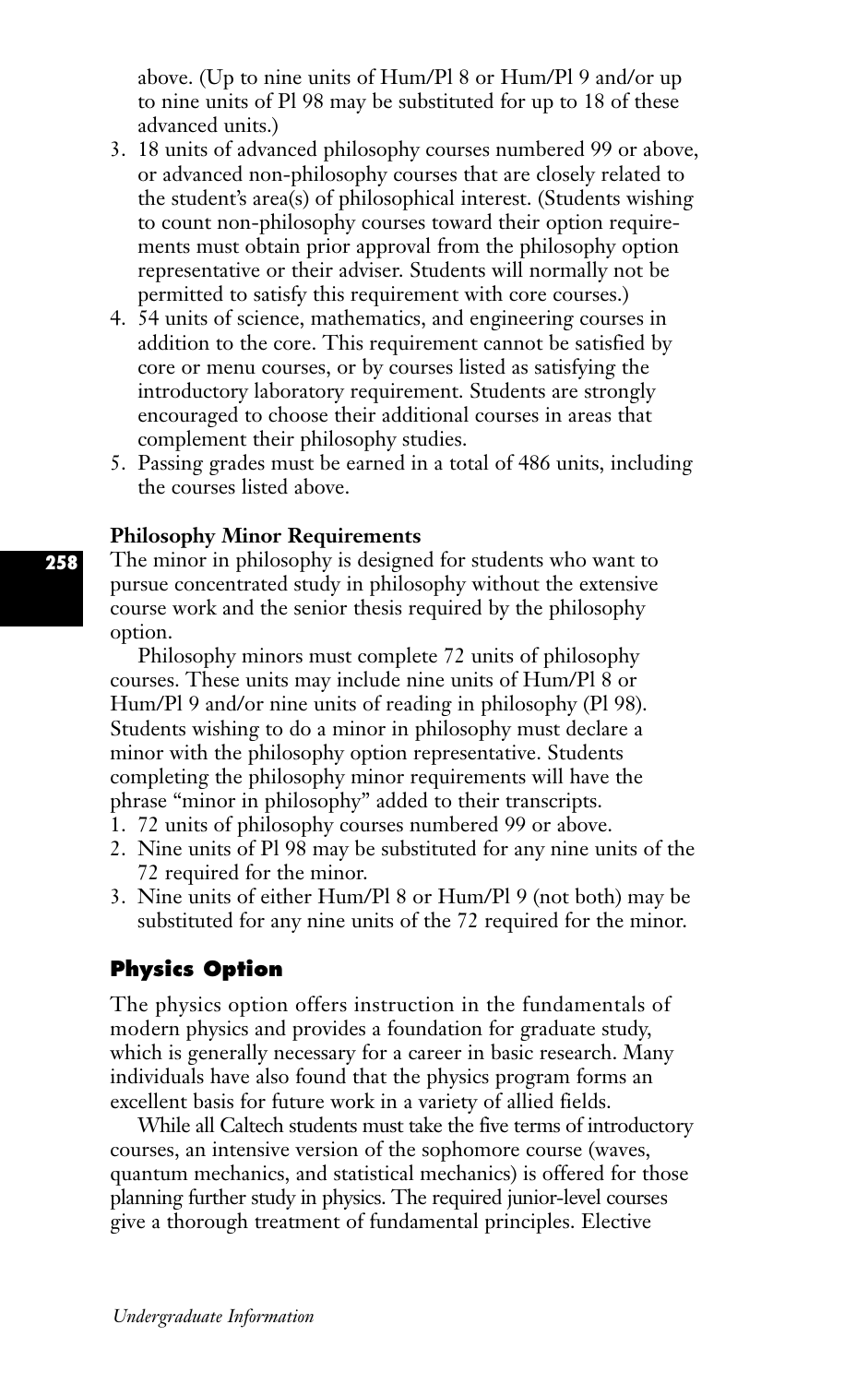above. (Up to nine units of Hum/Pl 8 or Hum/Pl 9 and/or up to nine units of Pl 98 may be substituted for up to 18 of these advanced units.)

- 3. 18 units of advanced philosophy courses numbered 99 or above, or advanced non-philosophy courses that are closely related to the student's area(s) of philosophical interest. (Students wishing to count non-philosophy courses toward their option requirements must obtain prior approval from the philosophy option representative or their adviser. Students will normally not be permitted to satisfy this requirement with core courses.)
- 4. 54 units of science, mathematics, and engineering courses in addition to the core. This requirement cannot be satisfied by core or menu courses, or by courses listed as satisfying the introductory laboratory requirement. Students are strongly encouraged to choose their additional courses in areas that complement their philosophy studies.
- 5. Passing grades must be earned in a total of 486 units, including the courses listed above.

#### **Philosophy Minor Requirements**

The minor in philosophy is designed for students who want to pursue concentrated study in philosophy without the extensive course work and the senior thesis required by the philosophy option.

Philosophy minors must complete 72 units of philosophy courses. These units may include nine units of Hum/Pl 8 or Hum/Pl 9 and/or nine units of reading in philosophy (Pl 98). Students wishing to do a minor in philosophy must declare a minor with the philosophy option representative. Students completing the philosophy minor requirements will have the phrase "minor in philosophy" added to their transcripts.

- 1. 72 units of philosophy courses numbered 99 or above.
- 2. Nine units of Pl 98 may be substituted for any nine units of the 72 required for the minor.
- 3. Nine units of either Hum/Pl 8 or Hum/Pl 9 (not both) may be substituted for any nine units of the 72 required for the minor.

## **Physics Option**

The physics option offers instruction in the fundamentals of modern physics and provides a foundation for graduate study, which is generally necessary for a career in basic research. Many individuals have also found that the physics program forms an excellent basis for future work in a variety of allied fields.

While all Caltech students must take the five terms of introductory courses, an intensive version of the sophomore course (waves, quantum mechanics, and statistical mechanics) is offered for those planning further study in physics. The required junior-level courses give a thorough treatment of fundamental principles. Elective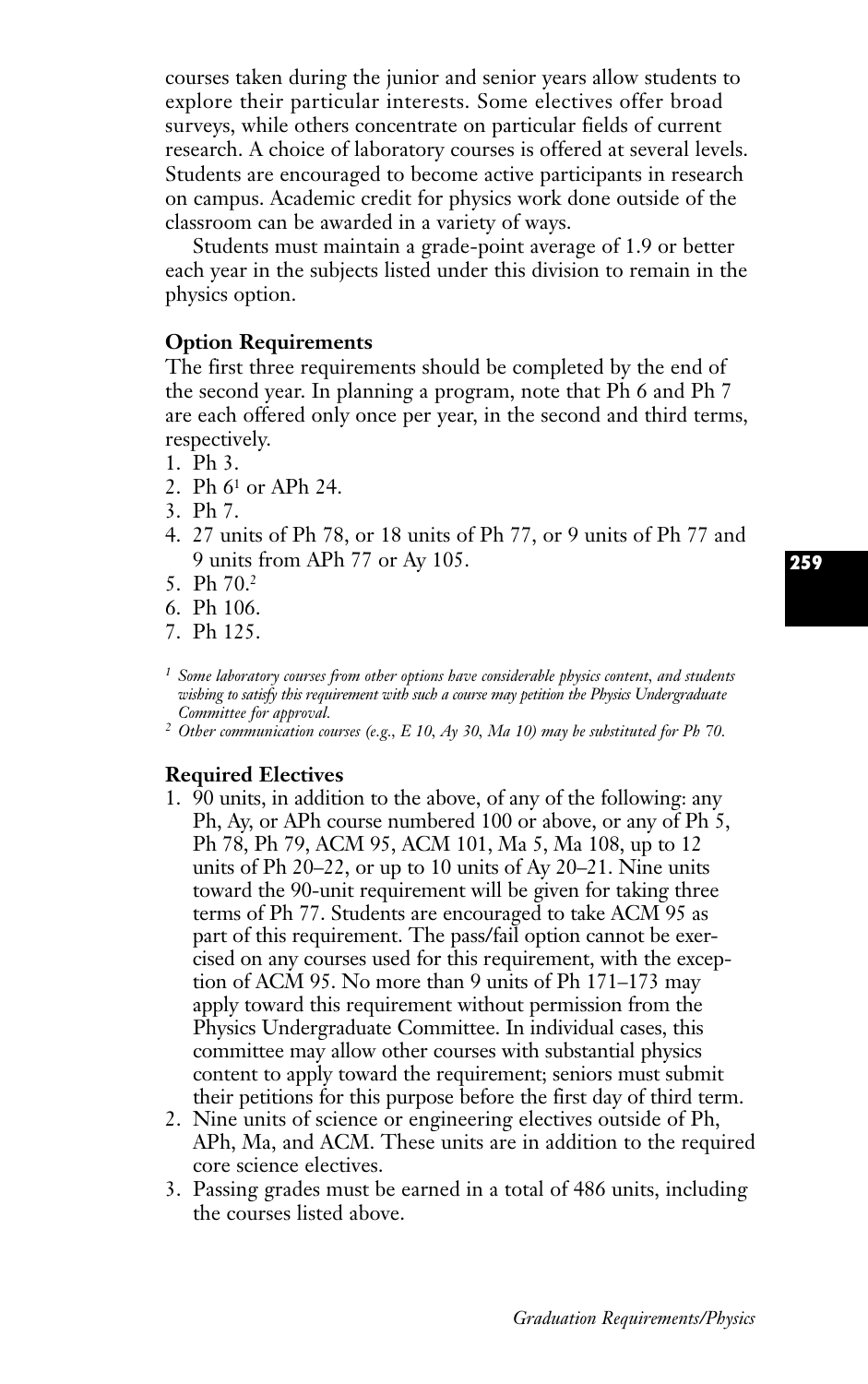courses taken during the junior and senior years allow students to explore their particular interests. Some electives offer broad surveys, while others concentrate on particular fields of current research. A choice of laboratory courses is offered at several levels. Students are encouraged to become active participants in research on campus. Academic credit for physics work done outside of the classroom can be awarded in a variety of ways.

Students must maintain a grade-point average of 1.9 or better each year in the subjects listed under this division to remain in the physics option.

#### **Option Requirements**

The first three requirements should be completed by the end of the second year. In planning a program, note that Ph 6 and Ph 7 are each offered only once per year, in the second and third terms, respectively.

- 1. Ph 3.
- 2. Ph 61 or APh 24.
- 3. Ph 7.
- 4. 27 units of Ph 78, or 18 units of Ph 77, or 9 units of Ph 77 and 9 units from APh 77 or Ay 105.
- 5. Ph 70.2
- 6. Ph 106.
- 7. Ph 125.
- *<sup>1</sup> Some laboratory courses from other options have considerable physics content, and students wishing to satisfy this requirement with such a course may petition the Physics Undergraduate Committee for approval.*
- *<sup>2</sup> Other communication courses (e.g., E 10, Ay 30, Ma 10) may be substituted for Ph 70.*

## **Required Electives**

- 1. 90 units, in addition to the above, of any of the following: any Ph, Ay, or APh course numbered 100 or above, or any of Ph 5, Ph 78, Ph 79, ACM 95, ACM 101, Ma 5, Ma 108, up to 12 units of Ph 20–22, or up to 10 units of Ay 20–21. Nine units toward the 90-unit requirement will be given for taking three terms of Ph 77. Students are encouraged to take ACM 95 as part of this requirement. The pass/fail option cannot be exercised on any courses used for this requirement, with the exception of ACM 95. No more than 9 units of Ph 171–173 may apply toward this requirement without permission from the Physics Undergraduate Committee. In individual cases, this committee may allow other courses with substantial physics content to apply toward the requirement; seniors must submit their petitions for this purpose before the first day of third term.
- 2. Nine units of science or engineering electives outside of Ph, APh, Ma, and ACM. These units are in addition to the required core science electives.
- 3. Passing grades must be earned in a total of 486 units, including the courses listed above.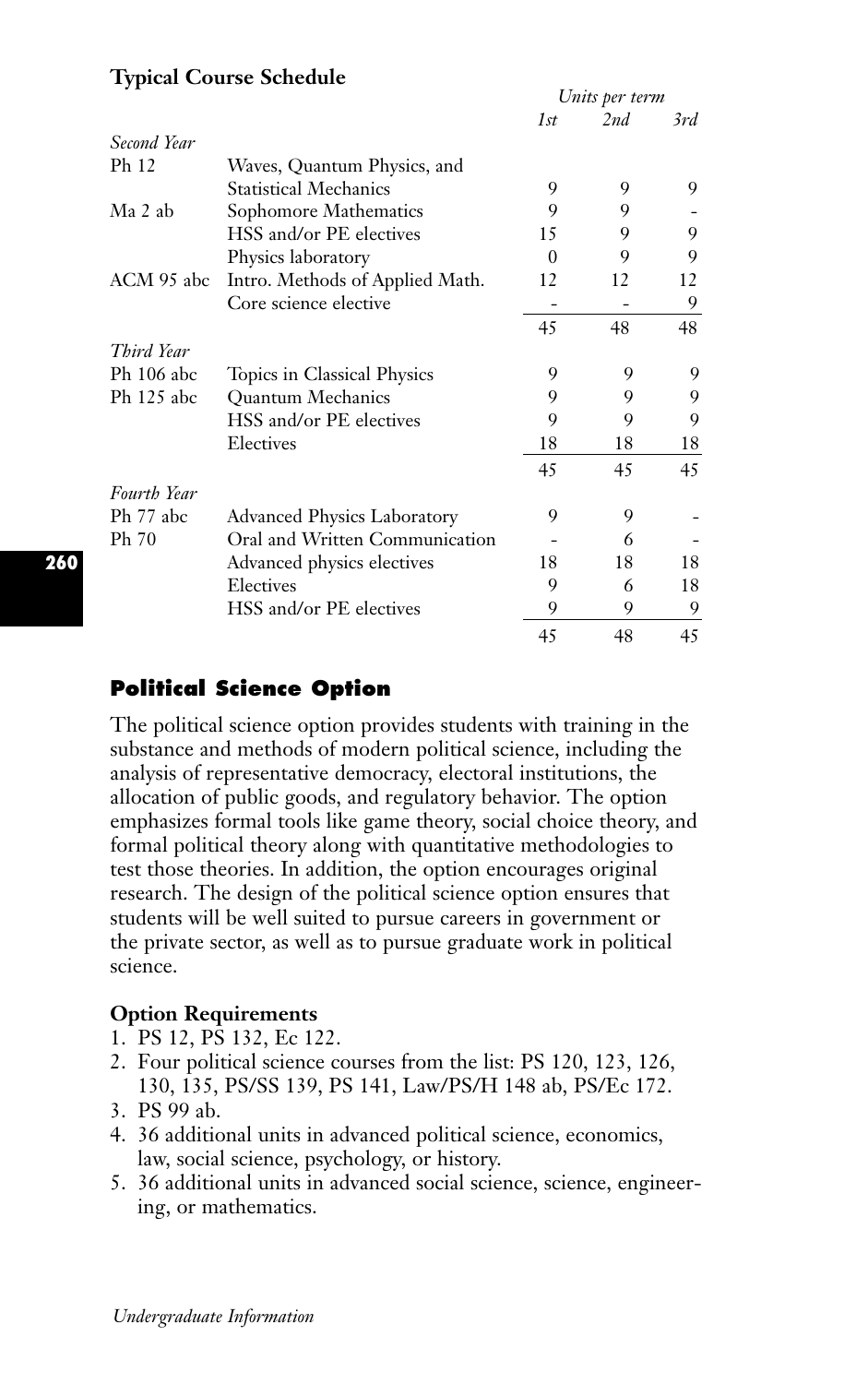|             |                                    | Units per term |     |     |
|-------------|------------------------------------|----------------|-----|-----|
|             |                                    | 1st            | 2nd | 3rd |
| Second Year |                                    |                |     |     |
| Ph 12       | Waves, Quantum Physics, and        |                |     |     |
|             | <b>Statistical Mechanics</b>       | 9              | 9   | 9   |
| Ma 2 ab     | Sophomore Mathematics              | 9              | 9   |     |
|             | HSS and/or PE electives            | 15             | 9   | 9   |
|             | Physics laboratory                 | $\Omega$       | 9   | 9   |
| ACM 95 abc  | Intro. Methods of Applied Math.    | 12             | 12  | 12  |
|             | Core science elective              |                |     | 9   |
|             |                                    | 45             | 48  | 48  |
| Third Year  |                                    |                |     |     |
| Ph 106 abc  | Topics in Classical Physics        | 9              | 9   | 9   |
| Ph 125 abc  | <b>Ouantum Mechanics</b>           | 9              | 9   | 9   |
|             | HSS and/or PE electives            | 9              | 9   | 9   |
|             | Electives                          | 18             | 18  | 18  |
|             |                                    | 45             | 45  | 45  |
| Fourth Year |                                    |                |     |     |
| Ph 77 abc   | <b>Advanced Physics Laboratory</b> | 9              | 9   |     |
| Ph 70       | Oral and Written Communication     |                | 6   |     |
|             | Advanced physics electives         | 18             | 18  | 18  |
|             | Electives                          | 9              | 6   | 18  |
|             | HSS and/or PE electives            | 9              | 9   | 9   |
|             |                                    | 45             | 48  | 45  |

# **Typical Course Schedule**

# **Political Science Option**

The political science option provides students with training in the substance and methods of modern political science, including the analysis of representative democracy, electoral institutions, the allocation of public goods, and regulatory behavior. The option emphasizes formal tools like game theory, social choice theory, and formal political theory along with quantitative methodologies to test those theories. In addition, the option encourages original research. The design of the political science option ensures that students will be well suited to pursue careers in government or the private sector, as well as to pursue graduate work in political science.

## **Option Requirements**

- 1. PS 12, PS 132, Ec 122.
- 2. Four political science courses from the list: PS 120, 123, 126, 130, 135, PS/SS 139, PS 141, Law/PS/H 148 ab, PS/Ec 172.
- 3. PS 99 ab.
- 4. 36 additional units in advanced political science, economics, law, social science, psychology, or history.
- 5. 36 additional units in advanced social science, science, engineering, or mathematics.